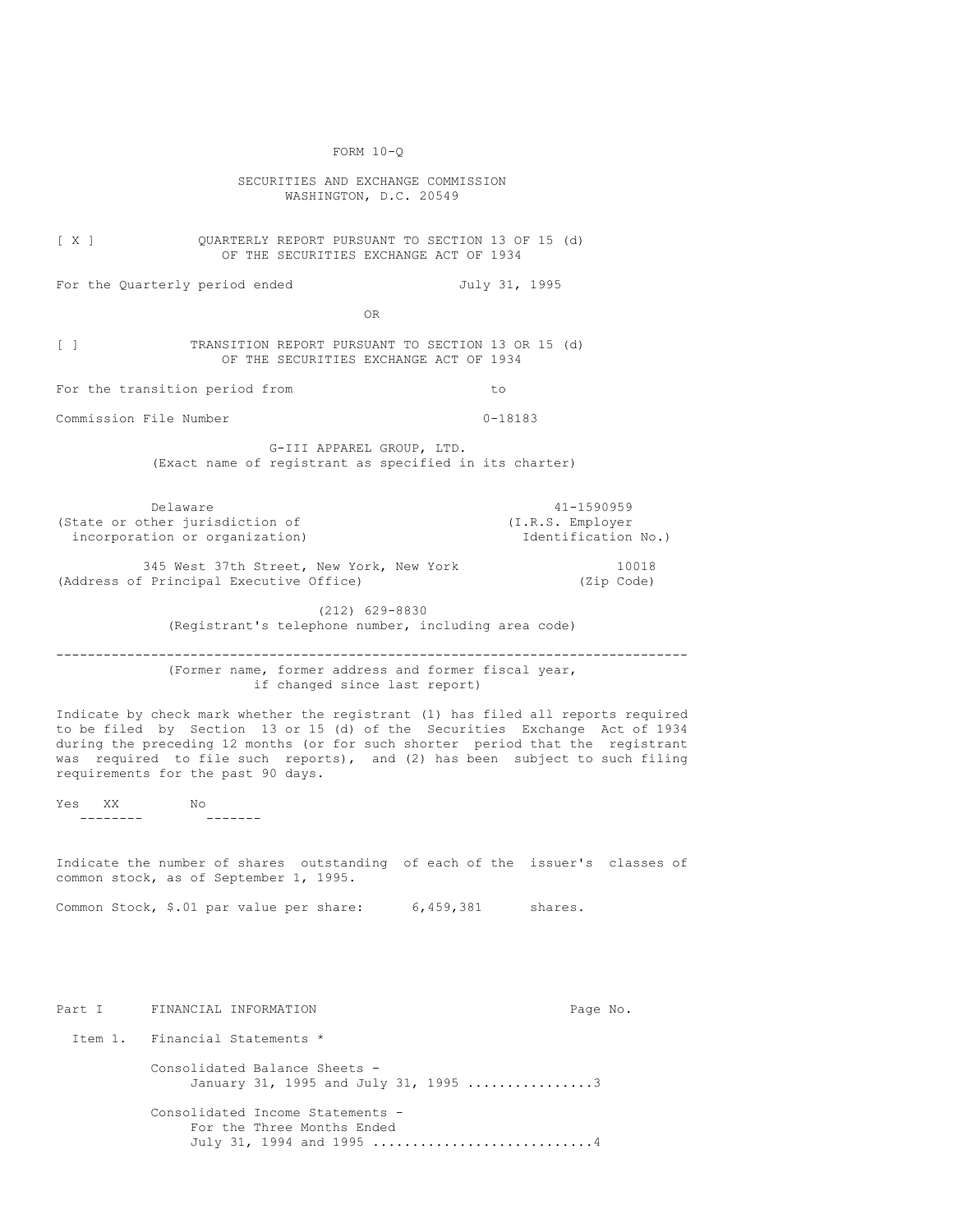FORM 10-Q SECURITIES AND EXCHANGE COMMISSION WASHINGTON, D.C. 20549 [ X ] QUARTERLY REPORT PURSUANT TO SECTION 13 OF 15 (d) OF THE SECURITIES EXCHANGE ACT OF 1934 For the Quarterly period ended July 31, 1995 OR [ ] TRANSITION REPORT PURSUANT TO SECTION 13 OR 15 (d) OF THE SECURITIES EXCHANGE ACT OF 1934 For the transition period from the total control to to the transition period from the total control to the to Commission File Number 0-18183 G-III APPAREL GROUP, LTD. (Exact name of registrant as specified in its charter) Delaware 41-1590959<br>
ther jurisdiction of  $(1.R.S. \nEmployer)$ (State or other jurisdiction of incorporation or organization) and incorporation No.) 345 West 37th Street, New York, New York 10018 (Address of Principal Executive Office) (Zip Code) (212) 629-8830 (Registrant's telephone number, including area code) -------------------------------------------------------------------------------- (Former name, former address and former fiscal year, if changed since last report) Indicate by check mark whether the registrant (1) has filed all reports required to be filed by Section 13 or 15 (d) of the Securities Exchange Act of 1934 during the preceding 12 months (or for such shorter period that the registrant was required to file such reports), and (2) has been subject to such filing requirements for the past 90 days. Yes XX No -------- ------- Indicate the number of shares outstanding of each of the issuer's classes of common stock, as of September 1, 1995. Common Stock, \$.01 par value per share: 6,459,381 shares. Part I FINANCIAL INFORMATION Page No. Item 1. Financial Statements \* Consolidated Balance Sheets - January 31, 1995 and July 31, 1995 ................3 Consolidated Income Statements - For the Three Months Ended July 31, 1994 and 1995 .................................4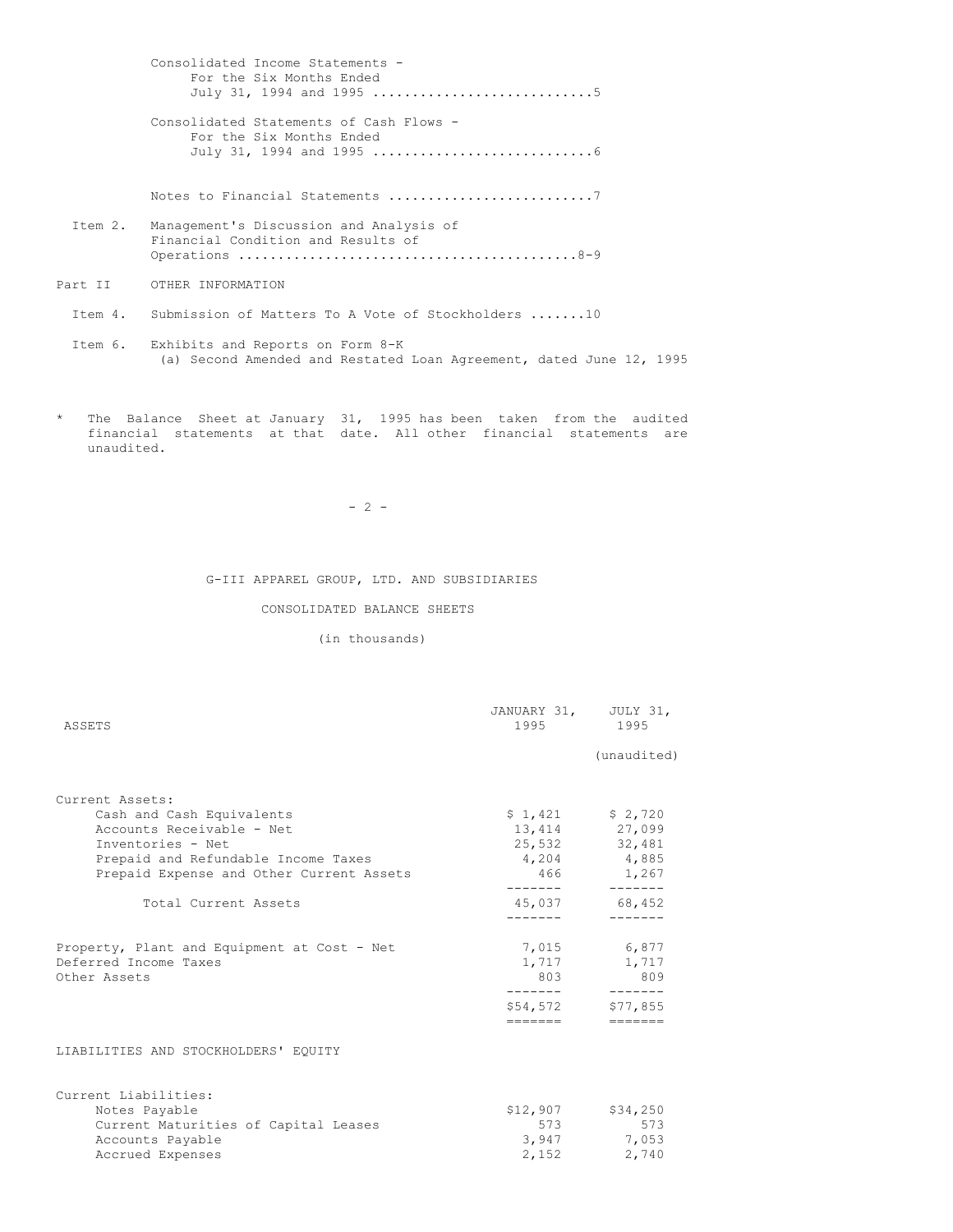Consolidated Income Statements - For the Six Months Ended July 31, 1994 and 1995 ............................5 Consolidated Statements of Cash Flows - For the Six Months Ended July 31, 1994 and 1995 ............................6 Notes to Financial Statements ..............................7 Item 2. Management's Discussion and Analysis of Financial Condition and Results of Operations ...........................................8-9 Part II OTHER INFORMATION Item 4. Submission of Matters To A Vote of Stockholders .......10 Item 6. Exhibits and Reports on Form 8-K (a) Second Amended and Restated Loan Agreement, dated June 12, 1995

\* The Balance Sheet at January 31, 1995 has been taken from the audited financial statements at that date. All other financial statements are unaudited.

 $- 2 -$ 

#### G-III APPAREL GROUP, LTD. AND SUBSIDIARIES

## CONSOLIDATED BALANCE SHEETS

## (in thousands)

| ASSETS                                                                               | JANUARY 31, JULY 31,<br>1995 1995 |                                                      |
|--------------------------------------------------------------------------------------|-----------------------------------|------------------------------------------------------|
|                                                                                      |                                   | (unaudited)                                          |
| Current Assets:                                                                      |                                   |                                                      |
| Cash and Cash Equivalents                                                            |                                   | $$1,421$ $$2,720$                                    |
| Accounts Receivable - Net                                                            |                                   | 13,414 27,099                                        |
| Inventories - Net                                                                    |                                   | 25,532 32,481                                        |
| Prepaid and Refundable Income Taxes                                                  |                                   | 4,204 4,885                                          |
| Prepaid Expense and Other Current Assets                                             | --------                          | 466 1,267<br>-------                                 |
| Total Current Assets                                                                 | --------                          | 45,037 68,452                                        |
| Property, Plant and Equipment at Cost - Net<br>Deferred Income Taxes<br>Other Assets | 803<br>________                   | 7,015 6,877<br>1,717 1,717<br>809<br>$- - - - - - -$ |
|                                                                                      | \$54,572                          | \$77,855                                             |
| LIABILITIES AND STOCKHOLDERS' EQUITY                                                 |                                   | $=$ $=$ $=$ $=$ $=$ $=$                              |
|                                                                                      |                                   |                                                      |
| Current Liabilities:                                                                 |                                   |                                                      |
| Notes Payable                                                                        | \$12,907                          | \$34,250                                             |
| Current Maturities of Capital Leases                                                 | 573                               | 573                                                  |
| Accounts Payable                                                                     |                                   | 3,947 7,053                                          |
| Accrued Expenses                                                                     | 2,152                             | 2,740                                                |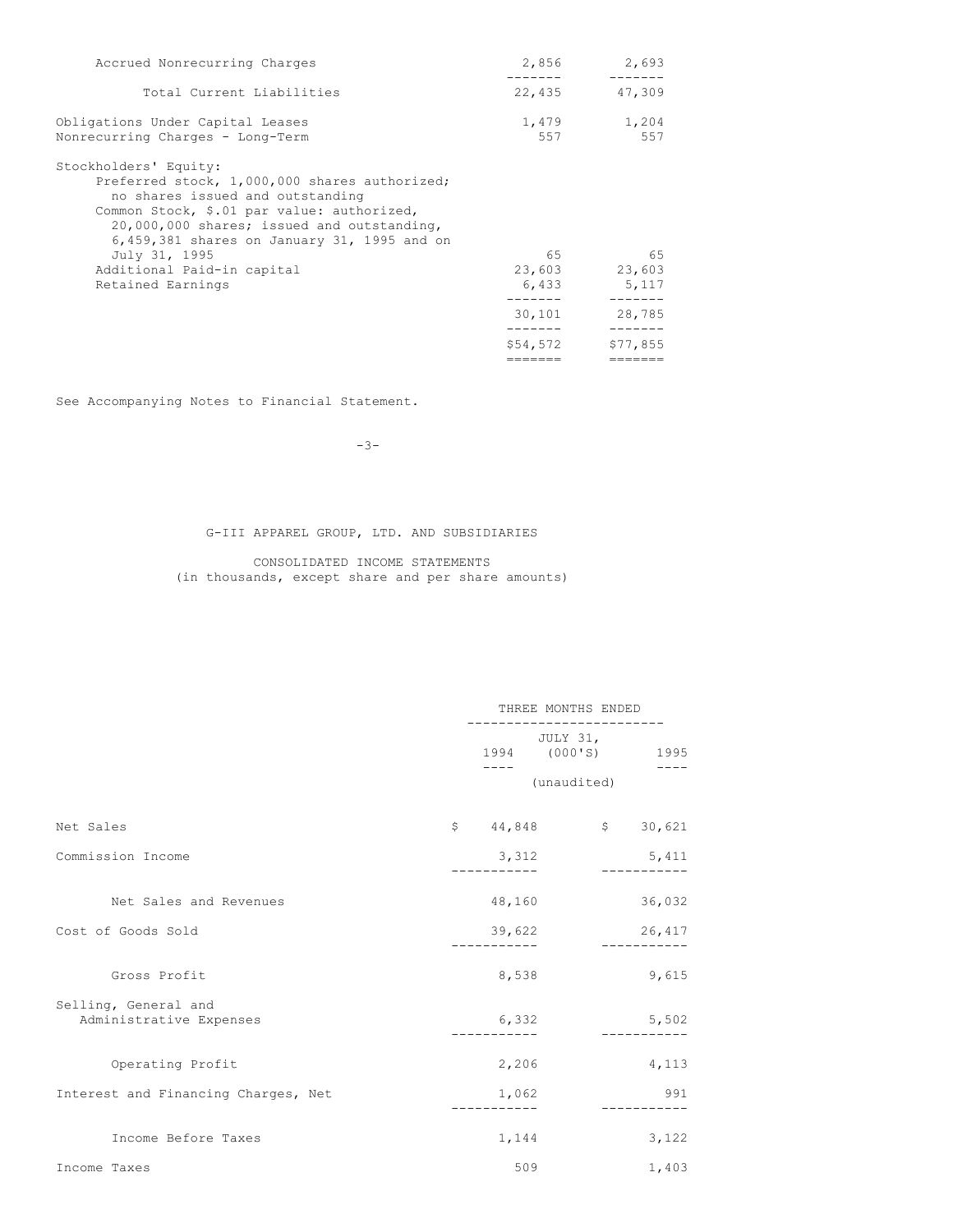| Accrued Nonrecurring Charges                                                                                                                                                                                                                          | 2,856               | 2,693                              |
|-------------------------------------------------------------------------------------------------------------------------------------------------------------------------------------------------------------------------------------------------------|---------------------|------------------------------------|
| Total Current Liabilities                                                                                                                                                                                                                             | 22,435              | 47,309                             |
| Obligations Under Capital Leases<br>Nonrecurring Charges - Long-Term                                                                                                                                                                                  | 1,479<br>557        | 1,204<br>557                       |
| Stockholders' Equity:<br>Preferred stock, 1,000,000 shares authorized;<br>no shares issued and outstanding<br>Common Stock, \$.01 par value: authorized,<br>20,000,000 shares; issued and outstanding,<br>6,459,381 shares on January 31, 1995 and on |                     |                                    |
| July 31, 1995<br>Additional Paid-in capital<br>Retained Earnings                                                                                                                                                                                      | 65                  | 65<br>23,603 23,603<br>6,433 5,117 |
|                                                                                                                                                                                                                                                       | 30,101              | 28,785                             |
|                                                                                                                                                                                                                                                       | \$54,572<br>======= | \$77,855<br>=======                |
|                                                                                                                                                                                                                                                       |                     |                                    |

See Accompanying Notes to Financial Statement.

-3-

# G-III APPAREL GROUP, LTD. AND SUBSIDIARIES

CONSOLIDATED INCOME STATEMENTS (in thousands, except share and per share amounts)

|                                                 |          | THREE MONTHS ENDED |                   |  |
|-------------------------------------------------|----------|--------------------|-------------------|--|
|                                                 |          | JULY 31,           | 1994 (000'S) 1995 |  |
|                                                 |          | (unaudited)        |                   |  |
| Net Sales                                       | \$44,848 |                    | \$30,621          |  |
| Commission Income                               | 3,312    |                    | 5,411             |  |
|                                                 |          |                    |                   |  |
| Net Sales and Revenues                          | 48,160   |                    | 36,032            |  |
| Cost of Goods Sold                              | 39,622   |                    | 26,417            |  |
| Gross Profit                                    | 8,538    |                    | 9,615             |  |
| Selling, General and<br>Administrative Expenses | 6,332    |                    | 5,502             |  |
| Operating Profit                                | 2,206    |                    | 4,113             |  |
| Interest and Financing Charges, Net             | 1,062    |                    | 991               |  |
| Income Before Taxes                             | 1,144    |                    | 3,122             |  |
| Income Taxes                                    | 509      |                    | 1,403             |  |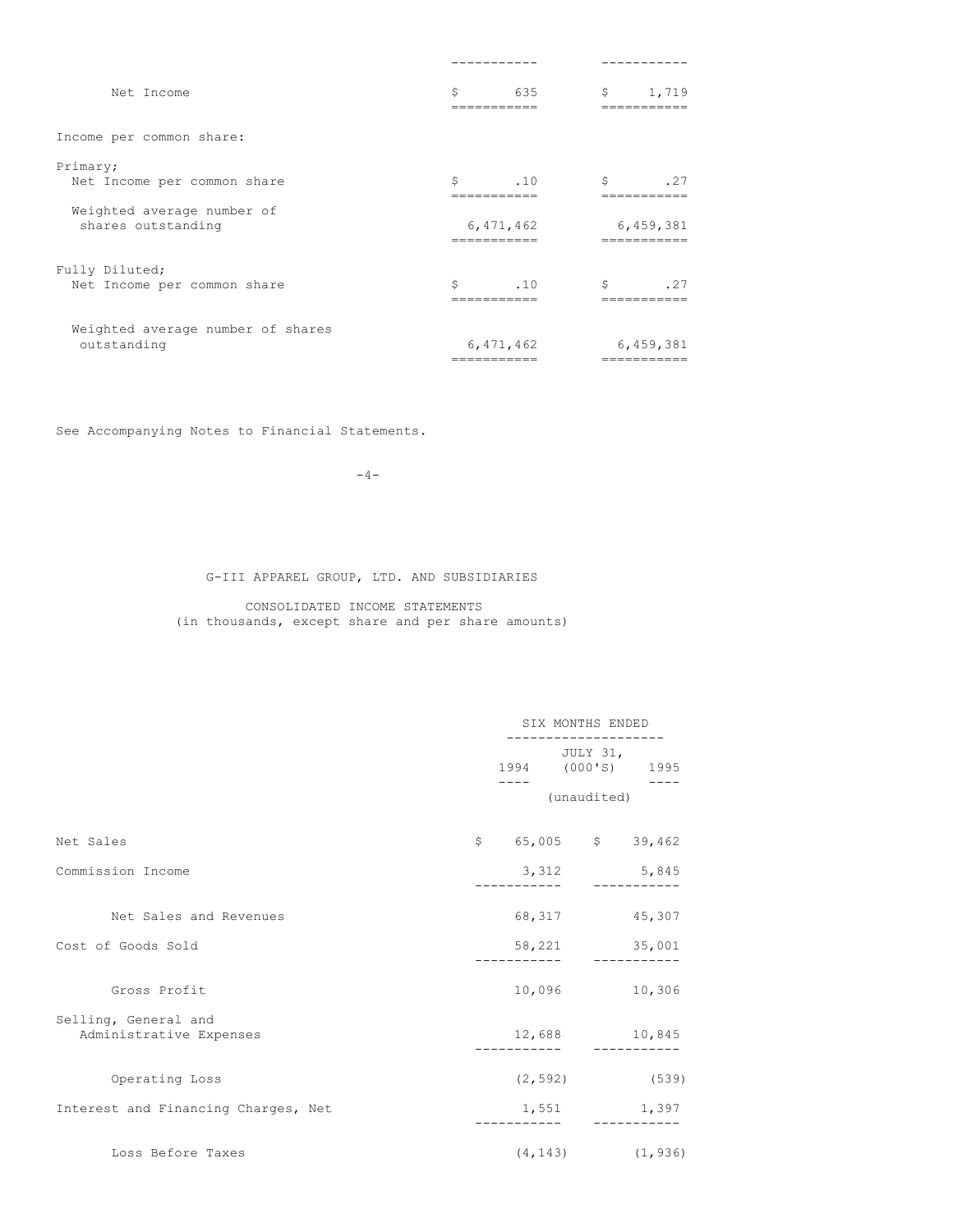| Net Income                                       | Ś<br>635<br>---------- | \$<br>1,719<br>========= |
|--------------------------------------------------|------------------------|--------------------------|
| Income per common share:                         |                        |                          |
| Primary;<br>Net Income per common share          | Ŝ.<br>.10<br>--------- | Ŝ.<br>.27                |
| Weighted average number of<br>shares outstanding | 6,471,462              | 6,459,381                |
| Fully Diluted;<br>Net Income per common share    | Ŝ.<br>.10              | Ŝ<br>.27                 |
| Weighted average number of shares<br>outstanding | 6,471,462              | 6,459,381                |

See Accompanying Notes to Financial Statements.

 $-4-$ 

G-III APPAREL GROUP, LTD. AND SUBSIDIARIES

CONSOLIDATED INCOME STATEMENTS (in thousands, except share and per share amounts)

|                                                 | SIX MONTHS ENDED |                     |             |          |
|-------------------------------------------------|------------------|---------------------|-------------|----------|
|                                                 |                  | 1994 (000'S) 1995   | JULY 31,    |          |
|                                                 |                  |                     | (unaudited) |          |
| Net Sales                                       |                  | $$65,005$ \$ 39,462 |             |          |
| Commission Income                               |                  | 3,312               |             | 5,845    |
| Net Sales and Revenues                          |                  | 68, 317 45, 307     |             |          |
| Cost of Goods Sold                              |                  | 58,221 35,001       |             |          |
| Gross Profit                                    |                  | 10,096              |             | 10,306   |
| Selling, General and<br>Administrative Expenses |                  | 12,688 10,845       |             |          |
| Operating Loss                                  |                  | $(2, 592)$ (539)    |             |          |
| Interest and Financing Charges, Net             |                  | 1,551               |             | 1,397    |
| Loss Before Taxes                               |                  | (4, 143)            |             | (1, 936) |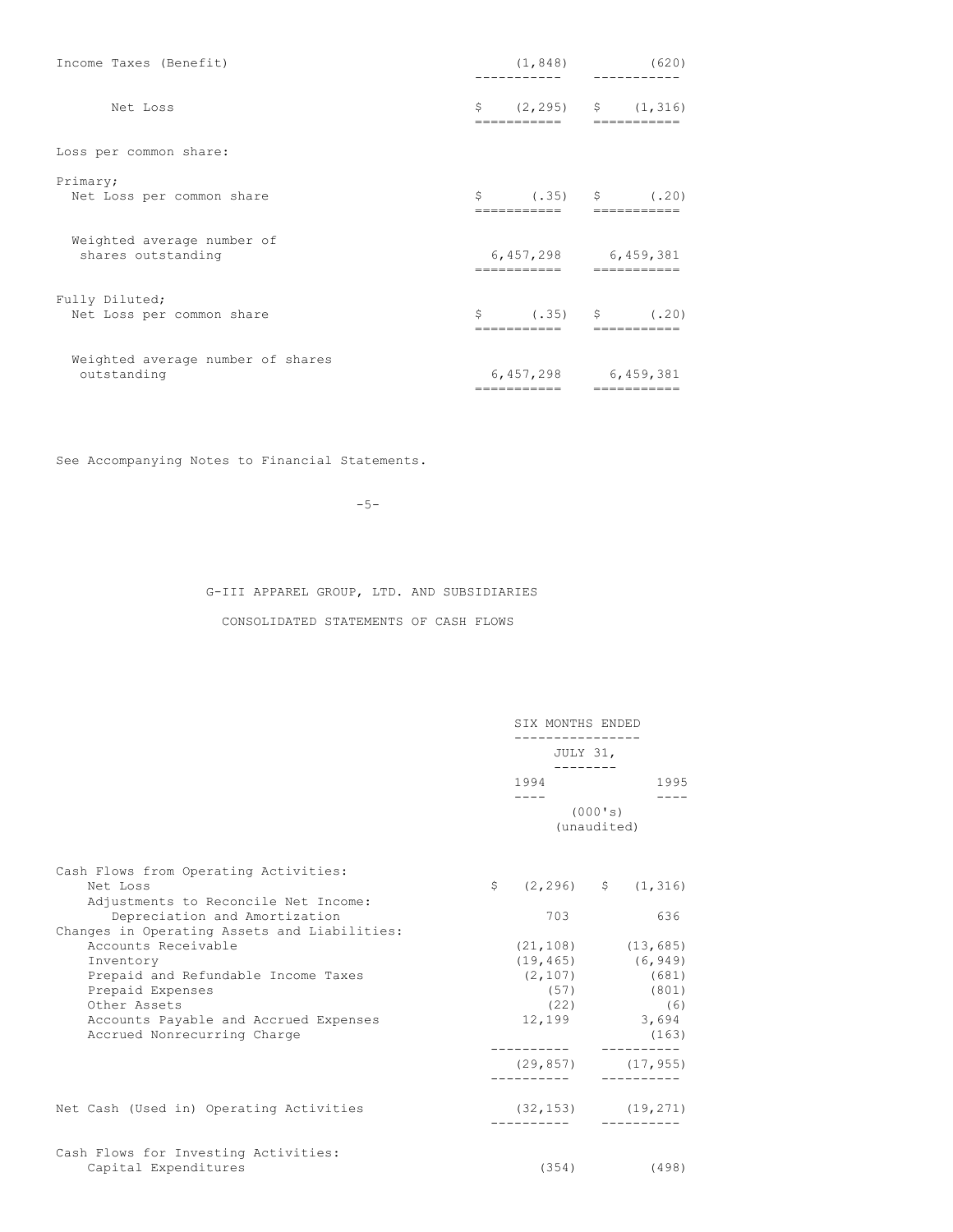| Income Taxes (Benefit)                           | (1, 848)    | (620)                                      |
|--------------------------------------------------|-------------|--------------------------------------------|
| Net Loss                                         | \$          | $(2, 295)$ \$ $(1, 316)$                   |
| Loss per common share:                           |             |                                            |
| Primary;<br>Net Loss per common share            | =========== | $\zeta$ (.35) $\zeta$ (.20)<br>=========== |
| Weighted average number of<br>shares outstanding | ----------  | 6,457,298 6,459,381                        |
| Fully Diluted;<br>Net Loss per common share      | =========== | $\zeta$ (.35) $\zeta$ (.20)<br>=========== |
| Weighted average number of shares<br>outstanding | =========== | 6,457,298 6,459,381<br>===========         |

See Accompanying Notes to Financial Statements.

-5-

G-III APPAREL GROUP, LTD. AND SUBSIDIARIES

CONSOLIDATED STATEMENTS OF CASH FLOWS

|                                                                                                                       |  | SIX MONTHS ENDED<br>JULY 31,                |         |                         |
|-----------------------------------------------------------------------------------------------------------------------|--|---------------------------------------------|---------|-------------------------|
|                                                                                                                       |  |                                             |         |                         |
|                                                                                                                       |  | 1994                                        |         | 1995                    |
|                                                                                                                       |  | (unaudited)                                 | (000's) |                         |
| Cash Flows from Operating Activities:                                                                                 |  |                                             |         |                         |
| Net Loss                                                                                                              |  | $\frac{1}{2}$ (2,296) $\frac{1}{2}$ (1,316) |         |                         |
| Adjustments to Reconcile Net Income:<br>Depreciation and Amortization<br>Changes in Operating Assets and Liabilities: |  | 703                                         |         | 636                     |
| Accounts Receivable                                                                                                   |  |                                             |         | $(21, 108)$ $(13, 685)$ |
| Inventory                                                                                                             |  | $(19, 465)$ (6,949)                         |         |                         |
| Prepaid and Refundable Income Taxes                                                                                   |  |                                             |         | $(2, 107)$ (681)        |
| Prepaid Expenses                                                                                                      |  |                                             |         | (57) (801)              |
| Other Assets                                                                                                          |  | (22)                                        |         | (6)                     |
| Accounts Payable and Accrued Expenses<br>Accrued Nonrecurring Charge                                                  |  | 12,199 3,694                                |         | (163)                   |
|                                                                                                                       |  | $(29, 857)$ $(17, 955)$                     |         |                         |
| Net Cash (Used in) Operating Activities                                                                               |  | $(32, 153)$ $(19, 271)$                     |         |                         |
| Cash Flows for Investing Activities:                                                                                  |  |                                             |         |                         |
| Capital Expenditures                                                                                                  |  |                                             |         | $(354)$ (498)           |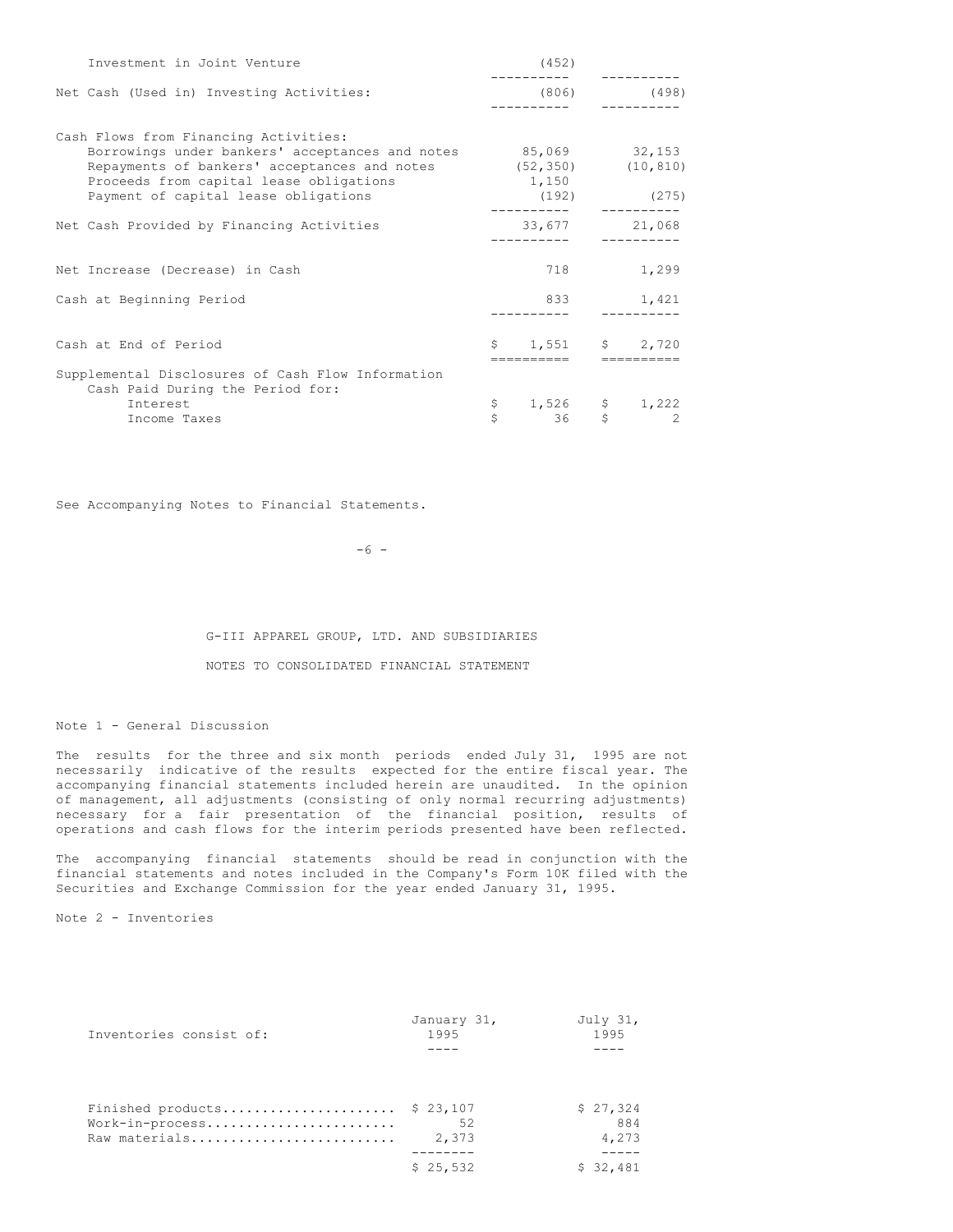| Investment in Joint Venture                                                                                                                                                |    | (452)                           |   |               |
|----------------------------------------------------------------------------------------------------------------------------------------------------------------------------|----|---------------------------------|---|---------------|
| Net Cash (Used in) Investing Activities:                                                                                                                                   |    |                                 |   | $(806)$ (498) |
| Cash Flows from Financing Activities:                                                                                                                                      |    |                                 |   |               |
| Borrowings under bankers' acceptances and notes 85,069 32,153<br>Repayments of bankers' acceptances and notes (52,350) (10,810)<br>Proceeds from capital lease obligations |    | 1,150                           |   |               |
| Payment of capital lease obligations                                                                                                                                       |    | $(192)$ (275)                   |   |               |
| Net Cash Provided by Financing Activities                                                                                                                                  |    | 33,677                          |   | 21,068        |
| Net Increase (Decrease) in Cash                                                                                                                                            |    | 718                             |   | 1,299         |
| Cash at Beginning Period                                                                                                                                                   |    | 833                             |   | 1,421         |
| Cash at End of Period                                                                                                                                                      |    | $$1,551$ $$2,720$<br>========== |   |               |
| Supplemental Disclosures of Cash Flow Information<br>Cash Paid During the Period for:                                                                                      |    |                                 |   |               |
| Interest                                                                                                                                                                   | \$ | $1,526$ \$ 1,222                |   |               |
| Income Taxes                                                                                                                                                               | Ŝ. | 36                              | S | $\sim$ 2      |

See Accompanying Notes to Financial Statements.

 $-6 -$ 

G-III APPAREL GROUP, LTD. AND SUBSIDIARIES NOTES TO CONSOLIDATED FINANCIAL STATEMENT

Note 1 - General Discussion

The results for the three and six month periods ended July 31, 1995 are not necessarily indicative of the results expected for the entire fiscal year. The accompanying financial statements included herein are unaudited. In the opinion of management, all adjustments (consisting of only normal recurring adjustments) necessary for a fair presentation of the financial position, results of operations and cash flows for the interim periods presented have been reflected.

The accompanying financial statements should be read in conjunction with the financial statements and notes included in the Company's Form 10K filed with the Securities and Exchange Commission for the year ended January 31, 1995.

Note 2 - Inventories

| Inventories consist of: | January 31,<br>1995 | July 31,<br>1995 |
|-------------------------|---------------------|------------------|
|                         |                     |                  |
|                         |                     |                  |
| Finished products       | \$23,107            | \$27.324         |
| Work-in-process         | 52                  | 884              |
| Raw materials           | 2,373               | 4,273            |
|                         |                     |                  |
|                         | \$25.532            | \$32,481         |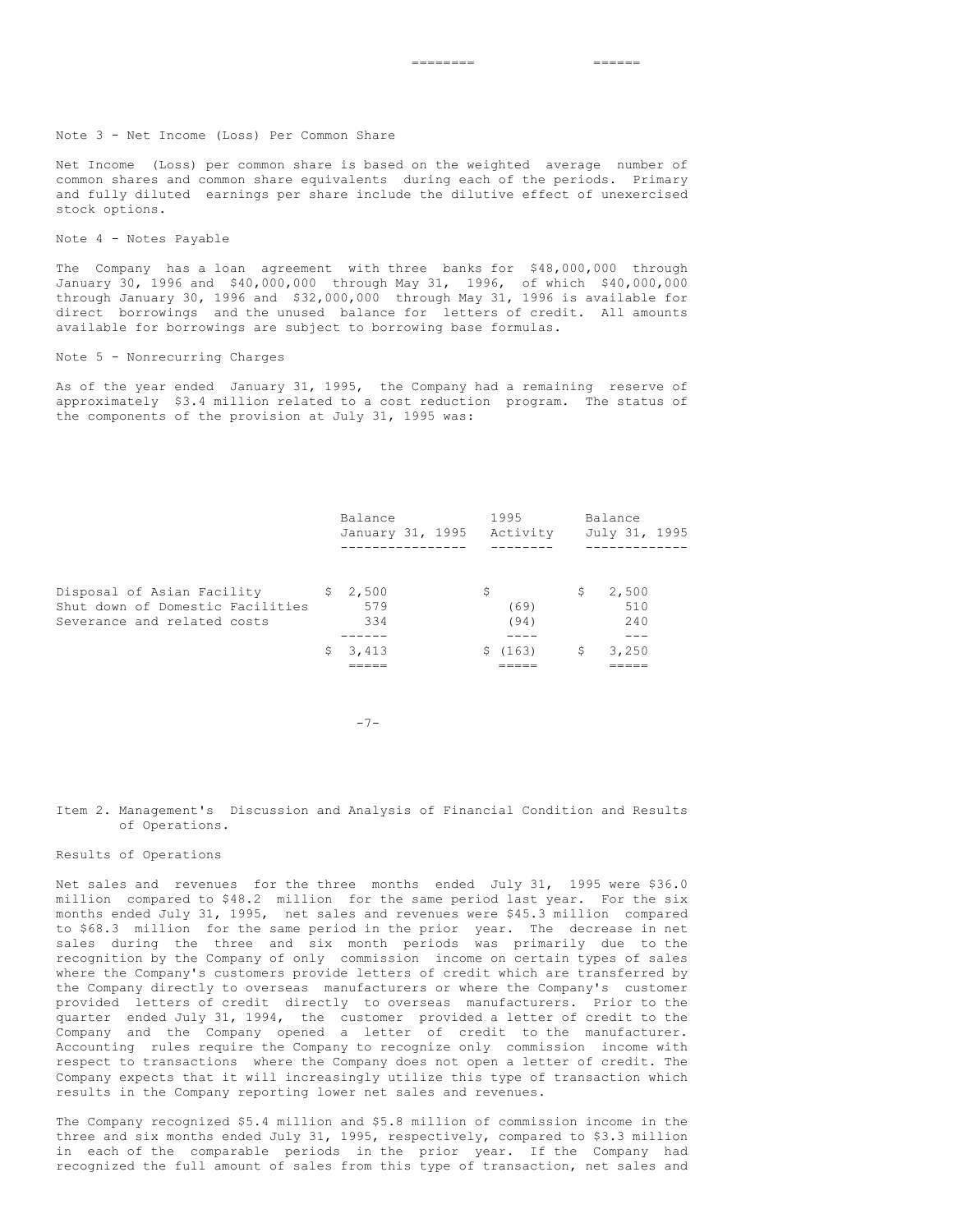Note 3 - Net Income (Loss) Per Common Share

Net Income (Loss) per common share is based on the weighted average number of common shares and common share equivalents during each of the periods. Primary and fully diluted earnings per share include the dilutive effect of unexercised stock options.

## Note 4 - Notes Payable

The Company has a loan agreement with three banks for \$48,000,000 through January 30, 1996 and \$40,000,000 through May 31, 1996, of which \$40,000,000 through January 30, 1996 and \$32,000,000 through May 31, 1996 is available for direct borrowings and the unused balance for letters of credit. All amounts available for borrowings are subject to borrowing base formulas.

#### Note 5 - Nonrecurring Charges

As of the year ended January 31, 1995, the Company had a remaining reserve of approximately \$3.4 million related to a cost reduction program. The status of the components of the provision at July 31, 1995 was:

|                                                                                               | Balance<br>January 31, 1995 |   | 1995<br>Activity |    | Balance<br>July 31, 1995 |  |
|-----------------------------------------------------------------------------------------------|-----------------------------|---|------------------|----|--------------------------|--|
|                                                                                               |                             |   |                  |    |                          |  |
| Disposal of Asian Facility<br>Shut down of Domestic Facilities<br>Severance and related costs | \$2,500<br>579<br>334       | S | (69)<br>(94)     | S. | 2,500<br>510<br>2.40     |  |
|                                                                                               | 3,413                       |   | \$(163)          | S. | 3,250                    |  |
|                                                                                               |                             |   |                  |    |                          |  |

 $-7-$ 

## Item 2. Management's Discussion and Analysis of Financial Condition and Results of Operations.

#### Results of Operations

Net sales and revenues for the three months ended July 31, 1995 were \$36.0 million compared to \$48.2 million for the same period last year. For the six months ended July 31, 1995, net sales and revenues were \$45.3 million compared to \$68.3 million for the same period in the prior year. The decrease in net sales during the three and six month periods was primarily due to the recognition by the Company of only commission income on certain types of sales where the Company's customers provide letters of credit which are transferred by the Company directly to overseas manufacturers or where the Company's customer provided letters of credit directly to overseas manufacturers. Prior to the quarter ended July 31, 1994, the customer provided a letter of credit to the Company and the Company opened a letter of credit to the manufacturer. Accounting rules require the Company to recognize only commission income with respect to transactions where the Company does not open a letter of credit. The Company expects that it will increasingly utilize this type of transaction which results in the Company reporting lower net sales and revenues.

The Company recognized \$5.4 million and \$5.8 million of commission income in the three and six months ended July 31, 1995, respectively, compared to \$3.3 million in each of the comparable periods in the prior year. If the Company had recognized the full amount of sales from this type of transaction, net sales and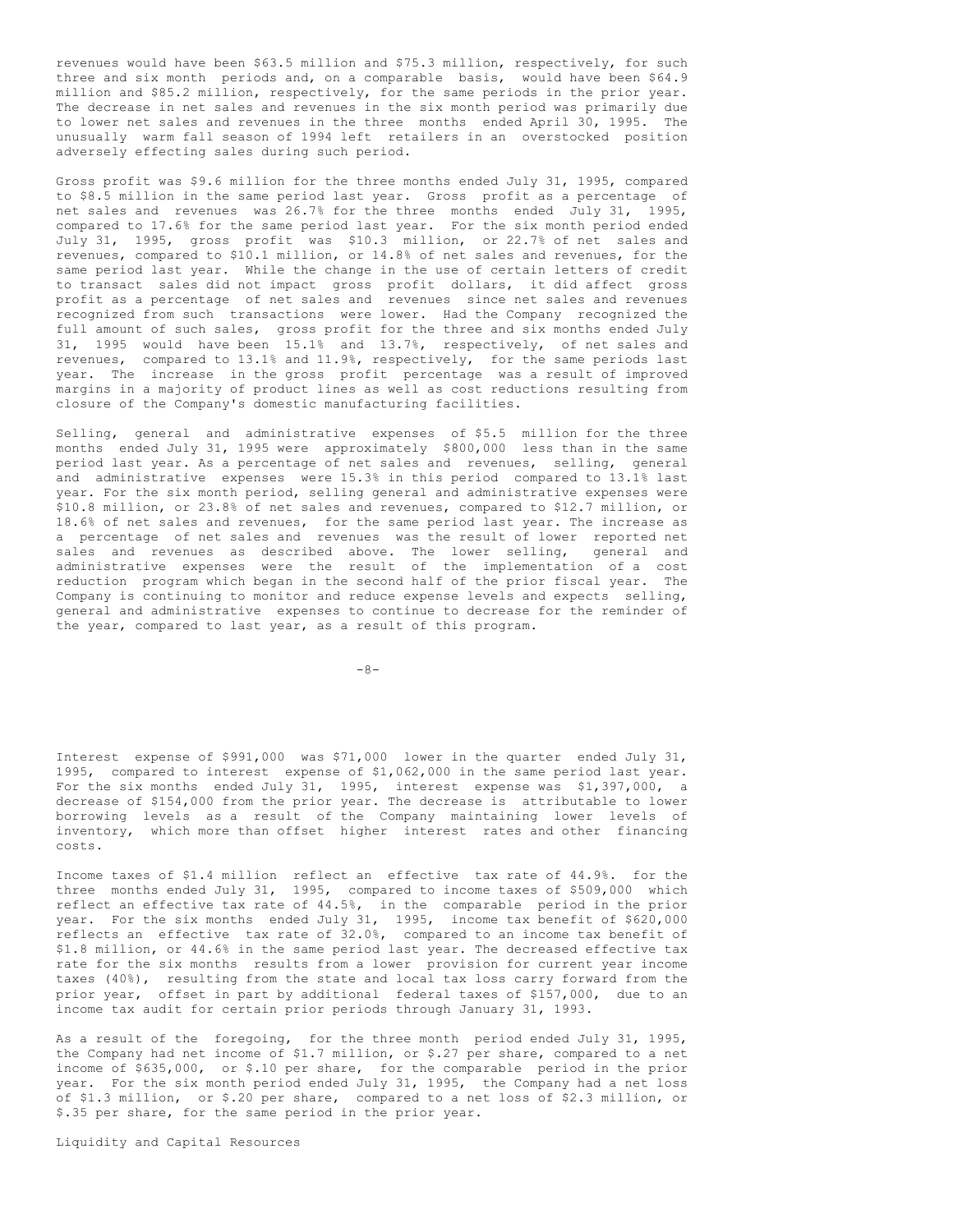revenues would have been \$63.5 million and \$75.3 million, respectively, for such three and six month periods and, on a comparable basis, would have been \$64.9 million and \$85.2 million, respectively, for the same periods in the prior year. The decrease in net sales and revenues in the six month period was primarily due to lower net sales and revenues in the three months ended April 30, 1995. The unusually warm fall season of 1994 left retailers in an overstocked position adversely effecting sales during such period.

Gross profit was \$9.6 million for the three months ended July 31, 1995, compared to \$8.5 million in the same period last year. Gross profit as a percentage of net sales and revenues was 26.7% for the three months ended July 31, 1995, compared to 17.6% for the same period last year. For the six month period ended July 31, 1995, gross profit was \$10.3 million, or 22.7% of net sales and revenues, compared to \$10.1 million, or 14.8% of net sales and revenues, for the same period last year. While the change in the use of certain letters of credit to transact sales did not impact gross profit dollars, it did affect gross profit as a percentage of net sales and revenues since net sales and revenues recognized from such transactions were lower. Had the Company recognized the full amount of such sales, gross profit for the three and six months ended July 31, 1995 would have been 15.1% and 13.7%, respectively, of net sales and revenues, compared to 13.1% and 11.9%, respectively, for the same periods last year. The increase in the gross profit percentage was a result of improved margins in a majority of product lines as well as cost reductions resulting from closure of the Company's domestic manufacturing facilities.

Selling, general and administrative expenses of \$5.5 million for the three months ended July 31, 1995 were approximately \$800,000 less than in the same period last year. As a percentage of net sales and revenues, selling, general and administrative expenses were 15.3% in this period compared to 13.1% last year. For the six month period, selling general and administrative expenses were \$10.8 million, or 23.8% of net sales and revenues, compared to \$12.7 million, or 18.6% of net sales and revenues, for the same period last year. The increase as a percentage of net sales and revenues was the result of lower reported net sales and revenues as described above. The lower selling, general and administrative expenses were the result of the implementation of a cost reduction program which began in the second half of the prior fiscal year. The Company is continuing to monitor and reduce expense levels and expects selling, general and administrative expenses to continue to decrease for the reminder of the year, compared to last year, as a result of this program.

 $-8-$ 

Interest expense of \$991,000 was \$71,000 lower in the quarter ended July 31, 1995, compared to interest expense of \$1,062,000 in the same period last year. For the six months ended July 31, 1995, interest expense was \$1,397,000, a decrease of \$154,000 from the prior year. The decrease is attributable to lower borrowing levels as a result of the Company maintaining lower levels of inventory, which more than offset higher interest rates and other financing costs.

Income taxes of \$1.4 million reflect an effective tax rate of 44.9%. for the three months ended July 31, 1995, compared to income taxes of \$509,000 which reflect an effective tax rate of 44.5%, in the comparable period in the prior year. For the six months ended July 31, 1995, income tax benefit of \$620,000 reflects an effective tax rate of 32.0%, compared to an income tax benefit of \$1.8 million, or 44.6% in the same period last year. The decreased effective tax rate for the six months results from a lower provision for current year income taxes (40%), resulting from the state and local tax loss carry forward from the prior year, offset in part by additional federal taxes of \$157,000, due to an income tax audit for certain prior periods through January 31, 1993.

As a result of the foregoing, for the three month period ended July 31, 1995, the Company had net income of \$1.7 million, or \$.27 per share, compared to a net income of \$635,000, or \$.10 per share, for the comparable period in the prior year. For the six month period ended July 31, 1995, the Company had a net loss of \$1.3 million, or \$.20 per share, compared to a net loss of \$2.3 million, or \$.35 per share, for the same period in the prior year.

Liquidity and Capital Resources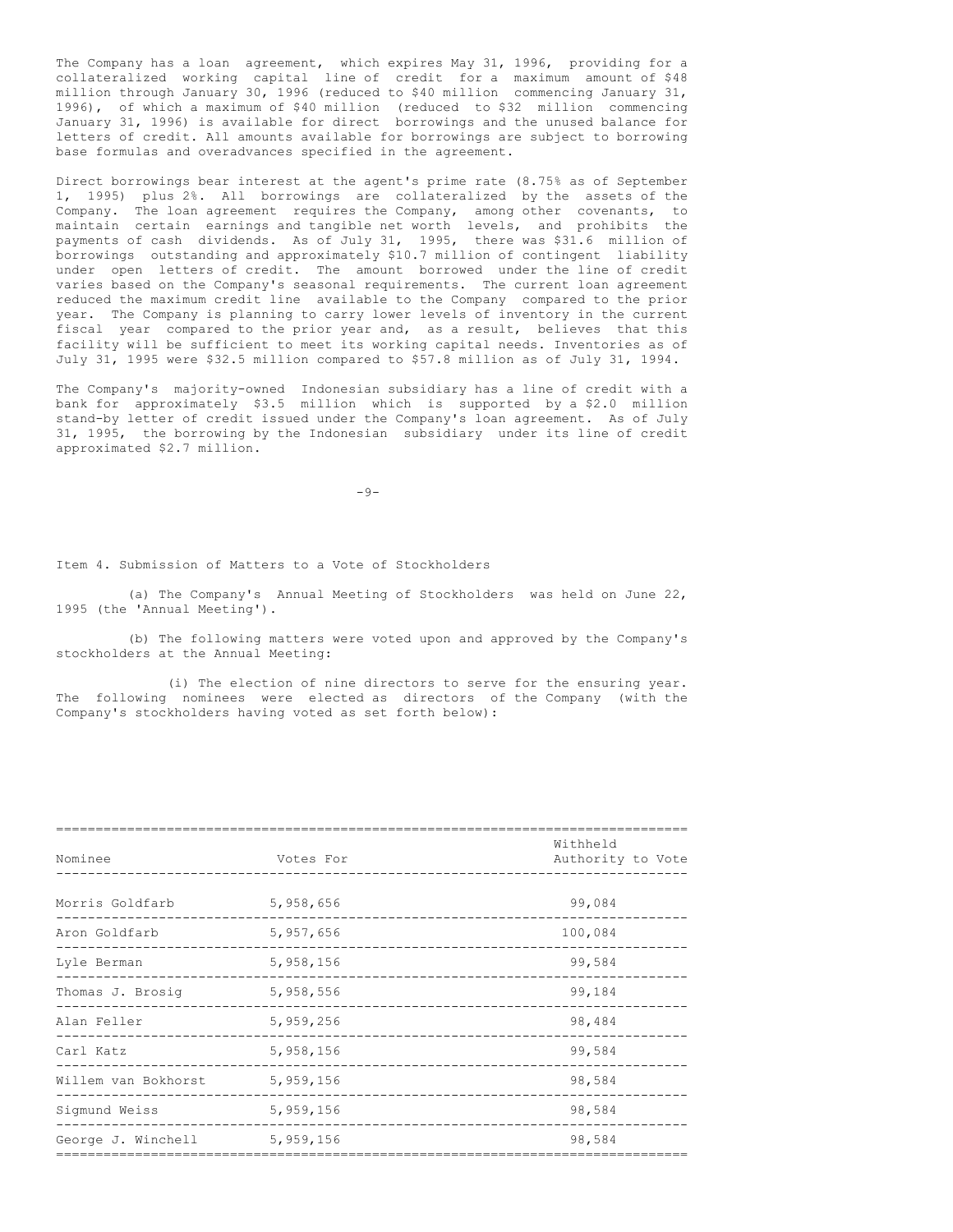The Company has a loan agreement, which expires May 31, 1996, providing for a collateralized working capital line of credit for a maximum amount of \$48 million through January 30, 1996 (reduced to \$40 million commencing January 31, 1996), of which a maximum of \$40 million (reduced to \$32 million commencing January 31, 1996) is available for direct borrowings and the unused balance for letters of credit. All amounts available for borrowings are subject to borrowing base formulas and overadvances specified in the agreement.

Direct borrowings bear interest at the agent's prime rate (8.75% as of September 1, 1995) plus 2%. All borrowings are collateralized by the assets of the Company. The loan agreement requires the Company, among other covenants, to maintain certain earnings and tangible net worth levels, and prohibits the payments of cash dividends. As of July 31, 1995, there was \$31.6 million of borrowings outstanding and approximately \$10.7 million of contingent liability under open letters of credit. The amount borrowed under the line of credit varies based on the Company's seasonal requirements. The current loan agreement reduced the maximum credit line available to the Company compared to the prior year. The Company is planning to carry lower levels of inventory in the current fiscal year compared to the prior year and, as a result, believes that this facility will be sufficient to meet its working capital needs. Inventories as of July 31, 1995 were \$32.5 million compared to \$57.8 million as of July 31, 1994.

The Company's majority-owned Indonesian subsidiary has a line of credit with a bank for approximately \$3.5 million which is supported by a \$2.0 million stand-by letter of credit issued under the Company's loan agreement. As of July 31, 1995, the borrowing by the Indonesian subsidiary under its line of credit approximated \$2.7 million.

 $-9-$ 

Item 4. Submission of Matters to a Vote of Stockholders

(a) The Company's Annual Meeting of Stockholders was held on June 22, 1995 (the 'Annual Meeting').

(b) The following matters were voted upon and approved by the Company's stockholders at the Annual Meeting:

(i) The election of nine directors to serve for the ensuring year. The following nominees were elected as directors of the Company (with the Company's stockholders having voted as set forth below):

| Nominee             | Votes For | Withheld<br>Authority to Vote |
|---------------------|-----------|-------------------------------|
| Morris Goldfarb     | 5,958,656 | 99,084                        |
| Aron Goldfarb       | 5,957,656 | 100,084                       |
| Lyle Berman         | 5,958,156 | 99,584                        |
| Thomas J. Brosig    | 5,958,556 | 99,184                        |
| Alan Feller         | 5,959,256 | 98,484                        |
| Carl Katz           | 5,958,156 | 99,584                        |
| Willem van Bokhorst | 5,959,156 | 98,584                        |
| Sigmund Weiss       | 5,959,156 | 98,584                        |
| George J. Winchell  | 5,959,156 | 98,584                        |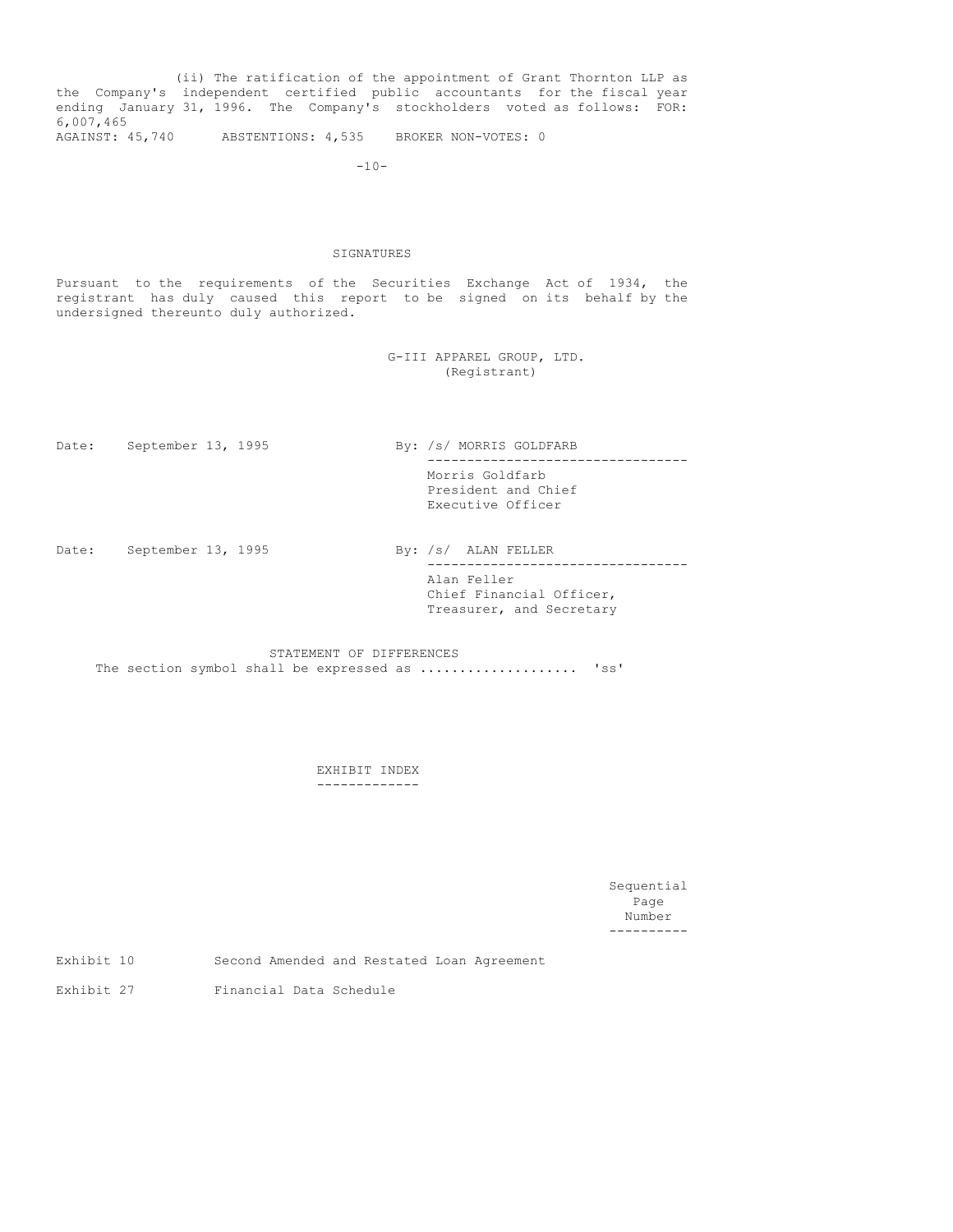(ii) The ratification of the appointment of Grant Thornton LLP as the Company's independent certified public accountants for the fiscal year ending January 31, 1996. The Company's stockholders voted as follows: FOR: 6,007,465

AGAINST: 45,740 ABSTENTIONS: 4,535 BROKER NON-VOTES: 0

-10-

#### SIGNATURES

Pursuant to the requirements of the Securities Exchange Act of 1934, the registrant has duly caused this report to be signed on its behalf by the undersigned thereunto duly authorized.

> G-III APPAREL GROUP, LTD. (Registrant)

Date: September 13, 1995 By: /s/ MORRIS GOLDFARB --------------------------------- Morris Goldfarb President and Chief Executive Officer

Date: September 13, 1995 By: /s/ ALAN FELLER

--------------------------------- Alan Feller Chief Financial Officer, Treasurer, and Secretary

STATEMENT OF DIFFERENCES The section symbol shall be expressed as ...................... 'ss'

> EXHIBIT INDEX -------------

> > Sequential Page Number ----------

Exhibit 10 Second Amended and Restated Loan Agreement

Exhibit 27 Financial Data Schedule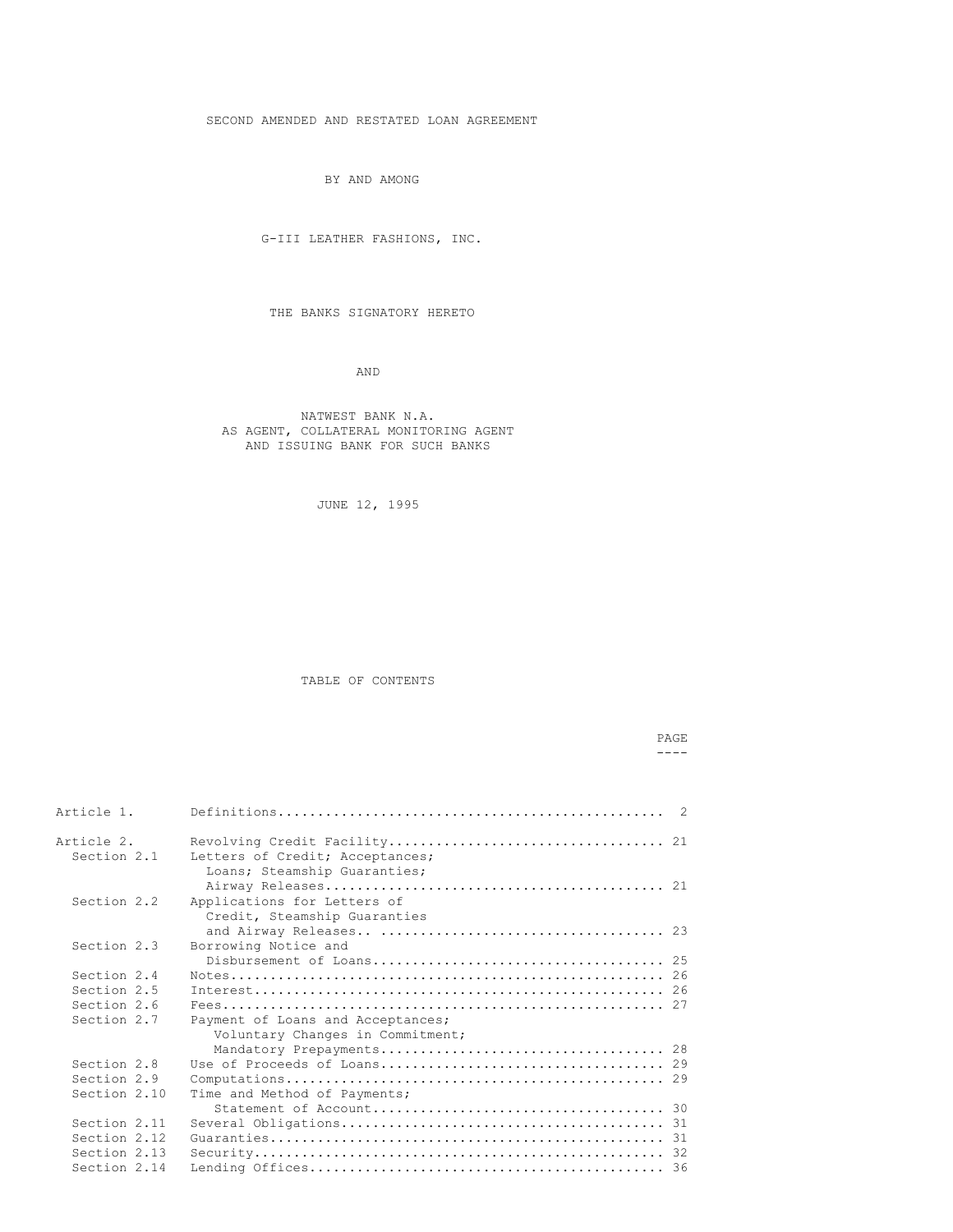SECOND AMENDED AND RESTATED LOAN AGREEMENT

BY AND AMONG

G-III LEATHER FASHIONS, INC.

THE BANKS SIGNATORY HERETO

AND

NATWEST BANK N.A. AS AGENT, COLLATERAL MONITORING AGENT AND ISSUING BANK FOR SUCH BANKS

JUNE 12, 1995

TABLE OF CONTENTS

## PAGE  $---$

| Article 1.                |                                                             |  |
|---------------------------|-------------------------------------------------------------|--|
| Article 2.<br>Section 2.1 | Letters of Credit; Acceptances;                             |  |
|                           | Loans; Steamship Guaranties;                                |  |
| Section 2.2               | Applications for Letters of<br>Credit, Steamship Guaranties |  |
|                           |                                                             |  |
| Section 2.3               | Borrowing Notice and                                        |  |
|                           |                                                             |  |
| Section 2.4               |                                                             |  |
| Section 2.5               |                                                             |  |
| Section 2.6               |                                                             |  |
| Section 2.7               | Payment of Loans and Acceptances;                           |  |
|                           | Voluntary Changes in Commitment;                            |  |
|                           |                                                             |  |
| Section 2.8               |                                                             |  |
| Section 2.9               |                                                             |  |
| Section 2.10              | Time and Method of Payments;                                |  |
|                           |                                                             |  |
| Section 2.11              |                                                             |  |
| Section 2.12              |                                                             |  |
| Section 2.13              |                                                             |  |
| Section 2.14              |                                                             |  |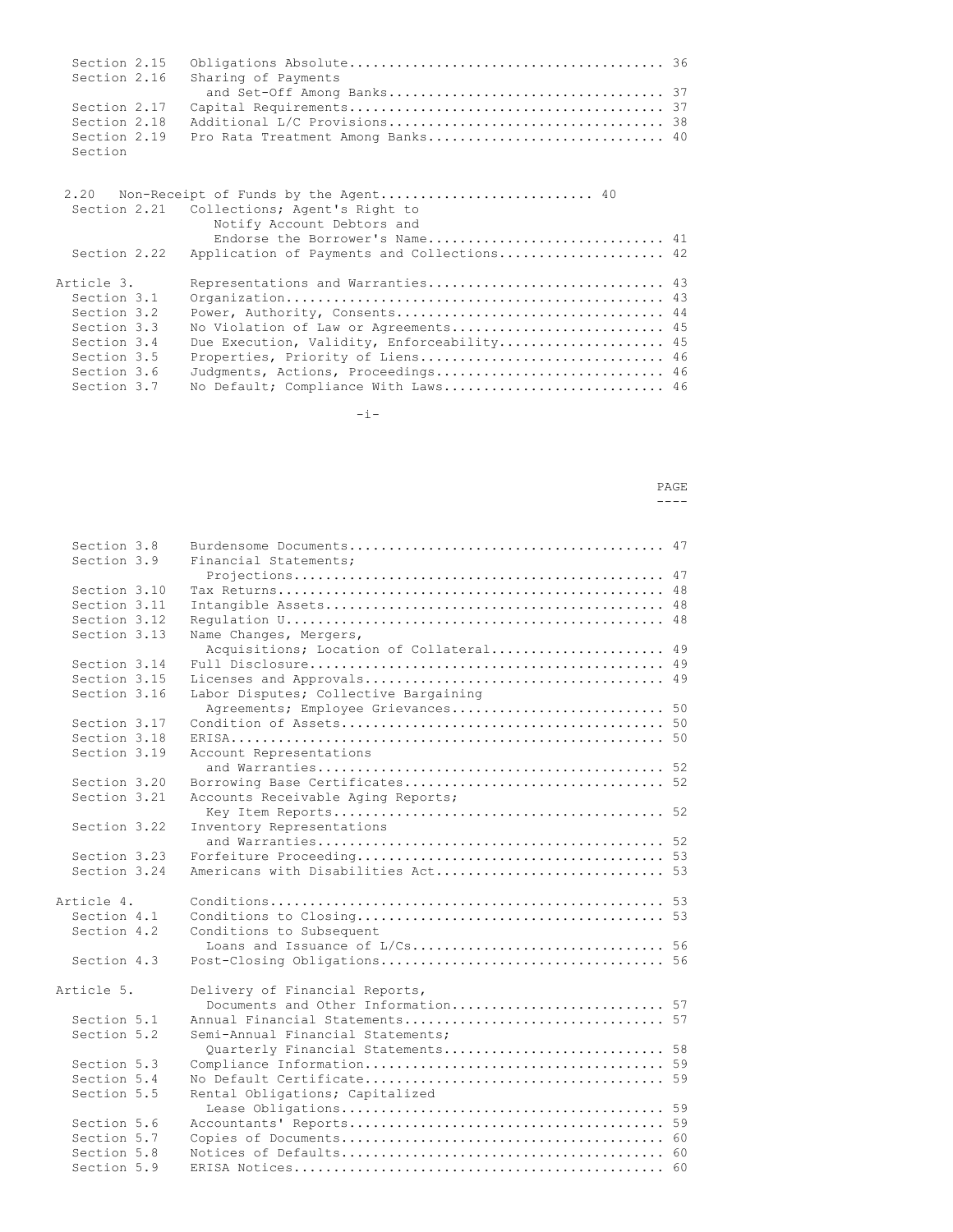|              | Section 2.16 Sharing of Payments               |  |
|--------------|------------------------------------------------|--|
|              |                                                |  |
|              |                                                |  |
| Section 2.18 |                                                |  |
|              | Section 2.19 Pro Rata Treatment Among Banks 40 |  |
| Section      |                                                |  |

|              | Section 2.21 Collections; Agent's Right to                   |  |
|--------------|--------------------------------------------------------------|--|
|              | Notify Account Debtors and<br>Endorse the Borrower's Name 41 |  |
| Section 2.22 | Application of Payments and Collections 42                   |  |
| Article 3.   | Representations and Warranties 43                            |  |
| Section 3.1  |                                                              |  |
| Section 3.2  |                                                              |  |
| Section 3.3  | No Violation of Law or Agreements 45                         |  |
| Section 3.4  | Due Execution, Validity, Enforceability 45                   |  |
| Section 3.5  | Properties, Priority of Liens 46                             |  |
| Section 3.6  | Judgments, Actions, Proceedings 46                           |  |
| Section 3.7  | No Default; Compliance With Laws 46                          |  |

 $-i-$ 

## PAGE  $---$

| Section 3.8  |                                                                   |  |
|--------------|-------------------------------------------------------------------|--|
| Section 3.9  | Financial Statements;                                             |  |
|              |                                                                   |  |
| Section 3.10 |                                                                   |  |
| Section 3.11 |                                                                   |  |
| Section 3.12 |                                                                   |  |
| Section 3.13 | Name Changes, Mergers,<br>Acquisitions; Location of Collateral 49 |  |
| Section 3.14 |                                                                   |  |
| Section 3.15 |                                                                   |  |
| Section 3.16 | Labor Disputes; Collective Bargaining                             |  |
|              | Agreements; Employee Grievances 50                                |  |
| Section 3.17 |                                                                   |  |
| Section 3.18 |                                                                   |  |
| Section 3.19 | Account Representations                                           |  |
|              |                                                                   |  |
| Section 3.20 |                                                                   |  |
| Section 3.21 | Accounts Receivable Aging Reports;                                |  |
|              |                                                                   |  |
| Section 3.22 | Inventory Representations                                         |  |
|              |                                                                   |  |
| Section 3.23 |                                                                   |  |
| Section 3.24 |                                                                   |  |
|              |                                                                   |  |
| Article 4.   |                                                                   |  |
| Section 4.1  |                                                                   |  |
| Section 4.2  | Conditions to Subsequent                                          |  |
|              | Loans and Issuance of L/Cs 56                                     |  |
| Section 4.3  |                                                                   |  |
| Article 5.   | Delivery of Financial Reports,                                    |  |
|              | Documents and Other Information 57                                |  |
| Section 5.1  | Annual Financial Statements 57                                    |  |
| Section 5.2  | Semi-Annual Financial Statements;                                 |  |
|              | Quarterly Financial Statements 58                                 |  |
| Section 5.3  |                                                                   |  |
| Section 5.4  |                                                                   |  |
| Section 5.5  | Rental Obligations; Capitalized                                   |  |
|              |                                                                   |  |
| Section 5.6  |                                                                   |  |
| Section 5.7  |                                                                   |  |
| Section 5.8  |                                                                   |  |
| Section 5.9  |                                                                   |  |
|              |                                                                   |  |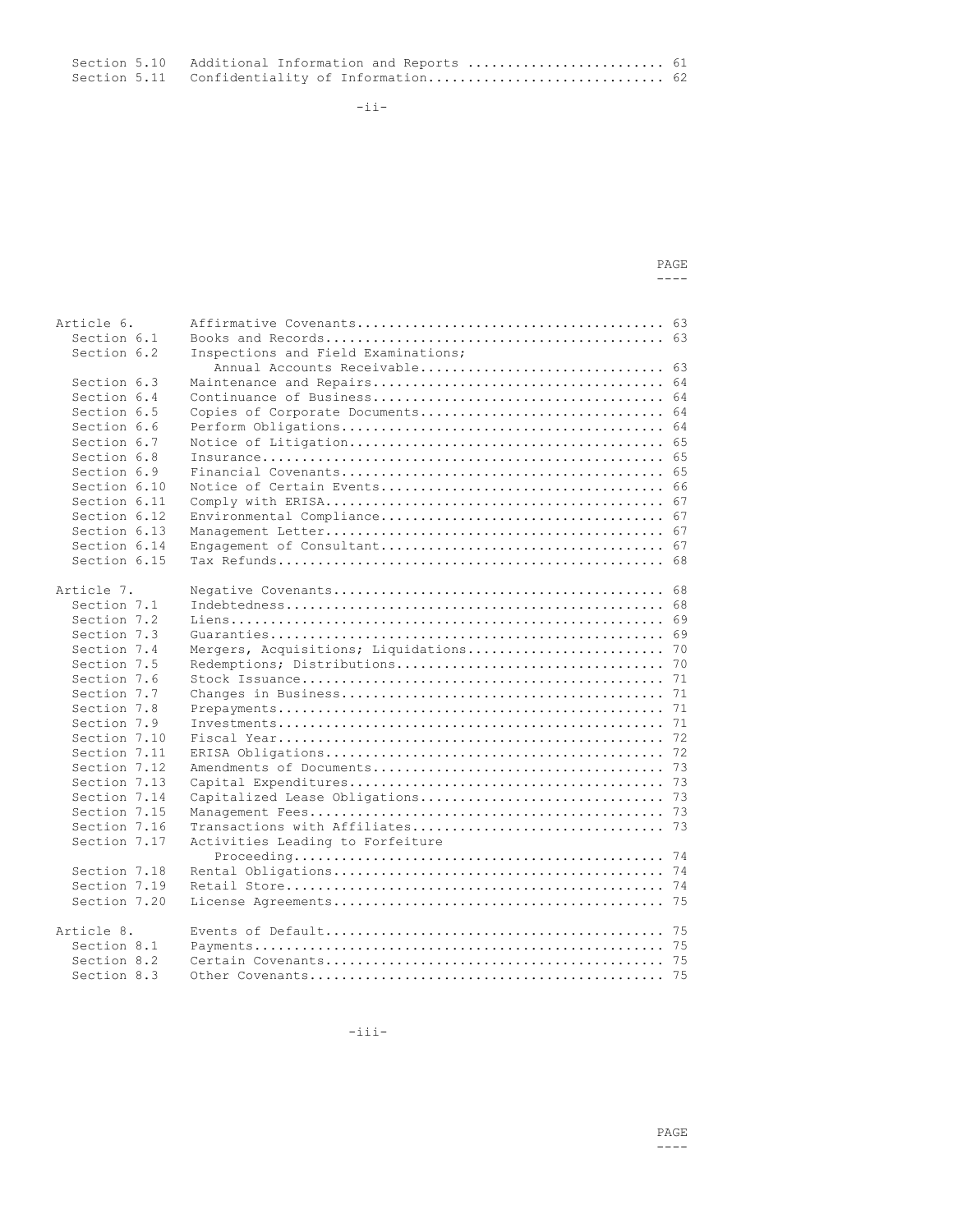Section 5.10 Additional Information and Reports ............................. 61 Section 5.11 Confidentiality of Information.............................. 62

-ii-

| PAGE |
|------|
|      |
|      |
|      |
| ⌒    |

| Article 6.   |                                           |
|--------------|-------------------------------------------|
| Section 6.1  |                                           |
| Section 6.2  | Inspections and Field Examinations;       |
|              | Annual Accounts Receivable 63             |
| Section 6.3  |                                           |
| Section 6.4  |                                           |
| Section 6.5  | Copies of Corporate Documents 64          |
| Section 6.6  |                                           |
| Section 6.7  |                                           |
| Section 6.8  |                                           |
| Section 6.9  |                                           |
| Section 6.10 |                                           |
| Section 6.11 |                                           |
| Section 6.12 |                                           |
| Section 6.13 |                                           |
| Section 6.14 |                                           |
| Section 6.15 |                                           |
|              |                                           |
| Article 7.   |                                           |
| Section 7.1  |                                           |
| Section 7.2  |                                           |
| Section 7.3  |                                           |
| Section 7.4  | Mergers, Acquisitions; Liquidations<br>70 |
| Section 7.5  |                                           |
| Section 7.6  |                                           |
| Section 7.7  |                                           |
| Section 7.8  |                                           |
| Section 7.9  |                                           |
| Section 7.10 |                                           |
| Section 7.11 |                                           |
| Section 7.12 |                                           |
| Section 7.13 |                                           |
| Section 7.14 |                                           |
| Section 7.15 |                                           |
| Section 7.16 |                                           |
| Section 7.17 | Activities Leading to Forfeiture          |
| Section 7.18 |                                           |
| Section 7.19 |                                           |
| Section 7.20 |                                           |
| Article 8.   |                                           |
| Section 8.1  |                                           |
| Section 8.2  |                                           |
| Section 8.3  |                                           |

-iii-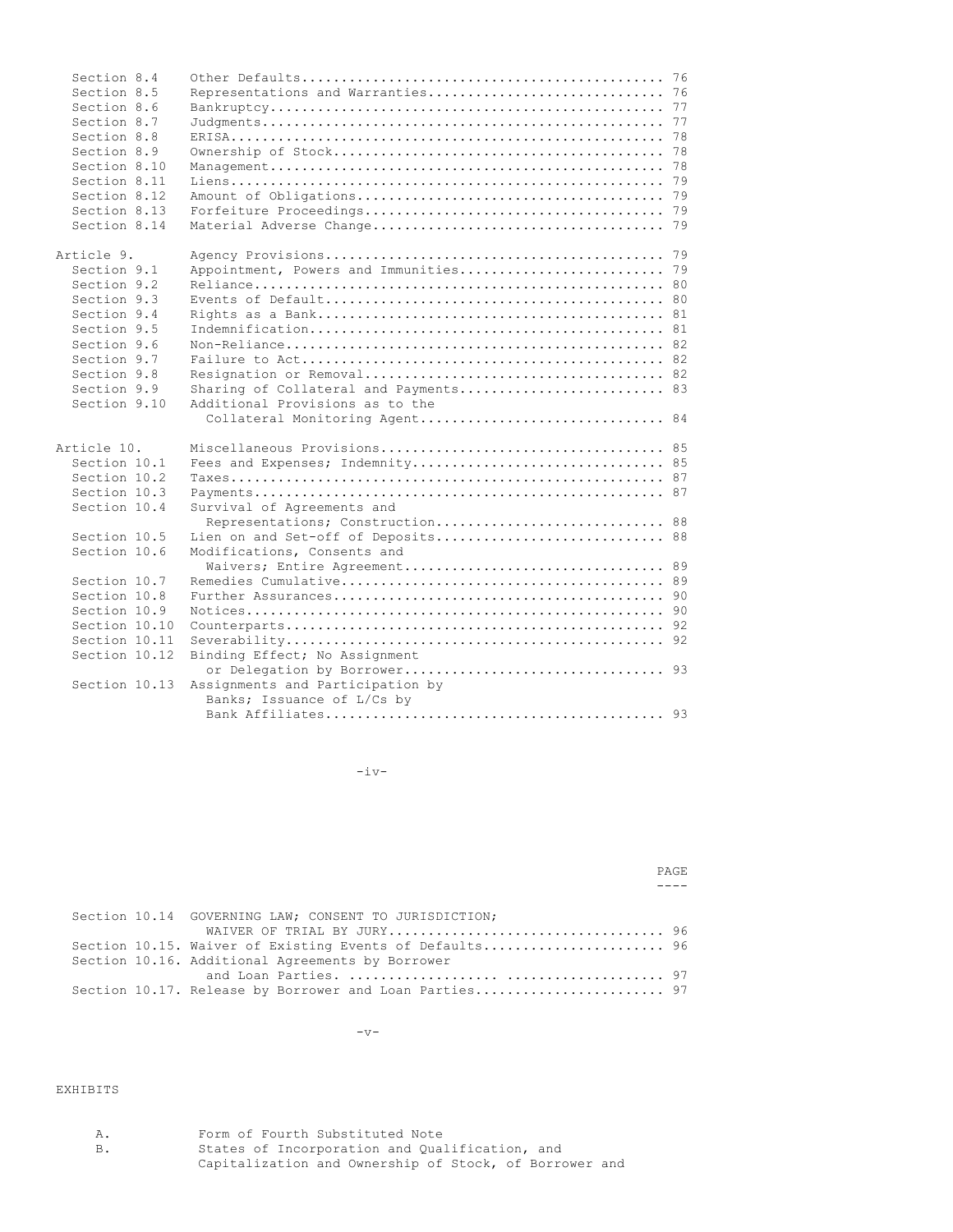| Section 8.4   |                                       |
|---------------|---------------------------------------|
| Section 8.5   |                                       |
| Section 8.6   |                                       |
| Section 8.7   |                                       |
| Section 8.8   |                                       |
| Section 8.9   |                                       |
| Section 8.10  |                                       |
| Section 8.11  |                                       |
| Section 8.12  |                                       |
| Section 8.13  |                                       |
| Section 8.14  |                                       |
| Article 9.    |                                       |
| Section 9.1   |                                       |
| Section 9.2   |                                       |
| Section 9.3   |                                       |
| Section 9.4   |                                       |
| Section 9.5   |                                       |
| Section 9.6   |                                       |
| Section 9.7   |                                       |
| Section 9.8   |                                       |
| Section 9.9   | Sharing of Collateral and Payments 83 |
| Section 9.10  | Additional Provisions as to the       |
|               | Collateral Monitoring Agent 84        |
| Article 10.   |                                       |
| Section 10.1  | Fees and Expenses; Indemnity 85       |
| Section 10.2  |                                       |
| Section 10.3  |                                       |
| Section 10.4  | Survival of Agreements and            |
|               | Representations; Construction 88      |
| Section 10.5  | Lien on and Set-off of Deposits 88    |
| Section 10.6  | Modifications, Consents and           |
| Section 10.7  |                                       |
| Section 10.8  |                                       |
| Section 10.9  |                                       |
| Section 10.10 |                                       |
| Section 10.11 |                                       |
|               |                                       |
| Section 10.12 | Binding Effect; No Assignment         |
| Section 10.13 | Assignments and Participation by      |
|               | Banks; Issuance of L/Cs by            |
|               |                                       |

 $-iv-$ 

PAGE  $---$ 

|  | Section 10.14 GOVERNING LAW; CONSENT TO JURISDICTION;   |  |
|--|---------------------------------------------------------|--|
|  |                                                         |  |
|  | Section 10.15. Waiver of Existing Events of Defaults 96 |  |
|  | Section 10.16. Additional Agreements by Borrower        |  |
|  |                                                         |  |
|  | Section 10.17. Release by Borrower and Loan Parties 97  |  |

 $-v-$ 

# EXHIBITS

| Α.        | Form of Fourth Substituted Note                        |
|-----------|--------------------------------------------------------|
| <b>B.</b> | States of Incorporation and Qualification, and         |
|           | Capitalization and Ownership of Stock, of Borrower and |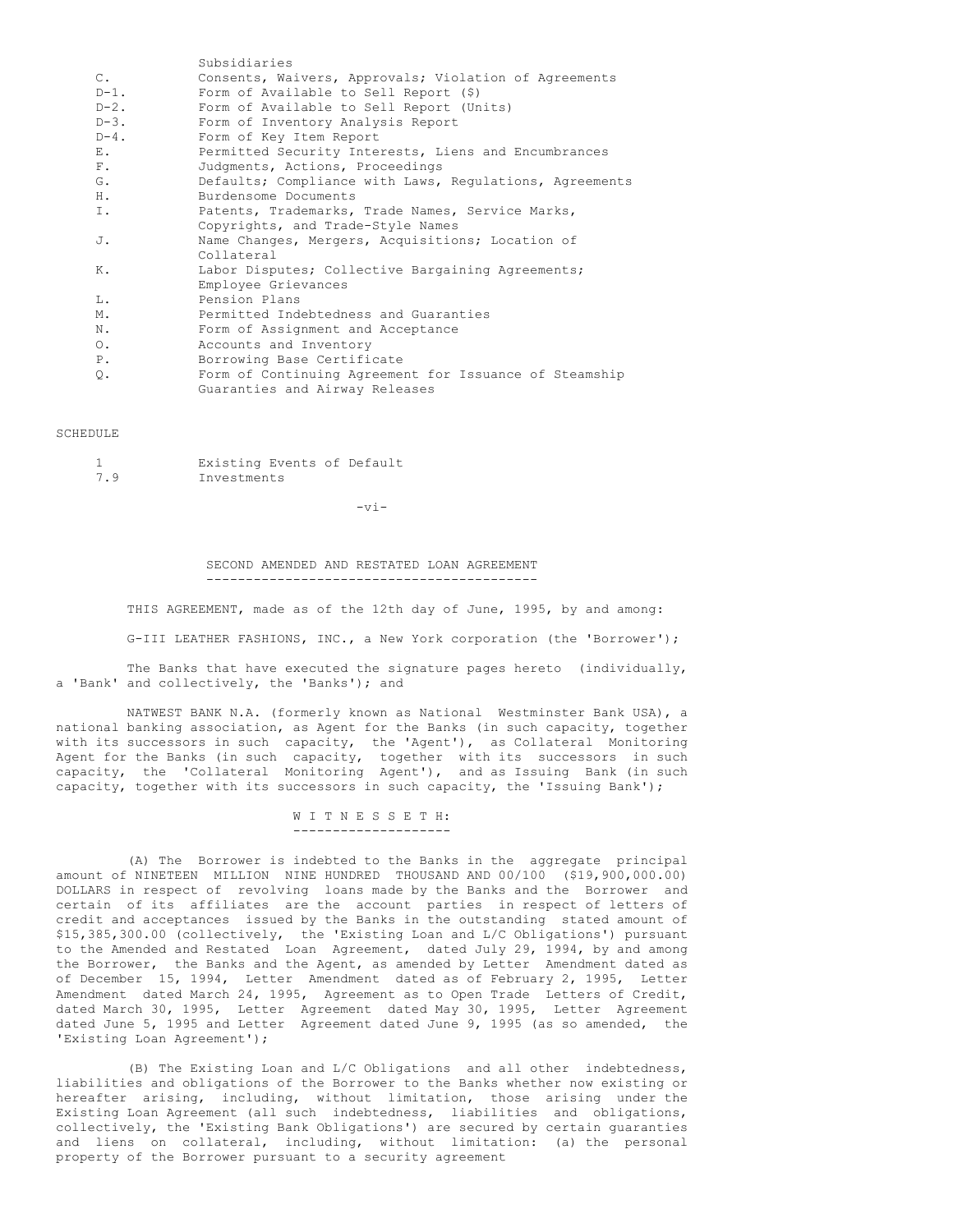|                | Subsidiaries                                            |
|----------------|---------------------------------------------------------|
| $\mathsf{C}$ . | Consents, Waivers, Approvals; Violation of Agreements   |
| $D-1$ .        | Form of Available to Sell Report $(\hat{S})$            |
| $D-2$ .        | Form of Available to Sell Report (Units)                |
| $D-3$ .        | Form of Inventory Analysis Report                       |
| $D-4$ .        | Form of Key Item Report                                 |
| Ε.             | Permitted Security Interests, Liens and Encumbrances    |
| F.             | Judgments, Actions, Proceedings                         |
| G.             | Defaults; Compliance with Laws, Regulations, Agreements |
| Η.             | Burdensome Documents                                    |
| Ι.             | Patents, Trademarks, Trade Names, Service Marks,        |
|                | Copyrights, and Trade-Style Names                       |
| J.             | Name Changes, Mergers, Acquisitions; Location of        |
|                | Collateral                                              |
| Κ.             | Labor Disputes; Collective Bargaining Agreements;       |
|                | Employee Grievances                                     |
| T.,            | Pension Plans                                           |
| Μ.             | Permitted Indebtedness and Guaranties                   |
| N.             | Form of Assignment and Acceptance                       |
| $\circ$ .      | Accounts and Inventory                                  |
| $P$ .          | Borrowing Base Certificate                              |
| Q.             | Form of Continuing Agreement for Issuance of Steamship  |
|                | Guaranties and Airway Releases                          |
|                |                                                         |

#### **SCHEDULE**

|     | Existing Events of Default |  |  |
|-----|----------------------------|--|--|
| 7.9 | Investments                |  |  |

 $-vr -$ 

SECOND AMENDED AND RESTATED LOAN AGREEMENT ------------------------------------------

THIS AGREEMENT, made as of the 12th day of June, 1995, by and among:

G-III LEATHER FASHIONS, INC., a New York corporation (the 'Borrower');

The Banks that have executed the signature pages hereto (individually, a 'Bank' and collectively, the 'Banks'); and

NATWEST BANK N.A. (formerly known as National Westminster Bank USA), a national banking association, as Agent for the Banks (in such capacity, together with its successors in such capacity, the 'Agent'), as Collateral Monitoring Agent for the Banks (in such capacity, together with its successors in such capacity, the 'Collateral Monitoring Agent'), and as Issuing Bank (in such capacity, together with its successors in such capacity, the 'Issuing Bank');

> W I T N E S S E T H: --------------------

(A) The Borrower is indebted to the Banks in the aggregate principal amount of NINETEEN MILLION NINE HUNDRED THOUSAND AND 00/100 (\$19,900,000.00) DOLLARS in respect of revolving loans made by the Banks and the Borrower and certain of its affiliates are the account parties in respect of letters of credit and acceptances issued by the Banks in the outstanding stated amount of \$15,385,300.00 (collectively, the 'Existing Loan and L/C Obligations') pursuant to the Amended and Restated Loan Agreement, dated July 29, 1994, by and among the Borrower, the Banks and the Agent, as amended by Letter Amendment dated as of December 15, 1994, Letter Amendment dated as of February 2, 1995, Letter Amendment dated March 24, 1995, Agreement as to Open Trade Letters of Credit, dated March 30, 1995, Letter Agreement dated May 30, 1995, Letter Agreement dated June 5, 1995 and Letter Agreement dated June 9, 1995 (as so amended, the 'Existing Loan Agreement');

(B) The Existing Loan and L/C Obligations and all other indebtedness, liabilities and obligations of the Borrower to the Banks whether now existing or hereafter arising, including, without limitation, those arising under the Existing Loan Agreement (all such indebtedness, liabilities and obligations, collectively, the 'Existing Bank Obligations') are secured by certain guaranties and liens on collateral, including, without limitation: (a) the personal property of the Borrower pursuant to a security agreement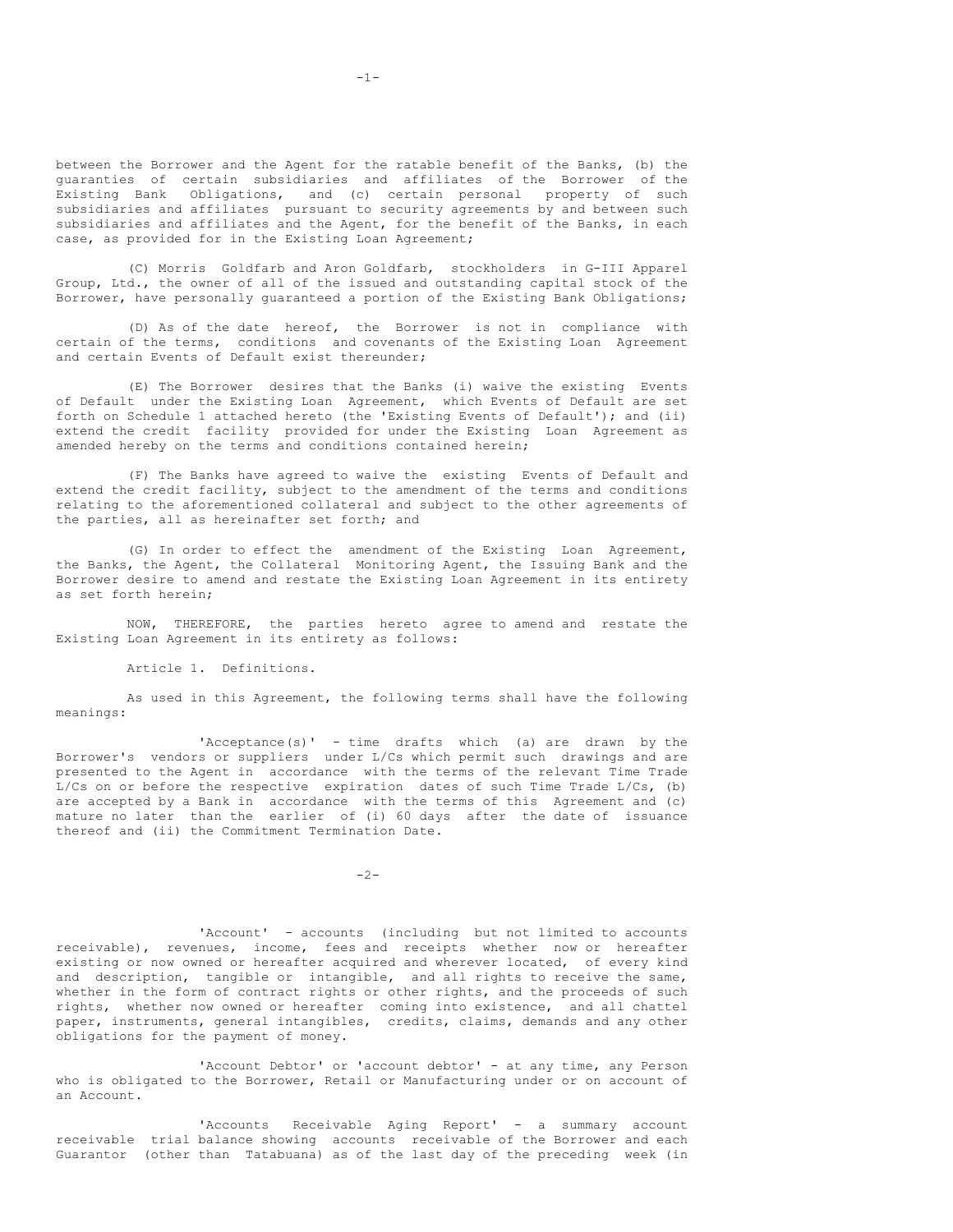between the Borrower and the Agent for the ratable benefit of the Banks, (b) the guaranties of certain subsidiaries and affiliates of the Borrower of the Existing Bank Obligations, and (c) certain personal property of such subsidiaries and affiliates pursuant to security agreements by and between such subsidiaries and affiliates and the Agent, for the benefit of the Banks, in each case, as provided for in the Existing Loan Agreement;

(C) Morris Goldfarb and Aron Goldfarb, stockholders in G-III Apparel Group, Ltd., the owner of all of the issued and outstanding capital stock of the Borrower, have personally guaranteed a portion of the Existing Bank Obligations;

(D) As of the date hereof, the Borrower is not in compliance with certain of the terms, conditions and covenants of the Existing Loan Agreement and certain Events of Default exist thereunder;

(E) The Borrower desires that the Banks (i) waive the existing Events of Default under the Existing Loan Agreement, which Events of Default are set forth on Schedule 1 attached hereto (the 'Existing Events of Default'); and (ii) extend the credit facility provided for under the Existing Loan Agreement as amended hereby on the terms and conditions contained herein;

(F) The Banks have agreed to waive the existing Events of Default and extend the credit facility, subject to the amendment of the terms and conditions relating to the aforementioned collateral and subject to the other agreements of the parties, all as hereinafter set forth; and

(G) In order to effect the amendment of the Existing Loan Agreement, the Banks, the Agent, the Collateral Monitoring Agent, the Issuing Bank and the Borrower desire to amend and restate the Existing Loan Agreement in its entirety as set forth herein;

NOW, THEREFORE, the parties hereto agree to amend and restate the Existing Loan Agreement in its entirety as follows:

Article 1. Definitions.

As used in this Agreement, the following terms shall have the following meanings:

'Acceptance(s)' - time drafts which (a) are drawn by the Borrower's vendors or suppliers under L/Cs which permit such drawings and are presented to the Agent in accordance with the terms of the relevant Time Trade L/Cs on or before the respective expiration dates of such Time Trade L/Cs, (b) are accepted by a Bank in accordance with the terms of this Agreement and (c) mature no later than the earlier of (i) 60 days after the date of issuance thereof and (ii) the Commitment Termination Date.

 $-2-$ 

'Account' - accounts (including but not limited to accounts receivable), revenues, income, fees and receipts whether now or hereafter existing or now owned or hereafter acquired and wherever located, of every kind and description, tangible or intangible, and all rights to receive the same, whether in the form of contract rights or other rights, and the proceeds of such rights, whether now owned or hereafter coming into existence, and all chattel paper, instruments, general intangibles, credits, claims, demands and any other obligations for the payment of money.

'Account Debtor' or 'account debtor' - at any time, any Person who is obligated to the Borrower, Retail or Manufacturing under or on account of an Account.

'Accounts Receivable Aging Report' - a summary account receivable trial balance showing accounts receivable of the Borrower and each Guarantor (other than Tatabuana) as of the last day of the preceding week (in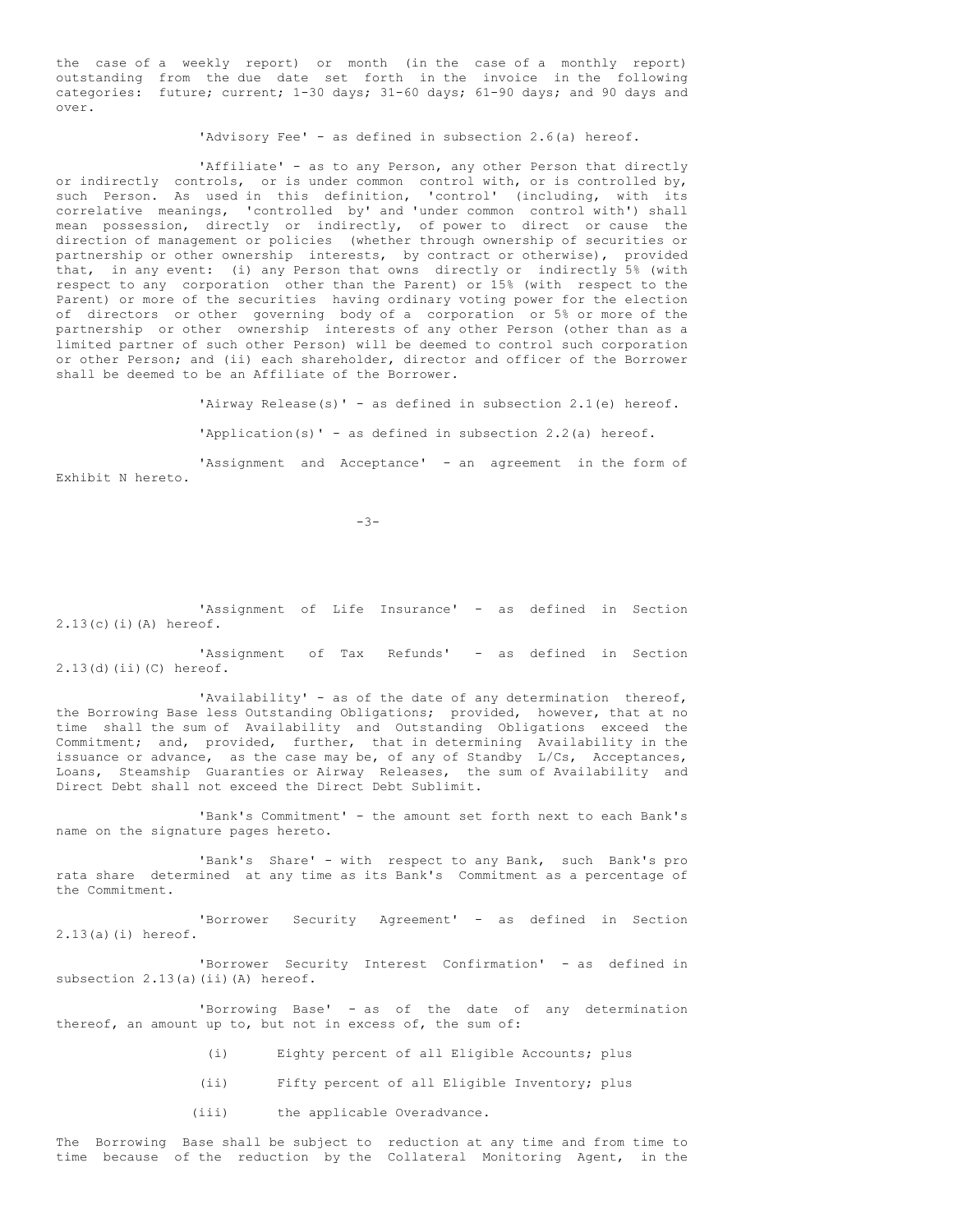the case of a weekly report) or month (in the case of a monthly report) outstanding from the due date set forth in the invoice in the following categories: future; current; 1-30 days; 31-60 days; 61-90 days; and 90 days and over.

'Advisory Fee' - as defined in subsection 2.6(a) hereof.

'Affiliate' - as to any Person, any other Person that directly or indirectly controls, or is under common control with, or is controlled by, such Person. As used in this definition, 'control' (including, with its correlative meanings, 'controlled by' and 'under common control with') shall mean possession, directly or indirectly, of power to direct or cause the direction of management or policies (whether through ownership of securities or partnership or other ownership interests, by contract or otherwise), provided that, in any event: (i) any Person that owns directly or indirectly 5% (with respect to any corporation other than the Parent) or 15% (with respect to the Parent) or more of the securities having ordinary voting power for the election of directors or other governing body of a corporation or 5% or more of the partnership or other ownership interests of any other Person (other than as a limited partner of such other Person) will be deemed to control such corporation or other Person; and (ii) each shareholder, director and officer of the Borrower shall be deemed to be an Affiliate of the Borrower.

'Airway Release(s)' - as defined in subsection 2.1(e) hereof.

'Application(s)' - as defined in subsection 2.2(a) hereof.

'Assignment and Acceptance' - an agreement in the form of Exhibit N hereto.

 $-3-$ 

'Assignment of Life Insurance' - as defined in Section 2.13(c)(i)(A) hereof.

'Assignment of Tax Refunds' - as defined in Section 2.13(d)(ii)(C) hereof.

'Availability' - as of the date of any determination thereof, the Borrowing Base less Outstanding Obligations; provided, however, that at no time shall the sum of Availability and Outstanding Obligations exceed the Commitment; and, provided, further, that in determining Availability in the issuance or advance, as the case may be, of any of Standby L/Cs, Acceptances, Loans, Steamship Guaranties or Airway Releases, the sum of Availability and Direct Debt shall not exceed the Direct Debt Sublimit.

'Bank's Commitment' - the amount set forth next to each Bank's name on the signature pages hereto.

'Bank's Share' - with respect to any Bank, such Bank's pro rata share determined at any time as its Bank's Commitment as a percentage of the Commitment.

'Borrower Security Agreement' - as defined in Section 2.13(a)(i) hereof.

'Borrower Security Interest Confirmation' - as defined in subsection 2.13(a)(ii)(A) hereof.

'Borrowing Base' - as of the date of any determination thereof, an amount up to, but not in excess of, the sum of:

- (i) Eighty percent of all Eligible Accounts; plus
- (ii) Fifty percent of all Eligible Inventory; plus
- (iii) the applicable Overadvance.

The Borrowing Base shall be subject to reduction at any time and from time to time because of the reduction by the Collateral Monitoring Agent, in the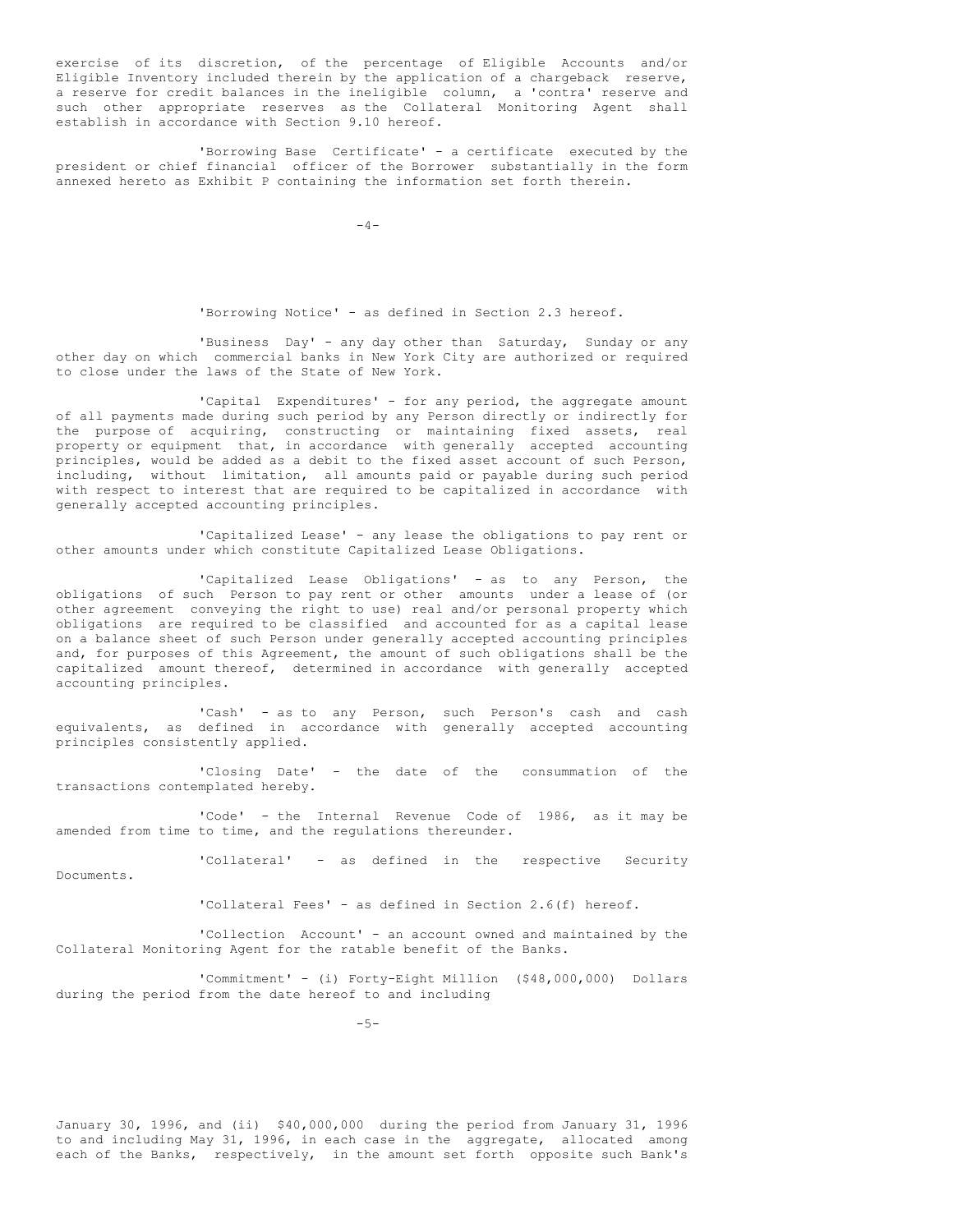exercise of its discretion, of the percentage of Eligible Accounts and/or Eligible Inventory included therein by the application of a chargeback reserve, a reserve for credit balances in the ineligible column, a 'contra' reserve and such other appropriate reserves as the Collateral Monitoring Agent shall establish in accordance with Section 9.10 hereof.

'Borrowing Base Certificate' - a certificate executed by the president or chief financial officer of the Borrower substantially in the form annexed hereto as Exhibit P containing the information set forth therein.

 $-4-$ 

'Borrowing Notice' - as defined in Section 2.3 hereof.

'Business Day' - any day other than Saturday, Sunday or any other day on which commercial banks in New York City are authorized or required to close under the laws of the State of New York.

'Capital Expenditures' - for any period, the aggregate amount of all payments made during such period by any Person directly or indirectly for the purpose of acquiring, constructing or maintaining fixed assets, real property or equipment that, in accordance with generally accepted accounting principles, would be added as a debit to the fixed asset account of such Person, including, without limitation, all amounts paid or payable during such period with respect to interest that are required to be capitalized in accordance with generally accepted accounting principles.

'Capitalized Lease' - any lease the obligations to pay rent or other amounts under which constitute Capitalized Lease Obligations.

'Capitalized Lease Obligations' - as to any Person, the obligations of such Person to pay rent or other amounts under a lease of (or other agreement conveying the right to use) real and/or personal property which obligations are required to be classified and accounted for as a capital lease on a balance sheet of such Person under generally accepted accounting principles and, for purposes of this Agreement, the amount of such obligations shall be the capitalized amount thereof, determined in accordance with generally accepted accounting principles.

'Cash' - as to any Person, such Person's cash and cash equivalents, as defined in accordance with generally accepted accounting principles consistently applied.

'Closing Date' - the date of the consummation of the transactions contemplated hereby.

'Code' - the Internal Revenue Code of 1986, as it may be amended from time to time, and the regulations thereunder.

Documents.

'Collateral' - as defined in the respective Security

'Collateral Fees' - as defined in Section 2.6(f) hereof.

'Collection Account' - an account owned and maintained by the Collateral Monitoring Agent for the ratable benefit of the Banks.

'Commitment' - (i) Forty-Eight Million (\$48,000,000) Dollars during the period from the date hereof to and including

-5-

January 30, 1996, and (ii) \$40,000,000 during the period from January 31, 1996 to and including May 31, 1996, in each case in the aggregate, allocated among each of the Banks, respectively, in the amount set forth opposite such Bank's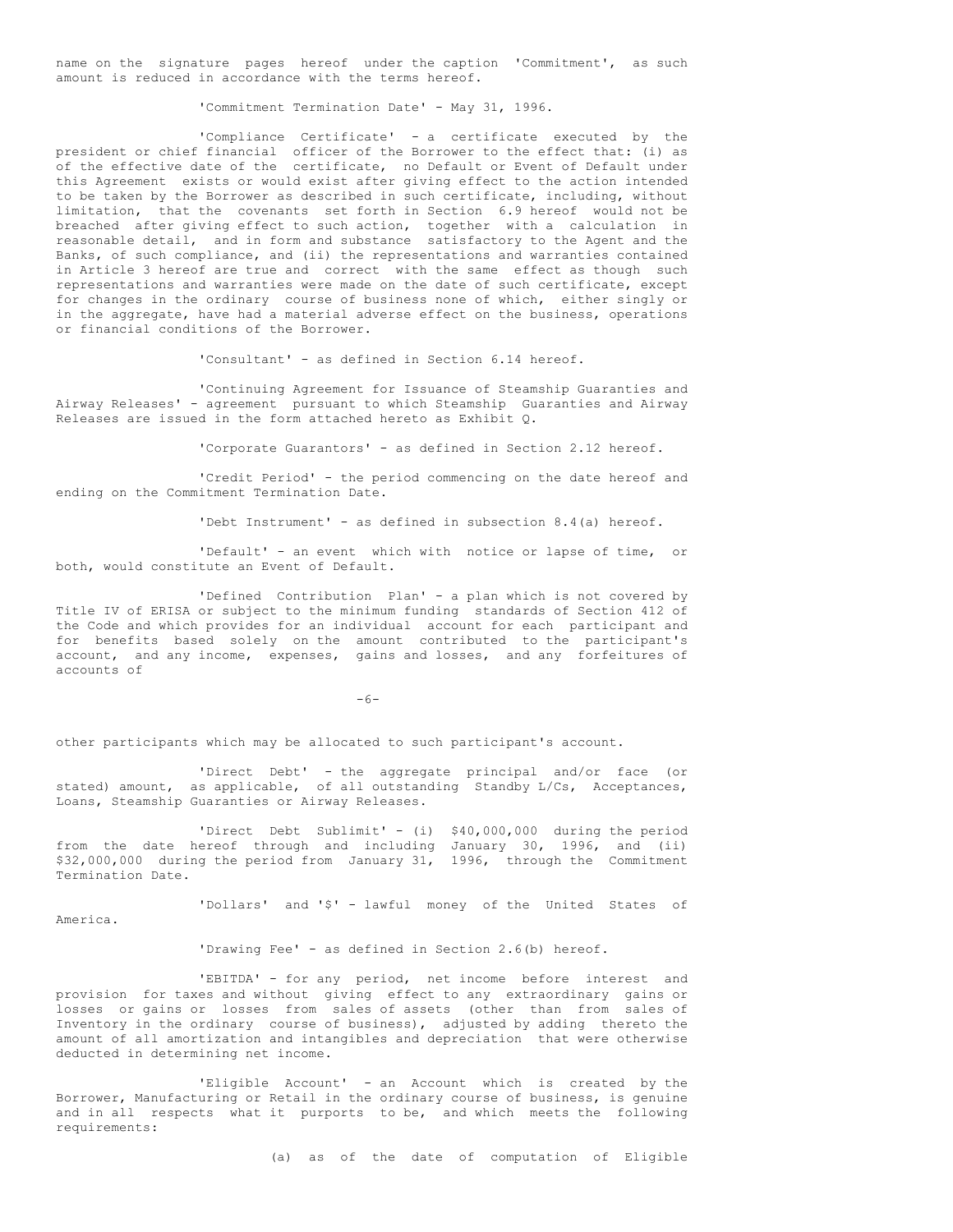name on the signature pages hereof under the caption 'Commitment', as such amount is reduced in accordance with the terms hereof.

'Commitment Termination Date' - May 31, 1996.

'Compliance Certificate' - a certificate executed by the president or chief financial officer of the Borrower to the effect that: (i) as of the effective date of the certificate, no Default or Event of Default under this Agreement exists or would exist after giving effect to the action intended to be taken by the Borrower as described in such certificate, including, without limitation, that the covenants set forth in Section 6.9 hereof would not be breached after giving effect to such action, together with a calculation in reasonable detail, and in form and substance satisfactory to the Agent and the Banks, of such compliance, and (ii) the representations and warranties contained in Article 3 hereof are true and correct with the same effect as though such representations and warranties were made on the date of such certificate, except for changes in the ordinary course of business none of which, either singly or in the aggregate, have had a material adverse effect on the business, operations or financial conditions of the Borrower.

'Consultant' - as defined in Section 6.14 hereof.

'Continuing Agreement for Issuance of Steamship Guaranties and Airway Releases' - agreement pursuant to which Steamship Guaranties and Airway Releases are issued in the form attached hereto as Exhibit Q.

'Corporate Guarantors' - as defined in Section 2.12 hereof.

'Credit Period' - the period commencing on the date hereof and ending on the Commitment Termination Date.

'Debt Instrument' - as defined in subsection 8.4(a) hereof.

'Default' - an event which with notice or lapse of time, or both, would constitute an Event of Default.

'Defined Contribution Plan' - a plan which is not covered by Title IV of ERISA or subject to the minimum funding standards of Section 412 of the Code and which provides for an individual account for each participant and for benefits based solely on the amount contributed to the participant's account, and any income, expenses, gains and losses, and any forfeitures of accounts of

-6-

other participants which may be allocated to such participant's account.

'Direct Debt' - the aggregate principal and/or face (or stated) amount, as applicable, of all outstanding Standby L/Cs, Acceptances, Loans, Steamship Guaranties or Airway Releases.

'Direct Debt Sublimit' - (i) \$40,000,000 during the period from the date hereof through and including January 30, 1996, and (ii) \$32,000,000 during the period from January 31, 1996, through the Commitment Termination Date.

'Dollars' and '\$' - lawful money of the United States of

America.

'Drawing Fee' - as defined in Section 2.6(b) hereof.

'EBITDA' - for any period, net income before interest and provision for taxes and without giving effect to any extraordinary gains or losses or gains or losses from sales of assets (other than from sales of Inventory in the ordinary course of business), adjusted by adding thereto the amount of all amortization and intangibles and depreciation that were otherwise deducted in determining net income.

'Eligible Account' - an Account which is created by the Borrower, Manufacturing or Retail in the ordinary course of business, is genuine and in all respects what it purports to be, and which meets the following requirements:

(a) as of the date of computation of Eligible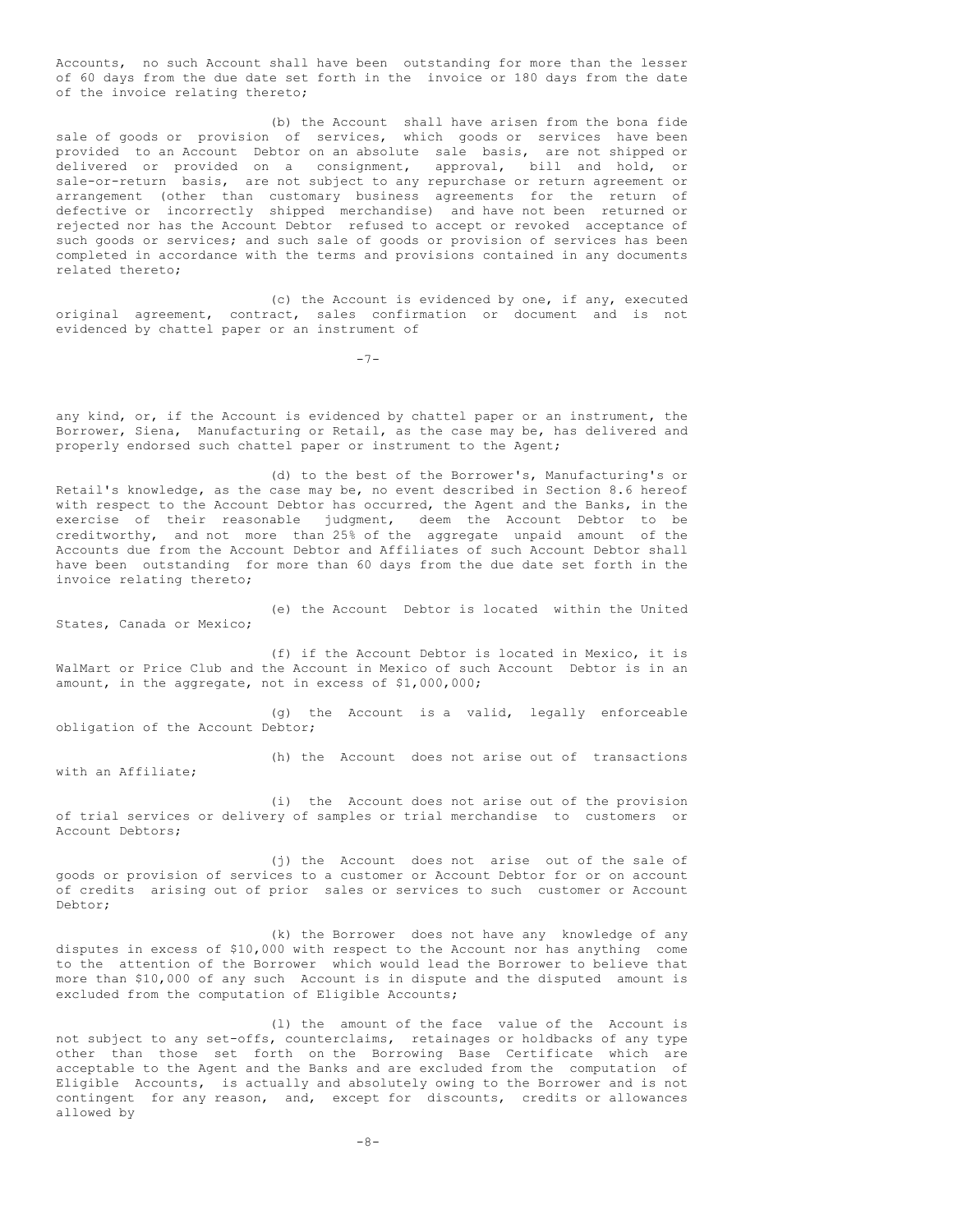Accounts, no such Account shall have been outstanding for more than the lesser of 60 days from the due date set forth in the invoice or 180 days from the date of the invoice relating thereto;

(b) the Account shall have arisen from the bona fide sale of goods or provision of services, which goods or services have been provided to an Account Debtor on an absolute sale basis, are not shipped or delivered or provided on a consignment, approval, bill and hold, or sale-or-return basis, are not subject to any repurchase or return agreement or arrangement (other than customary business agreements for the return of defective or incorrectly shipped merchandise) and have not been returned or rejected nor has the Account Debtor refused to accept or revoked acceptance of such goods or services; and such sale of goods or provision of services has been completed in accordance with the terms and provisions contained in any documents related thereto;

(c) the Account is evidenced by one, if any, executed original agreement, contract, sales confirmation or document and is not evidenced by chattel paper or an instrument of

 $-7-$ 

any kind, or, if the Account is evidenced by chattel paper or an instrument, the Borrower, Siena, Manufacturing or Retail, as the case may be, has delivered and properly endorsed such chattel paper or instrument to the Agent;

(d) to the best of the Borrower's, Manufacturing's or Retail's knowledge, as the case may be, no event described in Section 8.6 hereof with respect to the Account Debtor has occurred, the Agent and the Banks, in the exercise of their reasonable judgment, deem the Account Debtor to be creditworthy, and not more than 25% of the aggregate unpaid amount of the Accounts due from the Account Debtor and Affiliates of such Account Debtor shall have been outstanding for more than 60 days from the due date set forth in the invoice relating thereto;

(e) the Account Debtor is located within the United States, Canada or Mexico;

(f) if the Account Debtor is located in Mexico, it is WalMart or Price Club and the Account in Mexico of such Account Debtor is in an amount, in the aggregate, not in excess of \$1,000,000;

(g) the Account is a valid, legally enforceable obligation of the Account Debtor;

(h) the Account does not arise out of transactions

(i) the Account does not arise out of the provision of trial services or delivery of samples or trial merchandise to customers or Account Debtors;

with an Affiliate;

(j) the Account does not arise out of the sale of goods or provision of services to a customer or Account Debtor for or on account of credits arising out of prior sales or services to such customer or Account Debtor;

(k) the Borrower does not have any knowledge of any disputes in excess of \$10,000 with respect to the Account nor has anything come to the attention of the Borrower which would lead the Borrower to believe that more than \$10,000 of any such Account is in dispute and the disputed amount is excluded from the computation of Eligible Accounts;

(l) the amount of the face value of the Account is not subject to any set-offs, counterclaims, retainages or holdbacks of any type other than those set forth on the Borrowing Base Certificate which are acceptable to the Agent and the Banks and are excluded from the computation of Eligible Accounts, is actually and absolutely owing to the Borrower and is not contingent for any reason, and, except for discounts, credits or allowances allowed by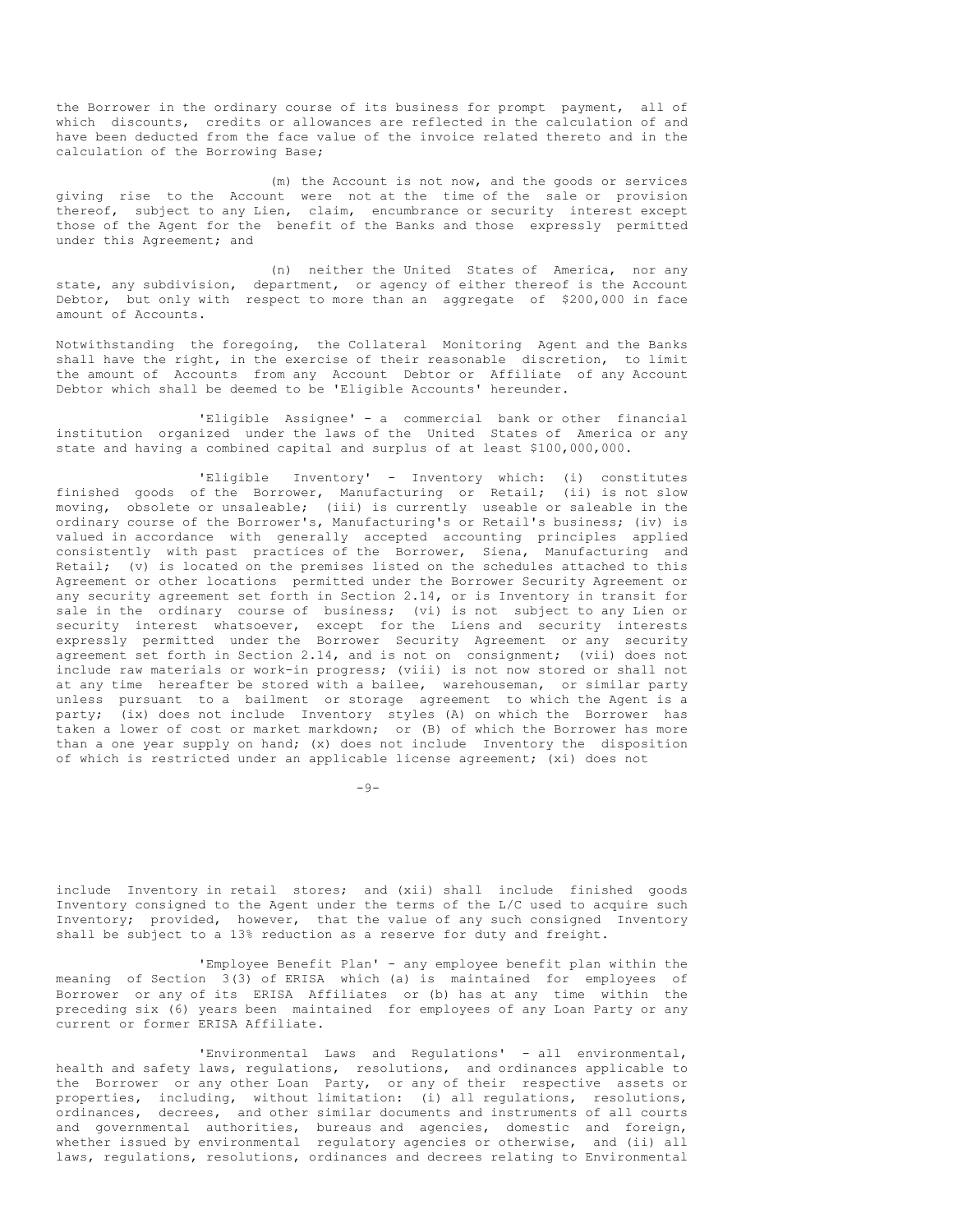the Borrower in the ordinary course of its business for prompt payment, all of which discounts, credits or allowances are reflected in the calculation of and have been deducted from the face value of the invoice related thereto and in the calculation of the Borrowing Base;

(m) the Account is not now, and the goods or services giving rise to the Account were not at the time of the sale or provision thereof, subject to any Lien, claim, encumbrance or security interest except those of the Agent for the benefit of the Banks and those expressly permitted under this Agreement; and

(n) neither the United States of America, nor any state, any subdivision, department, or agency of either thereof is the Account Debtor, but only with respect to more than an aggregate of \$200,000 in face amount of Accounts.

Notwithstanding the foregoing, the Collateral Monitoring Agent and the Banks shall have the right, in the exercise of their reasonable discretion, to limit the amount of Accounts from any Account Debtor or Affiliate of any Account Debtor which shall be deemed to be 'Eligible Accounts' hereunder.

'Eligible Assignee' - a commercial bank or other financial institution organized under the laws of the United States of America or any state and having a combined capital and surplus of at least \$100,000,000.

'Eligible Inventory' - Inventory which: (i) constitutes finished goods of the Borrower, Manufacturing or Retail; (ii) is not slow moving, obsolete or unsaleable; (iii) is currently useable or saleable in the ordinary course of the Borrower's, Manufacturing's or Retail's business; (iv) is valued in accordance with generally accepted accounting principles applied consistently with past practices of the Borrower, Siena, Manufacturing and Retail; (v) is located on the premises listed on the schedules attached to this Agreement or other locations permitted under the Borrower Security Agreement or any security agreement set forth in Section 2.14, or is Inventory in transit for sale in the ordinary course of business; (vi) is not subject to any Lien or security interest whatsoever, except for the Liens and security interests expressly permitted under the Borrower Security Agreement or any security agreement set forth in Section 2.14, and is not on consignment; (vii) does not include raw materials or work-in progress; (viii) is not now stored or shall not at any time hereafter be stored with a bailee, warehouseman, or similar party unless pursuant to a bailment or storage agreement to which the Agent is a party; (ix) does not include Inventory styles (A) on which the Borrower has taken a lower of cost or market markdown; or (B) of which the Borrower has more than a one year supply on hand; (x) does not include Inventory the disposition of which is restricted under an applicable license agreement; (xi) does not

 $-9-$ 

include Inventory in retail stores; and (xii) shall include finished goods Inventory consigned to the Agent under the terms of the L/C used to acquire such Inventory; provided, however, that the value of any such consigned Inventory shall be subject to a 13% reduction as a reserve for duty and freight.

'Employee Benefit Plan' - any employee benefit plan within the meaning of Section 3(3) of ERISA which (a) is maintained for employees of Borrower or any of its ERISA Affiliates or (b) has at any time within the preceding six (6) years been maintained for employees of any Loan Party or any current or former ERISA Affiliate.

'Environmental Laws and Regulations' - all environmental, health and safety laws, regulations, resolutions, and ordinances applicable to the Borrower or any other Loan Party, or any of their respective assets or properties, including, without limitation: (i) all regulations, resolutions, ordinances, decrees, and other similar documents and instruments of all courts and governmental authorities, bureaus and agencies, domestic and foreign, whether issued by environmental regulatory agencies or otherwise, and (ii) all laws, regulations, resolutions, ordinances and decrees relating to Environmental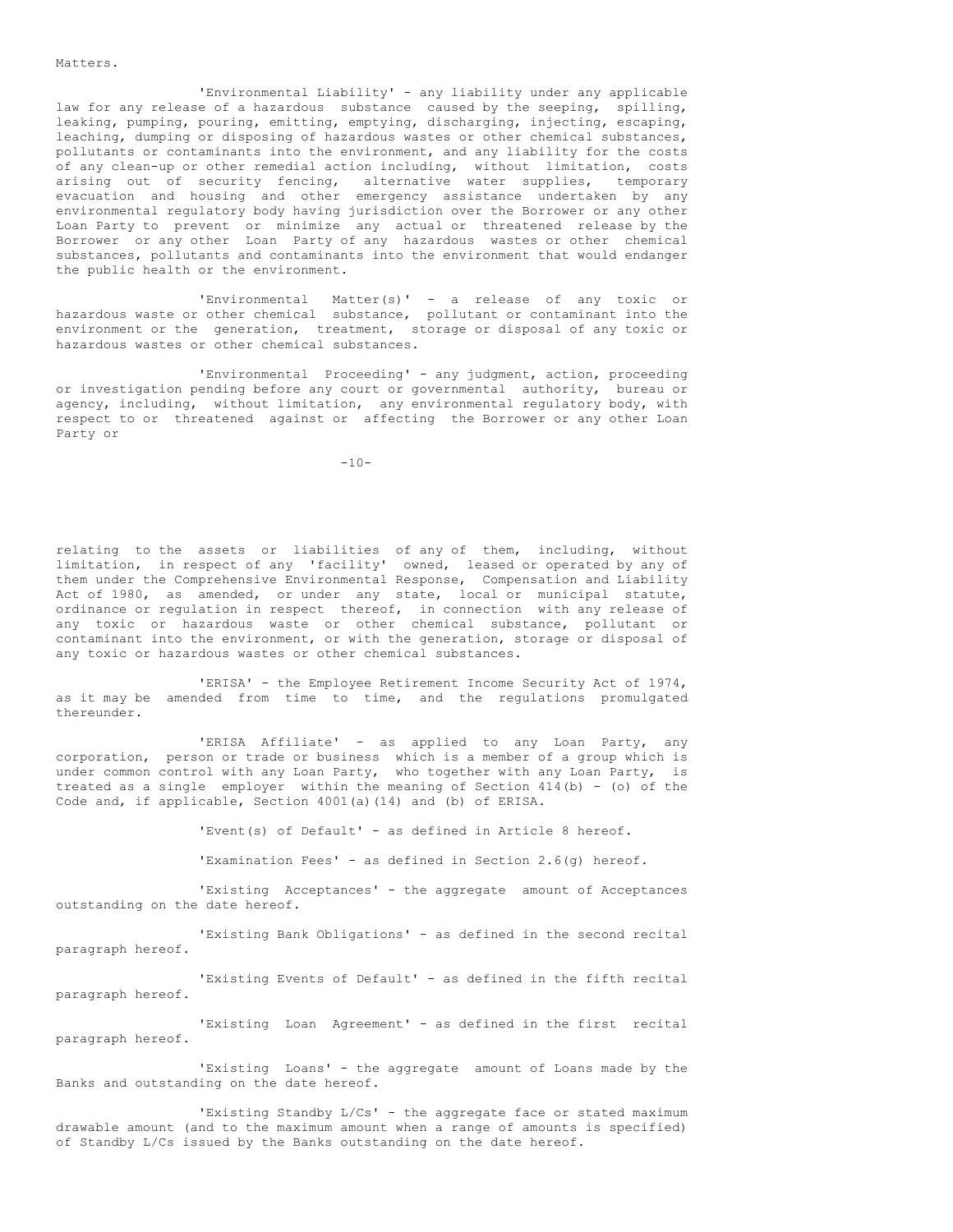Matters.

'Environmental Liability' - any liability under any applicable law for any release of a hazardous substance caused by the seeping, spilling, leaking, pumping, pouring, emitting, emptying, discharging, injecting, escaping, leaching, dumping or disposing of hazardous wastes or other chemical substances, pollutants or contaminants into the environment, and any liability for the costs of any clean-up or other remedial action including, without limitation, costs arising out of security fencing, alternative water supplies, temporary evacuation and housing and other emergency assistance undertaken by any environmental regulatory body having jurisdiction over the Borrower or any other Loan Party to prevent or minimize any actual or threatened release by the Borrower or any other Loan Party of any hazardous wastes or other chemical substances, pollutants and contaminants into the environment that would endanger the public health or the environment.

'Environmental Matter(s)' - a release of any toxic or hazardous waste or other chemical substance, pollutant or contaminant into the environment or the generation, treatment, storage or disposal of any toxic or hazardous wastes or other chemical substances.

'Environmental Proceeding' - any judgment, action, proceeding or investigation pending before any court or governmental authority, bureau or agency, including, without limitation, any environmental regulatory body, with respect to or threatened against or affecting the Borrower or any other Loan Party or

 $-10-$ 

relating to the assets or liabilities of any of them, including, without limitation, in respect of any 'facility' owned, leased or operated by any of them under the Comprehensive Environmental Response, Compensation and Liability Act of 1980, as amended, or under any state, local or municipal statute, ordinance or regulation in respect thereof, in connection with any release of any toxic or hazardous waste or other chemical substance, pollutant or contaminant into the environment, or with the generation, storage or disposal of any toxic or hazardous wastes or other chemical substances.

'ERISA' - the Employee Retirement Income Security Act of 1974, as it may be amended from time to time, and the regulations promulgated thereunder.

'ERISA Affiliate' - as applied to any Loan Party, any corporation, person or trade or business which is a member of a group which is under common control with any Loan Party, who together with any Loan Party, is treated as a single employer within the meaning of Section 414(b) - (o) of the Code and, if applicable, Section 4001(a)(14) and (b) of ERISA.

'Event(s) of Default' - as defined in Article 8 hereof.

'Examination Fees' - as defined in Section 2.6(g) hereof.

'Existing Acceptances' - the aggregate amount of Acceptances outstanding on the date hereof.

'Existing Bank Obligations' - as defined in the second recital paragraph hereof.

'Existing Events of Default' - as defined in the fifth recital paragraph hereof.

'Existing Loan Agreement' - as defined in the first recital paragraph hereof.

'Existing Loans' - the aggregate amount of Loans made by the Banks and outstanding on the date hereof.

'Existing Standby L/Cs' - the aggregate face or stated maximum drawable amount (and to the maximum amount when a range of amounts is specified) of Standby L/Cs issued by the Banks outstanding on the date hereof.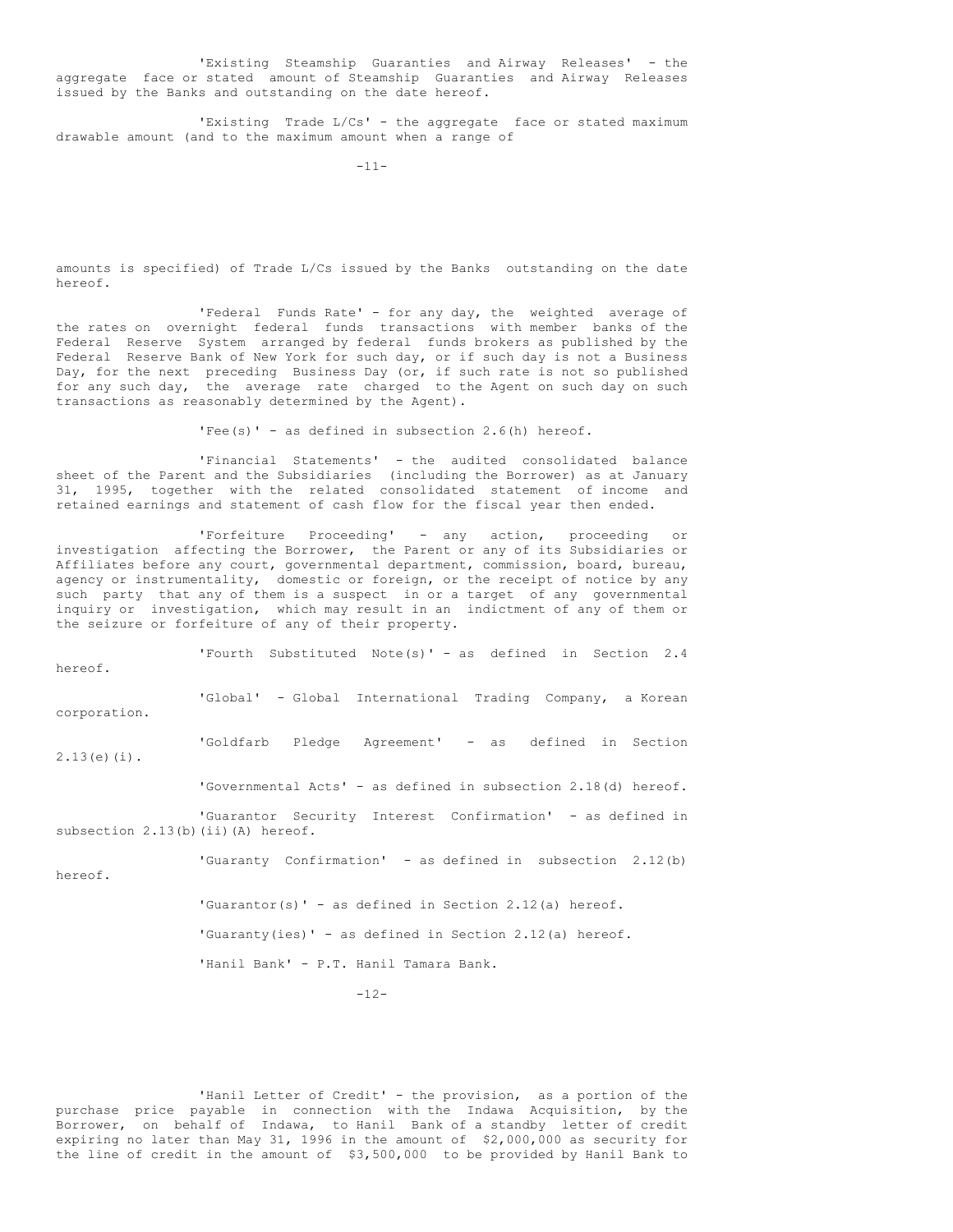'Existing Steamship Guaranties and Airway Releases' - the aggregate face or stated amount of Steamship Guaranties and Airway Releases issued by the Banks and outstanding on the date hereof.

'Existing Trade L/Cs' - the aggregate face or stated maximum drawable amount (and to the maximum amount when a range of

 $-11-$ 

amounts is specified) of Trade L/Cs issued by the Banks outstanding on the date hereof.

'Federal Funds Rate' - for any day, the weighted average of the rates on overnight federal funds transactions with member banks of the Federal Reserve System arranged by federal funds brokers as published by the Federal Reserve Bank of New York for such day, or if such day is not a Business Day, for the next preceding Business Day (or, if such rate is not so published for any such day, the average rate charged to the Agent on such day on such transactions as reasonably determined by the Agent).

 $'Fee(s)'$  - as defined in subsection 2.6(h) hereof.

'Financial Statements' - the audited consolidated balance sheet of the Parent and the Subsidiaries (including the Borrower) as at January 31, 1995, together with the related consolidated statement of income and retained earnings and statement of cash flow for the fiscal year then ended.

'Forfeiture Proceeding' - any action, proceeding or investigation affecting the Borrower, the Parent or any of its Subsidiaries or Affiliates before any court, governmental department, commission, board, bureau, agency or instrumentality, domestic or foreign, or the receipt of notice by any such party that any of them is a suspect in or a target of any governmental inquiry or investigation, which may result in an indictment of any of them or the seizure or forfeiture of any of their property.

'Fourth Substituted Note(s)' - as defined in Section 2.4 hereof. 'Global' - Global International Trading Company, a Korean

corporation.

'Goldfarb Pledge Agreement' - as defined in Section 2.13(e)(i).

'Governmental Acts' - as defined in subsection 2.18(d) hereof.

'Guarantor Security Interest Confirmation' - as defined in subsection 2.13(b)(ii)(A) hereof.

'Guaranty Confirmation' - as defined in subsection 2.12(b)

hereof.

'Guarantor(s)' - as defined in Section 2.12(a) hereof.

'Guaranty(ies)' - as defined in Section 2.12(a) hereof.

'Hanil Bank' - P.T. Hanil Tamara Bank.

 $-12-$ 

'Hanil Letter of Credit' - the provision, as a portion of the purchase price payable in connection with the Indawa Acquisition, by the Borrower, on behalf of Indawa, to Hanil Bank of a standby letter of credit expiring no later than May 31, 1996 in the amount of \$2,000,000 as security for the line of credit in the amount of \$3,500,000 to be provided by Hanil Bank to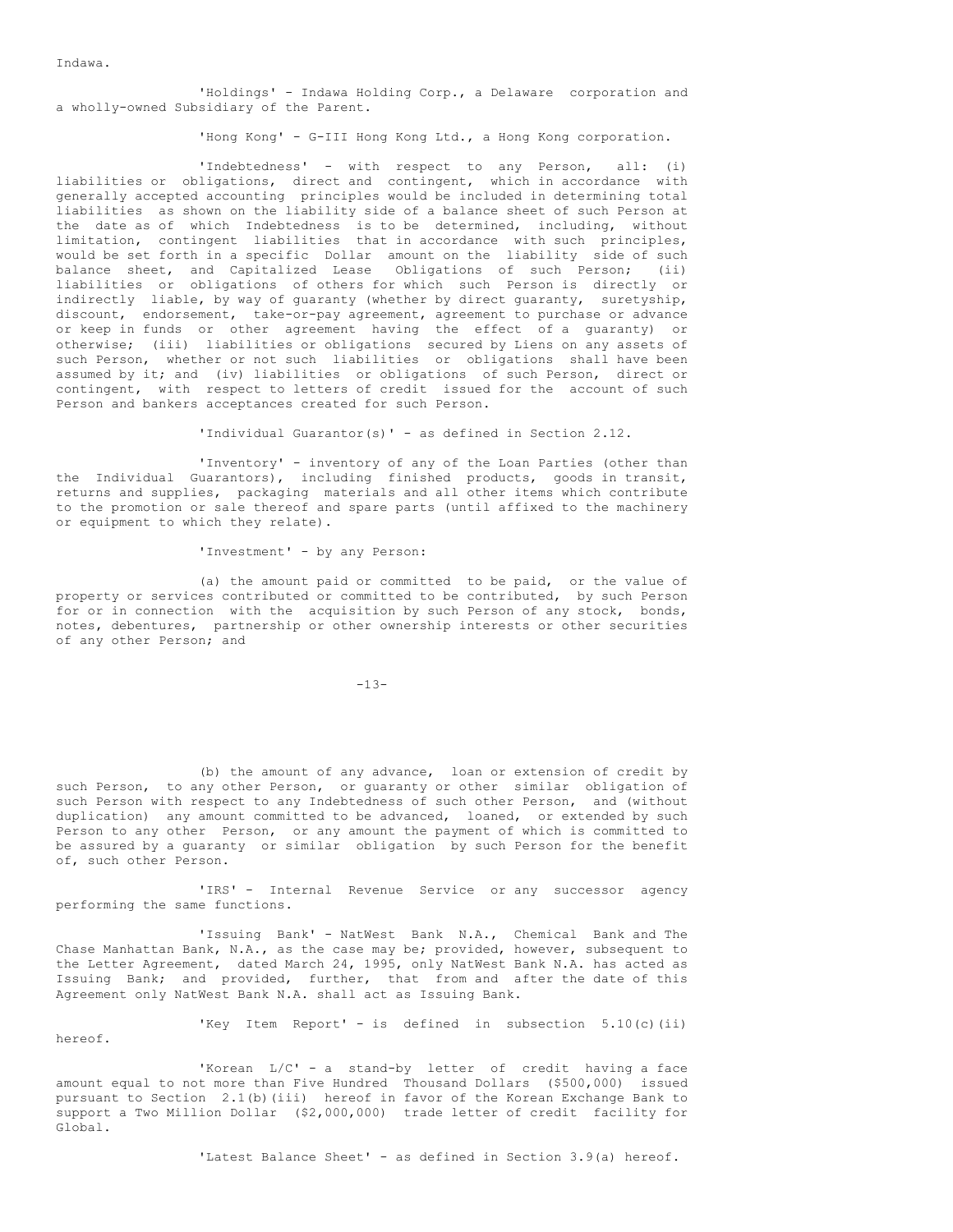Indawa.

hereof.

'Holdings' - Indawa Holding Corp., a Delaware corporation and a wholly-owned Subsidiary of the Parent.

'Hong Kong' - G-III Hong Kong Ltd., a Hong Kong corporation.

'Indebtedness' - with respect to any Person, all: (i) liabilities or obligations, direct and contingent, which in accordance with generally accepted accounting principles would be included in determining total liabilities as shown on the liability side of a balance sheet of such Person at the date as of which Indebtedness is to be determined, including, without limitation, contingent liabilities that in accordance with such principles, would be set forth in a specific Dollar amount on the liability side of such balance sheet, and Capitalized Lease Obligations of such Person; (ii) liabilities or obligations of others for which such Person is directly or indirectly liable, by way of guaranty (whether by direct guaranty, suretyship, discount, endorsement, take-or-pay agreement, agreement to purchase or advance or keep in funds or other agreement having the effect of a guaranty) or otherwise; (iii) liabilities or obligations secured by Liens on any assets of such Person, whether or not such liabilities or obligations shall have been assumed by it; and (iv) liabilities or obligations of such Person, direct or contingent, with respect to letters of credit issued for the account of such Person and bankers acceptances created for such Person.

'Individual Guarantor(s)' - as defined in Section 2.12.

'Inventory' - inventory of any of the Loan Parties (other than the Individual Guarantors), including finished products, goods in transit, returns and supplies, packaging materials and all other items which contribute to the promotion or sale thereof and spare parts (until affixed to the machinery or equipment to which they relate).

'Investment' - by any Person:

(a) the amount paid or committed to be paid, or the value of property or services contributed or committed to be contributed, by such Person for or in connection with the acquisition by such Person of any stock, bonds, notes, debentures, partnership or other ownership interests or other securities of any other Person; and

 $-13-$ 

(b) the amount of any advance, loan or extension of credit by such Person, to any other Person, or guaranty or other similar obligation of such Person with respect to any Indebtedness of such other Person, and (without duplication) any amount committed to be advanced, loaned, or extended by such Person to any other Person, or any amount the payment of which is committed to be assured by a guaranty or similar obligation by such Person for the benefit of, such other Person.

'IRS' - Internal Revenue Service or any successor agency performing the same functions.

'Issuing Bank' - NatWest Bank N.A., Chemical Bank and The Chase Manhattan Bank, N.A., as the case may be; provided, however, subsequent to the Letter Agreement, dated March 24, 1995, only NatWest Bank N.A. has acted as Issuing Bank; and provided, further, that from and after the date of this Agreement only NatWest Bank N.A. shall act as Issuing Bank.

'Key Item Report' - is defined in subsection 5.10(c)(ii)

'Korean L/C' - a stand-by letter of credit having a face amount equal to not more than Five Hundred Thousand Dollars (\$500,000) issued pursuant to Section 2.1(b)(iii) hereof in favor of the Korean Exchange Bank to support a Two Million Dollar (\$2,000,000) trade letter of credit facility for Global.

'Latest Balance Sheet' - as defined in Section 3.9(a) hereof.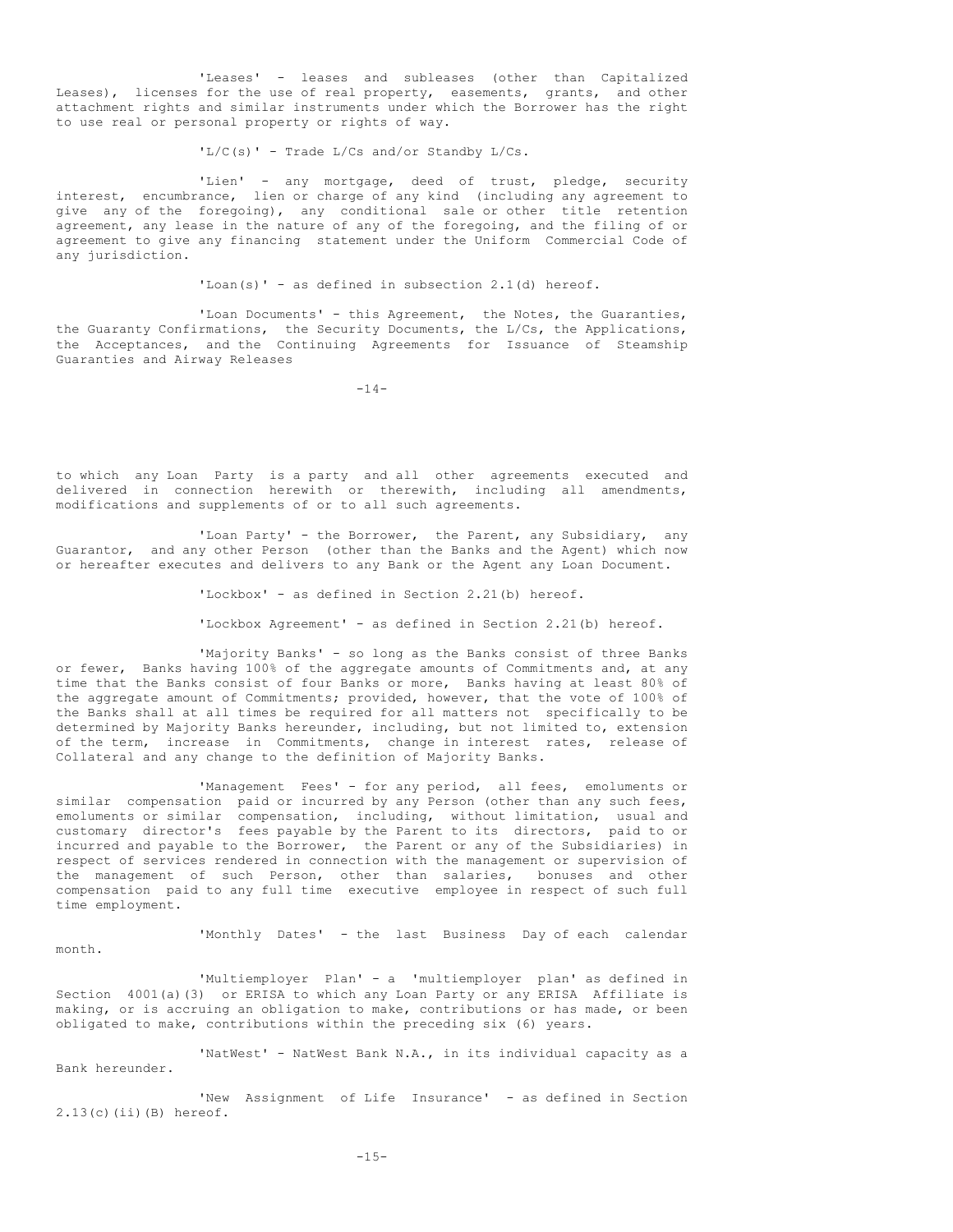'Leases' - leases and subleases (other than Capitalized Leases), licenses for the use of real property, easements, grants, and other attachment rights and similar instruments under which the Borrower has the right to use real or personal property or rights of way.

 $'L/C(s)$  - Trade L/Cs and/or Standby L/Cs.

'Lien' - any mortgage, deed of trust, pledge, security interest, encumbrance, lien or charge of any kind (including any agreement to give any of the foregoing), any conditional sale or other title retention agreement, any lease in the nature of any of the foregoing, and the filing of or agreement to give any financing statement under the Uniform Commercial Code of any jurisdiction.

'Loan(s)' - as defined in subsection  $2.1$ (d) hereof.

'Loan Documents' - this Agreement, the Notes, the Guaranties, the Guaranty Confirmations, the Security Documents, the L/Cs, the Applications, the Acceptances, and the Continuing Agreements for Issuance of Steamship Guaranties and Airway Releases

 $-14-$ 

to which any Loan Party is a party and all other agreements executed and delivered in connection herewith or therewith, including all amendments, modifications and supplements of or to all such agreements.

'Loan Party' - the Borrower, the Parent, any Subsidiary, any Guarantor, and any other Person (other than the Banks and the Agent) which now or hereafter executes and delivers to any Bank or the Agent any Loan Document.

'Lockbox' - as defined in Section 2.21(b) hereof.

'Lockbox Agreement' - as defined in Section 2.21(b) hereof.

'Majority Banks' - so long as the Banks consist of three Banks or fewer, Banks having 100% of the aggregate amounts of Commitments and, at any time that the Banks consist of four Banks or more, Banks having at least 80% of the aggregate amount of Commitments; provided, however, that the vote of 100% of the Banks shall at all times be required for all matters not specifically to be determined by Majority Banks hereunder, including, but not limited to, extension of the term, increase in Commitments, change in interest rates, release of Collateral and any change to the definition of Majority Banks.

'Management Fees' - for any period, all fees, emoluments or similar compensation paid or incurred by any Person (other than any such fees, emoluments or similar compensation, including, without limitation, usual and customary director's fees payable by the Parent to its directors, paid to or incurred and payable to the Borrower, the Parent or any of the Subsidiaries) in respect of services rendered in connection with the management or supervision of the management of such Person, other than salaries, bonuses and other compensation paid to any full time executive employee in respect of such full time employment.

'Monthly Dates' - the last Business Day of each calendar

'Multiemployer Plan' - a 'multiemployer plan' as defined in Section 4001(a)(3) or ERISA to which any Loan Party or any ERISA Affiliate is making, or is accruing an obligation to make, contributions or has made, or been obligated to make, contributions within the preceding six (6) years.

month.

'NatWest' - NatWest Bank N.A., in its individual capacity as a Bank hereunder.

'New Assignment of Life Insurance' - as defined in Section 2.13(c)(ii)(B) hereof.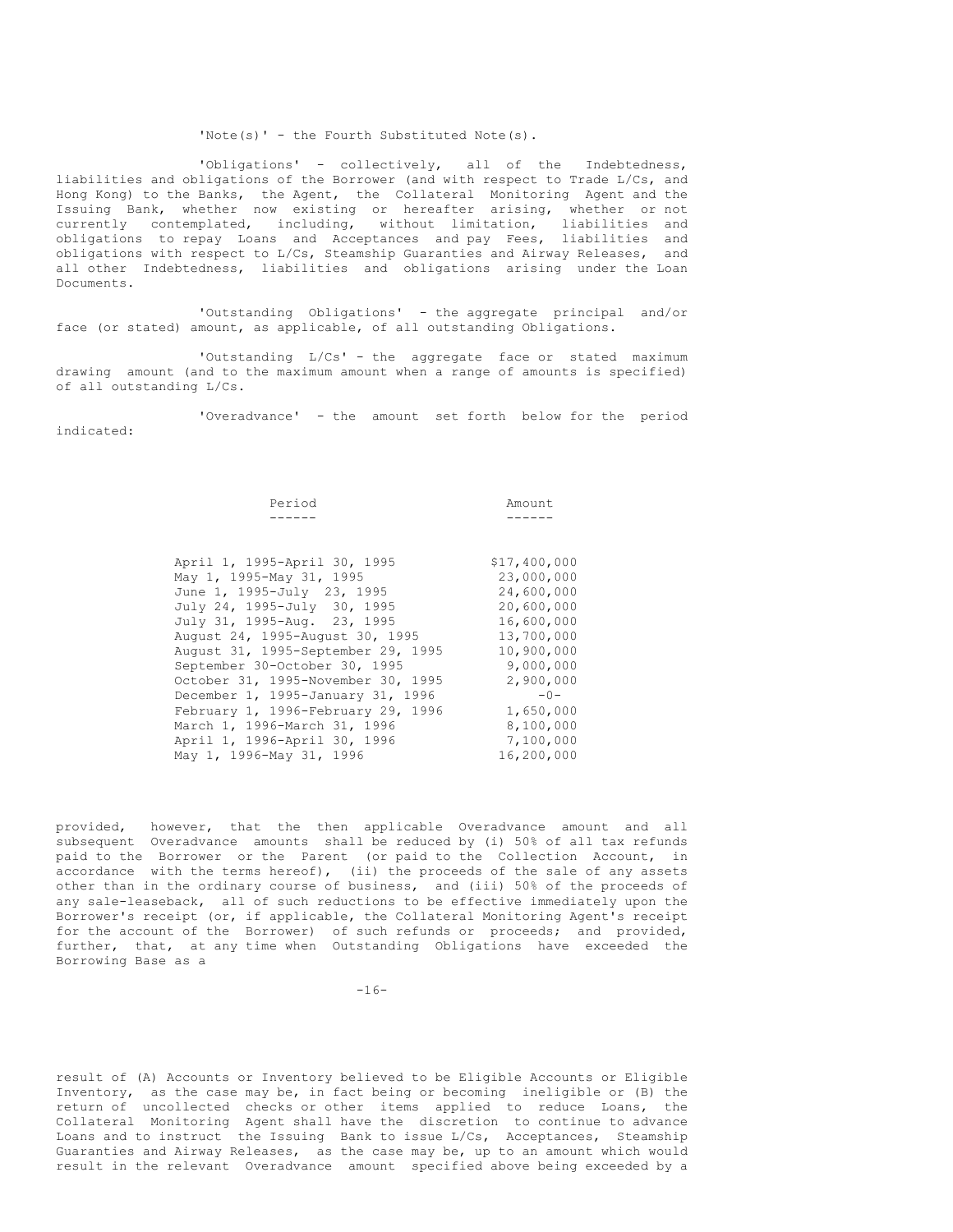#### 'Note(s)' - the Fourth Substituted Note(s).

'Obligations' - collectively, all of the Indebtedness, liabilities and obligations of the Borrower (and with respect to Trade L/Cs, and Hong Kong) to the Banks, the Agent, the Collateral Monitoring Agent and the Issuing Bank, whether now existing or hereafter arising, whether or not currently contemplated, including, without limitation, liabilities and obligations to repay Loans and Acceptances and pay Fees, liabilities and obligations with respect to L/Cs, Steamship Guaranties and Airway Releases, and all other Indebtedness, liabilities and obligations arising under the Loan Documents.

'Outstanding Obligations' - the aggregate principal and/or face (or stated) amount, as applicable, of all outstanding Obligations.

'Outstanding L/Cs' - the aggregate face or stated maximum drawing amount (and to the maximum amount when a range of amounts is specified) of all outstanding L/Cs.

'Overadvance' - the amount set forth below for the period indicated:

| Period                             | Amount       |
|------------------------------------|--------------|
|                                    |              |
|                                    |              |
|                                    |              |
| April 1, 1995-April 30, 1995       | \$17,400,000 |
| May 1, 1995-May 31, 1995           | 23,000,000   |
| June 1, 1995-July 23, 1995         | 24,600,000   |
| July 24, 1995-July 30, 1995        | 20,600,000   |
| July 31, 1995-Aug. 23, 1995        | 16,600,000   |
| August 24, 1995-August 30, 1995    | 13,700,000   |
| August 31, 1995-September 29, 1995 | 10,900,000   |
| September 30-October 30, 1995      | 9,000,000    |
| October 31, 1995-November 30, 1995 | 2,900,000    |
| December 1, 1995-January 31, 1996  | $-0-$        |
| February 1, 1996-February 29, 1996 | 1,650,000    |
| March 1, 1996-March 31, 1996       | 8,100,000    |
| April 1, 1996-April 30, 1996       | 7,100,000    |
| May 1, 1996-May 31, 1996           | 16,200,000   |
|                                    |              |

provided, however, that the then applicable Overadvance amount and all subsequent Overadvance amounts shall be reduced by (i) 50% of all tax refunds paid to the Borrower or the Parent (or paid to the Collection Account, in accordance with the terms hereof), (ii) the proceeds of the sale of any assets other than in the ordinary course of business, and (iii) 50% of the proceeds of any sale-leaseback, all of such reductions to be effective immediately upon the Borrower's receipt (or, if applicable, the Collateral Monitoring Agent's receipt for the account of the Borrower) of such refunds or proceeds; and provided, further, that, at any time when Outstanding Obligations have exceeded the Borrowing Base as a

 $-16-$ 

result of (A) Accounts or Inventory believed to be Eligible Accounts or Eligible Inventory, as the case may be, in fact being or becoming ineligible or (B) the return of uncollected checks or other items applied to reduce Loans, the Collateral Monitoring Agent shall have the discretion to continue to advance Loans and to instruct the Issuing Bank to issue L/Cs, Acceptances, Steamship Guaranties and Airway Releases, as the case may be, up to an amount which would result in the relevant Overadvance amount specified above being exceeded by a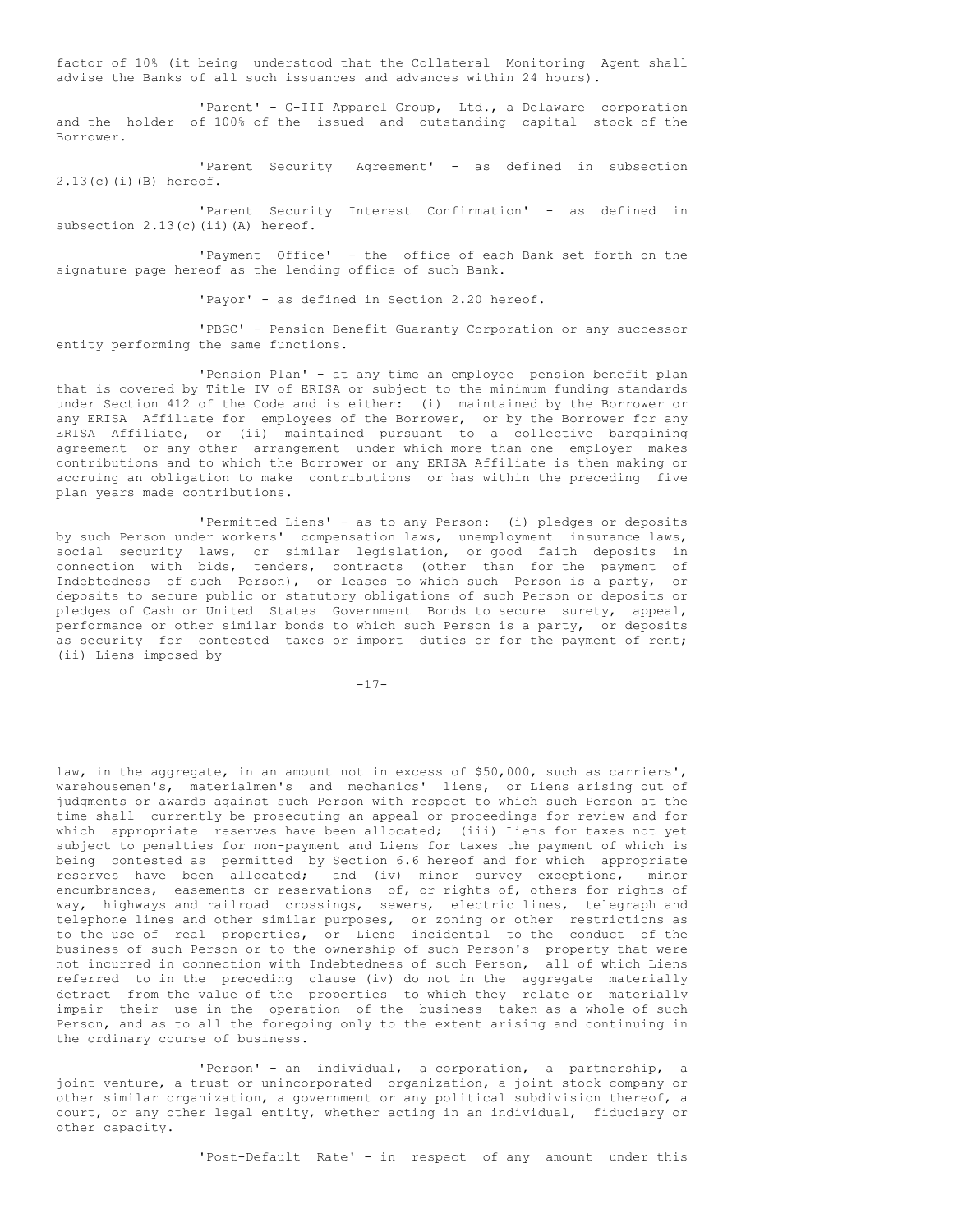factor of 10% (it being understood that the Collateral Monitoring Agent shall advise the Banks of all such issuances and advances within 24 hours).

'Parent' - G-III Apparel Group, Ltd., a Delaware corporation and the holder of 100% of the issued and outstanding capital stock of the Borrower.

'Parent Security Agreement' - as defined in subsection 2.13(c)(i)(B) hereof.

'Parent Security Interest Confirmation' - as defined in subsection 2.13(c)(ii)(A) hereof.

'Payment Office' - the office of each Bank set forth on the signature page hereof as the lending office of such Bank.

'Payor' - as defined in Section 2.20 hereof.

'PBGC' - Pension Benefit Guaranty Corporation or any successor entity performing the same functions.

'Pension Plan' - at any time an employee pension benefit plan that is covered by Title IV of ERISA or subject to the minimum funding standards under Section 412 of the Code and is either: (i) maintained by the Borrower or any ERISA Affiliate for employees of the Borrower, or by the Borrower for any ERISA Affiliate, or (ii) maintained pursuant to a collective bargaining agreement or any other arrangement under which more than one employer makes contributions and to which the Borrower or any ERISA Affiliate is then making or accruing an obligation to make contributions or has within the preceding five plan years made contributions.

'Permitted Liens' - as to any Person: (i) pledges or deposits by such Person under workers' compensation laws, unemployment insurance laws, social security laws, or similar legislation, or good faith deposits in connection with bids, tenders, contracts (other than for the payment of Indebtedness of such Person), or leases to which such Person is a party, or deposits to secure public or statutory obligations of such Person or deposits or pledges of Cash or United States Government Bonds to secure surety, appeal, performance or other similar bonds to which such Person is a party, or deposits as security for contested taxes or import duties or for the payment of rent; (ii) Liens imposed by

 $-17-$ 

law, in the aggregate, in an amount not in excess of \$50,000, such as carriers', warehousemen's, materialmen's and mechanics' liens, or Liens arising out of judgments or awards against such Person with respect to which such Person at the time shall currently be prosecuting an appeal or proceedings for review and for which appropriate reserves have been allocated; (iii) Liens for taxes not yet subject to penalties for non-payment and Liens for taxes the payment of which is being contested as permitted by Section 6.6 hereof and for which appropriate reserves have been allocated; and (iv) minor survey exceptions, minor encumbrances, easements or reservations of, or rights of, others for rights of way, highways and railroad crossings, sewers, electric lines, telegraph and telephone lines and other similar purposes, or zoning or other restrictions as to the use of real properties, or Liens incidental to the conduct of the business of such Person or to the ownership of such Person's property that were not incurred in connection with Indebtedness of such Person, all of which Liens referred to in the preceding clause (iv) do not in the aggregate materially detract from the value of the properties to which they relate or materially impair their use in the operation of the business taken as a whole of such Person, and as to all the foregoing only to the extent arising and continuing in the ordinary course of business.

'Person' - an individual, a corporation, a partnership, a joint venture, a trust or unincorporated organization, a joint stock company or other similar organization, a government or any political subdivision thereof, a court, or any other legal entity, whether acting in an individual, fiduciary or other capacity.

'Post-Default Rate' - in respect of any amount under this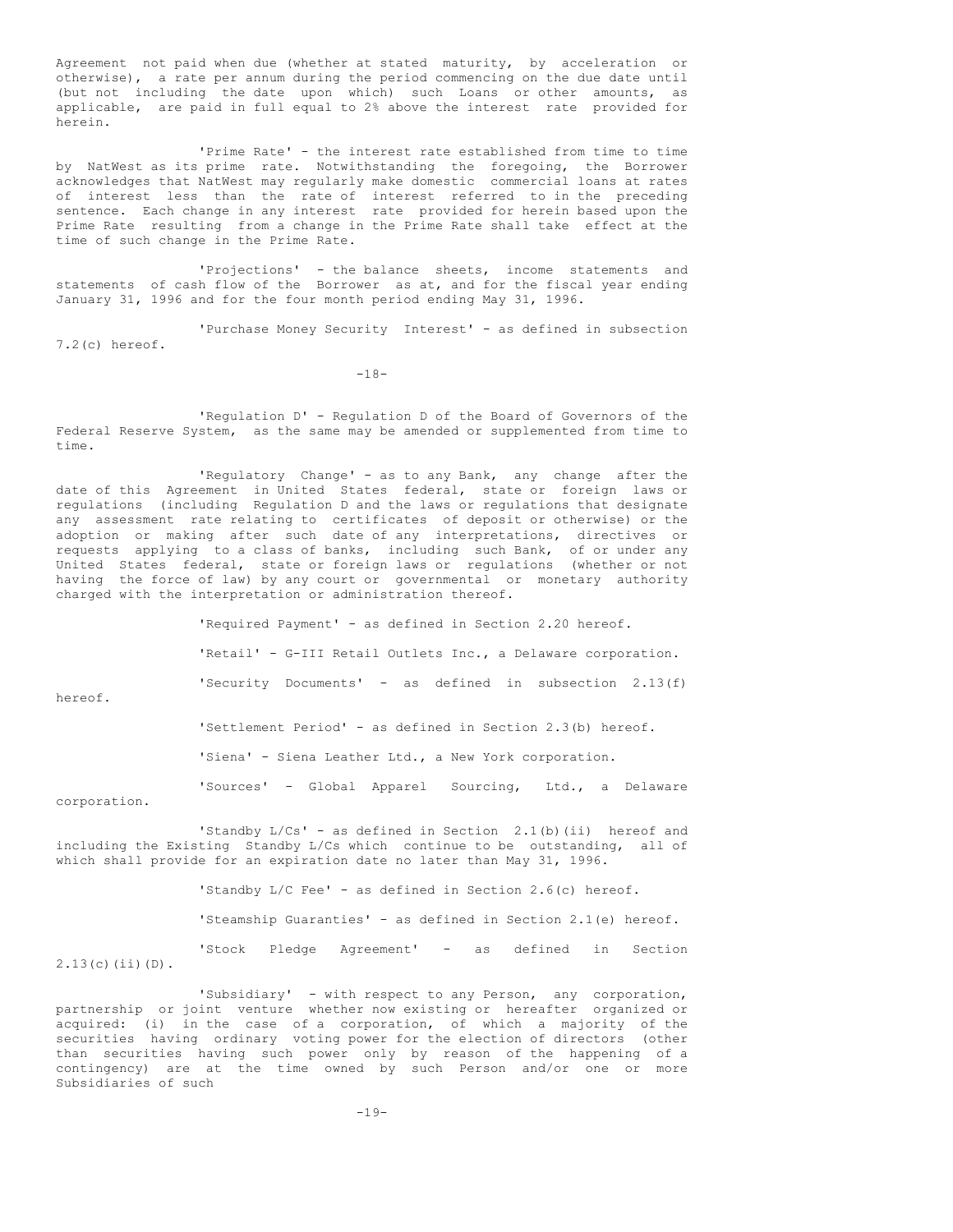Agreement not paid when due (whether at stated maturity, by acceleration or otherwise), a rate per annum during the period commencing on the due date until (but not including the date upon which) such Loans or other amounts, as applicable, are paid in full equal to 2% above the interest rate provided for herein.

'Prime Rate' - the interest rate established from time to time by NatWest as its prime rate. Notwithstanding the foregoing, the Borrower acknowledges that NatWest may regularly make domestic commercial loans at rates of interest less than the rate of interest referred to in the preceding sentence. Each change in any interest rate provided for herein based upon the Prime Rate resulting from a change in the Prime Rate shall take effect at the time of such change in the Prime Rate.

'Projections' - the balance sheets, income statements and statements of cash flow of the Borrower as at, and for the fiscal year ending January 31, 1996 and for the four month period ending May 31, 1996.

'Purchase Money Security Interest' - as defined in subsection 7.2(c) hereof.

-18-

'Regulation D' - Regulation D of the Board of Governors of the Federal Reserve System, as the same may be amended or supplemented from time to time.

'Regulatory Change' - as to any Bank, any change after the date of this Agreement in United States federal, state or foreign laws or regulations (including Regulation D and the laws or regulations that designate any assessment rate relating to certificates of deposit or otherwise) or the adoption or making after such date of any interpretations, directives or requests applying to a class of banks, including such Bank, of or under any United States federal, state or foreign laws or regulations (whether or not having the force of law) by any court or governmental or monetary authority charged with the interpretation or administration thereof.

'Required Payment' - as defined in Section 2.20 hereof. 'Retail' - G-III Retail Outlets Inc., a Delaware corporation. 'Security Documents' - as defined in subsection 2.13(f) 'Settlement Period' - as defined in Section 2.3(b) hereof. 'Siena' - Siena Leather Ltd., a New York corporation. 'Sources' - Global Apparel Sourcing, Ltd., a Delaware

corporation.

2.13(c)(ii)(D).

hereof.

'Standby L/Cs' - as defined in Section 2.1(b)(ii) hereof and including the Existing Standby L/Cs which continue to be outstanding, all of which shall provide for an expiration date no later than May 31, 1996.

> 'Standby L/C Fee' - as defined in Section 2.6(c) hereof. 'Steamship Guaranties' - as defined in Section 2.1(e) hereof. 'Stock Pledge Agreement' - as defined in Section

'Subsidiary' - with respect to any Person, any corporation, partnership or joint venture whether now existing or hereafter organized or acquired: (i) in the case of a corporation, of which a majority of the securities having ordinary voting power for the election of directors (other than securities having such power only by reason of the happening of a contingency) are at the time owned by such Person and/or one or more Subsidiaries of such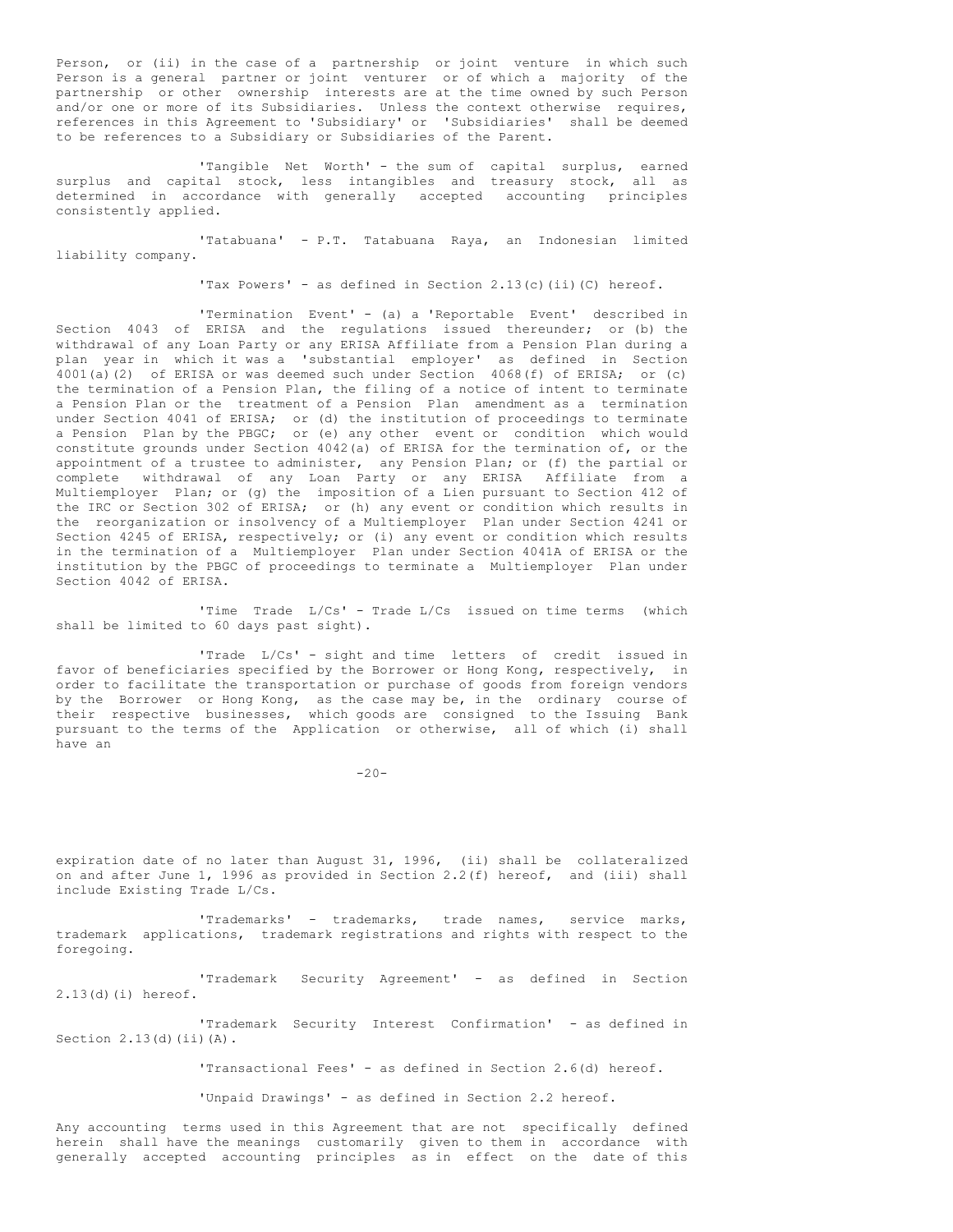Person, or (ii) in the case of a partnership or joint venture in which such Person is a general partner or joint venturer or of which a majority of the partnership or other ownership interests are at the time owned by such Person and/or one or more of its Subsidiaries. Unless the context otherwise requires, references in this Agreement to 'Subsidiary' or 'Subsidiaries' shall be deemed to be references to a Subsidiary or Subsidiaries of the Parent.

'Tangible Net Worth' - the sum of capital surplus, earned surplus and capital stock, less intangibles and treasury stock, all as determined in accordance with generally accepted accounting principles consistently applied.

'Tatabuana' - P.T. Tatabuana Raya, an Indonesian limited liability company.

'Tax Powers' - as defined in Section 2.13(c)(ii)(C) hereof.

'Termination Event' - (a) a 'Reportable Event' described in Section 4043 of ERISA and the regulations issued thereunder; or (b) the withdrawal of any Loan Party or any ERISA Affiliate from a Pension Plan during a plan year in which it was a 'substantial employer' as defined in Section 4001(a)(2) of ERISA or was deemed such under Section 4068(f) of ERISA; or (c) the termination of a Pension Plan, the filing of a notice of intent to terminate a Pension Plan or the treatment of a Pension Plan amendment as a termination under Section 4041 of ERISA; or (d) the institution of proceedings to terminate a Pension Plan by the PBGC; or (e) any other event or condition which would constitute grounds under Section 4042(a) of ERISA for the termination of, or the appointment of a trustee to administer, any Pension Plan; or (f) the partial or complete withdrawal of any Loan Party or any ERISA Affiliate from a Multiemployer Plan; or (g) the imposition of a Lien pursuant to Section 412 of the IRC or Section 302 of ERISA; or (h) any event or condition which results in the reorganization or insolvency of a Multiemployer Plan under Section 4241 or Section 4245 of ERISA, respectively; or (i) any event or condition which results in the termination of a Multiemployer Plan under Section 4041A of ERISA or the institution by the PBGC of proceedings to terminate a Multiemployer Plan under Section 4042 of ERISA.

'Time Trade L/Cs' - Trade L/Cs issued on time terms (which shall be limited to 60 days past sight).

'Trade L/Cs' - sight and time letters of credit issued in favor of beneficiaries specified by the Borrower or Hong Kong, respectively, in order to facilitate the transportation or purchase of goods from foreign vendors by the Borrower or Hong Kong, as the case may be, in the ordinary course of their respective businesses, which goods are consigned to the Issuing Bank pursuant to the terms of the Application or otherwise, all of which (i) shall have an

 $-20-$ 

expiration date of no later than August 31, 1996, (ii) shall be collateralized on and after June 1, 1996 as provided in Section 2.2(f) hereof, and (iii) shall include Existing Trade L/Cs.

'Trademarks' - trademarks, trade names, service marks, trademark applications, trademark registrations and rights with respect to the foregoing.

'Trademark Security Agreement' - as defined in Section 2.13(d)(i) hereof.

'Trademark Security Interest Confirmation' - as defined in Section  $2.13$ (d)(ii)(A).

'Transactional Fees' - as defined in Section 2.6(d) hereof.

'Unpaid Drawings' - as defined in Section 2.2 hereof.

Any accounting terms used in this Agreement that are not specifically defined herein shall have the meanings customarily given to them in accordance with generally accepted accounting principles as in effect on the date of this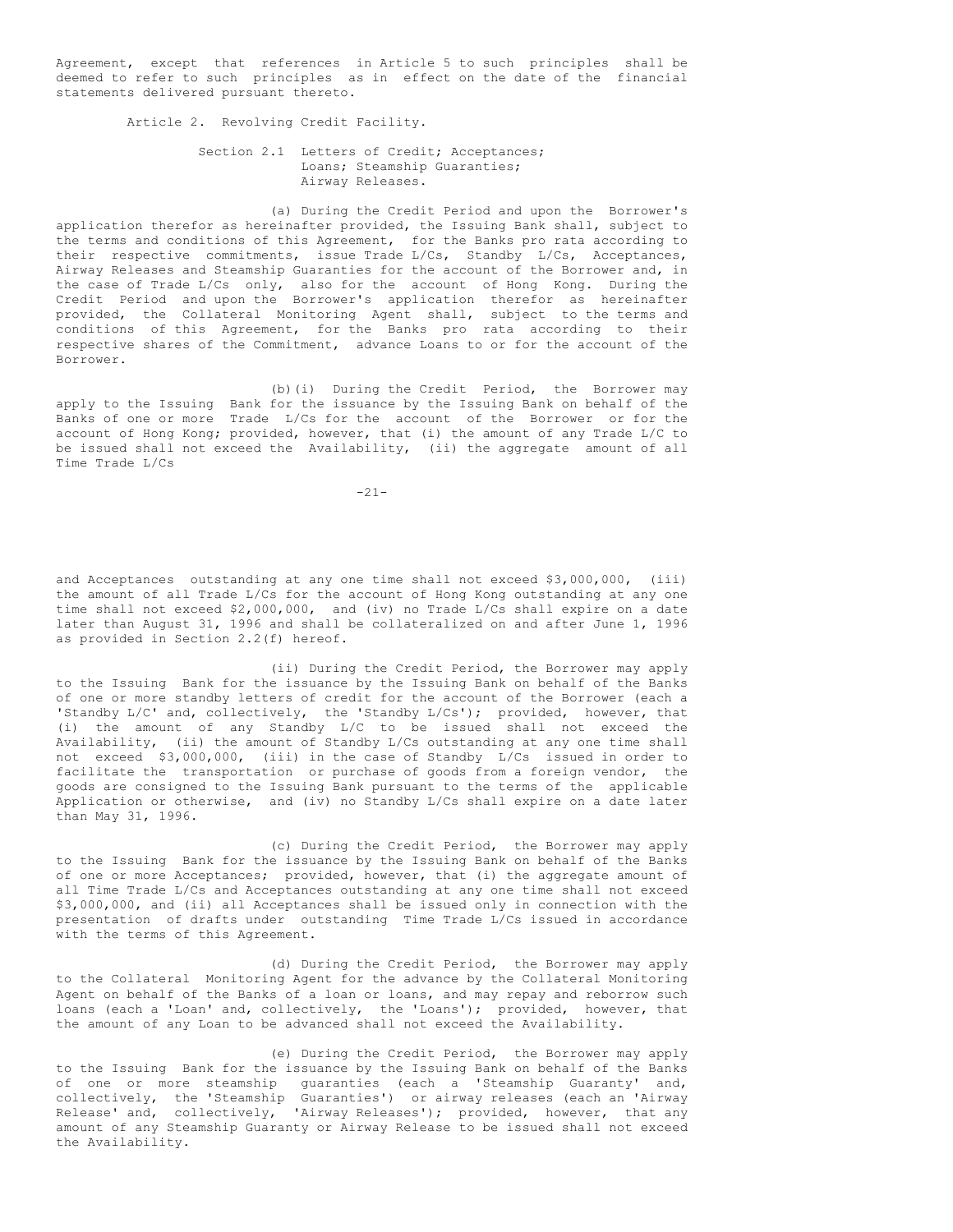Agreement, except that references in Article 5 to such principles shall be deemed to refer to such principles as in effect on the date of the financial statements delivered pursuant thereto.

Article 2. Revolving Credit Facility.

Section 2.1 Letters of Credit; Acceptances; Loans; Steamship Guaranties; Airway Releases.

(a) During the Credit Period and upon the Borrower's application therefor as hereinafter provided, the Issuing Bank shall, subject to the terms and conditions of this Agreement, for the Banks pro rata according to their respective commitments, issue Trade L/Cs, Standby L/Cs, Acceptances, Airway Releases and Steamship Guaranties for the account of the Borrower and, in the case of Trade L/Cs only, also for the account of Hong Kong. During the Credit Period and upon the Borrower's application therefor as hereinafter provided, the Collateral Monitoring Agent shall, subject to the terms and conditions of this Agreement, for the Banks pro rata according to their respective shares of the Commitment, advance Loans to or for the account of the Borrower.

(b)(i) During the Credit Period, the Borrower may apply to the Issuing Bank for the issuance by the Issuing Bank on behalf of the Banks of one or more Trade L/Cs for the account of the Borrower or for the account of Hong Kong; provided, however, that (i) the amount of any Trade L/C to be issued shall not exceed the Availability, (ii) the aggregate amount of all Time Trade L/Cs

 $-21-$ 

and Acceptances outstanding at any one time shall not exceed \$3,000,000, (iii) the amount of all Trade L/Cs for the account of Hong Kong outstanding at any one time shall not exceed \$2,000,000, and (iv) no Trade L/Cs shall expire on a date later than August 31, 1996 and shall be collateralized on and after June 1, 1996 as provided in Section 2.2(f) hereof.

(ii) During the Credit Period, the Borrower may apply to the Issuing Bank for the issuance by the Issuing Bank on behalf of the Banks of one or more standby letters of credit for the account of the Borrower (each a 'Standby L/C' and, collectively, the 'Standby L/Cs'); provided, however, that (i) the amount of any Standby L/C to be issued shall not exceed the Availability, (ii) the amount of Standby L/Cs outstanding at any one time shall not exceed \$3,000,000, (iii) in the case of Standby L/Cs issued in order to facilitate the transportation or purchase of goods from a foreign vendor, the goods are consigned to the Issuing Bank pursuant to the terms of the applicable Application or otherwise, and (iv) no Standby L/Cs shall expire on a date later than May 31, 1996.

(c) During the Credit Period, the Borrower may apply to the Issuing Bank for the issuance by the Issuing Bank on behalf of the Banks of one or more Acceptances; provided, however, that (i) the aggregate amount of all Time Trade L/Cs and Acceptances outstanding at any one time shall not exceed \$3,000,000, and (ii) all Acceptances shall be issued only in connection with the presentation of drafts under outstanding Time Trade L/Cs issued in accordance with the terms of this Agreement.

(d) During the Credit Period, the Borrower may apply to the Collateral Monitoring Agent for the advance by the Collateral Monitoring Agent on behalf of the Banks of a loan or loans, and may repay and reborrow such loans (each a 'Loan' and, collectively, the 'Loans'); provided, however, that the amount of any Loan to be advanced shall not exceed the Availability.

(e) During the Credit Period, the Borrower may apply to the Issuing Bank for the issuance by the Issuing Bank on behalf of the Banks of one or more steamship guaranties (each a 'Steamship Guaranty' and, collectively, the 'Steamship Guaranties') or airway releases (each an 'Airway Release' and, collectively, 'Airway Releases'); provided, however, that any amount of any Steamship Guaranty or Airway Release to be issued shall not exceed the Availability.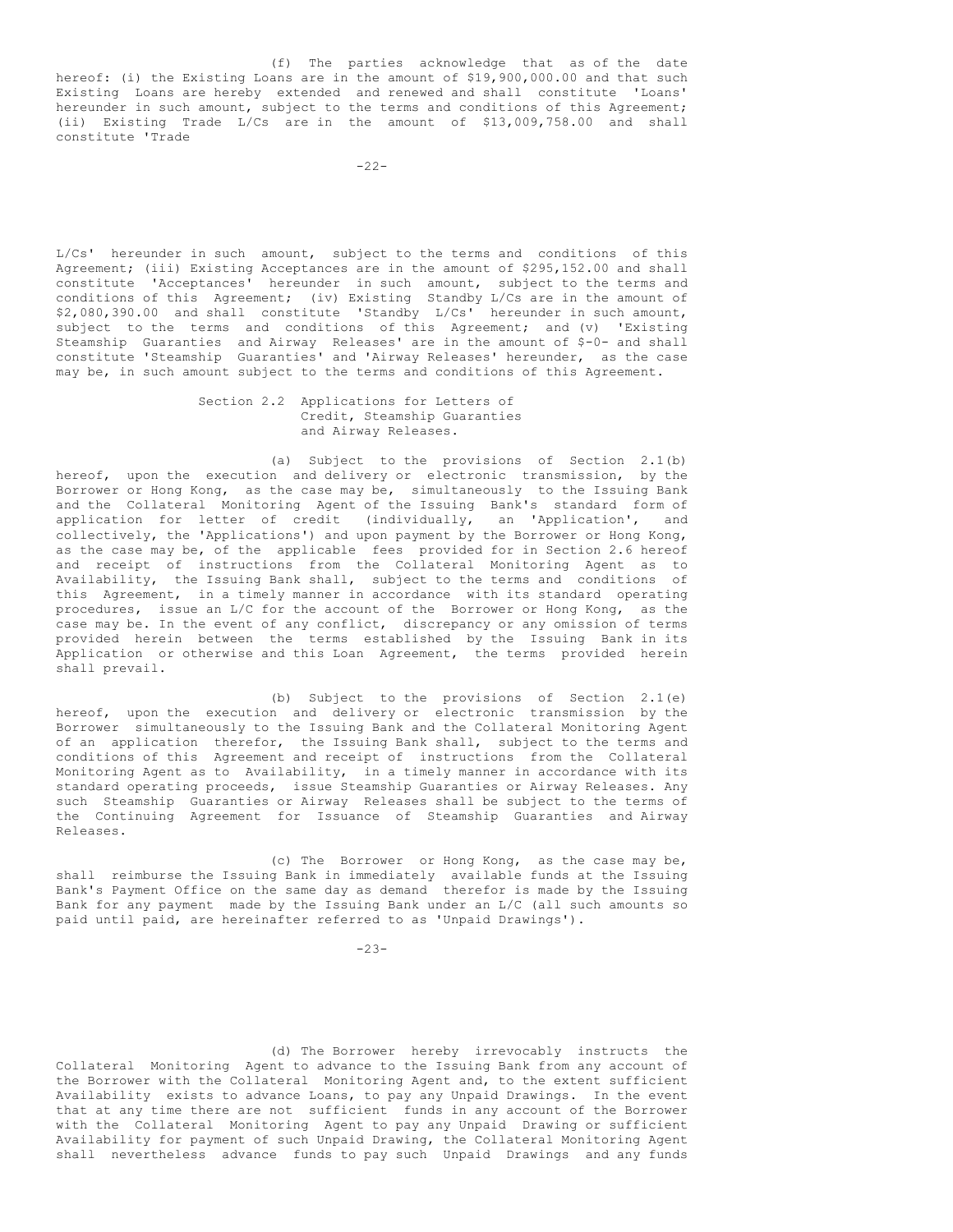(f) The parties acknowledge that as of the date hereof: (i) the Existing Loans are in the amount of \$19,900,000.00 and that such Existing Loans are hereby extended and renewed and shall constitute 'Loans' hereunder in such amount, subject to the terms and conditions of this Agreement; (ii) Existing Trade L/Cs are in the amount of \$13,009,758.00 and shall constitute 'Trade

L/Cs' hereunder in such amount, subject to the terms and conditions of this Agreement; (iii) Existing Acceptances are in the amount of \$295,152.00 and shall constitute 'Acceptances' hereunder in such amount, subject to the terms and conditions of this Agreement; (iv) Existing Standby L/Cs are in the amount of \$2,080,390.00 and shall constitute 'Standby L/Cs' hereunder in such amount, subject to the terms and conditions of this Agreement; and (v) 'Existing Steamship Guaranties and Airway Releases' are in the amount of \$-0- and shall constitute 'Steamship Guaranties' and 'Airway Releases' hereunder, as the case may be, in such amount subject to the terms and conditions of this Agreement.

### Section 2.2 Applications for Letters of Credit, Steamship Guaranties and Airway Releases.

(a) Subject to the provisions of Section 2.1(b) hereof, upon the execution and delivery or electronic transmission, by the Borrower or Hong Kong, as the case may be, simultaneously to the Issuing Bank and the Collateral Monitoring Agent of the Issuing Bank's standard form of application for letter of credit (individually, an 'Application', and collectively, the 'Applications') and upon payment by the Borrower or Hong Kong, as the case may be, of the applicable fees provided for in Section 2.6 hereof and receipt of instructions from the Collateral Monitoring Agent as to Availability, the Issuing Bank shall, subject to the terms and conditions of this Agreement, in a timely manner in accordance with its standard operating procedures, issue an L/C for the account of the Borrower or Hong Kong, as the case may be. In the event of any conflict, discrepancy or any omission of terms provided herein between the terms established by the Issuing Bank in its Application or otherwise and this Loan Agreement, the terms provided herein shall prevail.

(b) Subject to the provisions of Section 2.1(e) hereof, upon the execution and delivery or electronic transmission by the Borrower simultaneously to the Issuing Bank and the Collateral Monitoring Agent of an application therefor, the Issuing Bank shall, subject to the terms and conditions of this Agreement and receipt of instructions from the Collateral Monitoring Agent as to Availability, in a timely manner in accordance with its standard operating proceeds, issue Steamship Guaranties or Airway Releases. Any such Steamship Guaranties or Airway Releases shall be subject to the terms of the Continuing Agreement for Issuance of Steamship Guaranties and Airway Releases.

(c) The Borrower or Hong Kong, as the case may be, shall reimburse the Issuing Bank in immediately available funds at the Issuing Bank's Payment Office on the same day as demand therefor is made by the Issuing Bank for any payment made by the Issuing Bank under an L/C (all such amounts so paid until paid, are hereinafter referred to as 'Unpaid Drawings').

-23-

(d) The Borrower hereby irrevocably instructs the Collateral Monitoring Agent to advance to the Issuing Bank from any account of the Borrower with the Collateral Monitoring Agent and, to the extent sufficient Availability exists to advance Loans, to pay any Unpaid Drawings. In the event that at any time there are not sufficient funds in any account of the Borrower with the Collateral Monitoring Agent to pay any Unpaid Drawing or sufficient Availability for payment of such Unpaid Drawing, the Collateral Monitoring Agent shall nevertheless advance funds to pay such Unpaid Drawings and any funds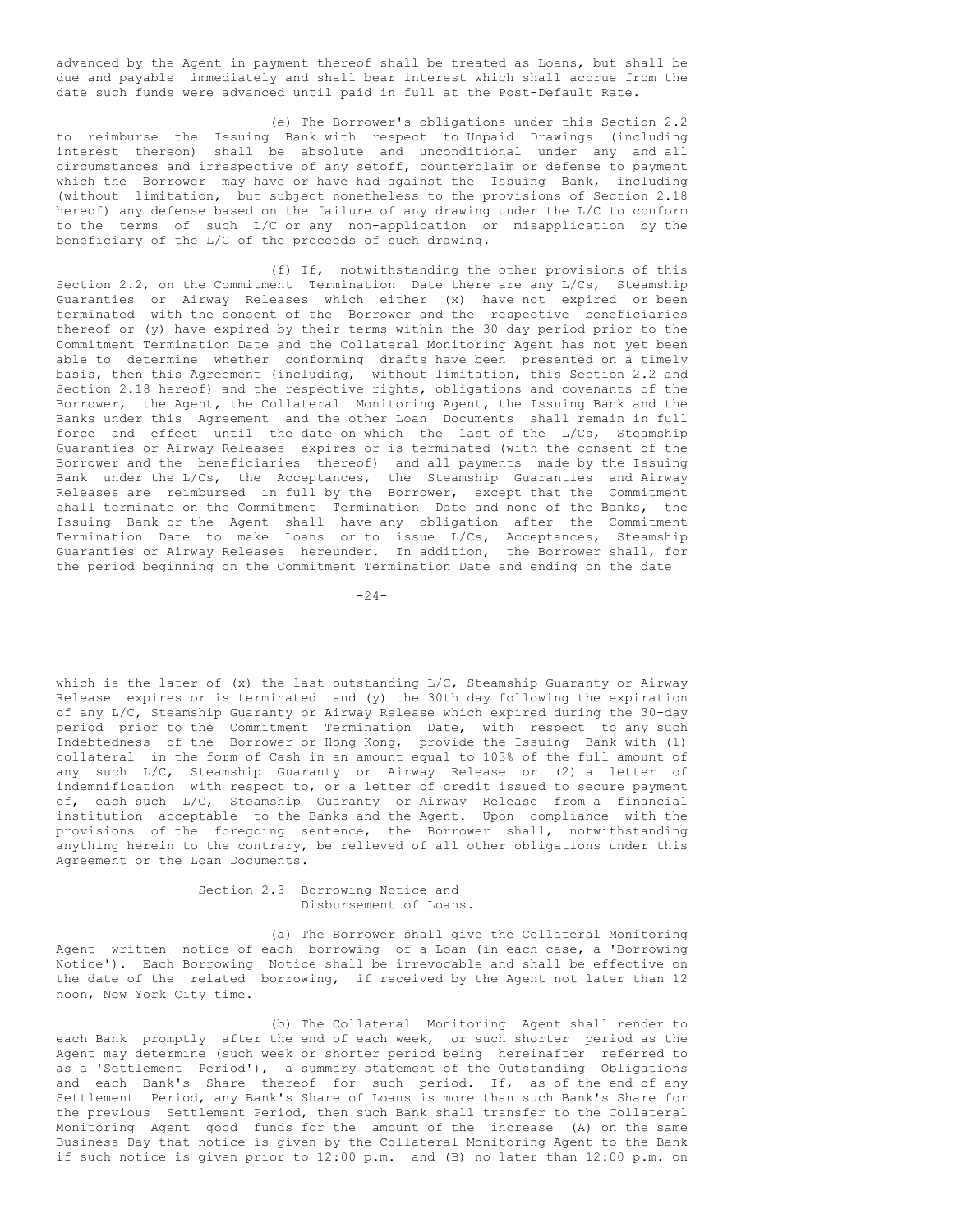advanced by the Agent in payment thereof shall be treated as Loans, but shall be due and payable immediately and shall bear interest which shall accrue from the date such funds were advanced until paid in full at the Post-Default Rate.

(e) The Borrower's obligations under this Section 2.2 to reimburse the Issuing Bank with respect to Unpaid Drawings (including interest thereon) shall be absolute and unconditional under any and all circumstances and irrespective of any setoff, counterclaim or defense to payment which the Borrower may have or have had against the Issuing Bank, including (without limitation, but subject nonetheless to the provisions of Section 2.18 hereof) any defense based on the failure of any drawing under the L/C to conform to the terms of such L/C or any non-application or misapplication by the beneficiary of the L/C of the proceeds of such drawing.

(f) If, notwithstanding the other provisions of this Section 2.2, on the Commitment Termination Date there are any L/Cs, Steamship Guaranties or Airway Releases which either (x) have not expired or been terminated with the consent of the Borrower and the respective beneficiaries thereof or (y) have expired by their terms within the 30-day period prior to the Commitment Termination Date and the Collateral Monitoring Agent has not yet been able to determine whether conforming drafts have been presented on a timely basis, then this Agreement (including, without limitation, this Section 2.2 and Section 2.18 hereof) and the respective rights, obligations and covenants of the Borrower, the Agent, the Collateral Monitoring Agent, the Issuing Bank and the Banks under this Agreement and the other Loan Documents shall remain in full force and effect until the date on which the last of the L/Cs, Steamship Guaranties or Airway Releases expires or is terminated (with the consent of the Borrower and the beneficiaries thereof) and all payments made by the Issuing Bank under the L/Cs, the Acceptances, the Steamship Guaranties and Airway Releases are reimbursed in full by the Borrower, except that the Commitment shall terminate on the Commitment Termination Date and none of the Banks, the Issuing Bank or the Agent shall have any obligation after the Commitment Termination Date to make Loans or to issue L/Cs, Acceptances, Steamship Guaranties or Airway Releases hereunder. In addition, the Borrower shall, for the period beginning on the Commitment Termination Date and ending on the date

 $-24-$ 

which is the later of (x) the last outstanding L/C, Steamship Guaranty or Airway Release expires or is terminated and (y) the 30th day following the expiration of any L/C, Steamship Guaranty or Airway Release which expired during the 30-day period prior to the Commitment Termination Date, with respect to any such Indebtedness of the Borrower or Hong Kong, provide the Issuing Bank with (1) collateral in the form of Cash in an amount equal to 103% of the full amount of any such L/C, Steamship Guaranty or Airway Release or (2) a letter of indemnification with respect to, or a letter of credit issued to secure payment of, each such L/C, Steamship Guaranty or Airway Release from a financial institution acceptable to the Banks and the Agent. Upon compliance with the provisions of the foregoing sentence, the Borrower shall, notwithstanding anything herein to the contrary, be relieved of all other obligations under this Agreement or the Loan Documents.

> Section 2.3 Borrowing Notice and Disbursement of Loans.

(a) The Borrower shall give the Collateral Monitoring Agent written notice of each borrowing of a Loan (in each case, a 'Borrowing Notice'). Each Borrowing Notice shall be irrevocable and shall be effective on the date of the related borrowing, if received by the Agent not later than 12 noon, New York City time.

(b) The Collateral Monitoring Agent shall render to each Bank promptly after the end of each week, or such shorter period as the Agent may determine (such week or shorter period being hereinafter referred to as a 'Settlement Period'), a summary statement of the Outstanding Obligations and each Bank's Share thereof for such period. If, as of the end of any Settlement Period, any Bank's Share of Loans is more than such Bank's Share for the previous Settlement Period, then such Bank shall transfer to the Collateral Monitoring Agent good funds for the amount of the increase (A) on the same Business Day that notice is given by the Collateral Monitoring Agent to the Bank if such notice is given prior to 12:00 p.m. and (B) no later than 12:00 p.m. on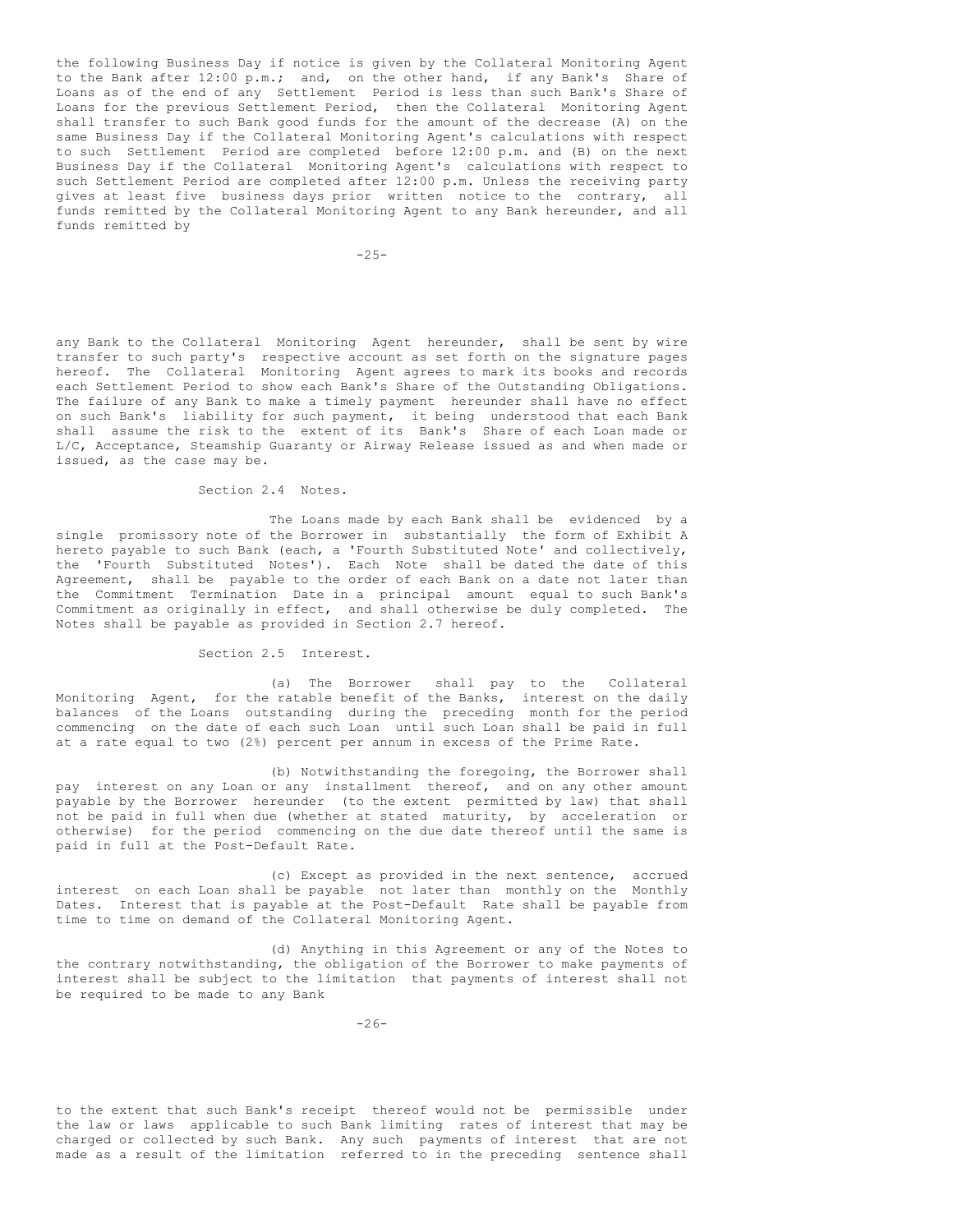the following Business Day if notice is given by the Collateral Monitoring Agent to the Bank after 12:00 p.m.; and, on the other hand, if any Bank's Share of Loans as of the end of any Settlement Period is less than such Bank's Share of Loans for the previous Settlement Period, then the Collateral Monitoring Agent shall transfer to such Bank good funds for the amount of the decrease (A) on the same Business Day if the Collateral Monitoring Agent's calculations with respect to such Settlement Period are completed before 12:00 p.m. and (B) on the next Business Day if the Collateral Monitoring Agent's calculations with respect to such Settlement Period are completed after 12:00 p.m. Unless the receiving party gives at least five business days prior written notice to the contrary, all funds remitted by the Collateral Monitoring Agent to any Bank hereunder, and all funds remitted by

 $-2.5-$ 

any Bank to the Collateral Monitoring Agent hereunder, shall be sent by wire transfer to such party's respective account as set forth on the signature pages hereof. The Collateral Monitoring Agent agrees to mark its books and records each Settlement Period to show each Bank's Share of the Outstanding Obligations. The failure of any Bank to make a timely payment hereunder shall have no effect on such Bank's liability for such payment, it being understood that each Bank shall assume the risk to the extent of its Bank's Share of each Loan made or L/C, Acceptance, Steamship Guaranty or Airway Release issued as and when made or issued, as the case may be.

## Section 2.4 Notes.

The Loans made by each Bank shall be evidenced by a single promissory note of the Borrower in substantially the form of Exhibit A hereto payable to such Bank (each, a 'Fourth Substituted Note' and collectively, the 'Fourth Substituted Notes'). Each Note shall be dated the date of this Agreement, shall be payable to the order of each Bank on a date not later than the Commitment Termination Date in a principal amount equal to such Bank's Commitment as originally in effect, and shall otherwise be duly completed. The Notes shall be payable as provided in Section 2.7 hereof.

## Section 2.5 Interest.

(a) The Borrower shall pay to the Collateral Monitoring Agent, for the ratable benefit of the Banks, interest on the daily balances of the Loans outstanding during the preceding month for the period commencing on the date of each such Loan until such Loan shall be paid in full at a rate equal to two (2%) percent per annum in excess of the Prime Rate.

(b) Notwithstanding the foregoing, the Borrower shall pay interest on any Loan or any installment thereof, and on any other amount payable by the Borrower hereunder (to the extent permitted by law) that shall not be paid in full when due (whether at stated maturity, by acceleration or otherwise) for the period commencing on the due date thereof until the same is paid in full at the Post-Default Rate.

(c) Except as provided in the next sentence, accrued interest on each Loan shall be payable not later than monthly on the Monthly Dates. Interest that is payable at the Post-Default Rate shall be payable from time to time on demand of the Collateral Monitoring Agent.

(d) Anything in this Agreement or any of the Notes to the contrary notwithstanding, the obligation of the Borrower to make payments of interest shall be subject to the limitation that payments of interest shall not be required to be made to any Bank

to the extent that such Bank's receipt thereof would not be permissible under the law or laws applicable to such Bank limiting rates of interest that may be charged or collected by such Bank. Any such payments of interest that are not made as a result of the limitation referred to in the preceding sentence shall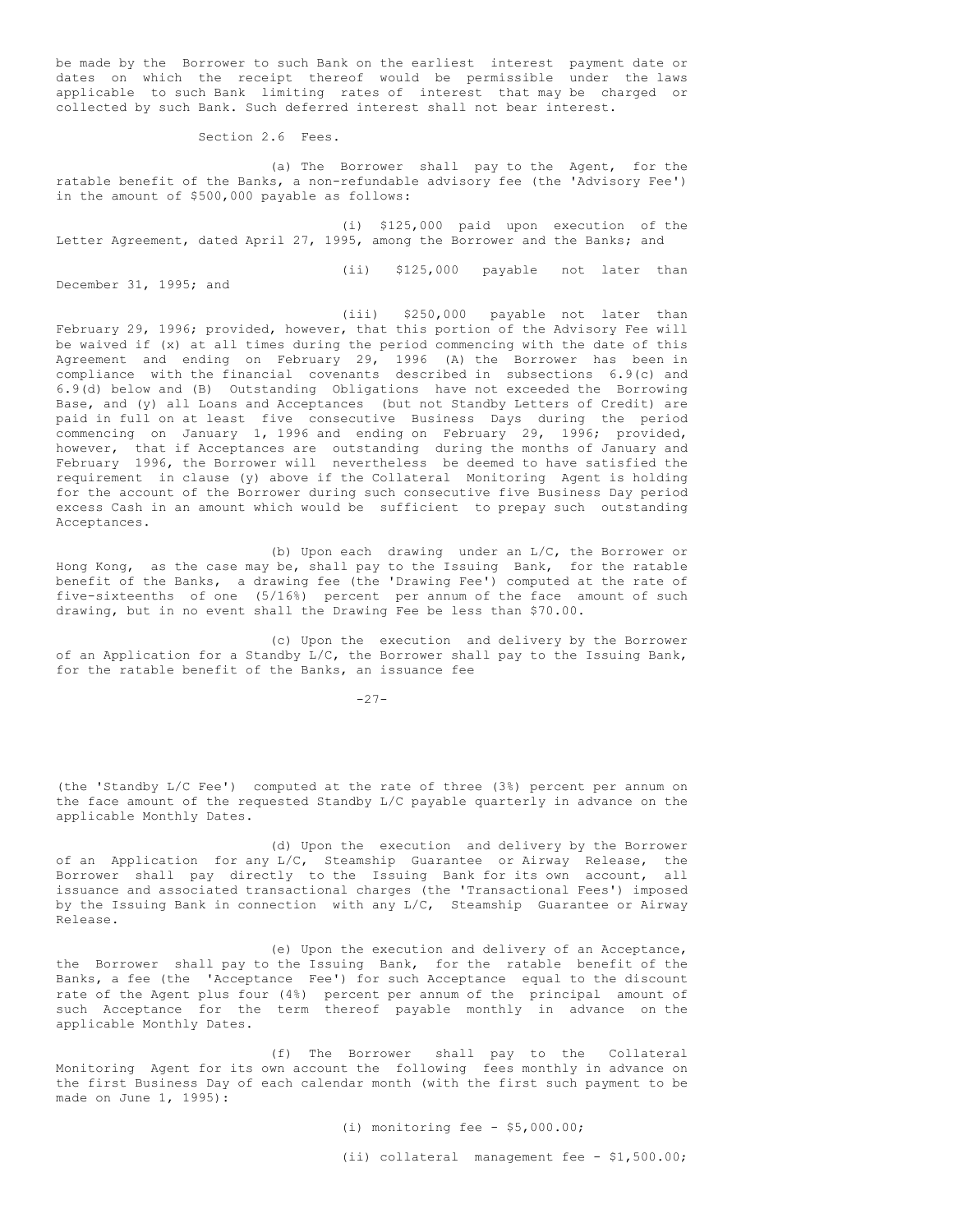be made by the Borrower to such Bank on the earliest interest payment date or dates on which the receipt thereof would be permissible under the laws applicable to such Bank limiting rates of interest that may be charged or collected by such Bank. Such deferred interest shall not bear interest.

Section 2.6 Fees.

(a) The Borrower shall pay to the Agent, for the ratable benefit of the Banks, a non-refundable advisory fee (the 'Advisory Fee') in the amount of \$500,000 payable as follows:

(i) \$125,000 paid upon execution of the Letter Agreement, dated April 27, 1995, among the Borrower and the Banks; and

(ii) \$125,000 payable not later than

December 31, 1995; and

(iii) \$250,000 payable not later than February 29, 1996; provided, however, that this portion of the Advisory Fee will be waived if (x) at all times during the period commencing with the date of this Agreement and ending on February 29, 1996 (A) the Borrower has been in compliance with the financial covenants described in subsections 6.9(c) and 6.9(d) below and (B) Outstanding Obligations have not exceeded the Borrowing Base, and (y) all Loans and Acceptances (but not Standby Letters of Credit) are paid in full on at least five consecutive Business Days during the period commencing on January 1, 1996 and ending on February 29, 1996; provided, however, that if Acceptances are outstanding during the months of January and February 1996, the Borrower will nevertheless be deemed to have satisfied the requirement in clause (y) above if the Collateral Monitoring Agent is holding for the account of the Borrower during such consecutive five Business Day period excess Cash in an amount which would be sufficient to prepay such outstanding Acceptances.

(b) Upon each drawing under an L/C, the Borrower or Hong Kong, as the case may be, shall pay to the Issuing Bank, for the ratable benefit of the Banks, a drawing fee (the 'Drawing Fee') computed at the rate of five-sixteenths of one (5/16%) percent per annum of the face amount of such drawing, but in no event shall the Drawing Fee be less than \$70.00.

(c) Upon the execution and delivery by the Borrower of an Application for a Standby L/C, the Borrower shall pay to the Issuing Bank, for the ratable benefit of the Banks, an issuance fee

 $-27-$ 

(the 'Standby L/C Fee') computed at the rate of three (3%) percent per annum on the face amount of the requested Standby L/C payable quarterly in advance on the applicable Monthly Dates.

(d) Upon the execution and delivery by the Borrower of an Application for any L/C, Steamship Guarantee or Airway Release, the Borrower shall pay directly to the Issuing Bank for its own account, all issuance and associated transactional charges (the 'Transactional Fees') imposed by the Issuing Bank in connection with any L/C, Steamship Guarantee or Airway Release.

(e) Upon the execution and delivery of an Acceptance, the Borrower shall pay to the Issuing Bank, for the ratable benefit of the Banks, a fee (the 'Acceptance Fee') for such Acceptance equal to the discount rate of the Agent plus four (4%) percent per annum of the principal amount of such Acceptance for the term thereof payable monthly in advance on the applicable Monthly Dates.

(f) The Borrower shall pay to the Collateral Monitoring Agent for its own account the following fees monthly in advance on the first Business Day of each calendar month (with the first such payment to be made on June 1, 1995):

> (i) monitoring fee - \$5,000.00; (ii) collateral management fee - \$1,500.00;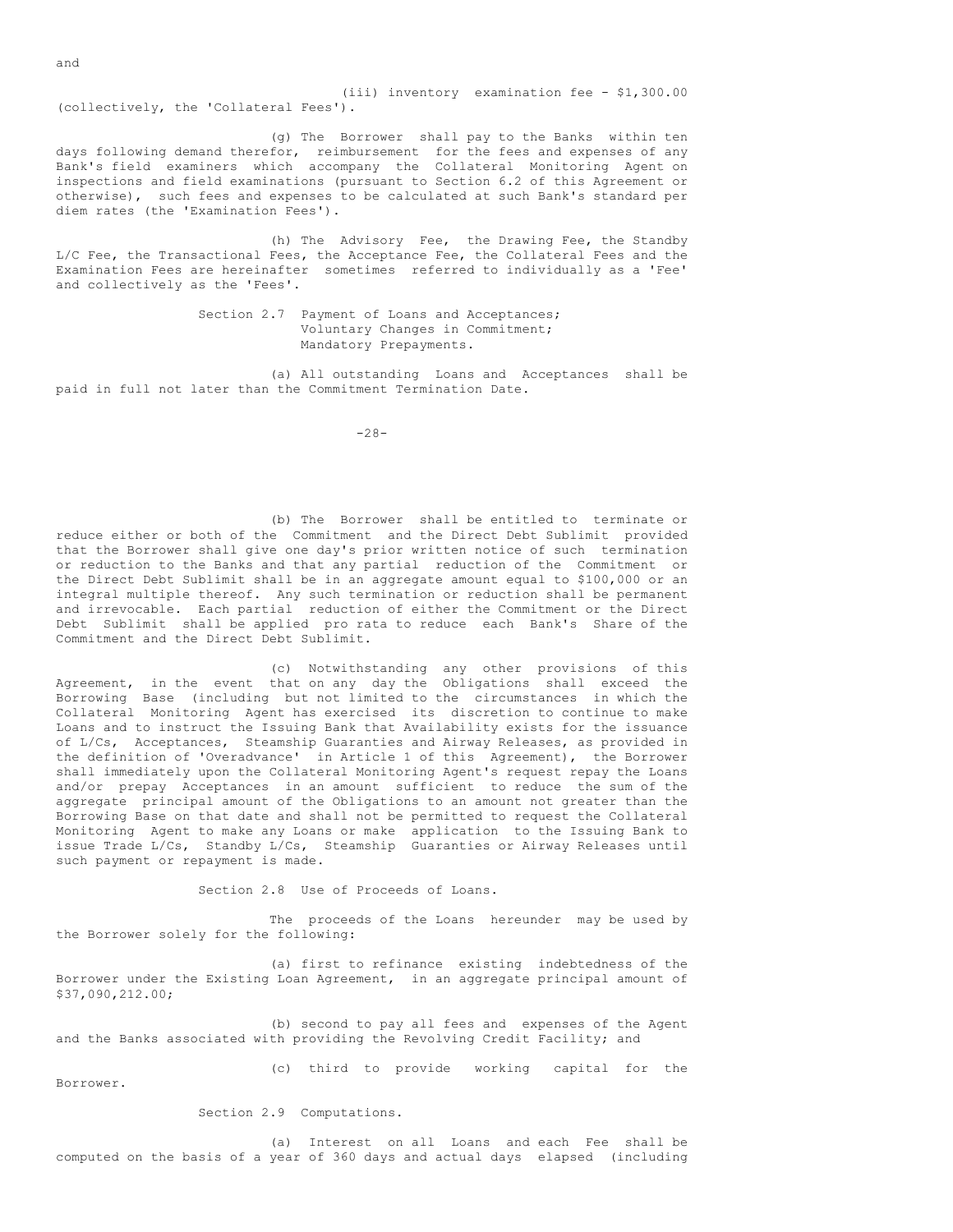(iii) inventory examination fee - \$1,300.00 (collectively, the 'Collateral Fees').

(g) The Borrower shall pay to the Banks within ten days following demand therefor, reimbursement for the fees and expenses of any Bank's field examiners which accompany the Collateral Monitoring Agent on inspections and field examinations (pursuant to Section 6.2 of this Agreement or otherwise), such fees and expenses to be calculated at such Bank's standard per diem rates (the 'Examination Fees').

(h) The Advisory Fee, the Drawing Fee, the Standby L/C Fee, the Transactional Fees, the Acceptance Fee, the Collateral Fees and the Examination Fees are hereinafter sometimes referred to individually as a 'Fee' and collectively as the 'Fees'.

> Section 2.7 Payment of Loans and Acceptances; Voluntary Changes in Commitment; Mandatory Prepayments.

(a) All outstanding Loans and Acceptances shall be paid in full not later than the Commitment Termination Date.

-28-

(b) The Borrower shall be entitled to terminate or reduce either or both of the Commitment and the Direct Debt Sublimit provided that the Borrower shall give one day's prior written notice of such termination or reduction to the Banks and that any partial reduction of the Commitment or the Direct Debt Sublimit shall be in an aggregate amount equal to \$100,000 or an integral multiple thereof. Any such termination or reduction shall be permanent and irrevocable. Each partial reduction of either the Commitment or the Direct Debt Sublimit shall be applied pro rata to reduce each Bank's Share of the Commitment and the Direct Debt Sublimit.

(c) Notwithstanding any other provisions of this Agreement, in the event that on any day the Obligations shall exceed the Borrowing Base (including but not limited to the circumstances in which the Collateral Monitoring Agent has exercised its discretion to continue to make Loans and to instruct the Issuing Bank that Availability exists for the issuance of L/Cs, Acceptances, Steamship Guaranties and Airway Releases, as provided in the definition of 'Overadvance' in Article 1 of this Agreement), the Borrower shall immediately upon the Collateral Monitoring Agent's request repay the Loans and/or prepay Acceptances in an amount sufficient to reduce the sum of the aggregate principal amount of the Obligations to an amount not greater than the Borrowing Base on that date and shall not be permitted to request the Collateral Monitoring Agent to make any Loans or make application to the Issuing Bank to issue Trade L/Cs, Standby L/Cs, Steamship Guaranties or Airway Releases until such payment or repayment is made.

Section 2.8 Use of Proceeds of Loans.

The proceeds of the Loans hereunder may be used by the Borrower solely for the following:

(a) first to refinance existing indebtedness of the Borrower under the Existing Loan Agreement, in an aggregate principal amount of \$37,090,212.00;

(b) second to pay all fees and expenses of the Agent and the Banks associated with providing the Revolving Credit Facility; and

(c) third to provide working capital for the

Borrower.

Section 2.9 Computations.

(a) Interest on all Loans and each Fee shall be computed on the basis of a year of 360 days and actual days elapsed (including

and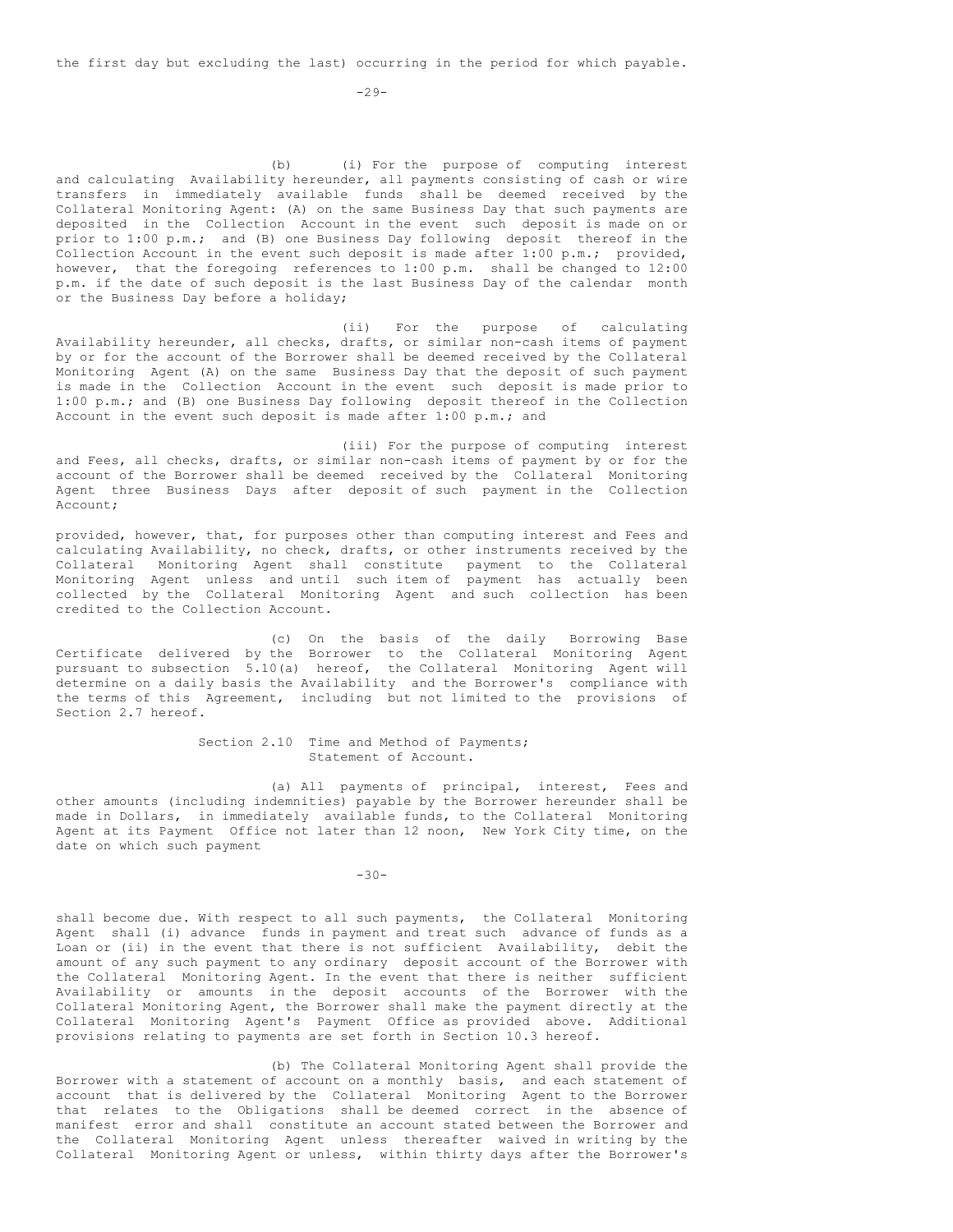the first day but excluding the last) occurring in the period for which payable.

(b) (i) For the purpose of computing interest and calculating Availability hereunder, all payments consisting of cash or wire transfers in immediately available funds shall be deemed received by the Collateral Monitoring Agent: (A) on the same Business Day that such payments are deposited in the Collection Account in the event such deposit is made on or prior to 1:00 p.m.; and (B) one Business Day following deposit thereof in the Collection Account in the event such deposit is made after 1:00 p.m.; provided, however, that the foregoing references to 1:00 p.m. shall be changed to 12:00 p.m. if the date of such deposit is the last Business Day of the calendar month or the Business Day before a holiday;

(ii) For the purpose of calculating Availability hereunder, all checks, drafts, or similar non-cash items of payment by or for the account of the Borrower shall be deemed received by the Collateral Monitoring Agent (A) on the same Business Day that the deposit of such payment is made in the Collection Account in the event such deposit is made prior to 1:00 p.m.; and (B) one Business Day following deposit thereof in the Collection Account in the event such deposit is made after  $1:00$  p.m.; and

(iii) For the purpose of computing interest and Fees, all checks, drafts, or similar non-cash items of payment by or for the account of the Borrower shall be deemed received by the Collateral Monitoring Agent three Business Days after deposit of such payment in the Collection Account;

provided, however, that, for purposes other than computing interest and Fees and calculating Availability, no check, drafts, or other instruments received by the Collateral Monitoring Agent shall constitute payment to the Collateral Monitoring Agent unless and until such item of payment has actually been collected by the Collateral Monitoring Agent and such collection has been credited to the Collection Account.

(c) On the basis of the daily Borrowing Base Certificate delivered by the Borrower to the Collateral Monitoring Agent pursuant to subsection 5.10(a) hereof, the Collateral Monitoring Agent will determine on a daily basis the Availability and the Borrower's compliance with the terms of this Agreement, including but not limited to the provisions of Section 2.7 hereof.

> Section 2.10 Time and Method of Payments; Statement of Account.

(a) All payments of principal, interest, Fees and other amounts (including indemnities) payable by the Borrower hereunder shall be made in Dollars, in immediately available funds, to the Collateral Monitoring Agent at its Payment Office not later than 12 noon, New York City time, on the date on which such payment

-30-

shall become due. With respect to all such payments, the Collateral Monitoring Agent shall (i) advance funds in payment and treat such advance of funds as a Loan or (ii) in the event that there is not sufficient Availability, debit the amount of any such payment to any ordinary deposit account of the Borrower with the Collateral Monitoring Agent. In the event that there is neither sufficient Availability or amounts in the deposit accounts of the Borrower with the Collateral Monitoring Agent, the Borrower shall make the payment directly at the Collateral Monitoring Agent's Payment Office as provided above. Additional provisions relating to payments are set forth in Section 10.3 hereof.

(b) The Collateral Monitoring Agent shall provide the Borrower with a statement of account on a monthly basis, and each statement of account that is delivered by the Collateral Monitoring Agent to the Borrower that relates to the Obligations shall be deemed correct in the absence of manifest error and shall constitute an account stated between the Borrower and the Collateral Monitoring Agent unless thereafter waived in writing by the Collateral Monitoring Agent or unless, within thirty days after the Borrower's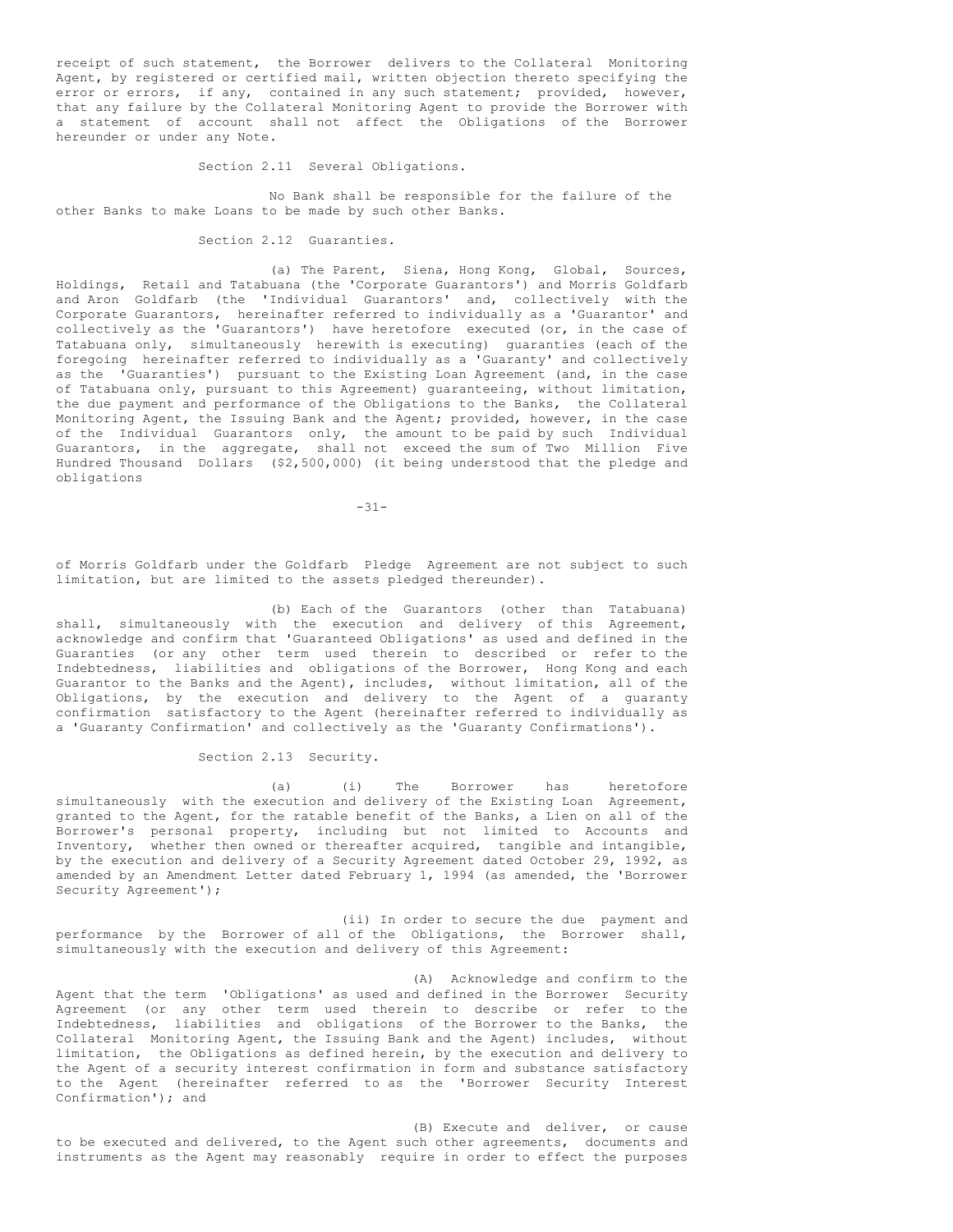receipt of such statement, the Borrower delivers to the Collateral Monitoring Agent, by registered or certified mail, written objection thereto specifying the error or errors, if any, contained in any such statement; provided, however, that any failure by the Collateral Monitoring Agent to provide the Borrower with a statement of account shall not affect the Obligations of the Borrower hereunder or under any Note.

Section 2.11 Several Obligations.

No Bank shall be responsible for the failure of the other Banks to make Loans to be made by such other Banks.

Section 2.12 Guaranties.

(a) The Parent, Siena, Hong Kong, Global, Sources, Holdings, Retail and Tatabuana (the 'Corporate Guarantors') and Morris Goldfarb and Aron Goldfarb (the 'Individual Guarantors' and, collectively with the Corporate Guarantors, hereinafter referred to individually as a 'Guarantor' and collectively as the 'Guarantors') have heretofore executed (or, in the case of Tatabuana only, simultaneously herewith is executing) guaranties (each of the foregoing hereinafter referred to individually as a 'Guaranty' and collectively as the 'Guaranties') pursuant to the Existing Loan Agreement (and, in the case of Tatabuana only, pursuant to this Agreement) guaranteeing, without limitation, the due payment and performance of the Obligations to the Banks, the Collateral Monitoring Agent, the Issuing Bank and the Agent; provided, however, in the case of the Individual Guarantors only, the amount to be paid by such Individual Guarantors, in the aggregate, shall not exceed the sum of Two Million Five Hundred Thousand Dollars (\$2,500,000) (it being understood that the pledge and obligations

 $-31-$ 

of Morris Goldfarb under the Goldfarb Pledge Agreement are not subject to such limitation, but are limited to the assets pledged thereunder).

(b) Each of the Guarantors (other than Tatabuana) shall, simultaneously with the execution and delivery of this Agreement, acknowledge and confirm that 'Guaranteed Obligations' as used and defined in the Guaranties (or any other term used therein to described or refer to the Indebtedness, liabilities and obligations of the Borrower, Hong Kong and each Guarantor to the Banks and the Agent), includes, without limitation, all of the Obligations, by the execution and delivery to the Agent of a guaranty confirmation satisfactory to the Agent (hereinafter referred to individually as a 'Guaranty Confirmation' and collectively as the 'Guaranty Confirmations').

#### Section 2.13 Security.

(a) (i) The Borrower has heretofore simultaneously with the execution and delivery of the Existing Loan Agreement, granted to the Agent, for the ratable benefit of the Banks, a Lien on all of the Borrower's personal property, including but not limited to Accounts and Inventory, whether then owned or thereafter acquired, tangible and intangible, by the execution and delivery of a Security Agreement dated October 29, 1992, as amended by an Amendment Letter dated February 1, 1994 (as amended, the 'Borrower Security Agreement');

(ii) In order to secure the due payment and performance by the Borrower of all of the Obligations, the Borrower shall, simultaneously with the execution and delivery of this Agreement:

(A) Acknowledge and confirm to the Agent that the term 'Obligations' as used and defined in the Borrower Security Agreement (or any other term used therein to describe or refer to the Indebtedness, liabilities and obligations of the Borrower to the Banks, the Collateral Monitoring Agent, the Issuing Bank and the Agent) includes, without limitation, the Obligations as defined herein, by the execution and delivery to the Agent of a security interest confirmation in form and substance satisfactory to the Agent (hereinafter referred to as the 'Borrower Security Interest Confirmation'); and

(B) Execute and deliver, or cause to be executed and delivered, to the Agent such other agreements, documents and instruments as the Agent may reasonably require in order to effect the purposes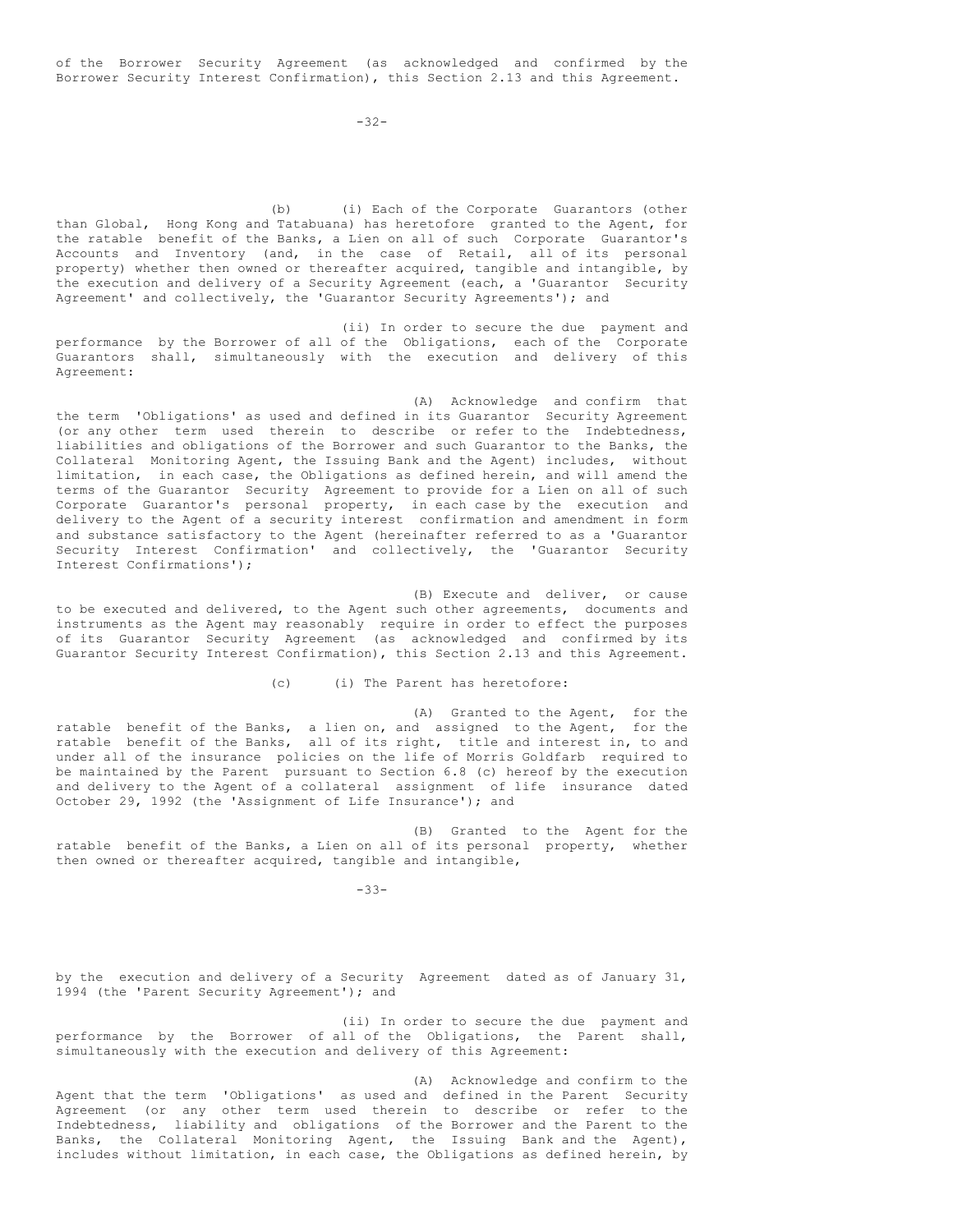of the Borrower Security Agreement (as acknowledged and confirmed by the Borrower Security Interest Confirmation), this Section 2.13 and this Agreement.

 $-32-$ 

(b) (i) Each of the Corporate Guarantors (other than Global, Hong Kong and Tatabuana) has heretofore granted to the Agent, for the ratable benefit of the Banks, a Lien on all of such Corporate Guarantor's Accounts and Inventory (and, in the case of Retail, all of its personal property) whether then owned or thereafter acquired, tangible and intangible, by the execution and delivery of a Security Agreement (each, a 'Guarantor Security Agreement' and collectively, the 'Guarantor Security Agreements'); and

(ii) In order to secure the due payment and performance by the Borrower of all of the Obligations, each of the Corporate Guarantors shall, simultaneously with the execution and delivery of this Agreement:

(A) Acknowledge and confirm that the term 'Obligations' as used and defined in its Guarantor Security Agreement (or any other term used therein to describe or refer to the Indebtedness, liabilities and obligations of the Borrower and such Guarantor to the Banks, the Collateral Monitoring Agent, the Issuing Bank and the Agent) includes, without limitation, in each case, the Obligations as defined herein, and will amend the terms of the Guarantor Security Agreement to provide for a Lien on all of such Corporate Guarantor's personal property, in each case by the execution and delivery to the Agent of a security interest confirmation and amendment in form and substance satisfactory to the Agent (hereinafter referred to as a 'Guarantor Security Interest Confirmation' and collectively, the 'Guarantor Security Interest Confirmations');

(B) Execute and deliver, or cause to be executed and delivered, to the Agent such other agreements, documents and instruments as the Agent may reasonably require in order to effect the purposes of its Guarantor Security Agreement (as acknowledged and confirmed by its Guarantor Security Interest Confirmation), this Section 2.13 and this Agreement.

(c) (i) The Parent has heretofore:

(A) Granted to the Agent, for the ratable benefit of the Banks, a lien on, and assigned to the Agent, for the ratable benefit of the Banks, all of its right, title and interest in, to and under all of the insurance policies on the life of Morris Goldfarb required to be maintained by the Parent pursuant to Section 6.8 (c) hereof by the execution and delivery to the Agent of a collateral assignment of life insurance dated October 29, 1992 (the 'Assignment of Life Insurance'); and

(B) Granted to the Agent for the ratable benefit of the Banks, a Lien on all of its personal property, whether then owned or thereafter acquired, tangible and intangible,

-33-

by the execution and delivery of a Security Agreement dated as of January 31, 1994 (the 'Parent Security Agreement'); and

(ii) In order to secure the due payment and performance by the Borrower of all of the Obligations, the Parent shall, simultaneously with the execution and delivery of this Agreement:

(A) Acknowledge and confirm to the Agent that the term 'Obligations' as used and defined in the Parent Security Agreement (or any other term used therein to describe or refer to the Indebtedness, liability and obligations of the Borrower and the Parent to the Banks, the Collateral Monitoring Agent, the Issuing Bank and the Agent), includes without limitation, in each case, the Obligations as defined herein, by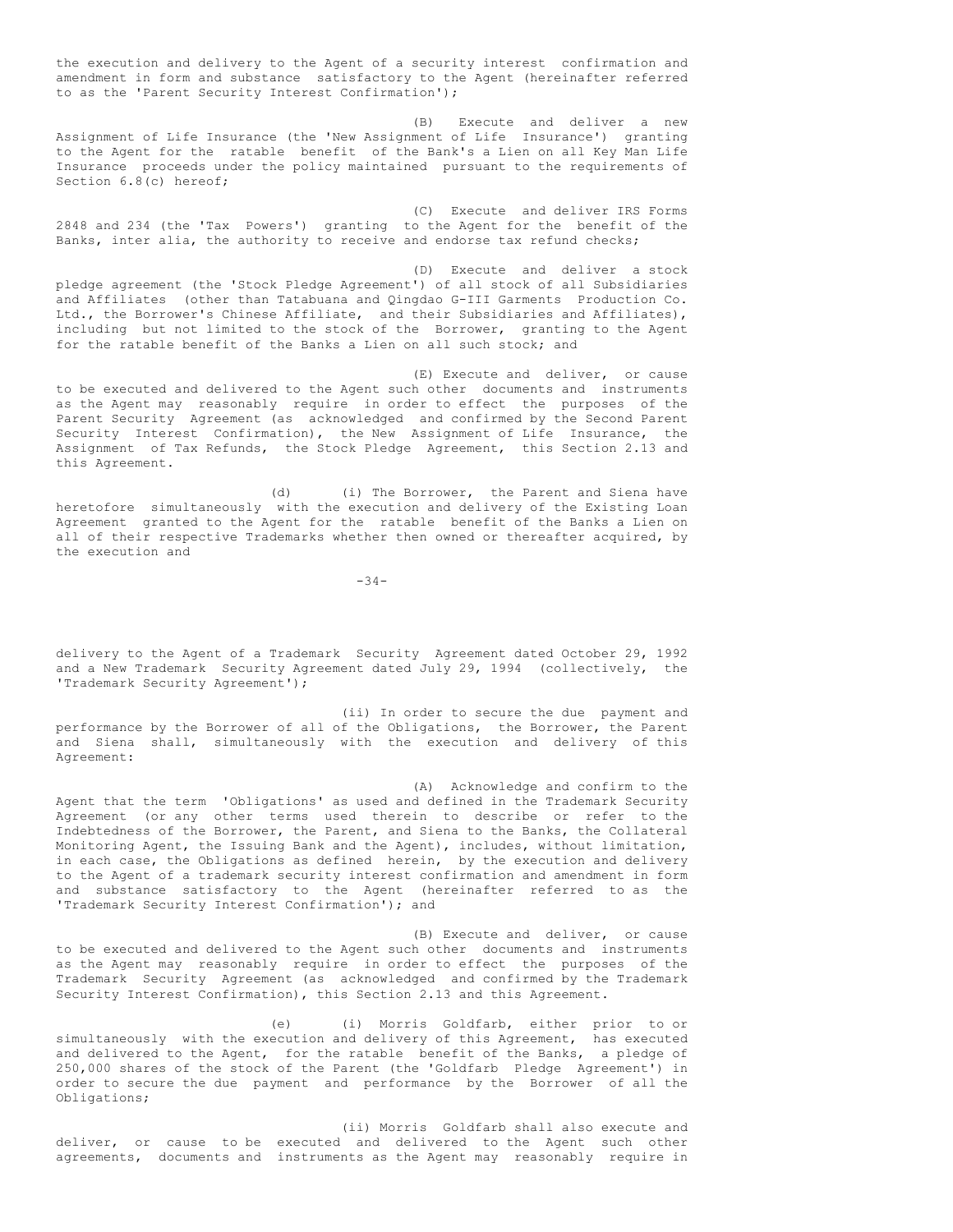the execution and delivery to the Agent of a security interest confirmation and amendment in form and substance satisfactory to the Agent (hereinafter referred to as the 'Parent Security Interest Confirmation');

(B) Execute and deliver a new Assignment of Life Insurance (the 'New Assignment of Life Insurance') granting to the Agent for the ratable benefit of the Bank's a Lien on all Key Man Life Insurance proceeds under the policy maintained pursuant to the requirements of Section 6.8(c) hereof;

(C) Execute and deliver IRS Forms 2848 and 234 (the 'Tax Powers') granting to the Agent for the benefit of the Banks, inter alia, the authority to receive and endorse tax refund checks;

(D) Execute and deliver a stock pledge agreement (the 'Stock Pledge Agreement') of all stock of all Subsidiaries and Affiliates (other than Tatabuana and Qingdao G-III Garments Production Co. Ltd., the Borrower's Chinese Affiliate, and their Subsidiaries and Affiliates), including but not limited to the stock of the Borrower, granting to the Agent for the ratable benefit of the Banks a Lien on all such stock; and

(E) Execute and deliver, or cause to be executed and delivered to the Agent such other documents and instruments as the Agent may reasonably require in order to effect the purposes of the Parent Security Agreement (as acknowledged and confirmed by the Second Parent Security Interest Confirmation), the New Assignment of Life Insurance, the Assignment of Tax Refunds, the Stock Pledge Agreement, this Section 2.13 and this Agreement.

(d) (i) The Borrower, the Parent and Siena have heretofore simultaneously with the execution and delivery of the Existing Loan Agreement granted to the Agent for the ratable benefit of the Banks a Lien on all of their respective Trademarks whether then owned or thereafter acquired, by the execution and

 $-34-$ 

delivery to the Agent of a Trademark Security Agreement dated October 29, 1992 and a New Trademark Security Agreement dated July 29, 1994 (collectively, the 'Trademark Security Agreement');

(ii) In order to secure the due payment and performance by the Borrower of all of the Obligations, the Borrower, the Parent and Siena shall, simultaneously with the execution and delivery of this Agreement:

(A) Acknowledge and confirm to the Agent that the term 'Obligations' as used and defined in the Trademark Security Agreement (or any other terms used therein to describe or refer to the Indebtedness of the Borrower, the Parent, and Siena to the Banks, the Collateral Monitoring Agent, the Issuing Bank and the Agent), includes, without limitation, in each case, the Obligations as defined herein, by the execution and delivery to the Agent of a trademark security interest confirmation and amendment in form and substance satisfactory to the Agent (hereinafter referred to as the 'Trademark Security Interest Confirmation'); and

(B) Execute and deliver, or cause to be executed and delivered to the Agent such other documents and instruments as the Agent may reasonably require in order to effect the purposes of the Trademark Security Agreement (as acknowledged and confirmed by the Trademark Security Interest Confirmation), this Section 2.13 and this Agreement.

(e) (i) Morris Goldfarb, either prior to or simultaneously with the execution and delivery of this Agreement, has executed and delivered to the Agent, for the ratable benefit of the Banks, a pledge of 250,000 shares of the stock of the Parent (the 'Goldfarb Pledge Agreement') in order to secure the due payment and performance by the Borrower of all the Obligations;

(ii) Morris Goldfarb shall also execute and deliver, or cause to be executed and delivered to the Agent such other agreements, documents and instruments as the Agent may reasonably require in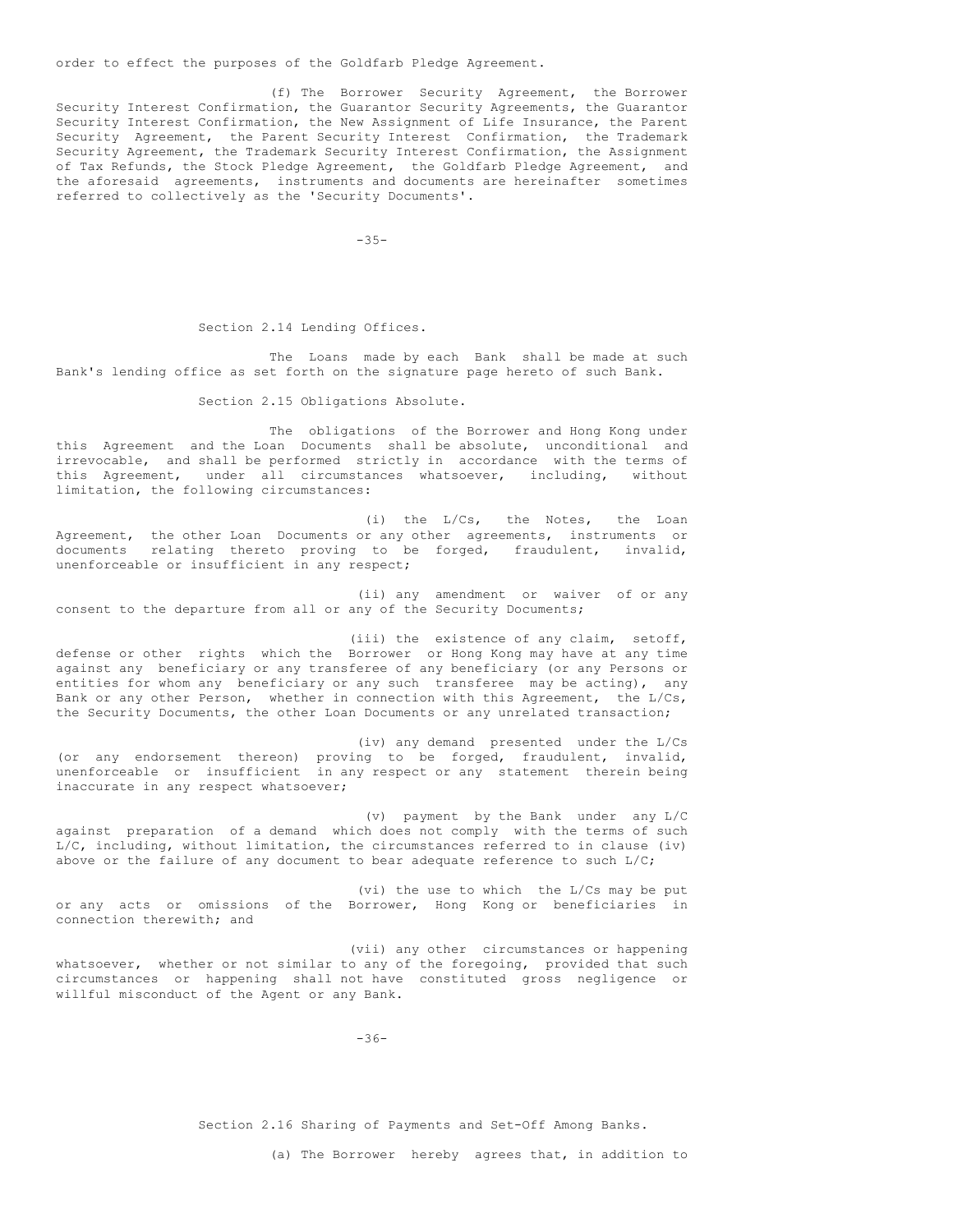order to effect the purposes of the Goldfarb Pledge Agreement.

(f) The Borrower Security Agreement, the Borrower Security Interest Confirmation, the Guarantor Security Agreements, the Guarantor Security Interest Confirmation, the New Assignment of Life Insurance, the Parent Security Agreement, the Parent Security Interest Confirmation, the Trademark Security Agreement, the Trademark Security Interest Confirmation, the Assignment of Tax Refunds, the Stock Pledge Agreement, the Goldfarb Pledge Agreement, and the aforesaid agreements, instruments and documents are hereinafter sometimes referred to collectively as the 'Security Documents'.

-35-

#### Section 2.14 Lending Offices.

The Loans made by each Bank shall be made at such Bank's lending office as set forth on the signature page hereto of such Bank.

Section 2.15 Obligations Absolute.

The obligations of the Borrower and Hong Kong under this Agreement and the Loan Documents shall be absolute, unconditional and irrevocable, and shall be performed strictly in accordance with the terms of this Agreement, under all circumstances whatsoever, including, without limitation, the following circumstances:

(i) the L/Cs, the Notes, the Loan Agreement, the other Loan Documents or any other agreements, instruments or documents relating thereto proving to be forged, fraudulent, invalid, unenforceable or insufficient in any respect;

(ii) any amendment or waiver of or any consent to the departure from all or any of the Security Documents;

(iii) the existence of any claim, setoff, defense or other rights which the Borrower or Hong Kong may have at any time against any beneficiary or any transferee of any beneficiary (or any Persons or entities for whom any beneficiary or any such transferee may be acting), any Bank or any other Person, whether in connection with this Agreement, the L/Cs, the Security Documents, the other Loan Documents or any unrelated transaction;

(iv) any demand presented under the L/Cs (or any endorsement thereon) proving to be forged, fraudulent, invalid, unenforceable or insufficient in any respect or any statement therein being inaccurate in any respect whatsoever;

(v) payment by the Bank under any L/C against preparation of a demand which does not comply with the terms of such L/C, including, without limitation, the circumstances referred to in clause (iv) above or the failure of any document to bear adequate reference to such  $L/C$ ;

(vi) the use to which the L/Cs may be put or any acts or omissions of the Borrower, Hong Kong or beneficiaries in connection therewith; and

(vii) any other circumstances or happening whatsoever, whether or not similar to any of the foregoing, provided that such circumstances or happening shall not have constituted gross negligence or willful misconduct of the Agent or any Bank.

-36-

Section 2.16 Sharing of Payments and Set-Off Among Banks.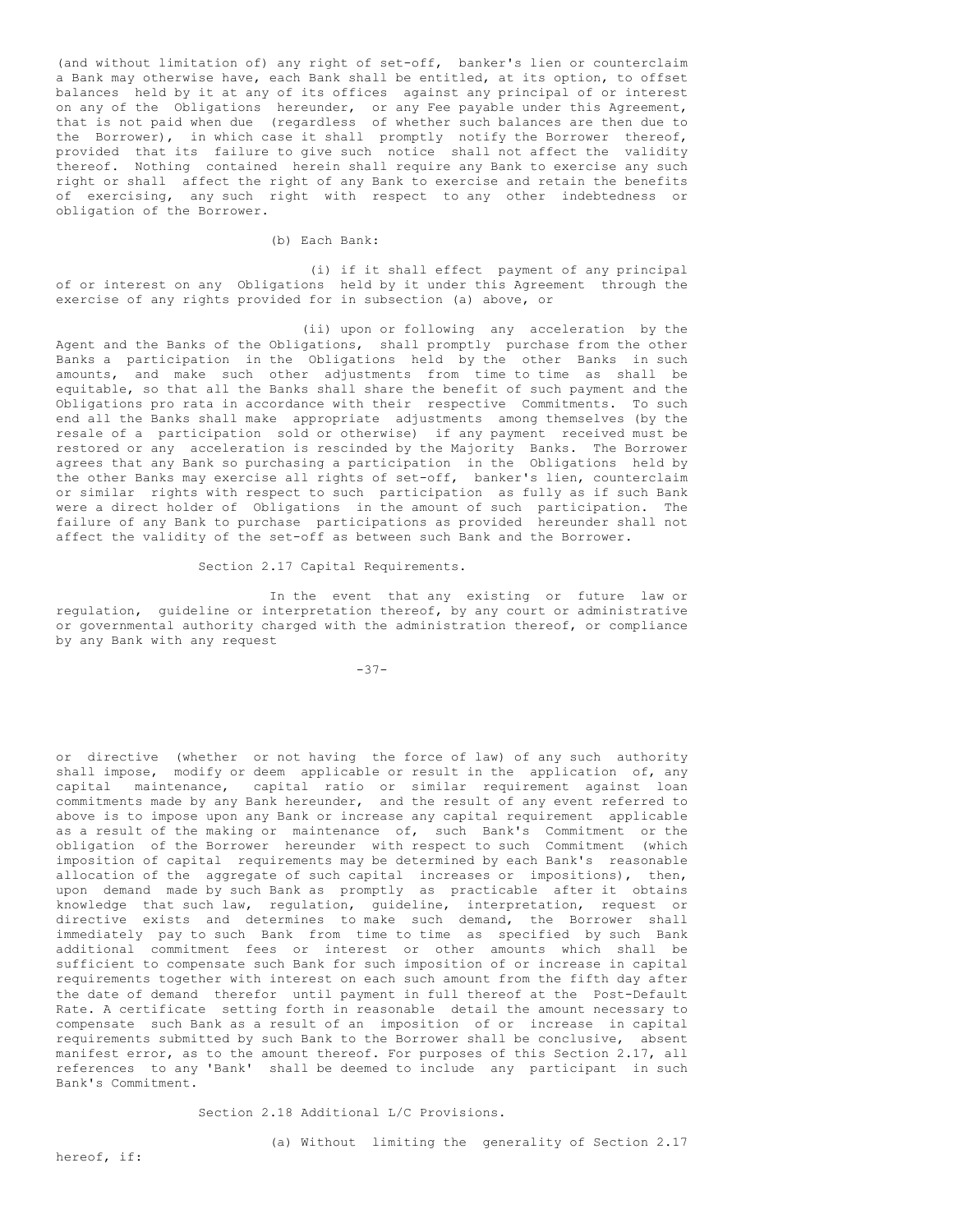(and without limitation of) any right of set-off, banker's lien or counterclaim a Bank may otherwise have, each Bank shall be entitled, at its option, to offset balances held by it at any of its offices against any principal of or interest on any of the Obligations hereunder, or any Fee payable under this Agreement, that is not paid when due (regardless of whether such balances are then due to the Borrower), in which case it shall promptly notify the Borrower thereof, provided that its failure to give such notice shall not affect the validity thereof. Nothing contained herein shall require any Bank to exercise any such right or shall affect the right of any Bank to exercise and retain the benefits of exercising, any such right with respect to any other indebtedness or obligation of the Borrower.

(b) Each Bank:

(i) if it shall effect payment of any principal of or interest on any Obligations held by it under this Agreement through the exercise of any rights provided for in subsection (a) above, or

(ii) upon or following any acceleration by the Agent and the Banks of the Obligations, shall promptly purchase from the other Banks a participation in the Obligations held by the other Banks in such amounts, and make such other adjustments from time to time as shall be equitable, so that all the Banks shall share the benefit of such payment and the Obligations pro rata in accordance with their respective Commitments. To such end all the Banks shall make appropriate adjustments among themselves (by the resale of a participation sold or otherwise) if any payment received must be restored or any acceleration is rescinded by the Majority Banks. The Borrower agrees that any Bank so purchasing a participation in the Obligations held by the other Banks may exercise all rights of set-off, banker's lien, counterclaim or similar rights with respect to such participation as fully as if such Bank were a direct holder of Obligations in the amount of such participation. The failure of any Bank to purchase participations as provided hereunder shall not affect the validity of the set-off as between such Bank and the Borrower.

Section 2.17 Capital Requirements.

In the event that any existing or future law or regulation, guideline or interpretation thereof, by any court or administrative or governmental authority charged with the administration thereof, or compliance by any Bank with any request

-37-

or directive (whether or not having the force of law) of any such authority shall impose, modify or deem applicable or result in the application of, any capital maintenance, capital ratio or similar requirement against loan commitments made by any Bank hereunder, and the result of any event referred to above is to impose upon any Bank or increase any capital requirement applicable as a result of the making or maintenance of, such Bank's Commitment or the obligation of the Borrower hereunder with respect to such Commitment (which imposition of capital requirements may be determined by each Bank's reasonable allocation of the aggregate of such capital increases or impositions), then, upon demand made by such Bank as promptly as practicable after it obtains knowledge that such law, regulation, guideline, interpretation, request or directive exists and determines to make such demand, the Borrower shall immediately pay to such Bank from time to time as specified by such Bank additional commitment fees or interest or other amounts which shall be sufficient to compensate such Bank for such imposition of or increase in capital requirements together with interest on each such amount from the fifth day after the date of demand therefor until payment in full thereof at the Post-Default Rate. A certificate setting forth in reasonable detail the amount necessary to compensate such Bank as a result of an imposition of or increase in capital requirements submitted by such Bank to the Borrower shall be conclusive, absent manifest error, as to the amount thereof. For purposes of this Section 2.17, all references to any 'Bank' shall be deemed to include any participant in such Bank's Commitment.

Section 2.18 Additional L/C Provisions.

(a) Without limiting the generality of Section 2.17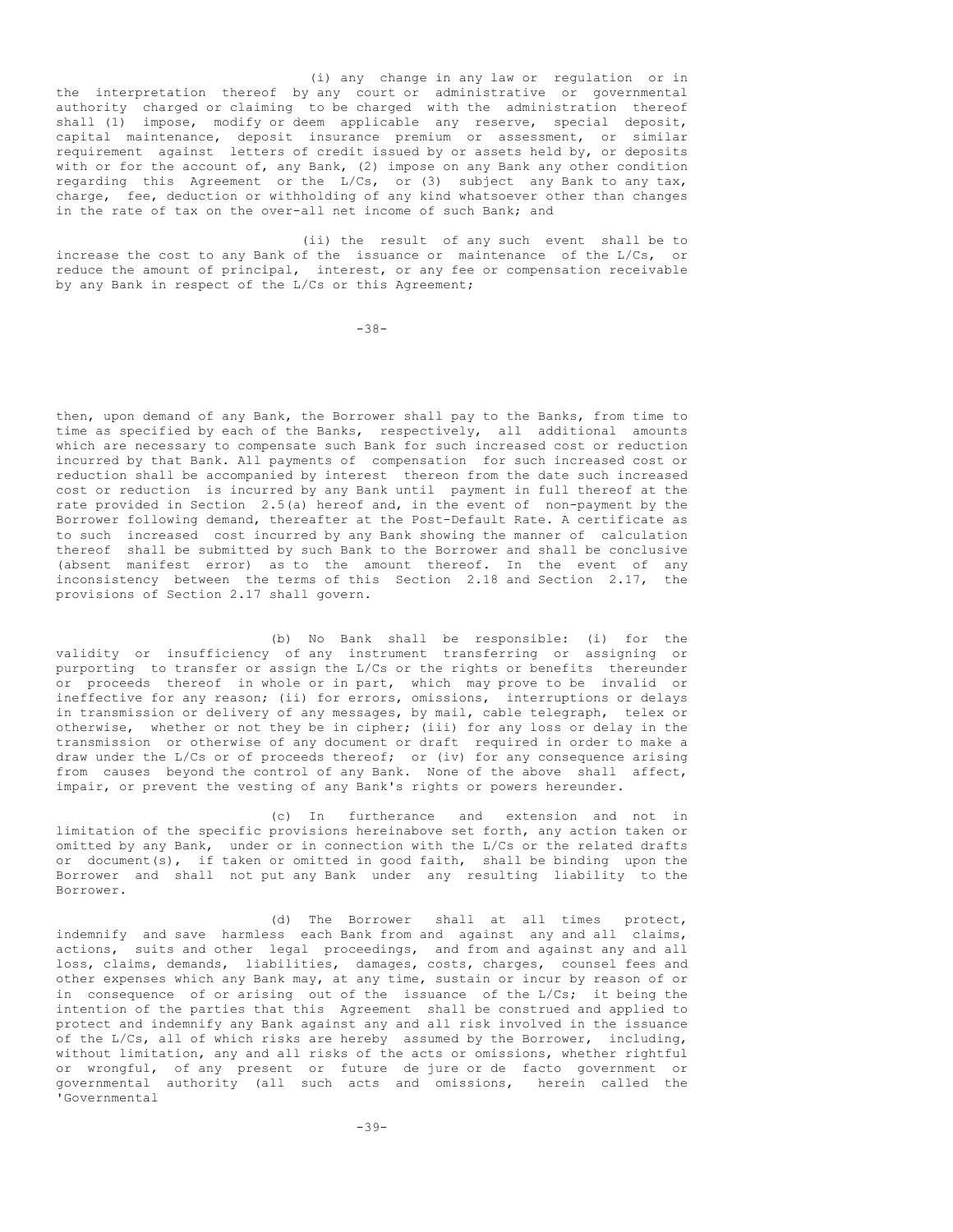(i) any change in any law or regulation or in the interpretation thereof by any court or administrative or governmental authority charged or claiming to be charged with the administration thereof shall (1) impose, modify or deem applicable any reserve, special deposit, capital maintenance, deposit insurance premium or assessment, or similar requirement against letters of credit issued by or assets held by, or deposits with or for the account of, any Bank, (2) impose on any Bank any other condition regarding this Agreement or the L/Cs, or (3) subject any Bank to any tax, charge, fee, deduction or withholding of any kind whatsoever other than changes in the rate of tax on the over-all net income of such Bank; and

(ii) the result of any such event shall be to increase the cost to any Bank of the issuance or maintenance of the L/Cs, or reduce the amount of principal, interest, or any fee or compensation receivable by any Bank in respect of the L/Cs or this Agreement;

-38-

then, upon demand of any Bank, the Borrower shall pay to the Banks, from time to time as specified by each of the Banks, respectively, all additional amounts which are necessary to compensate such Bank for such increased cost or reduction incurred by that Bank. All payments of compensation for such increased cost or reduction shall be accompanied by interest thereon from the date such increased cost or reduction is incurred by any Bank until payment in full thereof at the rate provided in Section 2.5(a) hereof and, in the event of non-payment by the Borrower following demand, thereafter at the Post-Default Rate. A certificate as to such increased cost incurred by any Bank showing the manner of calculation thereof shall be submitted by such Bank to the Borrower and shall be conclusive (absent manifest error) as to the amount thereof. In the event of any inconsistency between the terms of this Section 2.18 and Section 2.17, the provisions of Section 2.17 shall govern.

(b) No Bank shall be responsible: (i) for the validity or insufficiency of any instrument transferring or assigning or purporting to transfer or assign the L/Cs or the rights or benefits thereunder or proceeds thereof in whole or in part, which may prove to be invalid or ineffective for any reason; (ii) for errors, omissions, interruptions or delays in transmission or delivery of any messages, by mail, cable telegraph, telex or otherwise, whether or not they be in cipher; (iii) for any loss or delay in the transmission or otherwise of any document or draft required in order to make a draw under the L/Cs or of proceeds thereof; or (iv) for any consequence arising from causes beyond the control of any Bank. None of the above shall affect, impair, or prevent the vesting of any Bank's rights or powers hereunder.

(c) In furtherance and extension and not in limitation of the specific provisions hereinabove set forth, any action taken or omitted by any Bank, under or in connection with the L/Cs or the related drafts or document(s), if taken or omitted in good faith, shall be binding upon the Borrower and shall not put any Bank under any resulting liability to the Borrower.

(d) The Borrower shall at all times protect, indemnify and save harmless each Bank from and against any and all claims, actions, suits and other legal proceedings, and from and against any and all loss, claims, demands, liabilities, damages, costs, charges, counsel fees and other expenses which any Bank may, at any time, sustain or incur by reason of or in consequence of or arising out of the issuance of the L/Cs; it being the intention of the parties that this Agreement shall be construed and applied to protect and indemnify any Bank against any and all risk involved in the issuance of the L/Cs, all of which risks are hereby assumed by the Borrower, including, without limitation, any and all risks of the acts or omissions, whether rightful or wrongful, of any present or future de jure or de facto government or governmental authority (all such acts and omissions, herein called the 'Governmental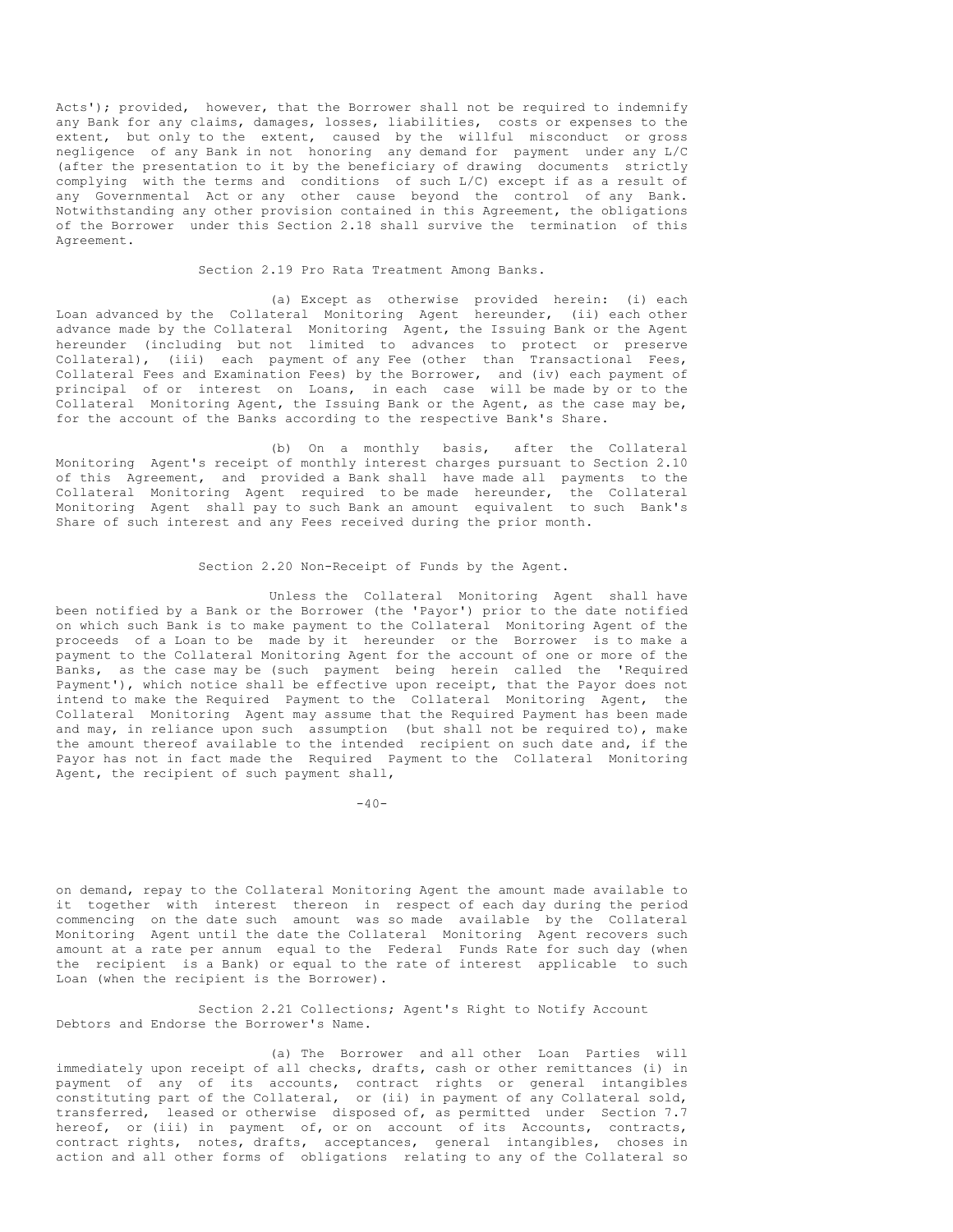Acts'); provided, however, that the Borrower shall not be required to indemnify any Bank for any claims, damages, losses, liabilities, costs or expenses to the extent, but only to the extent, caused by the willful misconduct or gross negligence of any Bank in not honoring any demand for payment under any L/C (after the presentation to it by the beneficiary of drawing documents strictly complying with the terms and conditions of such L/C) except if as a result of any Governmental Act or any other cause beyond the control of any Bank. Notwithstanding any other provision contained in this Agreement, the obligations of the Borrower under this Section 2.18 shall survive the termination of this Agreement.

Section 2.19 Pro Rata Treatment Among Banks.

(a) Except as otherwise provided herein: (i) each Loan advanced by the Collateral Monitoring Agent hereunder, (ii) each other advance made by the Collateral Monitoring Agent, the Issuing Bank or the Agent hereunder (including but not limited to advances to protect or preserve Collateral), (iii) each payment of any Fee (other than Transactional Fees, Collateral Fees and Examination Fees) by the Borrower, and (iv) each payment of principal of or interest on Loans, in each case will be made by or to the Collateral Monitoring Agent, the Issuing Bank or the Agent, as the case may be, for the account of the Banks according to the respective Bank's Share.

(b) On a monthly basis, after the Collateral Monitoring Agent's receipt of monthly interest charges pursuant to Section 2.10 of this Agreement, and provided a Bank shall have made all payments to the Collateral Monitoring Agent required to be made hereunder, the Collateral Monitoring Agent shall pay to such Bank an amount equivalent to such Bank's Share of such interest and any Fees received during the prior month.

## Section 2.20 Non-Receipt of Funds by the Agent.

Unless the Collateral Monitoring Agent shall have been notified by a Bank or the Borrower (the 'Payor') prior to the date notified on which such Bank is to make payment to the Collateral Monitoring Agent of the proceeds of a Loan to be made by it hereunder or the Borrower is to make a payment to the Collateral Monitoring Agent for the account of one or more of the Banks, as the case may be (such payment being herein called the 'Required Payment'), which notice shall be effective upon receipt, that the Payor does not intend to make the Required Payment to the Collateral Monitoring Agent, the Collateral Monitoring Agent may assume that the Required Payment has been made and may, in reliance upon such assumption (but shall not be required to), make the amount thereof available to the intended recipient on such date and, if the Payor has not in fact made the Required Payment to the Collateral Monitoring Agent, the recipient of such payment shall,

 $-40-$ 

on demand, repay to the Collateral Monitoring Agent the amount made available to it together with interest thereon in respect of each day during the period commencing on the date such amount was so made available by the Collateral Monitoring Agent until the date the Collateral Monitoring Agent recovers such amount at a rate per annum equal to the Federal Funds Rate for such day (when the recipient is a Bank) or equal to the rate of interest applicable to such Loan (when the recipient is the Borrower).

Section 2.21 Collections; Agent's Right to Notify Account Debtors and Endorse the Borrower's Name.

(a) The Borrower and all other Loan Parties will immediately upon receipt of all checks, drafts, cash or other remittances (i) in payment of any of its accounts, contract rights or general intangibles constituting part of the Collateral, or (ii) in payment of any Collateral sold, transferred, leased or otherwise disposed of, as permitted under Section 7.7 hereof, or (iii) in payment of, or on account of its Accounts, contracts, contract rights, notes, drafts, acceptances, general intangibles, choses in action and all other forms of obligations relating to any of the Collateral so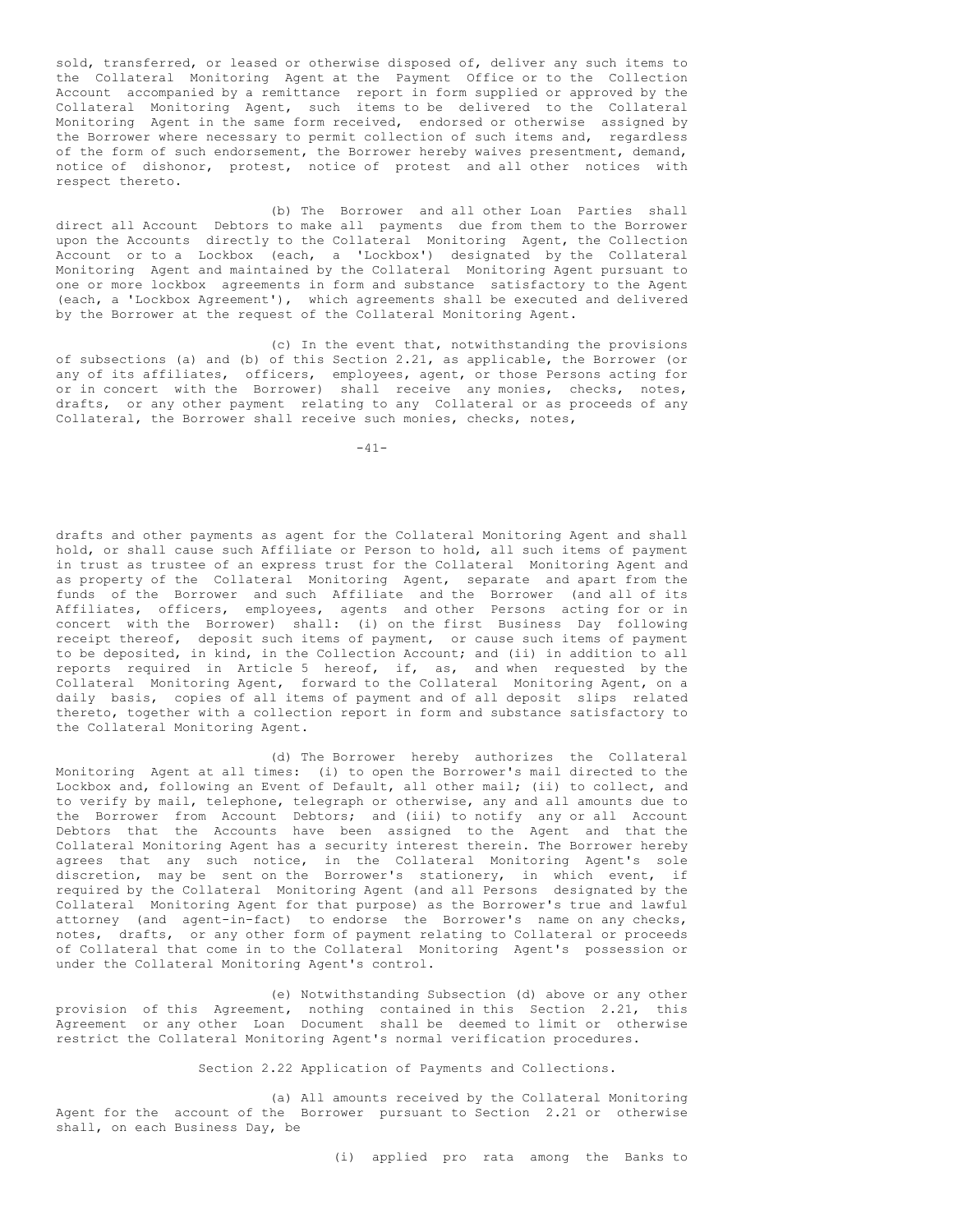sold, transferred, or leased or otherwise disposed of, deliver any such items to the Collateral Monitoring Agent at the Payment Office or to the Collection Account accompanied by a remittance report in form supplied or approved by the Collateral Monitoring Agent, such items to be delivered to the Collateral Monitoring Agent in the same form received, endorsed or otherwise assigned by the Borrower where necessary to permit collection of such items and, regardless of the form of such endorsement, the Borrower hereby waives presentment, demand, notice of dishonor, protest, notice of protest and all other notices with respect thereto.

(b) The Borrower and all other Loan Parties shall direct all Account Debtors to make all payments due from them to the Borrower upon the Accounts directly to the Collateral Monitoring Agent, the Collection Account or to a Lockbox (each, a 'Lockbox') designated by the Collateral Monitoring Agent and maintained by the Collateral Monitoring Agent pursuant to one or more lockbox agreements in form and substance satisfactory to the Agent (each, a 'Lockbox Agreement'), which agreements shall be executed and delivered by the Borrower at the request of the Collateral Monitoring Agent.

(c) In the event that, notwithstanding the provisions of subsections (a) and (b) of this Section 2.21, as applicable, the Borrower (or any of its affiliates, officers, employees, agent, or those Persons acting for or in concert with the Borrower) shall receive any monies, checks, notes, drafts, or any other payment relating to any Collateral or as proceeds of any Collateral, the Borrower shall receive such monies, checks, notes,

-41-

drafts and other payments as agent for the Collateral Monitoring Agent and shall hold, or shall cause such Affiliate or Person to hold, all such items of payment in trust as trustee of an express trust for the Collateral Monitoring Agent and as property of the Collateral Monitoring Agent, separate and apart from the funds of the Borrower and such Affiliate and the Borrower (and all of its Affiliates, officers, employees, agents and other Persons acting for or in concert with the Borrower) shall: (i) on the first Business Day following receipt thereof, deposit such items of payment, or cause such items of payment to be deposited, in kind, in the Collection Account; and (ii) in addition to all reports required in Article 5 hereof, if, as, and when requested by the Collateral Monitoring Agent, forward to the Collateral Monitoring Agent, on a daily basis, copies of all items of payment and of all deposit slips related thereto, together with a collection report in form and substance satisfactory to the Collateral Monitoring Agent.

(d) The Borrower hereby authorizes the Collateral Monitoring Agent at all times: (i) to open the Borrower's mail directed to the Lockbox and, following an Event of Default, all other mail; (ii) to collect, and to verify by mail, telephone, telegraph or otherwise, any and all amounts due to the Borrower from Account Debtors; and (iii) to notify any or all Account Debtors that the Accounts have been assigned to the Agent and that the Collateral Monitoring Agent has a security interest therein. The Borrower hereby agrees that any such notice, in the Collateral Monitoring Agent's sole discretion, may be sent on the Borrower's stationery, in which event, if required by the Collateral Monitoring Agent (and all Persons designated by the Collateral Monitoring Agent for that purpose) as the Borrower's true and lawful attorney (and agent-in-fact) to endorse the Borrower's name on any checks, notes, drafts, or any other form of payment relating to Collateral or proceeds of Collateral that come in to the Collateral Monitoring Agent's possession or under the Collateral Monitoring Agent's control.

(e) Notwithstanding Subsection (d) above or any other provision of this Agreement, nothing contained in this Section 2.21, this Agreement or any other Loan Document shall be deemed to limit or otherwise restrict the Collateral Monitoring Agent's normal verification procedures.

Section 2.22 Application of Payments and Collections.

(a) All amounts received by the Collateral Monitoring Agent for the account of the Borrower pursuant to Section 2.21 or otherwise shall, on each Business Day, be

(i) applied pro rata among the Banks to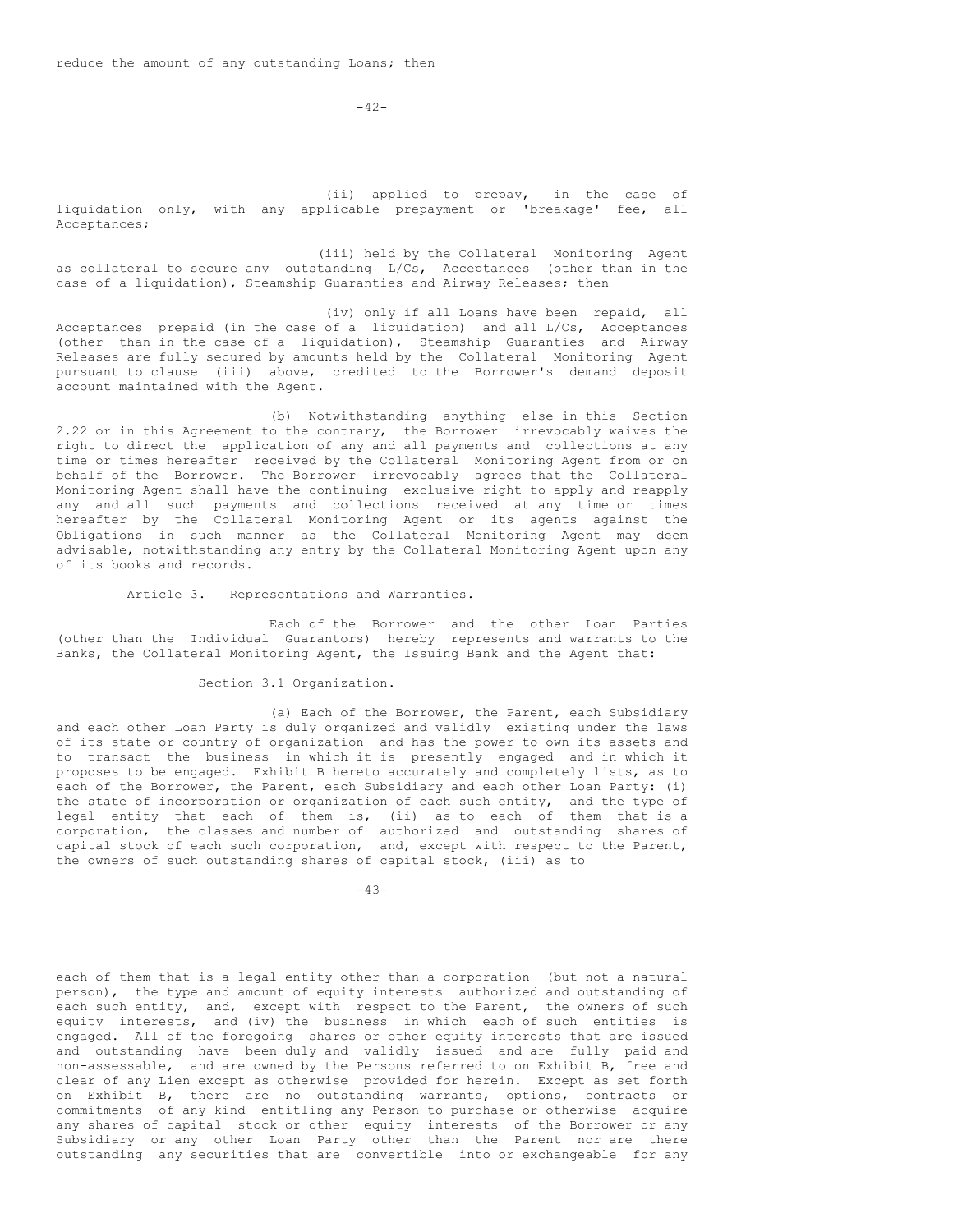$-42-$ 

(ii) applied to prepay, in the case of liquidation only, with any applicable prepayment or 'breakage' fee, all Acceptances;

(iii) held by the Collateral Monitoring Agent as collateral to secure any outstanding  $L/Cs$ , Acceptances (other than in the case of a liquidation), Steamship Guaranties and Airway Releases; then

(iv) only if all Loans have been repaid, all Acceptances prepaid (in the case of a liquidation) and all L/Cs, Acceptances (other than in the case of a liquidation), Steamship Guaranties and Airway Releases are fully secured by amounts held by the Collateral Monitoring Agent pursuant to clause (iii) above, credited to the Borrower's demand deposit account maintained with the Agent.

(b) Notwithstanding anything else in this Section 2.22 or in this Agreement to the contrary, the Borrower irrevocably waives the right to direct the application of any and all payments and collections at any time or times hereafter received by the Collateral Monitoring Agent from or on behalf of the Borrower. The Borrower irrevocably agrees that the Collateral Monitoring Agent shall have the continuing exclusive right to apply and reapply any and all such payments and collections received at any time or times hereafter by the Collateral Monitoring Agent or its agents against the Obligations in such manner as the Collateral Monitoring Agent may deem advisable, notwithstanding any entry by the Collateral Monitoring Agent upon any of its books and records.

Article 3. Representations and Warranties.

Each of the Borrower and the other Loan Parties (other than the Individual Guarantors) hereby represents and warrants to the Banks, the Collateral Monitoring Agent, the Issuing Bank and the Agent that:

Section 3.1 Organization.

(a) Each of the Borrower, the Parent, each Subsidiary and each other Loan Party is duly organized and validly existing under the laws of its state or country of organization and has the power to own its assets and to transact the business in which it is presently engaged and in which it proposes to be engaged. Exhibit B hereto accurately and completely lists, as to each of the Borrower, the Parent, each Subsidiary and each other Loan Party: (i) the state of incorporation or organization of each such entity, and the type of legal entity that each of them is, (ii) as to each of them that is a corporation, the classes and number of authorized and outstanding shares of capital stock of each such corporation, and, except with respect to the Parent, the owners of such outstanding shares of capital stock, (iii) as to

-43-

each of them that is a legal entity other than a corporation (but not a natural person), the type and amount of equity interests authorized and outstanding of each such entity, and, except with respect to the Parent, the owners of such equity interests, and (iv) the business in which each of such entities is engaged. All of the foregoing shares or other equity interests that are issued and outstanding have been duly and validly issued and are fully paid and non-assessable, and are owned by the Persons referred to on Exhibit B, free and clear of any Lien except as otherwise provided for herein. Except as set forth on Exhibit B, there are no outstanding warrants, options, contracts or commitments of any kind entitling any Person to purchase or otherwise acquire any shares of capital stock or other equity interests of the Borrower or any Subsidiary or any other Loan Party other than the Parent nor are there outstanding any securities that are convertible into or exchangeable for any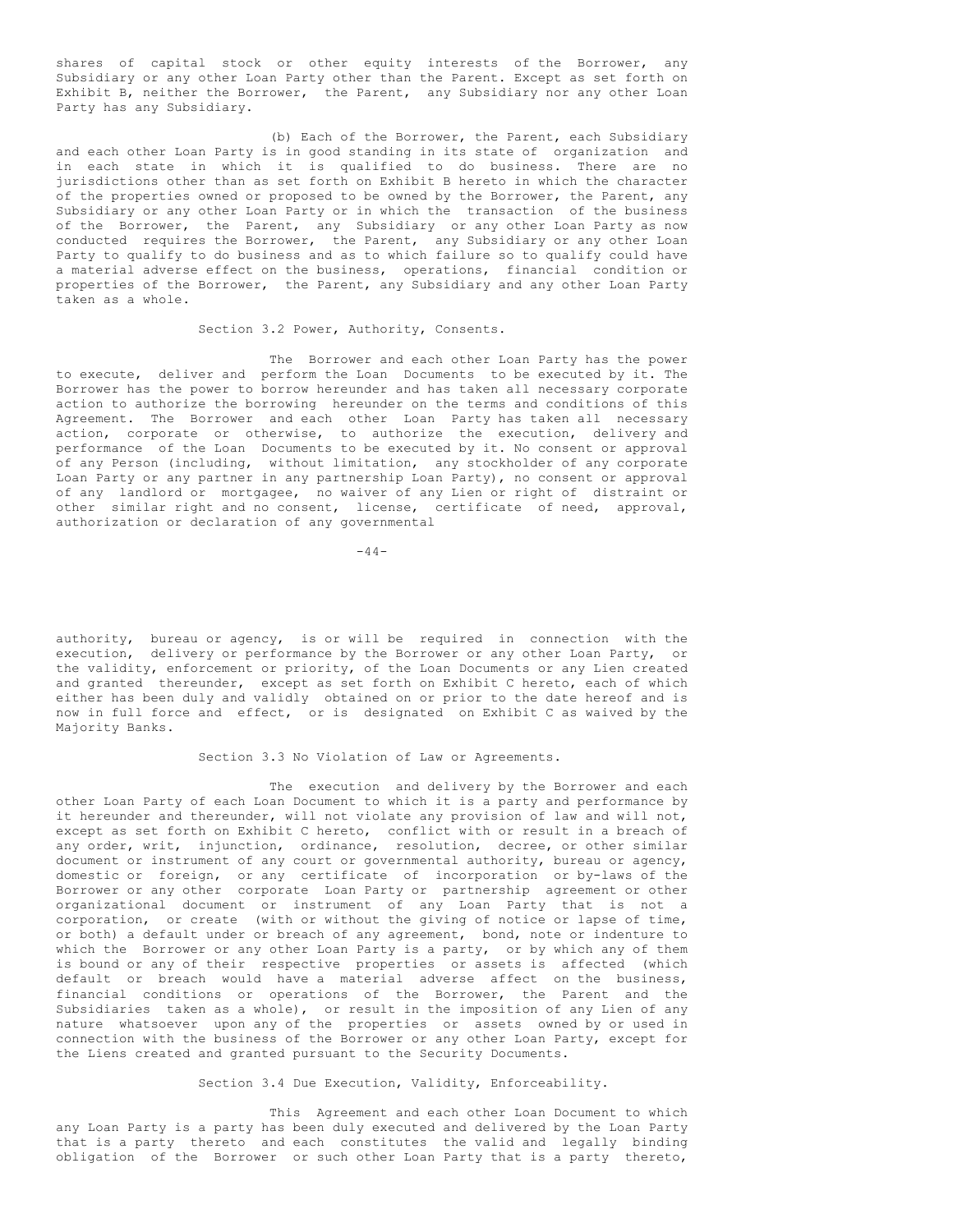shares of capital stock or other equity interests of the Borrower, any Subsidiary or any other Loan Party other than the Parent. Except as set forth on Exhibit B, neither the Borrower, the Parent, any Subsidiary nor any other Loan Party has any Subsidiary.

(b) Each of the Borrower, the Parent, each Subsidiary and each other Loan Party is in good standing in its state of organization and in each state in which it is qualified to do business. There are no jurisdictions other than as set forth on Exhibit B hereto in which the character of the properties owned or proposed to be owned by the Borrower, the Parent, any Subsidiary or any other Loan Party or in which the transaction of the business of the Borrower, the Parent, any Subsidiary or any other Loan Party as now conducted requires the Borrower, the Parent, any Subsidiary or any other Loan Party to qualify to do business and as to which failure so to qualify could have a material adverse effect on the business, operations, financial condition or properties of the Borrower, the Parent, any Subsidiary and any other Loan Party taken as a whole.

## Section 3.2 Power, Authority, Consents.

The Borrower and each other Loan Party has the power to execute, deliver and perform the Loan Documents to be executed by it. The Borrower has the power to borrow hereunder and has taken all necessary corporate action to authorize the borrowing hereunder on the terms and conditions of this Agreement. The Borrower and each other Loan Party has taken all necessary action, corporate or otherwise, to authorize the execution, delivery and performance of the Loan Documents to be executed by it. No consent or approval of any Person (including, without limitation, any stockholder of any corporate Loan Party or any partner in any partnership Loan Party), no consent or approval of any landlord or mortgagee, no waiver of any Lien or right of distraint or other similar right and no consent, license, certificate of need, approval, authorization or declaration of any governmental

 $-44-$ 

authority, bureau or agency, is or will be required in connection with the execution, delivery or performance by the Borrower or any other Loan Party, or the validity, enforcement or priority, of the Loan Documents or any Lien created and granted thereunder, except as set forth on Exhibit C hereto, each of which either has been duly and validly obtained on or prior to the date hereof and is now in full force and effect, or is designated on Exhibit C as waived by the Majority Banks.

#### Section 3.3 No Violation of Law or Agreements.

The execution and delivery by the Borrower and each other Loan Party of each Loan Document to which it is a party and performance by it hereunder and thereunder, will not violate any provision of law and will not, except as set forth on Exhibit C hereto, conflict with or result in a breach of any order, writ, injunction, ordinance, resolution, decree, or other similar document or instrument of any court or governmental authority, bureau or agency, domestic or foreign, or any certificate of incorporation or by-laws of the Borrower or any other corporate Loan Party or partnership agreement or other organizational document or instrument of any Loan Party that is not a corporation, or create (with or without the giving of notice or lapse of time, or both) a default under or breach of any agreement, bond, note or indenture to which the Borrower or any other Loan Party is a party, or by which any of them is bound or any of their respective properties or assets is affected (which default or breach would have a material adverse affect on the business, financial conditions or operations of the Borrower, the Parent and the Subsidiaries taken as a whole), or result in the imposition of any Lien of any nature whatsoever upon any of the properties or assets owned by or used in connection with the business of the Borrower or any other Loan Party, except for the Liens created and granted pursuant to the Security Documents.

#### Section 3.4 Due Execution, Validity, Enforceability.

This Agreement and each other Loan Document to which any Loan Party is a party has been duly executed and delivered by the Loan Party that is a party thereto and each constitutes the valid and legally binding obligation of the Borrower or such other Loan Party that is a party thereto,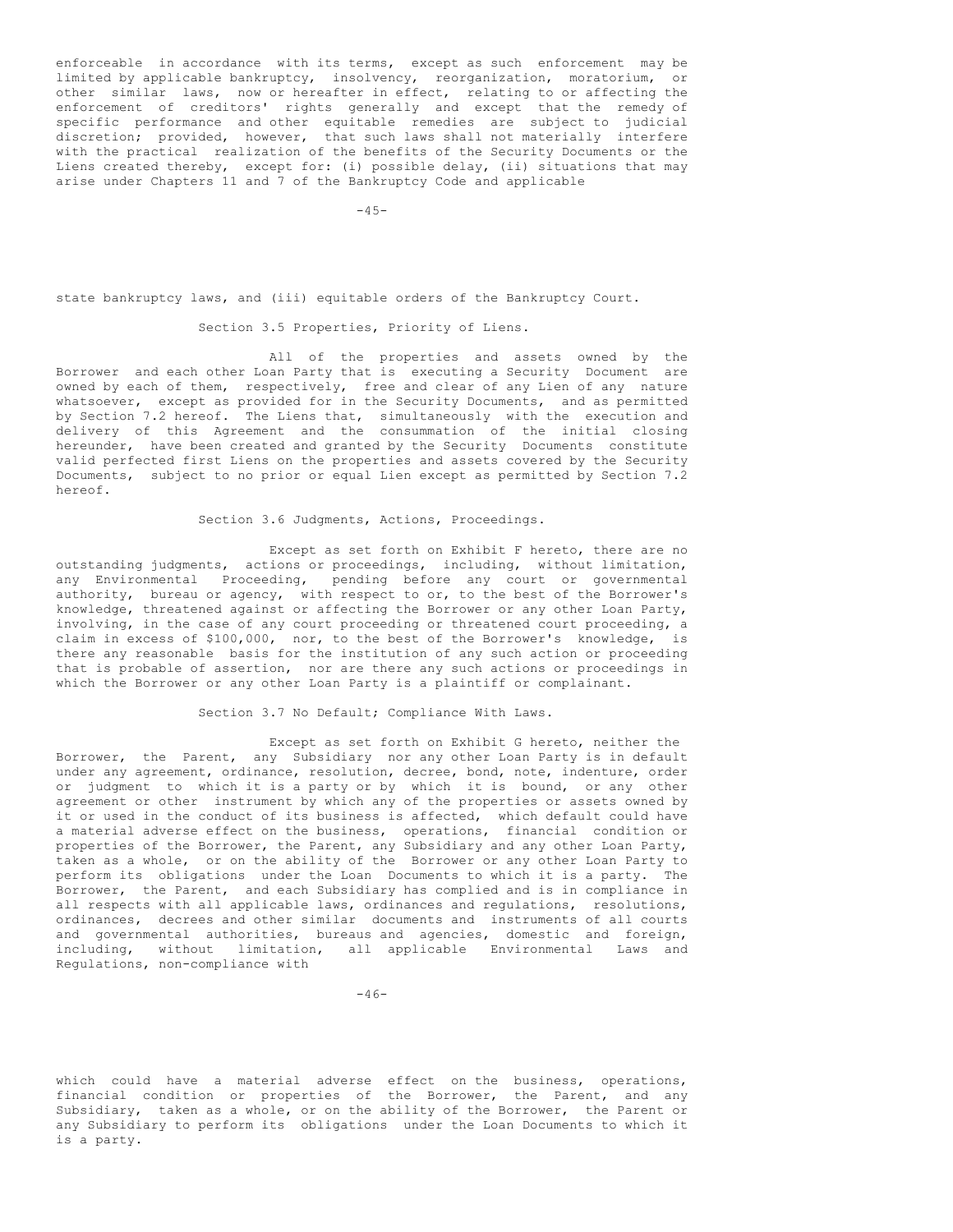enforceable in accordance with its terms, except as such enforcement may be limited by applicable bankruptcy, insolvency, reorganization, moratorium, or other similar laws, now or hereafter in effect, relating to or affecting the enforcement of creditors' rights generally and except that the remedy of specific performance and other equitable remedies are subject to judicial discretion; provided, however, that such laws shall not materially interfere with the practical realization of the benefits of the Security Documents or the Liens created thereby, except for: (i) possible delay, (ii) situations that may arise under Chapters 11 and 7 of the Bankruptcy Code and applicable

 $-45-$ 

state bankruptcy laws, and (iii) equitable orders of the Bankruptcy Court.

Section 3.5 Properties, Priority of Liens.

All of the properties and assets owned by the Borrower and each other Loan Party that is executing a Security Document are owned by each of them, respectively, free and clear of any Lien of any nature whatsoever, except as provided for in the Security Documents, and as permitted by Section 7.2 hereof. The Liens that, simultaneously with the execution and delivery of this Agreement and the consummation of the initial closing hereunder, have been created and granted by the Security Documents constitute valid perfected first Liens on the properties and assets covered by the Security Documents, subject to no prior or equal Lien except as permitted by Section 7.2 hereof.

Section 3.6 Judgments, Actions, Proceedings.

Except as set forth on Exhibit F hereto, there are no outstanding judgments, actions or proceedings, including, without limitation, any Environmental Proceeding, pending before any court or governmental authority, bureau or agency, with respect to or, to the best of the Borrower's knowledge, threatened against or affecting the Borrower or any other Loan Party, involving, in the case of any court proceeding or threatened court proceeding, a claim in excess of \$100,000, nor, to the best of the Borrower's knowledge, is there any reasonable basis for the institution of any such action or proceeding that is probable of assertion, nor are there any such actions or proceedings in which the Borrower or any other Loan Party is a plaintiff or complainant.

Section 3.7 No Default; Compliance With Laws.

Except as set forth on Exhibit G hereto, neither the Borrower, the Parent, any Subsidiary nor any other Loan Party is in default under any agreement, ordinance, resolution, decree, bond, note, indenture, order or judgment to which it is a party or by which it is bound, or any other agreement or other instrument by which any of the properties or assets owned by it or used in the conduct of its business is affected, which default could have a material adverse effect on the business, operations, financial condition or properties of the Borrower, the Parent, any Subsidiary and any other Loan Party, taken as a whole, or on the ability of the Borrower or any other Loan Party to perform its obligations under the Loan Documents to which it is a party. The Borrower, the Parent, and each Subsidiary has complied and is in compliance in all respects with all applicable laws, ordinances and regulations, resolutions, ordinances, decrees and other similar documents and instruments of all courts and governmental authorities, bureaus and agencies, domestic and foreign, including, without limitation, all applicable Environmental Laws and Regulations, non-compliance with

which could have a material adverse effect on the business, operations, financial condition or properties of the Borrower, the Parent, and any Subsidiary, taken as a whole, or on the ability of the Borrower, the Parent or any Subsidiary to perform its obligations under the Loan Documents to which it is a party.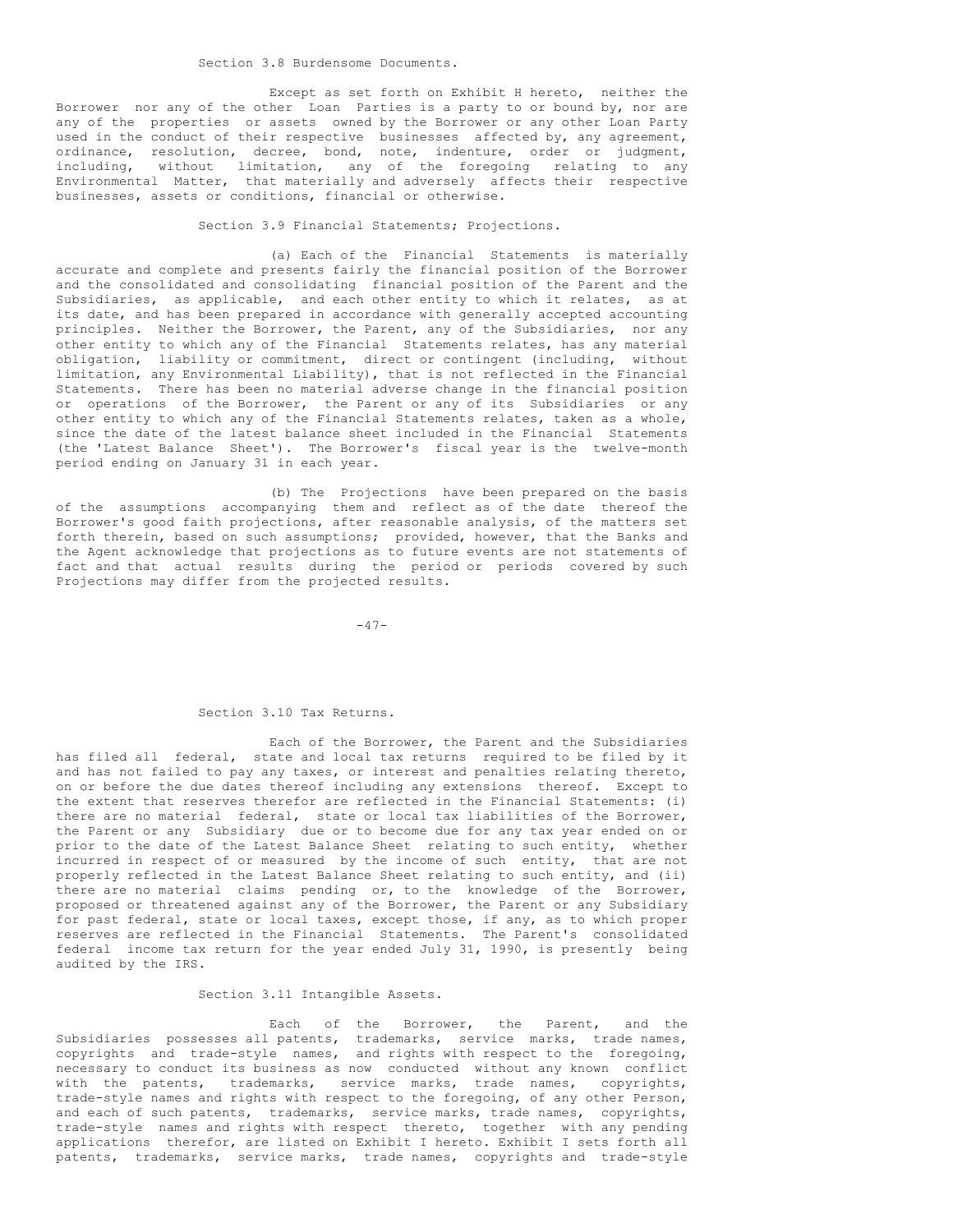Section 3.8 Burdensome Documents.

Except as set forth on Exhibit H hereto, neither the Borrower nor any of the other Loan Parties is a party to or bound by, nor are any of the properties or assets owned by the Borrower or any other Loan Party used in the conduct of their respective businesses affected by, any agreement, ordinance, resolution, decree, bond, note, indenture, order or judgment, including, without limitation, any of the foregoing relating to any Environmental Matter, that materially and adversely affects their respective businesses, assets or conditions, financial or otherwise.

Section 3.9 Financial Statements; Projections.

(a) Each of the Financial Statements is materially accurate and complete and presents fairly the financial position of the Borrower and the consolidated and consolidating financial position of the Parent and the Subsidiaries, as applicable, and each other entity to which it relates, as at its date, and has been prepared in accordance with generally accepted accounting principles. Neither the Borrower, the Parent, any of the Subsidiaries, nor any other entity to which any of the Financial Statements relates, has any material obligation, liability or commitment, direct or contingent (including, without limitation, any Environmental Liability), that is not reflected in the Financial Statements. There has been no material adverse change in the financial position or operations of the Borrower, the Parent or any of its Subsidiaries or any other entity to which any of the Financial Statements relates, taken as a whole, since the date of the latest balance sheet included in the Financial Statements (the 'Latest Balance Sheet'). The Borrower's fiscal year is the twelve-month period ending on January 31 in each year.

(b) The Projections have been prepared on the basis of the assumptions accompanying them and reflect as of the date thereof the Borrower's good faith projections, after reasonable analysis, of the matters set forth therein, based on such assumptions; provided, however, that the Banks and the Agent acknowledge that projections as to future events are not statements of fact and that actual results during the period or periods covered by such Projections may differ from the projected results.

 $-47-$ 

# Section 3.10 Tax Returns.

Each of the Borrower, the Parent and the Subsidiaries has filed all federal, state and local tax returns required to be filed by it and has not failed to pay any taxes, or interest and penalties relating thereto, on or before the due dates thereof including any extensions thereof. Except to the extent that reserves therefor are reflected in the Financial Statements: (i) there are no material federal, state or local tax liabilities of the Borrower, the Parent or any Subsidiary due or to become due for any tax year ended on or prior to the date of the Latest Balance Sheet relating to such entity, whether incurred in respect of or measured by the income of such entity, that are not properly reflected in the Latest Balance Sheet relating to such entity, and (ii) there are no material claims pending or, to the knowledge of the Borrower, proposed or threatened against any of the Borrower, the Parent or any Subsidiary for past federal, state or local taxes, except those, if any, as to which proper reserves are reflected in the Financial Statements. The Parent's consolidated federal income tax return for the year ended July 31, 1990, is presently being audited by the IRS.

## Section 3.11 Intangible Assets.

Each of the Borrower, the Parent, and the Subsidiaries possesses all patents, trademarks, service marks, trade names, copyrights and trade-style names, and rights with respect to the foregoing, necessary to conduct its business as now conducted without any known conflict with the patents, trademarks, service marks, trade names, copyrights, trade-style names and rights with respect to the foregoing, of any other Person, and each of such patents, trademarks, service marks, trade names, copyrights, trade-style names and rights with respect thereto, together with any pending applications therefor, are listed on Exhibit I hereto. Exhibit I sets forth all patents, trademarks, service marks, trade names, copyrights and trade-style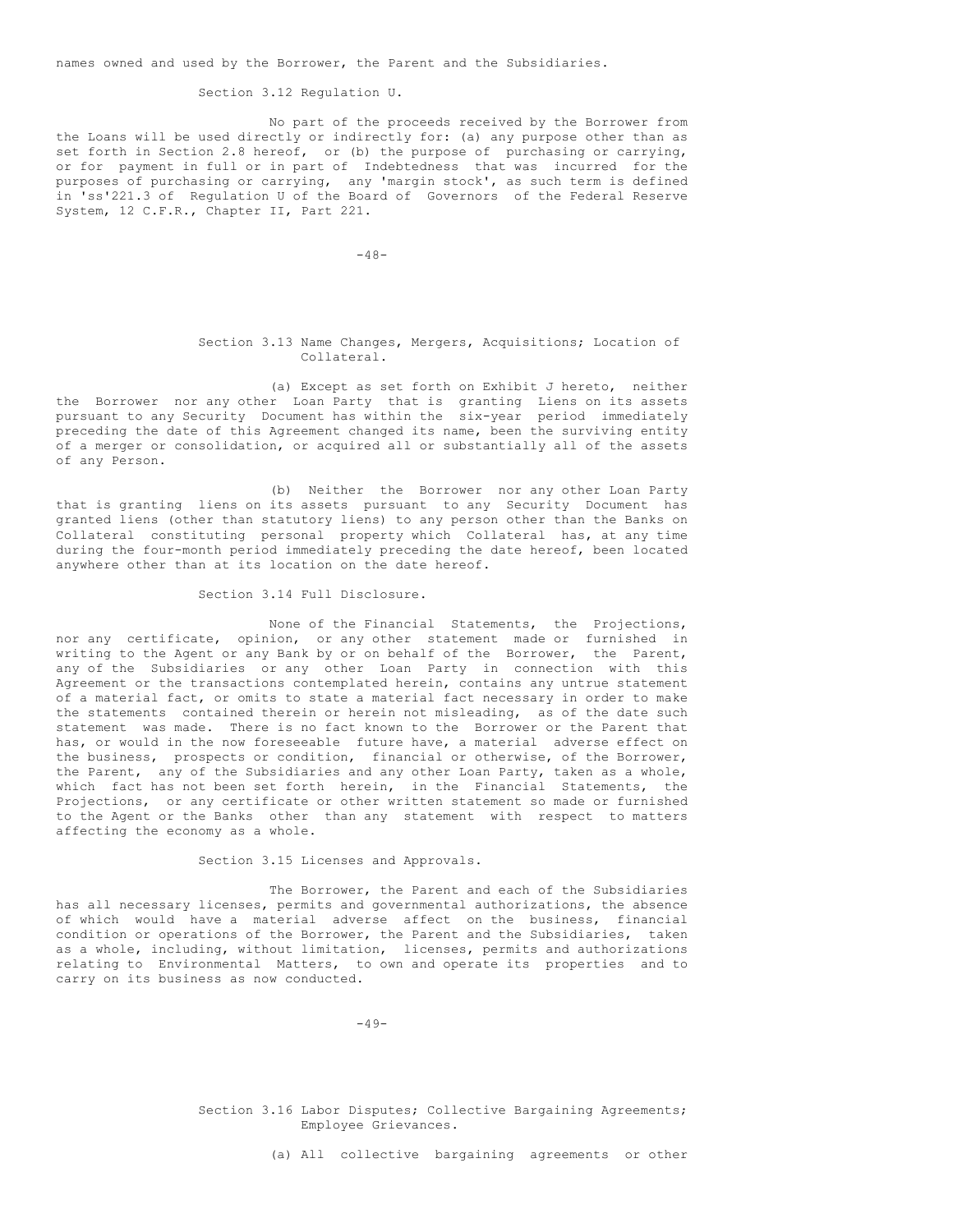names owned and used by the Borrower, the Parent and the Subsidiaries.

## Section 3.12 Regulation U.

No part of the proceeds received by the Borrower from the Loans will be used directly or indirectly for: (a) any purpose other than as set forth in Section 2.8 hereof, or (b) the purpose of purchasing or carrying, or for payment in full or in part of Indebtedness that was incurred for the purposes of purchasing or carrying, any 'margin stock', as such term is defined in 'ss'221.3 of Regulation U of the Board of Governors of the Federal Reserve System, 12 C.F.R., Chapter II, Part 221.

 $-48-$ 

## Section 3.13 Name Changes, Mergers, Acquisitions; Location of Collateral.

(a) Except as set forth on Exhibit J hereto, neither the Borrower nor any other Loan Party that is granting Liens on its assets pursuant to any Security Document has within the six-year period immediately preceding the date of this Agreement changed its name, been the surviving entity of a merger or consolidation, or acquired all or substantially all of the assets of any Person.

(b) Neither the Borrower nor any other Loan Party that is granting liens on its assets pursuant to any Security Document has granted liens (other than statutory liens) to any person other than the Banks on Collateral constituting personal property which Collateral has, at any time during the four-month period immediately preceding the date hereof, been located anywhere other than at its location on the date hereof.

#### Section 3.14 Full Disclosure.

None of the Financial Statements, the Projections, nor any certificate, opinion, or any other statement made or furnished in writing to the Agent or any Bank by or on behalf of the Borrower, the Parent, any of the Subsidiaries or any other Loan Party in connection with this Agreement or the transactions contemplated herein, contains any untrue statement of a material fact, or omits to state a material fact necessary in order to make the statements contained therein or herein not misleading, as of the date such statement was made. There is no fact known to the Borrower or the Parent that has, or would in the now foreseeable future have, a material adverse effect on the business, prospects or condition, financial or otherwise, of the Borrower, the Parent, any of the Subsidiaries and any other Loan Party, taken as a whole, which fact has not been set forth herein, in the Financial Statements, the Projections, or any certificate or other written statement so made or furnished to the Agent or the Banks other than any statement with respect to matters affecting the economy as a whole.

## Section 3.15 Licenses and Approvals.

The Borrower, the Parent and each of the Subsidiaries has all necessary licenses, permits and governmental authorizations, the absence of which would have a material adverse affect on the business, financial condition or operations of the Borrower, the Parent and the Subsidiaries, taken as a whole, including, without limitation, licenses, permits and authorizations relating to Environmental Matters, to own and operate its properties and to carry on its business as now conducted.

 $-49-$ 

Section 3.16 Labor Disputes; Collective Bargaining Agreements; Employee Grievances.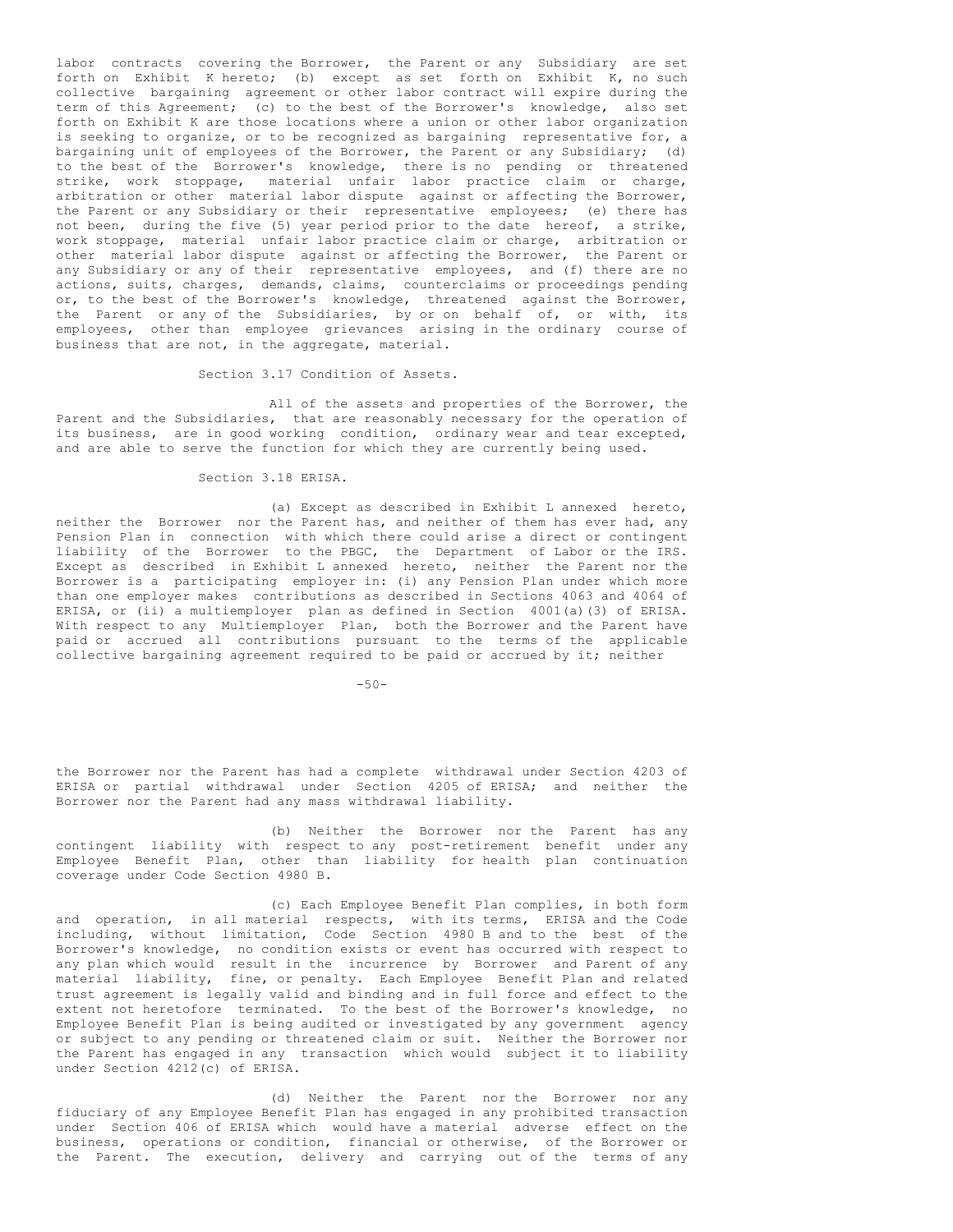labor contracts covering the Borrower, the Parent or any Subsidiary are set forth on Exhibit K hereto; (b) except as set forth on Exhibit K, no such collective bargaining agreement or other labor contract will expire during the term of this Agreement; (c) to the best of the Borrower's knowledge, also set forth on Exhibit K are those locations where a union or other labor organization is seeking to organize, or to be recognized as bargaining representative for, a bargaining unit of employees of the Borrower, the Parent or any Subsidiary; (d) to the best of the Borrower's knowledge, there is no pending or threatened strike, work stoppage, material unfair labor practice claim or charge, arbitration or other material labor dispute against or affecting the Borrower, the Parent or any Subsidiary or their representative employees; (e) there has not been, during the five (5) year period prior to the date hereof, a strike, work stoppage, material unfair labor practice claim or charge, arbitration or other material labor dispute against or affecting the Borrower, the Parent or any Subsidiary or any of their representative employees, and (f) there are no actions, suits, charges, demands, claims, counterclaims or proceedings pending or, to the best of the Borrower's knowledge, threatened against the Borrower, the Parent or any of the Subsidiaries, by or on behalf of, or with, its employees, other than employee grievances arising in the ordinary course of business that are not, in the aggregate, material.

Section 3.17 Condition of Assets.

All of the assets and properties of the Borrower, the Parent and the Subsidiaries, that are reasonably necessary for the operation of its business, are in good working condition, ordinary wear and tear excepted, and are able to serve the function for which they are currently being used.

## Section 3.18 ERISA.

(a) Except as described in Exhibit L annexed hereto, neither the Borrower nor the Parent has, and neither of them has ever had, any Pension Plan in connection with which there could arise a direct or contingent liability of the Borrower to the PBGC, the Department of Labor or the IRS. Except as described in Exhibit L annexed hereto, neither the Parent nor the Borrower is a participating employer in: (i) any Pension Plan under which more than one employer makes contributions as described in Sections 4063 and 4064 of ERISA, or (ii) a multiemployer plan as defined in Section 4001(a)(3) of ERISA. With respect to any Multiemployer Plan, both the Borrower and the Parent have paid or accrued all contributions pursuant to the terms of the applicable collective bargaining agreement required to be paid or accrued by it; neither

 $-50-$ 

the Borrower nor the Parent has had a complete withdrawal under Section 4203 of ERISA or partial withdrawal under Section 4205 of ERISA; and neither the Borrower nor the Parent had any mass withdrawal liability.

(b) Neither the Borrower nor the Parent has any contingent liability with respect to any post-retirement benefit under any Employee Benefit Plan, other than liability for health plan continuation coverage under Code Section 4980 B.

(c) Each Employee Benefit Plan complies, in both form and operation, in all material respects, with its terms, ERISA and the Code including, without limitation, Code Section 4980 B and to the best of the Borrower's knowledge, no condition exists or event has occurred with respect to any plan which would result in the incurrence by Borrower and Parent of any material liability, fine, or penalty. Each Employee Benefit Plan and related trust agreement is legally valid and binding and in full force and effect to the extent not heretofore terminated. To the best of the Borrower's knowledge, no Employee Benefit Plan is being audited or investigated by any government agency or subject to any pending or threatened claim or suit. Neither the Borrower nor the Parent has engaged in any transaction which would subject it to liability under Section 4212(c) of ERISA.

(d) Neither the Parent nor the Borrower nor any fiduciary of any Employee Benefit Plan has engaged in any prohibited transaction under Section 406 of ERISA which would have a material adverse effect on the business, operations or condition, financial or otherwise, of the Borrower or the Parent. The execution, delivery and carrying out of the terms of any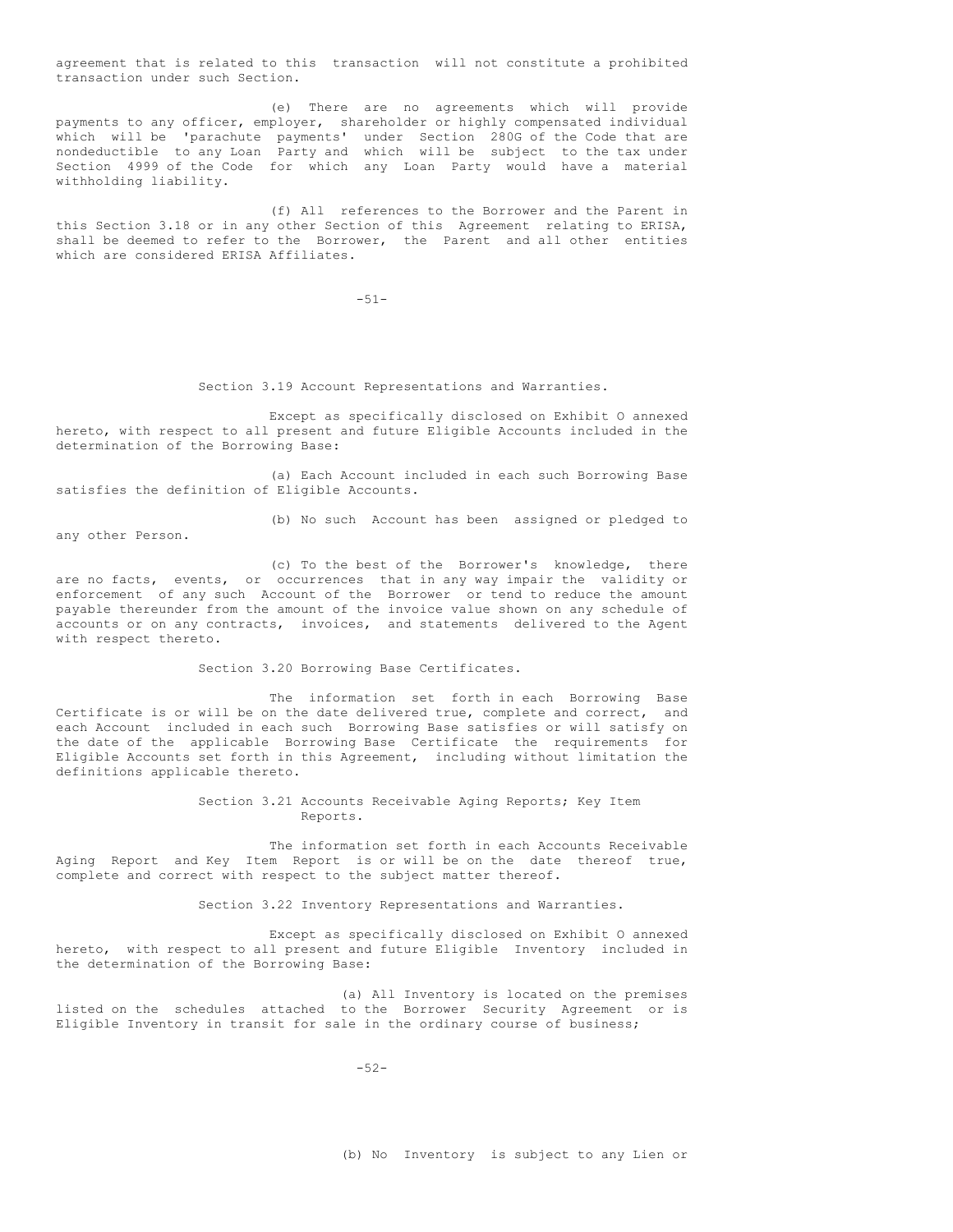agreement that is related to this transaction will not constitute a prohibited transaction under such Section.

(e) There are no agreements which will provide payments to any officer, employer, shareholder or highly compensated individual which will be 'parachute payments' under Section 280G of the Code that are nondeductible to any Loan Party and which will be subject to the tax under Section 4999 of the Code for which any Loan Party would have a material withholding liability.

(f) All references to the Borrower and the Parent in this Section 3.18 or in any other Section of this Agreement relating to ERISA, shall be deemed to refer to the Borrower, the Parent and all other entities which are considered ERISA Affiliates.

-51-

Section 3.19 Account Representations and Warranties.

Except as specifically disclosed on Exhibit O annexed hereto, with respect to all present and future Eligible Accounts included in the determination of the Borrowing Base:

(a) Each Account included in each such Borrowing Base satisfies the definition of Eligible Accounts.

any other Person.

(b) No such Account has been assigned or pledged to

(c) To the best of the Borrower's knowledge, there are no facts, events, or occurrences that in any way impair the validity or enforcement of any such Account of the Borrower or tend to reduce the amount payable thereunder from the amount of the invoice value shown on any schedule of accounts or on any contracts, invoices, and statements delivered to the Agent with respect thereto.

Section 3.20 Borrowing Base Certificates.

The information set forth in each Borrowing Base Certificate is or will be on the date delivered true, complete and correct, and each Account included in each such Borrowing Base satisfies or will satisfy on the date of the applicable Borrowing Base Certificate the requirements for Eligible Accounts set forth in this Agreement, including without limitation the definitions applicable thereto.

> Section 3.21 Accounts Receivable Aging Reports; Key Item Reports.

The information set forth in each Accounts Receivable Aging Report and Key Item Report is or will be on the date thereof true, complete and correct with respect to the subject matter thereof.

Section 3.22 Inventory Representations and Warranties.

Except as specifically disclosed on Exhibit O annexed hereto, with respect to all present and future Eligible Inventory included in the determination of the Borrowing Base:

(a) All Inventory is located on the premises listed on the schedules attached to the Borrower Security Agreement or is Eligible Inventory in transit for sale in the ordinary course of business;

 $-52-$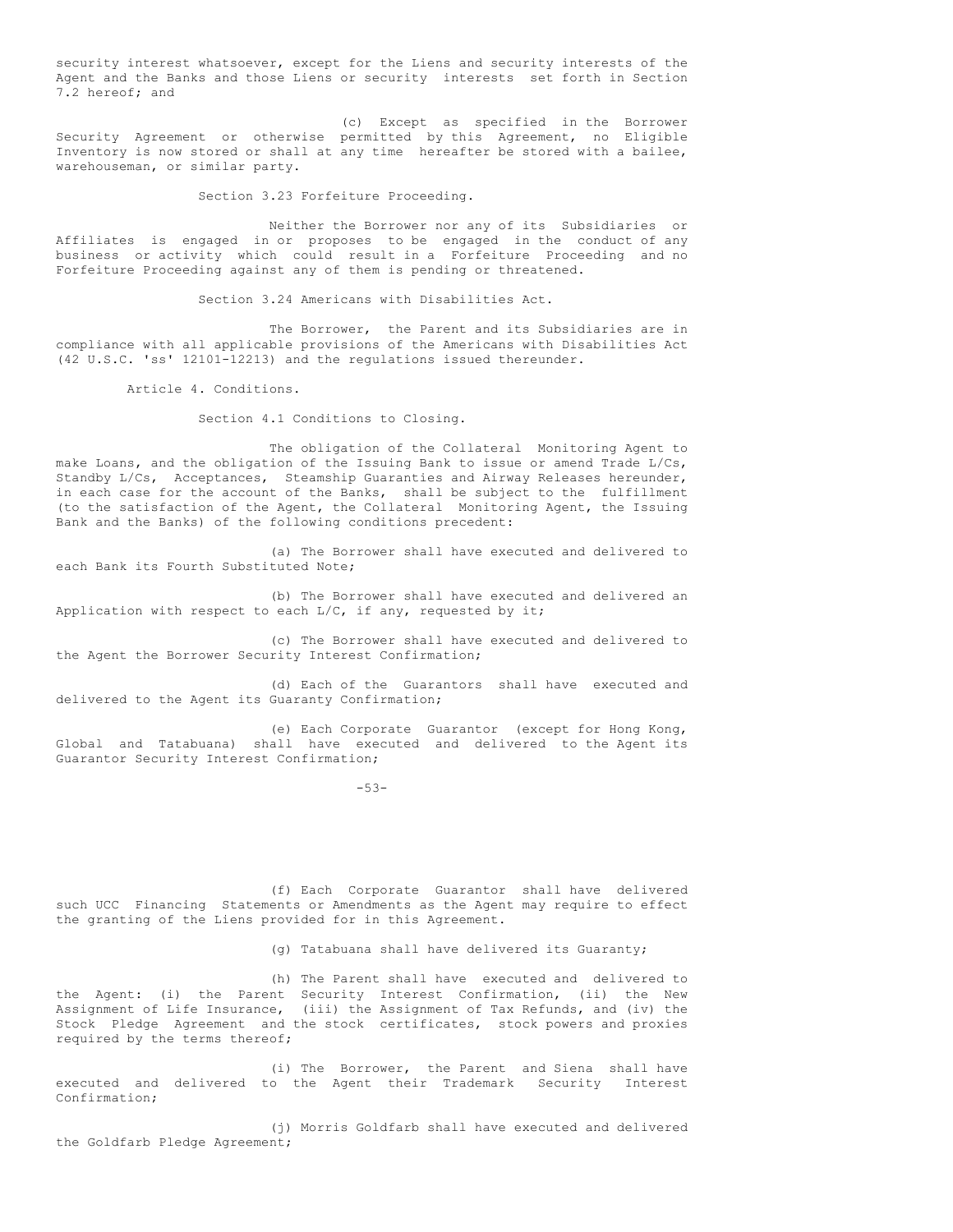security interest whatsoever, except for the Liens and security interests of the Agent and the Banks and those Liens or security interests set forth in Section 7.2 hereof; and

(c) Except as specified in the Borrower Security Agreement or otherwise permitted by this Agreement, no Eligible Inventory is now stored or shall at any time hereafter be stored with a bailee, warehouseman, or similar party.

Section 3.23 Forfeiture Proceeding.

Neither the Borrower nor any of its Subsidiaries or Affiliates is engaged in or proposes to be engaged in the conduct of any business or activity which could result in a Forfeiture Proceeding and no Forfeiture Proceeding against any of them is pending or threatened.

Section 3.24 Americans with Disabilities Act.

The Borrower, the Parent and its Subsidiaries are in compliance with all applicable provisions of the Americans with Disabilities Act (42 U.S.C. 'ss' 12101-12213) and the regulations issued thereunder.

Article 4. Conditions.

Section 4.1 Conditions to Closing.

The obligation of the Collateral Monitoring Agent to make Loans, and the obligation of the Issuing Bank to issue or amend Trade L/Cs, Standby L/Cs, Acceptances, Steamship Guaranties and Airway Releases hereunder, in each case for the account of the Banks, shall be subject to the fulfillment (to the satisfaction of the Agent, the Collateral Monitoring Agent, the Issuing Bank and the Banks) of the following conditions precedent:

(a) The Borrower shall have executed and delivered to each Bank its Fourth Substituted Note;

(b) The Borrower shall have executed and delivered an Application with respect to each  $L/C$ , if any, requested by it;

(c) The Borrower shall have executed and delivered to the Agent the Borrower Security Interest Confirmation;

(d) Each of the Guarantors shall have executed and delivered to the Agent its Guaranty Confirmation;

(e) Each Corporate Guarantor (except for Hong Kong, Global and Tatabuana) shall have executed and delivered to the Agent its Guarantor Security Interest Confirmation;

-53-

(f) Each Corporate Guarantor shall have delivered such UCC Financing Statements or Amendments as the Agent may require to effect the granting of the Liens provided for in this Agreement.

(g) Tatabuana shall have delivered its Guaranty;

(h) The Parent shall have executed and delivered to the Agent: (i) the Parent Security Interest Confirmation, (ii) the New Assignment of Life Insurance, (iii) the Assignment of Tax Refunds, and (iv) the Stock Pledge Agreement and the stock certificates, stock powers and proxies required by the terms thereof;

(i) The Borrower, the Parent and Siena shall have executed and delivered to the Agent their Trademark Security Interest Confirmation;

(j) Morris Goldfarb shall have executed and delivered the Goldfarb Pledge Agreement;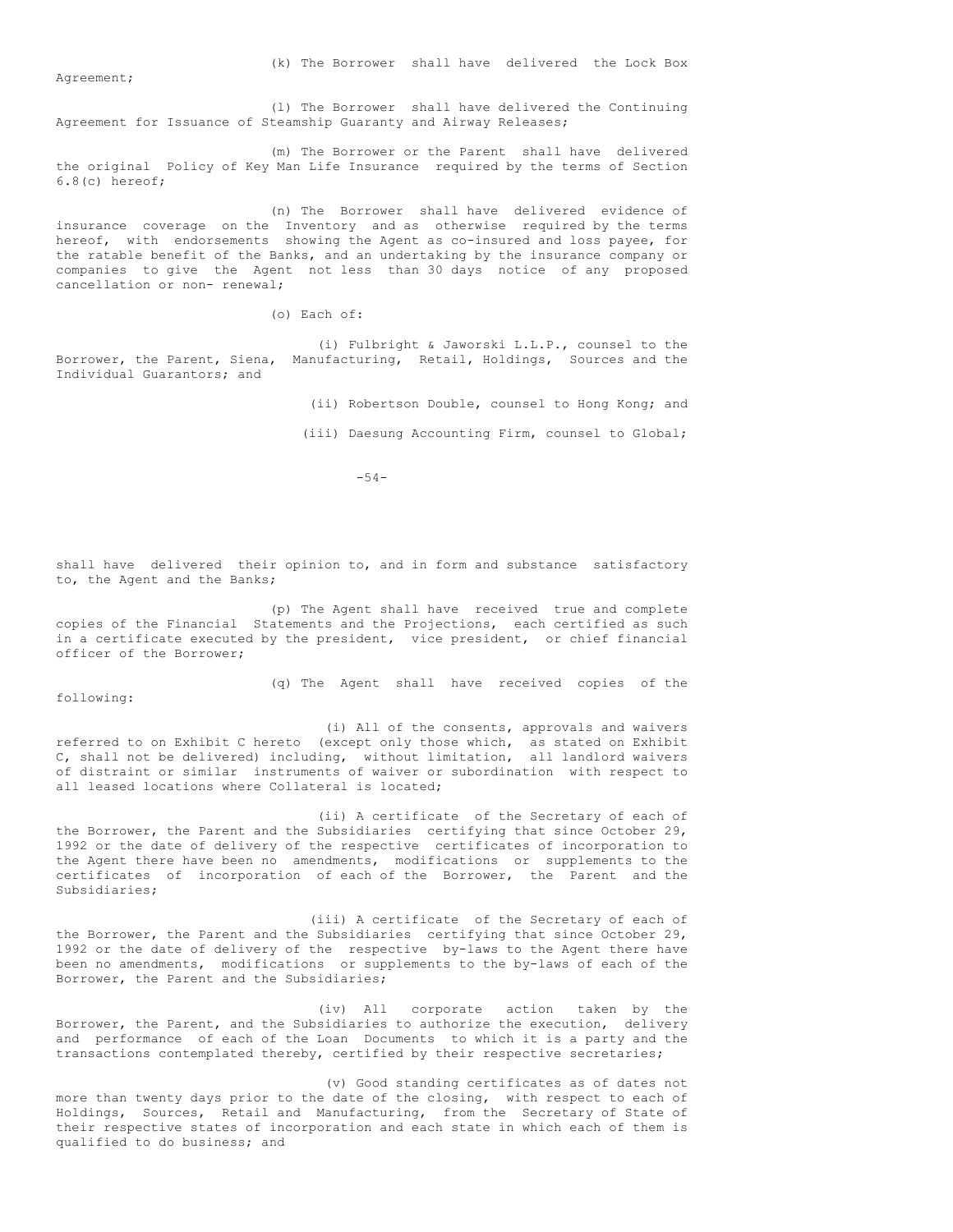(k) The Borrower shall have delivered the Lock Box

Agreement;

(l) The Borrower shall have delivered the Continuing Agreement for Issuance of Steamship Guaranty and Airway Releases;

(m) The Borrower or the Parent shall have delivered the original Policy of Key Man Life Insurance required by the terms of Section 6.8(c) hereof;

(n) The Borrower shall have delivered evidence of insurance coverage on the Inventory and as otherwise required by the terms hereof, with endorsements showing the Agent as co-insured and loss payee, for the ratable benefit of the Banks, and an undertaking by the insurance company or companies to give the Agent not less than 30 days notice of any proposed cancellation or non- renewal;

(o) Each of:

(i) Fulbright & Jaworski L.L.P., counsel to the Borrower, the Parent, Siena, Manufacturing, Retail, Holdings, Sources and the Individual Guarantors; and

(ii) Robertson Double, counsel to Hong Kong; and

(iii) Daesung Accounting Firm, counsel to Global;

 $-54-$ 

shall have delivered their opinion to, and in form and substance satisfactory to, the Agent and the Banks;

(p) The Agent shall have received true and complete copies of the Financial Statements and the Projections, each certified as such in a certificate executed by the president, vice president, or chief financial officer of the Borrower;

following:

(q) The Agent shall have received copies of the

(i) All of the consents, approvals and waivers referred to on Exhibit C hereto (except only those which, as stated on Exhibit C, shall not be delivered) including, without limitation, all landlord waivers of distraint or similar instruments of waiver or subordination with respect to all leased locations where Collateral is located;

(ii) A certificate of the Secretary of each of the Borrower, the Parent and the Subsidiaries certifying that since October 29, 1992 or the date of delivery of the respective certificates of incorporation to the Agent there have been no amendments, modifications or supplements to the certificates of incorporation of each of the Borrower, the Parent and the Subsidiaries;

(iii) A certificate of the Secretary of each of the Borrower, the Parent and the Subsidiaries certifying that since October 29, 1992 or the date of delivery of the respective by-laws to the Agent there have been no amendments, modifications or supplements to the by-laws of each of the Borrower, the Parent and the Subsidiaries;

(iv) All corporate action taken by the Borrower, the Parent, and the Subsidiaries to authorize the execution, delivery and performance of each of the Loan Documents to which it is a party and the transactions contemplated thereby, certified by their respective secretaries;

(v) Good standing certificates as of dates not more than twenty days prior to the date of the closing, with respect to each of Holdings, Sources, Retail and Manufacturing, from the Secretary of State of their respective states of incorporation and each state in which each of them is qualified to do business; and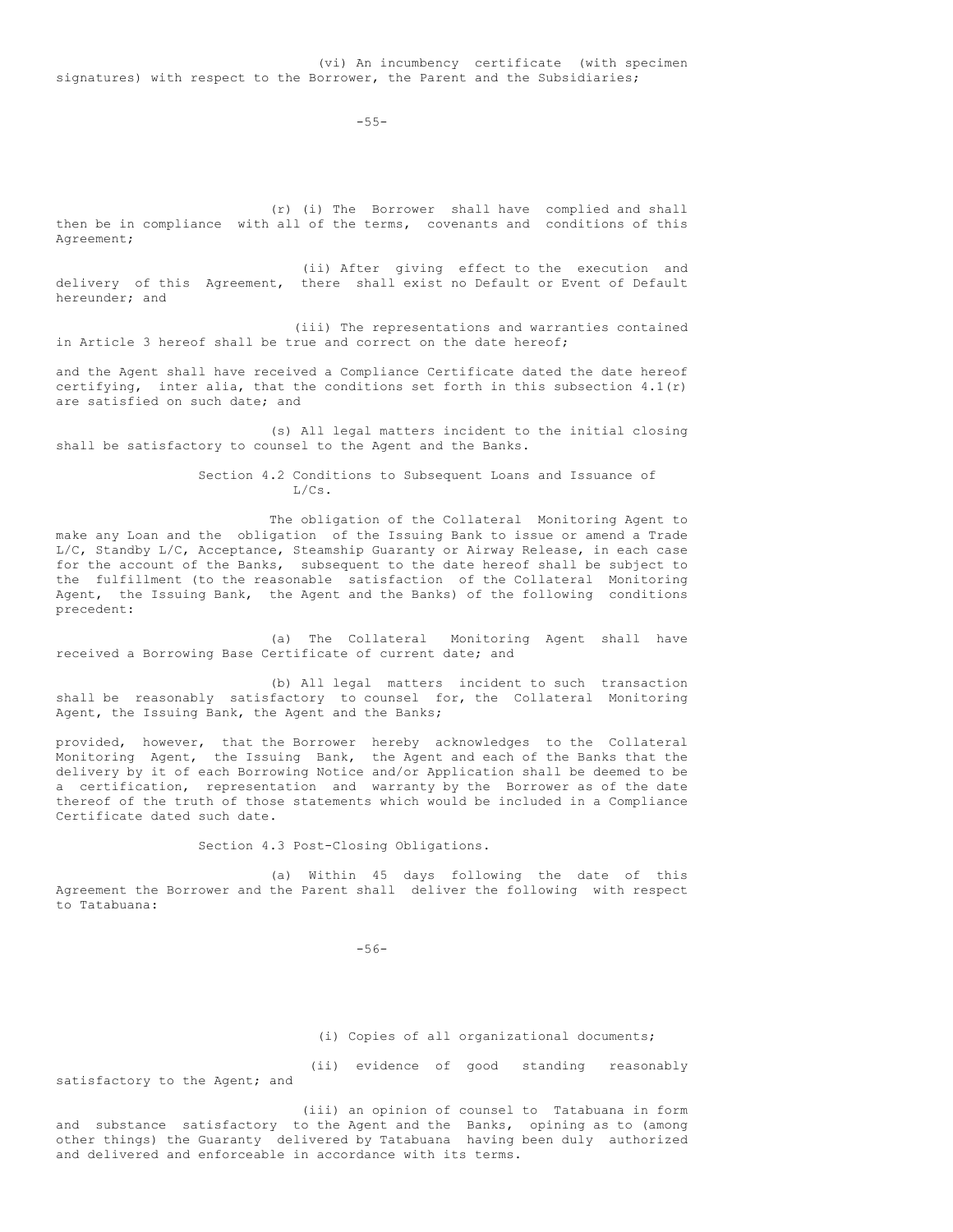-55-

(r) (i) The Borrower shall have complied and shall then be in compliance with all of the terms, covenants and conditions of this Agreement;

(ii) After giving effect to the execution and delivery of this Agreement, there shall exist no Default or Event of Default hereunder; and

(iii) The representations and warranties contained in Article 3 hereof shall be true and correct on the date hereof;

and the Agent shall have received a Compliance Certificate dated the date hereof certifying, inter alia, that the conditions set forth in this subsection 4.1(r) are satisfied on such date; and

(s) All legal matters incident to the initial closing shall be satisfactory to counsel to the Agent and the Banks.

> Section 4.2 Conditions to Subsequent Loans and Issuance of L/Cs.

The obligation of the Collateral Monitoring Agent to make any Loan and the obligation of the Issuing Bank to issue or amend a Trade L/C, Standby L/C, Acceptance, Steamship Guaranty or Airway Release, in each case for the account of the Banks, subsequent to the date hereof shall be subject to the fulfillment (to the reasonable satisfaction of the Collateral Monitoring Agent, the Issuing Bank, the Agent and the Banks) of the following conditions precedent:

(a) The Collateral Monitoring Agent shall have received a Borrowing Base Certificate of current date; and

(b) All legal matters incident to such transaction shall be reasonably satisfactory to counsel for, the Collateral Monitoring Agent, the Issuing Bank, the Agent and the Banks;

provided, however, that the Borrower hereby acknowledges to the Collateral Monitoring Agent, the Issuing Bank, the Agent and each of the Banks that the delivery by it of each Borrowing Notice and/or Application shall be deemed to be a certification, representation and warranty by the Borrower as of the date thereof of the truth of those statements which would be included in a Compliance Certificate dated such date.

Section 4.3 Post-Closing Obligations.

(a) Within 45 days following the date of this Agreement the Borrower and the Parent shall deliver the following with respect to Tatabuana:

-56-

(i) Copies of all organizational documents;

(ii) evidence of good standing reasonably

satisfactory to the Agent; and

(iii) an opinion of counsel to Tatabuana in form and substance satisfactory to the Agent and the Banks, opining as to (among other things) the Guaranty delivered by Tatabuana having been duly authorized and delivered and enforceable in accordance with its terms.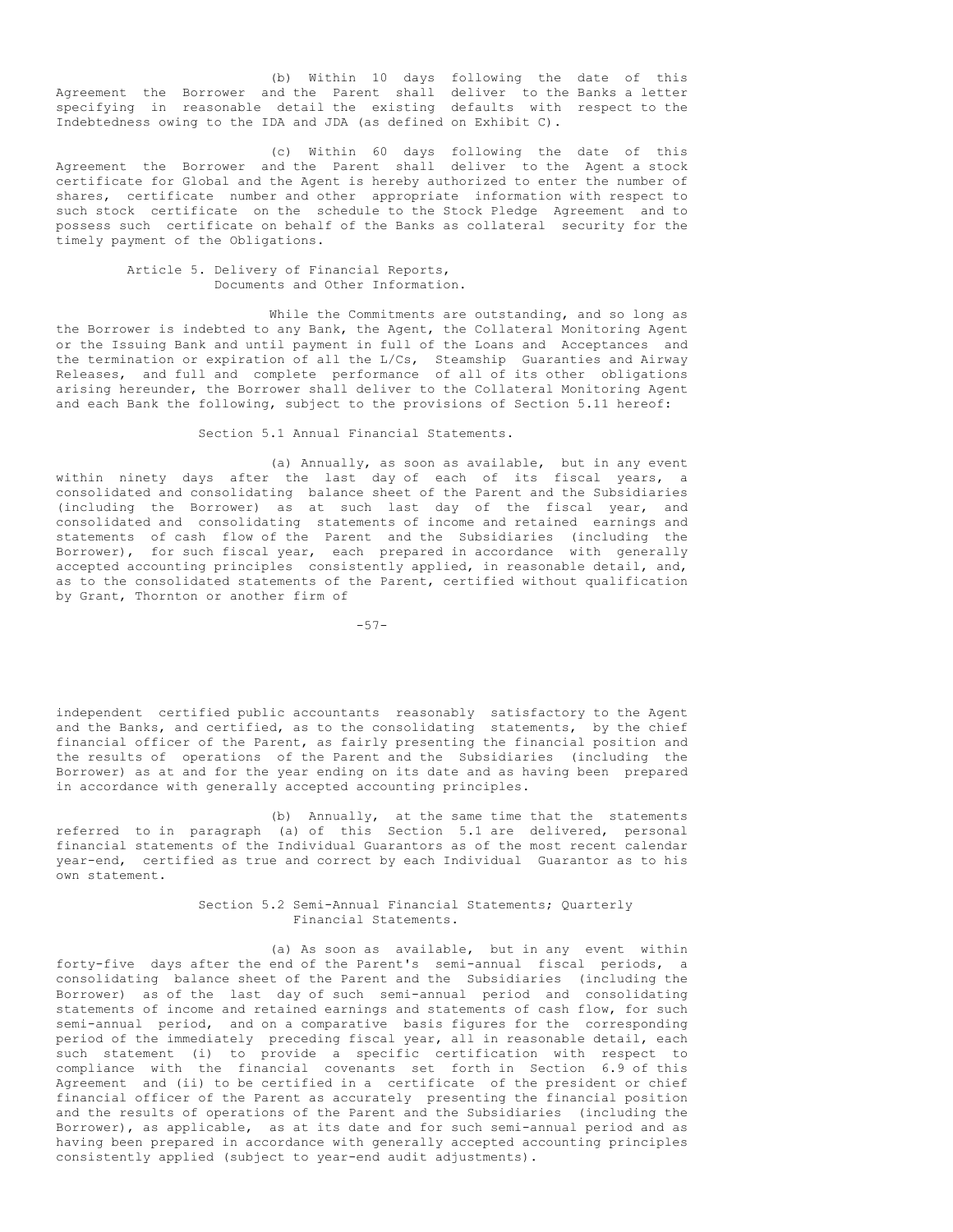(b) Within 10 days following the date of this Agreement the Borrower and the Parent shall deliver to the Banks a letter specifying in reasonable detail the existing defaults with respect to the Indebtedness owing to the IDA and JDA (as defined on Exhibit C).

(c) Within 60 days following the date of this Agreement the Borrower and the Parent shall deliver to the Agent a stock certificate for Global and the Agent is hereby authorized to enter the number of shares, certificate number and other appropriate information with respect to such stock certificate on the schedule to the Stock Pledge Agreement and to possess such certificate on behalf of the Banks as collateral security for the timely payment of the Obligations.

# Article 5. Delivery of Financial Reports, Documents and Other Information.

While the Commitments are outstanding, and so long as the Borrower is indebted to any Bank, the Agent, the Collateral Monitoring Agent or the Issuing Bank and until payment in full of the Loans and Acceptances and the termination or expiration of all the L/Cs, Steamship Guaranties and Airway Releases, and full and complete performance of all of its other obligations arising hereunder, the Borrower shall deliver to the Collateral Monitoring Agent and each Bank the following, subject to the provisions of Section 5.11 hereof:

Section 5.1 Annual Financial Statements.

(a) Annually, as soon as available, but in any event within ninety days after the last day of each of its fiscal years, a consolidated and consolidating balance sheet of the Parent and the Subsidiaries (including the Borrower) as at such last day of the fiscal year, and consolidated and consolidating statements of income and retained earnings and statements of cash flow of the Parent and the Subsidiaries (including the Borrower), for such fiscal year, each prepared in accordance with generally accepted accounting principles consistently applied, in reasonable detail, and, as to the consolidated statements of the Parent, certified without qualification by Grant, Thornton or another firm of

-57-

independent certified public accountants reasonably satisfactory to the Agent and the Banks, and certified, as to the consolidating statements, by the chief financial officer of the Parent, as fairly presenting the financial position and the results of operations of the Parent and the Subsidiaries (including the Borrower) as at and for the year ending on its date and as having been prepared in accordance with generally accepted accounting principles.

(b) Annually, at the same time that the statements referred to in paragraph (a) of this Section 5.1 are delivered, personal financial statements of the Individual Guarantors as of the most recent calendar year-end, certified as true and correct by each Individual Guarantor as to his own statement.

## Section 5.2 Semi-Annual Financial Statements; Quarterly Financial Statements.

(a) As soon as available, but in any event within forty-five days after the end of the Parent's semi-annual fiscal periods, a consolidating balance sheet of the Parent and the Subsidiaries (including the Borrower) as of the last day of such semi-annual period and consolidating statements of income and retained earnings and statements of cash flow, for such semi-annual period, and on a comparative basis figures for the corresponding period of the immediately preceding fiscal year, all in reasonable detail, each such statement (i) to provide a specific certification with respect to compliance with the financial covenants set forth in Section 6.9 of this Agreement and (ii) to be certified in a certificate of the president or chief financial officer of the Parent as accurately presenting the financial position and the results of operations of the Parent and the Subsidiaries (including the Borrower), as applicable, as at its date and for such semi-annual period and as having been prepared in accordance with generally accepted accounting principles consistently applied (subject to year-end audit adjustments).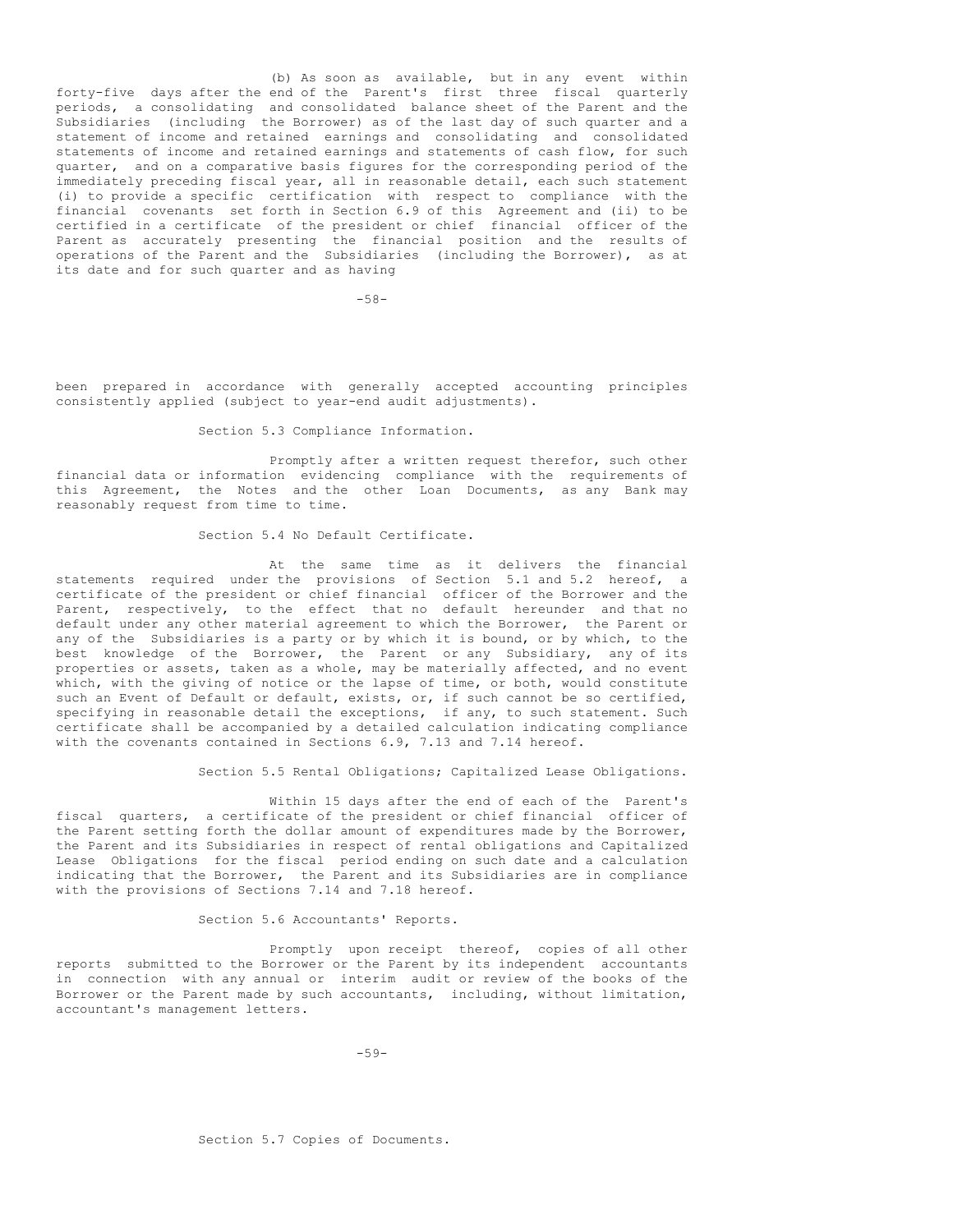(b) As soon as available, but in any event within forty-five days after the end of the Parent's first three fiscal quarterly periods, a consolidating and consolidated balance sheet of the Parent and the Subsidiaries (including the Borrower) as of the last day of such quarter and a statement of income and retained earnings and consolidating and consolidated statements of income and retained earnings and statements of cash flow, for such quarter, and on a comparative basis figures for the corresponding period of the immediately preceding fiscal year, all in reasonable detail, each such statement (i) to provide a specific certification with respect to compliance with the financial covenants set forth in Section 6.9 of this Agreement and (ii) to be certified in a certificate of the president or chief financial officer of the Parent as accurately presenting the financial position and the results of operations of the Parent and the Subsidiaries (including the Borrower), as at its date and for such quarter and as having

 $-58-$ 

been prepared in accordance with generally accepted accounting principles consistently applied (subject to year-end audit adjustments).

Section 5.3 Compliance Information.

Promptly after a written request therefor, such other financial data or information evidencing compliance with the requirements of this Agreement, the Notes and the other Loan Documents, as any Bank may reasonably request from time to time.

Section 5.4 No Default Certificate.

At the same time as it delivers the financial statements required under the provisions of Section 5.1 and 5.2 hereof, a certificate of the president or chief financial officer of the Borrower and the Parent, respectively, to the effect that no default hereunder and that no default under any other material agreement to which the Borrower, the Parent or any of the Subsidiaries is a party or by which it is bound, or by which, to the best knowledge of the Borrower, the Parent or any Subsidiary, any of its properties or assets, taken as a whole, may be materially affected, and no event which, with the giving of notice or the lapse of time, or both, would constitute such an Event of Default or default, exists, or, if such cannot be so certified, specifying in reasonable detail the exceptions, if any, to such statement. Such certificate shall be accompanied by a detailed calculation indicating compliance with the covenants contained in Sections 6.9, 7.13 and 7.14 hereof.

Section 5.5 Rental Obligations; Capitalized Lease Obligations.

Within 15 days after the end of each of the Parent's fiscal quarters, a certificate of the president or chief financial officer of the Parent setting forth the dollar amount of expenditures made by the Borrower, the Parent and its Subsidiaries in respect of rental obligations and Capitalized Lease Obligations for the fiscal period ending on such date and a calculation indicating that the Borrower, the Parent and its Subsidiaries are in compliance with the provisions of Sections 7.14 and 7.18 hereof.

Section 5.6 Accountants' Reports.

Promptly upon receipt thereof, copies of all other reports submitted to the Borrower or the Parent by its independent accountants in connection with any annual or interim audit or review of the books of the Borrower or the Parent made by such accountants, including, without limitation, accountant's management letters.

-59-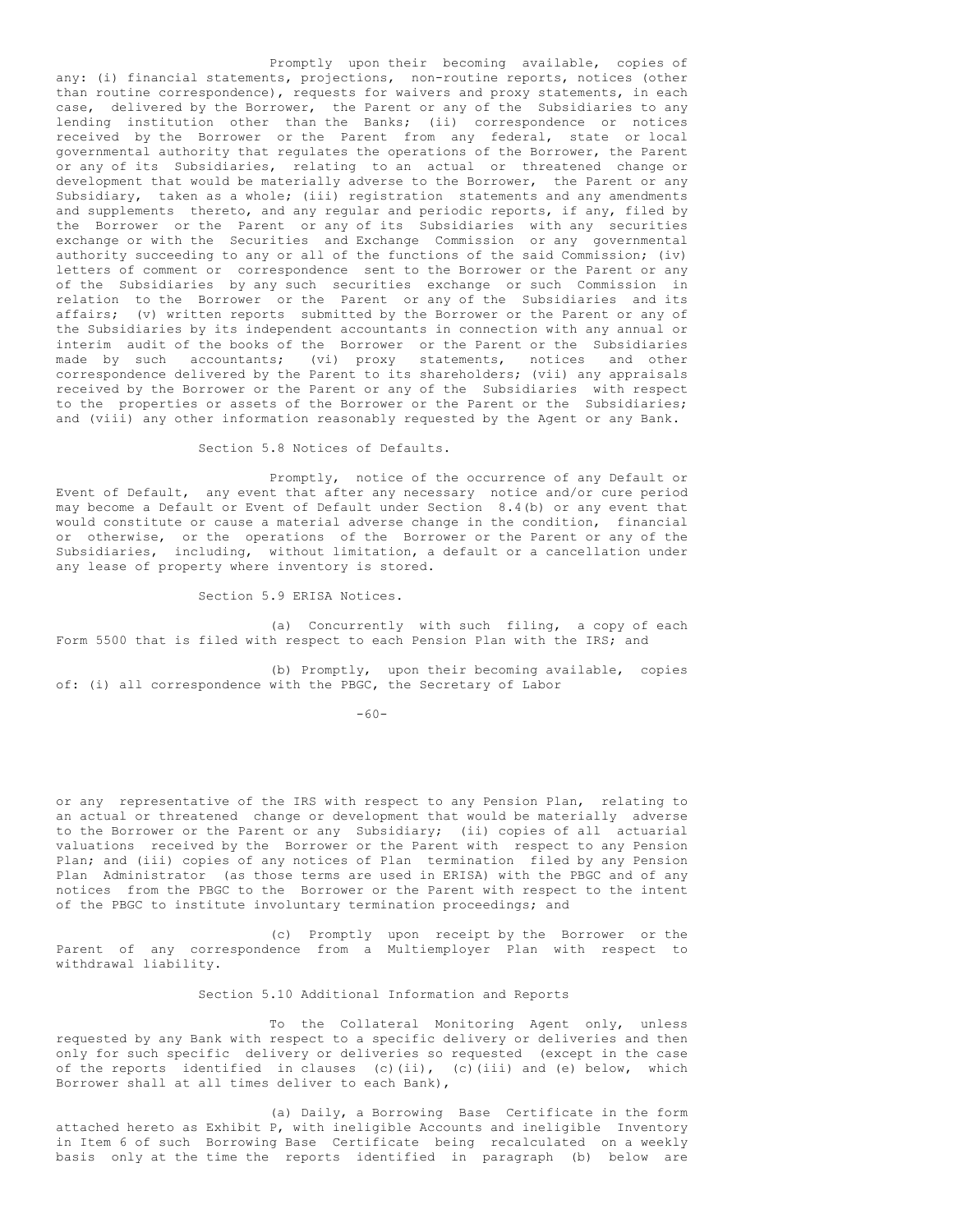Promptly upon their becoming available, copies of any: (i) financial statements, projections, non-routine reports, notices (other than routine correspondence), requests for waivers and proxy statements, in each case, delivered by the Borrower, the Parent or any of the Subsidiaries to any lending institution other than the Banks; (ii) correspondence or notices received by the Borrower or the Parent from any federal, state or local governmental authority that regulates the operations of the Borrower, the Parent or any of its Subsidiaries, relating to an actual or threatened change or development that would be materially adverse to the Borrower, the Parent or any Subsidiary, taken as a whole; (iii) registration statements and any amendments and supplements thereto, and any regular and periodic reports, if any, filed by the Borrower or the Parent or any of its Subsidiaries with any securities exchange or with the Securities and Exchange Commission or any governmental authority succeeding to any or all of the functions of the said Commission; (iv) letters of comment or correspondence sent to the Borrower or the Parent or any of the Subsidiaries by any such securities exchange or such Commission in relation to the Borrower or the Parent or any of the Subsidiaries and its affairs; (v) written reports submitted by the Borrower or the Parent or any of the Subsidiaries by its independent accountants in connection with any annual or interim audit of the books of the Borrower or the Parent or the Subsidiaries made by such accountants; (vi) proxy statements, notices and other correspondence delivered by the Parent to its shareholders; (vii) any appraisals received by the Borrower or the Parent or any of the Subsidiaries with respect to the properties or assets of the Borrower or the Parent or the Subsidiaries; and (viii) any other information reasonably requested by the Agent or any Bank.

Section 5.8 Notices of Defaults.

Promptly, notice of the occurrence of any Default or Event of Default, any event that after any necessary notice and/or cure period may become a Default or Event of Default under Section 8.4(b) or any event that would constitute or cause a material adverse change in the condition, financial or otherwise, or the operations of the Borrower or the Parent or any of the Subsidiaries, including, without limitation, a default or a cancellation under any lease of property where inventory is stored.

Section 5.9 ERISA Notices.

(a) Concurrently with such filing, a copy of each Form 5500 that is filed with respect to each Pension Plan with the IRS; and

(b) Promptly, upon their becoming available, copies of: (i) all correspondence with the PBGC, the Secretary of Labor

 $-60-$ 

or any representative of the IRS with respect to any Pension Plan, relating to an actual or threatened change or development that would be materially adverse to the Borrower or the Parent or any Subsidiary; (ii) copies of all actuarial valuations received by the Borrower or the Parent with respect to any Pension Plan; and (iii) copies of any notices of Plan termination filed by any Pension Plan Administrator (as those terms are used in ERISA) with the PBGC and of any notices from the PBGC to the Borrower or the Parent with respect to the intent of the PBGC to institute involuntary termination proceedings; and

(c) Promptly upon receipt by the Borrower or the Parent of any correspondence from a Multiemployer Plan with respect to withdrawal liability.

Section 5.10 Additional Information and Reports

To the Collateral Monitoring Agent only, unless requested by any Bank with respect to a specific delivery or deliveries and then only for such specific delivery or deliveries so requested (except in the case of the reports identified in clauses (c)(ii), (c)(iii) and (e) below, which Borrower shall at all times deliver to each Bank),

(a) Daily, a Borrowing Base Certificate in the form attached hereto as Exhibit P, with ineligible Accounts and ineligible Inventory in Item 6 of such Borrowing Base Certificate being recalculated on a weekly basis only at the time the reports identified in paragraph (b) below are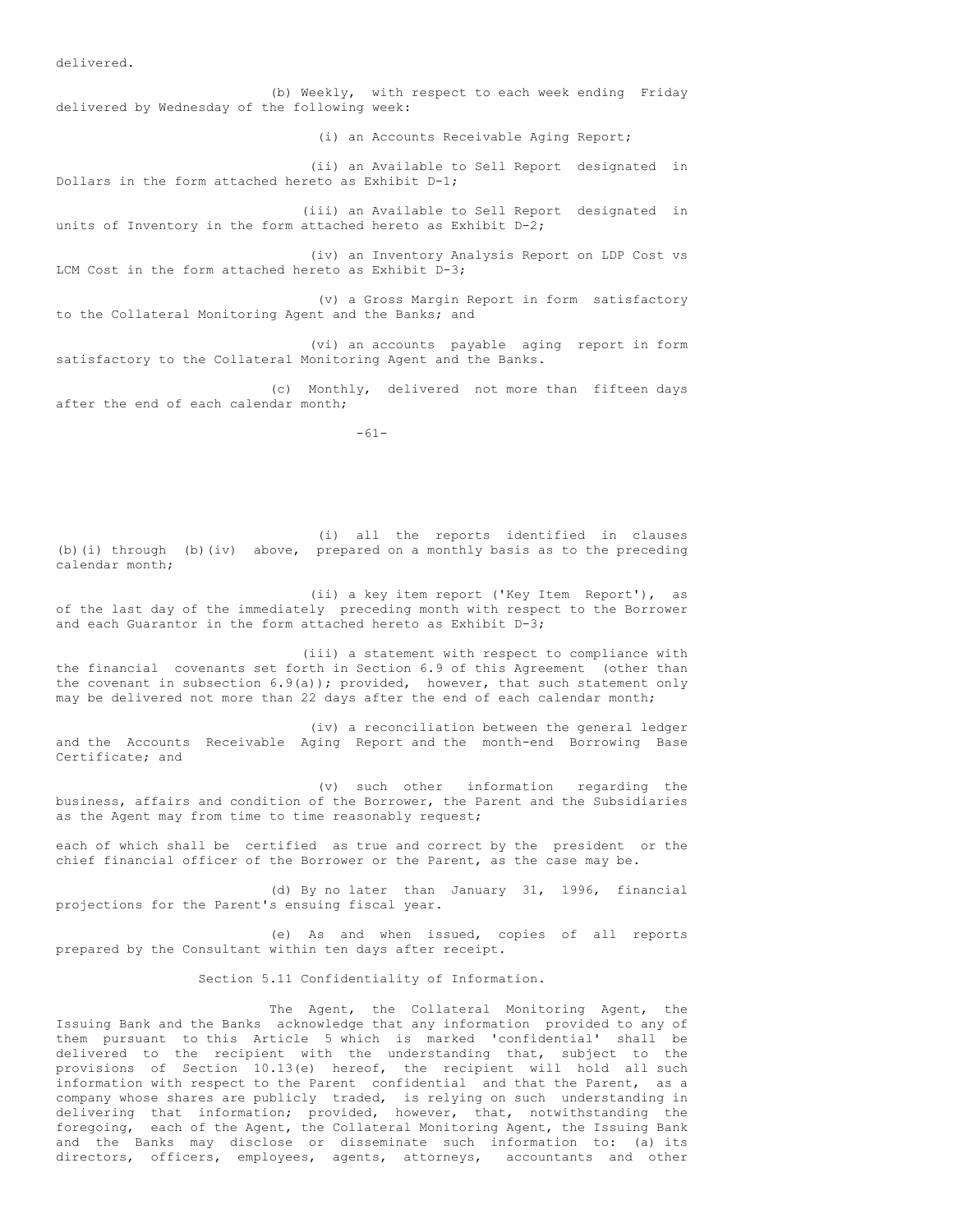delivered.

(b) Weekly, with respect to each week ending Friday delivered by Wednesday of the following week: (i) an Accounts Receivable Aging Report; (ii) an Available to Sell Report designated in Dollars in the form attached hereto as Exhibit D-1; (iii) an Available to Sell Report designated in units of Inventory in the form attached hereto as Exhibit  $D-2$ ; (iv) an Inventory Analysis Report on LDP Cost vs LCM Cost in the form attached hereto as Exhibit D-3; (v) a Gross Margin Report in form satisfactory to the Collateral Monitoring Agent and the Banks; and (vi) an accounts payable aging report in form satisfactory to the Collateral Monitoring Agent and the Banks.

(c) Monthly, delivered not more than fifteen days after the end of each calendar month;

-61-

(i) all the reports identified in clauses (b)(i) through (b)(iv) above, prepared on a monthly basis as to the preceding calendar month;

(ii) a key item report ('Key Item Report'), as of the last day of the immediately preceding month with respect to the Borrower and each Guarantor in the form attached hereto as Exhibit  $D-3$ ;

(iii) a statement with respect to compliance with the financial covenants set forth in Section 6.9 of this Agreement (other than the covenant in subsection 6.9(a)); provided, however, that such statement only may be delivered not more than 22 days after the end of each calendar month;

(iv) a reconciliation between the general ledger and the Accounts Receivable Aging Report and the month-end Borrowing Base Certificate; and

(v) such other information regarding the business, affairs and condition of the Borrower, the Parent and the Subsidiaries as the Agent may from time to time reasonably request;

each of which shall be certified as true and correct by the president or the chief financial officer of the Borrower or the Parent, as the case may be.

(d) By no later than January 31, 1996, financial projections for the Parent's ensuing fiscal year.

(e) As and when issued, copies of all reports prepared by the Consultant within ten days after receipt.

Section 5.11 Confidentiality of Information.

The Agent, the Collateral Monitoring Agent, the Issuing Bank and the Banks acknowledge that any information provided to any of them pursuant to this Article 5 which is marked 'confidential' shall be delivered to the recipient with the understanding that, subject to the provisions of Section 10.13(e) hereof, the recipient will hold all such information with respect to the Parent confidential and that the Parent, as a company whose shares are publicly traded, is relying on such understanding in delivering that information; provided, however, that, notwithstanding the foregoing, each of the Agent, the Collateral Monitoring Agent, the Issuing Bank and the Banks may disclose or disseminate such information to: (a) its directors, officers, employees, agents, attorneys, accountants and other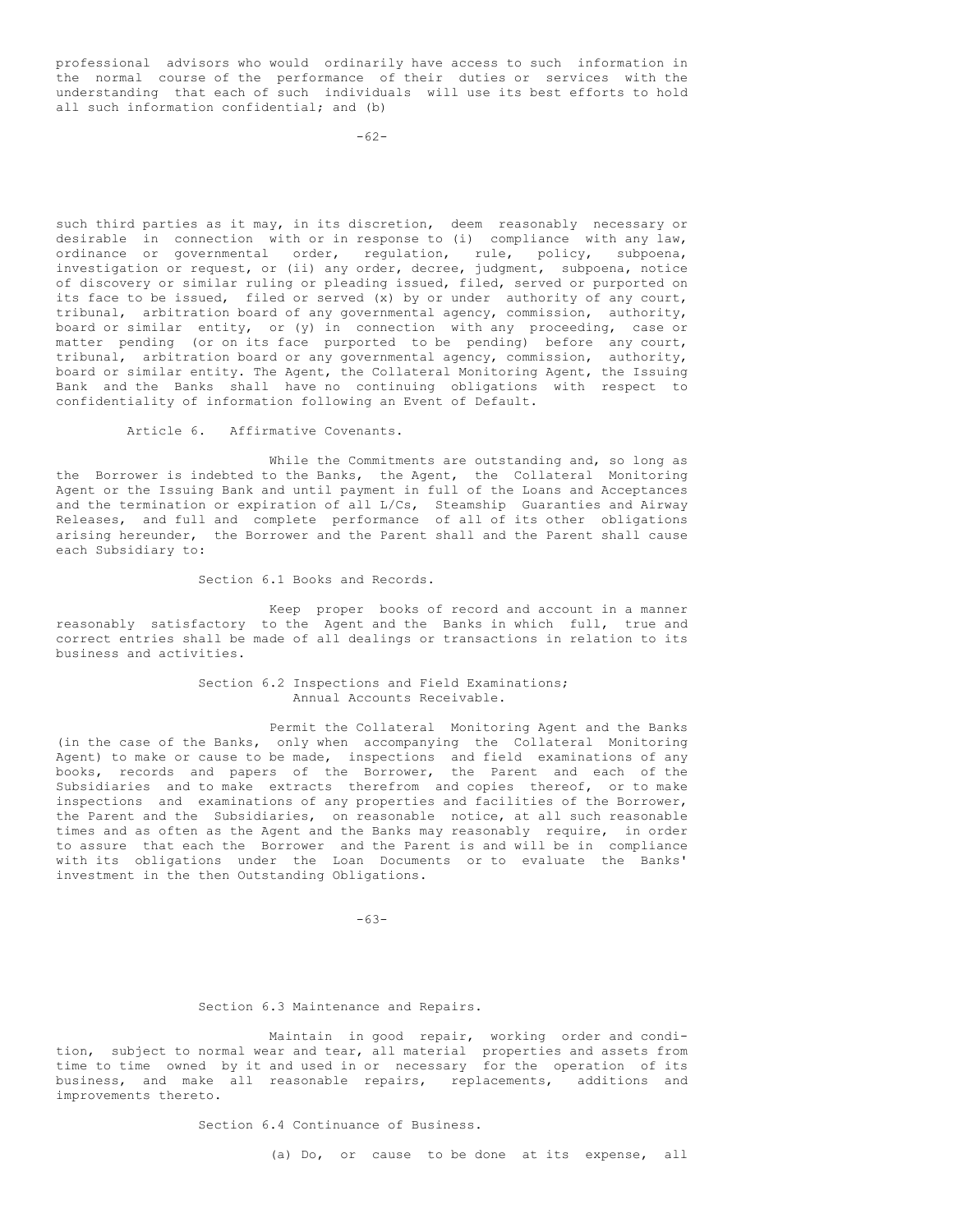professional advisors who would ordinarily have access to such information in the normal course of the performance of their duties or services with the understanding that each of such individuals will use its best efforts to hold all such information confidential; and (b)

-62-

such third parties as it may, in its discretion, deem reasonably necessary or desirable in connection with or in response to (i) compliance with any law, ordinance or governmental order, regulation, rule, policy, subpoena, investigation or request, or (ii) any order, decree, judgment, subpoena, notice of discovery or similar ruling or pleading issued, filed, served or purported on its face to be issued, filed or served (x) by or under authority of any court, tribunal, arbitration board of any governmental agency, commission, authority, board or similar entity, or (y) in connection with any proceeding, case or matter pending (or on its face purported to be pending) before any court, tribunal, arbitration board or any governmental agency, commission, authority, board or similar entity. The Agent, the Collateral Monitoring Agent, the Issuing Bank and the Banks shall have no continuing obligations with respect to confidentiality of information following an Event of Default.

Article 6. Affirmative Covenants.

While the Commitments are outstanding and, so long as the Borrower is indebted to the Banks, the Agent, the Collateral Monitoring Agent or the Issuing Bank and until payment in full of the Loans and Acceptances and the termination or expiration of all L/Cs, Steamship Guaranties and Airway Releases, and full and complete performance of all of its other obligations arising hereunder, the Borrower and the Parent shall and the Parent shall cause each Subsidiary to:

Section 6.1 Books and Records.

Keep proper books of record and account in a manner reasonably satisfactory to the Agent and the Banks in which full, true and correct entries shall be made of all dealings or transactions in relation to its business and activities.

> Section 6.2 Inspections and Field Examinations; Annual Accounts Receivable.

Permit the Collateral Monitoring Agent and the Banks (in the case of the Banks, only when accompanying the Collateral Monitoring Agent) to make or cause to be made, inspections and field examinations of any books, records and papers of the Borrower, the Parent and each of the Subsidiaries and to make extracts therefrom and copies thereof, or to make inspections and examinations of any properties and facilities of the Borrower, the Parent and the Subsidiaries, on reasonable notice, at all such reasonable times and as often as the Agent and the Banks may reasonably require, in order to assure that each the Borrower and the Parent is and will be in compliance with its obligations under the Loan Documents or to evaluate the Banks' investment in the then Outstanding Obligations.

-63-

#### Section 6.3 Maintenance and Repairs.

Maintain in good repair, working order and condition, subject to normal wear and tear, all material properties and assets from time to time owned by it and used in or necessary for the operation of its business, and make all reasonable repairs, replacements, additions and improvements thereto.

Section 6.4 Continuance of Business.

(a) Do, or cause to be done at its expense, all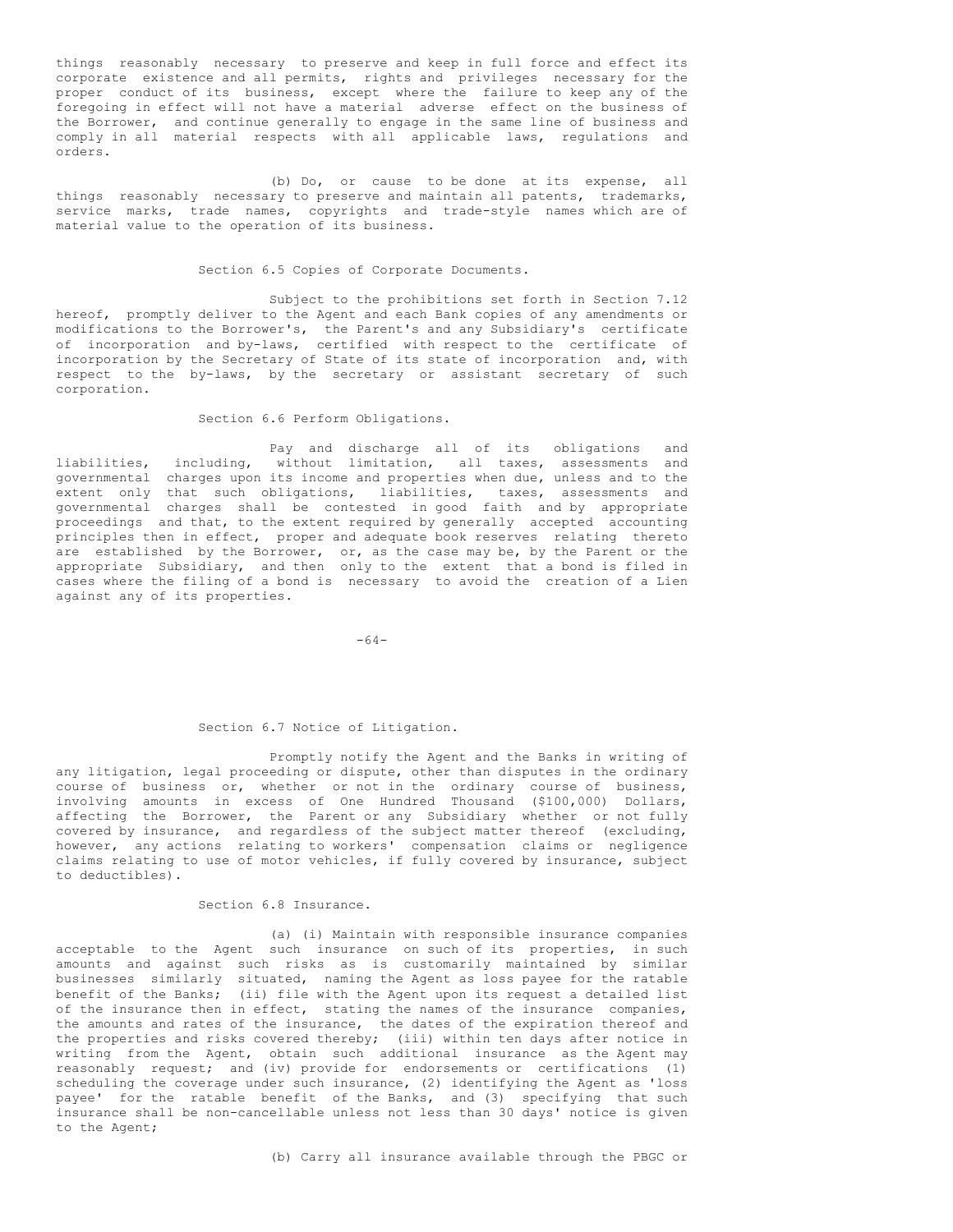things reasonably necessary to preserve and keep in full force and effect its corporate existence and all permits, rights and privileges necessary for the proper conduct of its business, except where the failure to keep any of the foregoing in effect will not have a material adverse effect on the business of the Borrower, and continue generally to engage in the same line of business and comply in all material respects with all applicable laws, regulations and orders.

(b) Do, or cause to be done at its expense, all things reasonably necessary to preserve and maintain all patents, trademarks, service marks, trade names, copyrights and trade-style names which are of material value to the operation of its business.

#### Section 6.5 Copies of Corporate Documents.

Subject to the prohibitions set forth in Section 7.12 hereof, promptly deliver to the Agent and each Bank copies of any amendments or modifications to the Borrower's, the Parent's and any Subsidiary's certificate of incorporation and by-laws, certified with respect to the certificate of incorporation by the Secretary of State of its state of incorporation and, with respect to the by-laws, by the secretary or assistant secretary of such corporation.

## Section 6.6 Perform Obligations.

Pay and discharge all of its obligations and liabilities, including, without limitation, all taxes, assessments and governmental charges upon its income and properties when due, unless and to the extent only that such obligations, liabilities, taxes, assessments and governmental charges shall be contested in good faith and by appropriate proceedings and that, to the extent required by generally accepted accounting principles then in effect, proper and adequate book reserves relating thereto are established by the Borrower, or, as the case may be, by the Parent or the appropriate Subsidiary, and then only to the extent that a bond is filed in cases where the filing of a bond is necessary to avoid the creation of a Lien against any of its properties.

-64-

## Section 6.7 Notice of Litigation.

Promptly notify the Agent and the Banks in writing of any litigation, legal proceeding or dispute, other than disputes in the ordinary course of business or, whether or not in the ordinary course of business, involving amounts in excess of One Hundred Thousand (\$100,000) Dollars, affecting the Borrower, the Parent or any Subsidiary whether or not fully covered by insurance, and regardless of the subject matter thereof (excluding, however, any actions relating to workers' compensation claims or negligence claims relating to use of motor vehicles, if fully covered by insurance, subject to deductibles).

## Section 6.8 Insurance.

(a) (i) Maintain with responsible insurance companies acceptable to the Agent such insurance on such of its properties, in such amounts and against such risks as is customarily maintained by similar businesses similarly situated, naming the Agent as loss payee for the ratable benefit of the Banks; (ii) file with the Agent upon its request a detailed list of the insurance then in effect, stating the names of the insurance companies, the amounts and rates of the insurance, the dates of the expiration thereof and the properties and risks covered thereby; (iii) within ten days after notice in writing from the Agent, obtain such additional insurance as the Agent may reasonably request; and (iv) provide for endorsements or certifications (1) scheduling the coverage under such insurance, (2) identifying the Agent as 'loss payee' for the ratable benefit of the Banks, and (3) specifying that such insurance shall be non-cancellable unless not less than 30 days' notice is given to the Agent;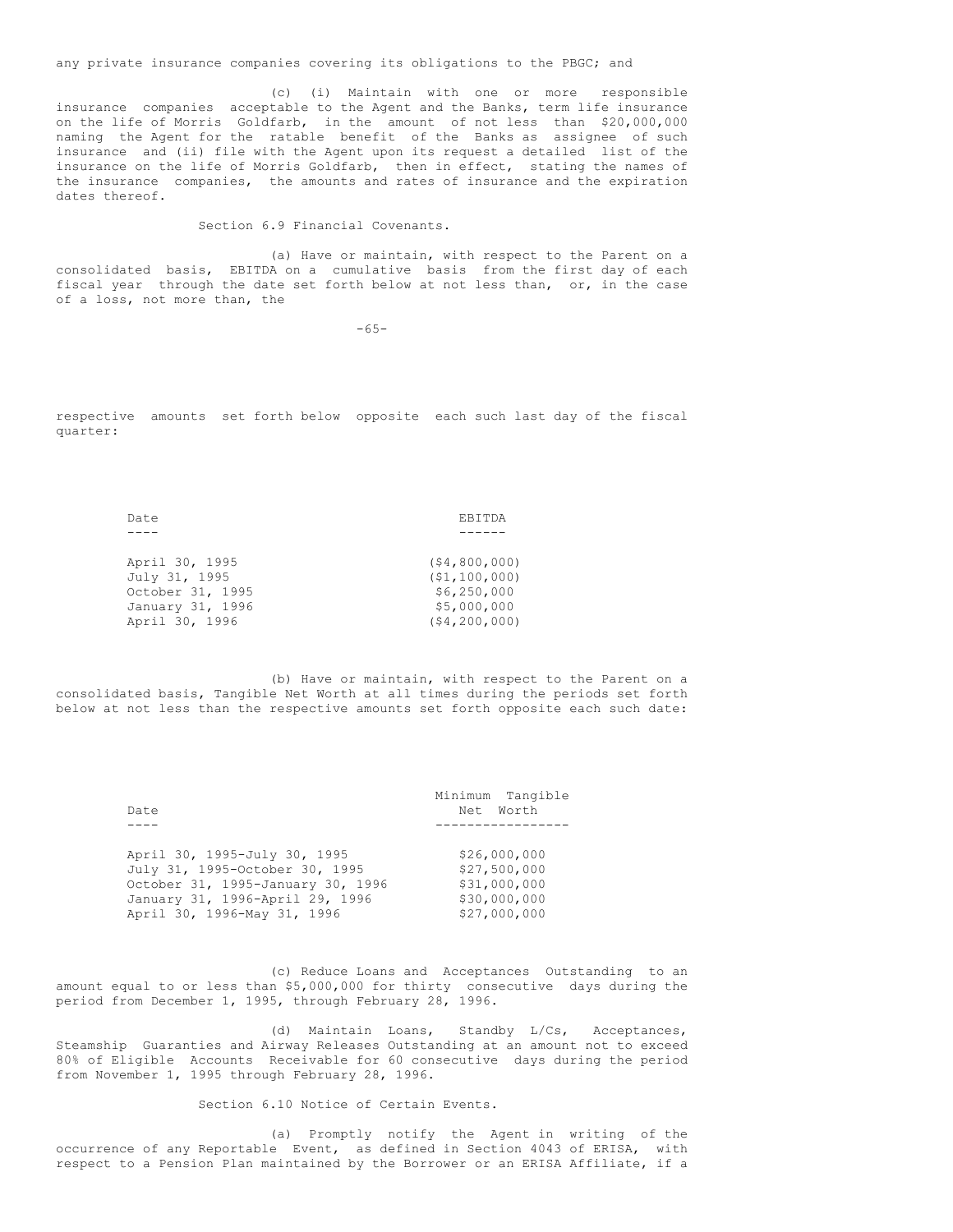any private insurance companies covering its obligations to the PBGC; and

(c) (i) Maintain with one or more responsible insurance companies acceptable to the Agent and the Banks, term life insurance on the life of Morris Goldfarb, in the amount of not less than \$20,000,000 naming the Agent for the ratable benefit of the Banks as assignee of such insurance and (ii) file with the Agent upon its request a detailed list of the insurance on the life of Morris Goldfarb, then in effect, stating the names of the insurance companies, the amounts and rates of insurance and the expiration dates thereof.

Section 6.9 Financial Covenants.

(a) Have or maintain, with respect to the Parent on a consolidated basis, EBITDA on a cumulative basis from the first day of each fiscal year through the date set forth below at not less than, or, in the case of a loss, not more than, the

 $-65-$ 

respective amounts set forth below opposite each such last day of the fiscal quarter:

| Date             | <b>FBITDA</b>  |
|------------------|----------------|
|                  |                |
|                  |                |
| April 30, 1995   | (54, 800, 000) |
| July 31, 1995    | (51, 100, 000) |
| October 31, 1995 | \$6,250,000    |
| January 31, 1996 | \$5,000,000    |
| April 30, 1996   | (54, 200, 000) |

(b) Have or maintain, with respect to the Parent on a consolidated basis, Tangible Net Worth at all times during the periods set forth below at not less than the respective amounts set forth opposite each such date:

| Date                                                           | Minimum Tangible<br>Net Worth |
|----------------------------------------------------------------|-------------------------------|
|                                                                |                               |
| April 30, 1995-July 30, 1995<br>July 31, 1995-October 30, 1995 | \$26,000,000<br>\$27,500,000  |
| October 31, 1995-January 30, 1996                              | \$31,000,000                  |
| January 31, 1996-April 29, 1996<br>April 30, 1996-May 31, 1996 | \$30,000,000<br>\$27,000,000  |

(c) Reduce Loans and Acceptances Outstanding to an amount equal to or less than \$5,000,000 for thirty consecutive days during the period from December 1, 1995, through February 28, 1996.

(d) Maintain Loans, Standby L/Cs, Acceptances, Steamship Guaranties and Airway Releases Outstanding at an amount not to exceed 80% of Eligible Accounts Receivable for 60 consecutive days during the period from November 1, 1995 through February 28, 1996.

Section 6.10 Notice of Certain Events.

(a) Promptly notify the Agent in writing of the occurrence of any Reportable Event, as defined in Section 4043 of ERISA, with respect to a Pension Plan maintained by the Borrower or an ERISA Affiliate, if a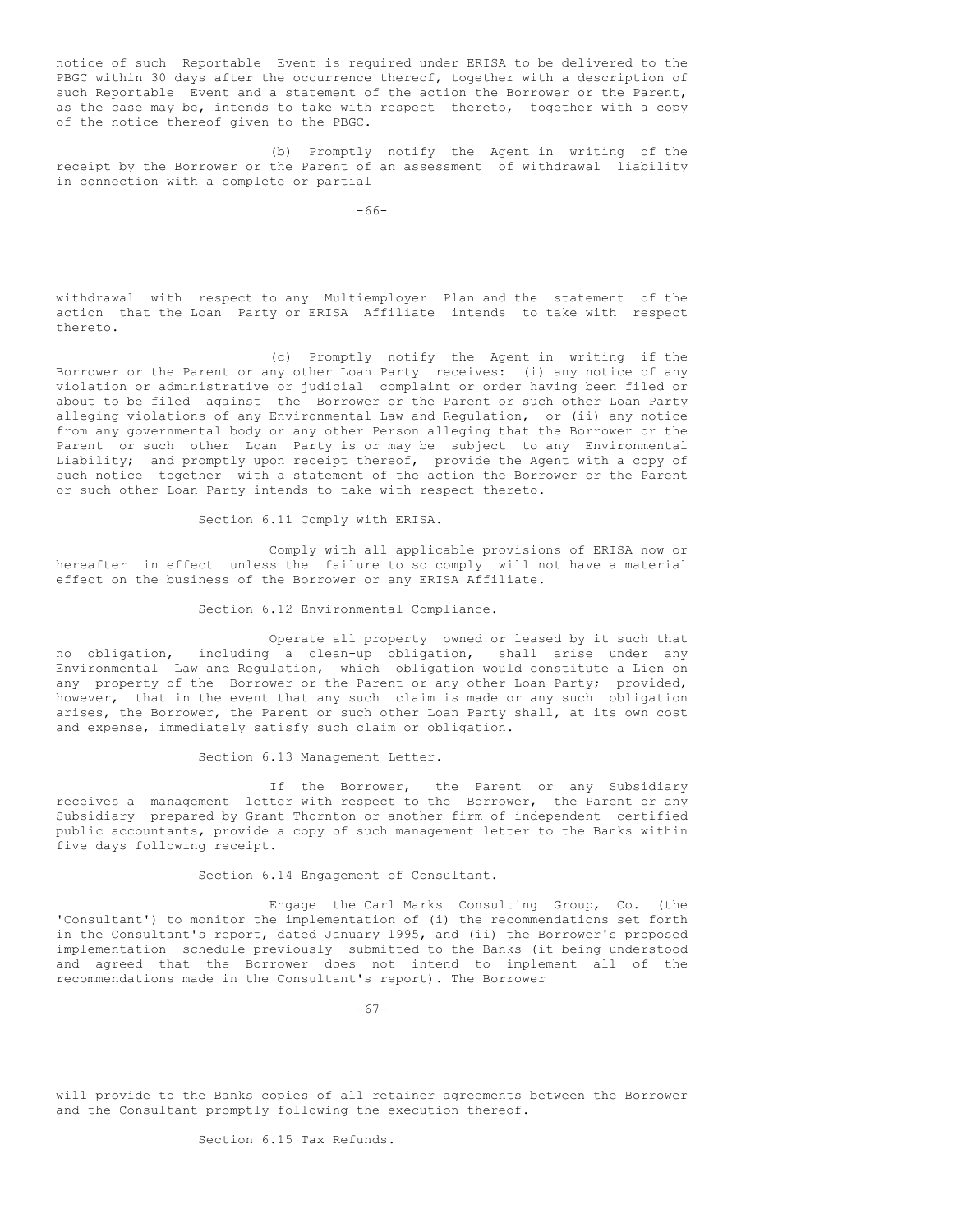notice of such Reportable Event is required under ERISA to be delivered to the PBGC within 30 days after the occurrence thereof, together with a description of such Reportable Event and a statement of the action the Borrower or the Parent, as the case may be, intends to take with respect thereto, together with a copy of the notice thereof given to the PBGC.

(b) Promptly notify the Agent in writing of the receipt by the Borrower or the Parent of an assessment of withdrawal liability in connection with a complete or partial

-66-

withdrawal with respect to any Multiemployer Plan and the statement of the action that the Loan Party or ERISA Affiliate intends to take with respect thereto.

(c) Promptly notify the Agent in writing if the Borrower or the Parent or any other Loan Party receives: (i) any notice of any violation or administrative or judicial complaint or order having been filed or about to be filed against the Borrower or the Parent or such other Loan Party alleging violations of any Environmental Law and Regulation, or (ii) any notice from any governmental body or any other Person alleging that the Borrower or the Parent or such other Loan Party is or may be subject to any Environmental Liability; and promptly upon receipt thereof, provide the Agent with a copy of such notice together with a statement of the action the Borrower or the Parent or such other Loan Party intends to take with respect thereto.

Section 6.11 Comply with ERISA.

Comply with all applicable provisions of ERISA now or hereafter in effect unless the failure to so comply will not have a material effect on the business of the Borrower or any ERISA Affiliate.

Section 6.12 Environmental Compliance.

Operate all property owned or leased by it such that no obligation, including a clean-up obligation, shall arise under any Environmental Law and Regulation, which obligation would constitute a Lien on any property of the Borrower or the Parent or any other Loan Party; provided, however, that in the event that any such claim is made or any such obligation arises, the Borrower, the Parent or such other Loan Party shall, at its own cost and expense, immediately satisfy such claim or obligation.

Section 6.13 Management Letter.

If the Borrower, the Parent or any Subsidiary receives a management letter with respect to the Borrower, the Parent or any Subsidiary prepared by Grant Thornton or another firm of independent certified public accountants, provide a copy of such management letter to the Banks within five days following receipt.

Section 6.14 Engagement of Consultant.

Engage the Carl Marks Consulting Group, Co. (the 'Consultant') to monitor the implementation of (i) the recommendations set forth in the Consultant's report, dated January 1995, and (ii) the Borrower's proposed implementation schedule previously submitted to the Banks (it being understood and agreed that the Borrower does not intend to implement all of the recommendations made in the Consultant's report). The Borrower

 $-67-$ 

will provide to the Banks copies of all retainer agreements between the Borrower and the Consultant promptly following the execution thereof.

Section 6.15 Tax Refunds.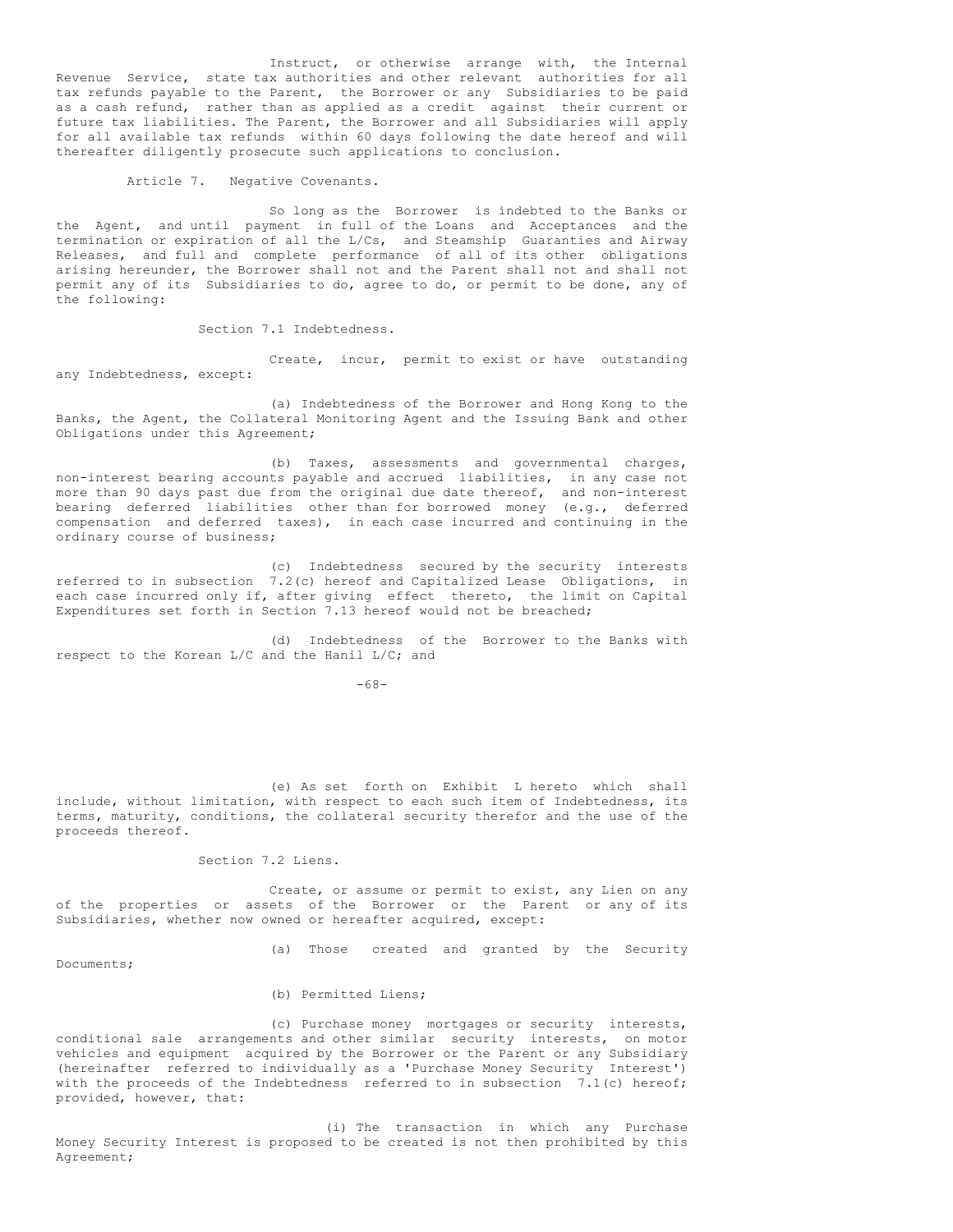Instruct, or otherwise arrange with, the Internal Revenue Service, state tax authorities and other relevant authorities for all tax refunds payable to the Parent, the Borrower or any Subsidiaries to be paid as a cash refund, rather than as applied as a credit against their current or future tax liabilities. The Parent, the Borrower and all Subsidiaries will apply for all available tax refunds within 60 days following the date hereof and will thereafter diligently prosecute such applications to conclusion.

Article 7. Negative Covenants.

So long as the Borrower is indebted to the Banks or the Agent, and until payment in full of the Loans and Acceptances and the termination or expiration of all the L/Cs, and Steamship Guaranties and Airway Releases, and full and complete performance of all of its other obligations arising hereunder, the Borrower shall not and the Parent shall not and shall not permit any of its Subsidiaries to do, agree to do, or permit to be done, any of the following:

Section 7.1 Indebtedness.

Create, incur, permit to exist or have outstanding any Indebtedness, except:

(a) Indebtedness of the Borrower and Hong Kong to the Banks, the Agent, the Collateral Monitoring Agent and the Issuing Bank and other Obligations under this Agreement;

(b) Taxes, assessments and governmental charges, non-interest bearing accounts payable and accrued liabilities, in any case not more than 90 days past due from the original due date thereof, and non-interest bearing deferred liabilities other than for borrowed money (e.g., deferred compensation and deferred taxes), in each case incurred and continuing in the ordinary course of business;

(c) Indebtedness secured by the security interests referred to in subsection 7.2(c) hereof and Capitalized Lease Obligations, in each case incurred only if, after giving effect thereto, the limit on Capital Expenditures set forth in Section 7.13 hereof would not be breached;

(d) Indebtedness of the Borrower to the Banks with respect to the Korean L/C and the Hanil L/C; and

-68-

(e) As set forth on Exhibit L hereto which shall include, without limitation, with respect to each such item of Indebtedness, its terms, maturity, conditions, the collateral security therefor and the use of the proceeds thereof.

Section 7.2 Liens.

Create, or assume or permit to exist, any Lien on any of the properties or assets of the Borrower or the Parent or any of its Subsidiaries, whether now owned or hereafter acquired, except:

Documents;

(a) Those created and granted by the Security

(b) Permitted Liens;

(c) Purchase money mortgages or security interests, conditional sale arrangements and other similar security interests, on motor vehicles and equipment acquired by the Borrower or the Parent or any Subsidiary (hereinafter referred to individually as a 'Purchase Money Security Interest') with the proceeds of the Indebtedness referred to in subsection 7.1(c) hereof; provided, however, that:

(i) The transaction in which any Purchase Money Security Interest is proposed to be created is not then prohibited by this Agreement;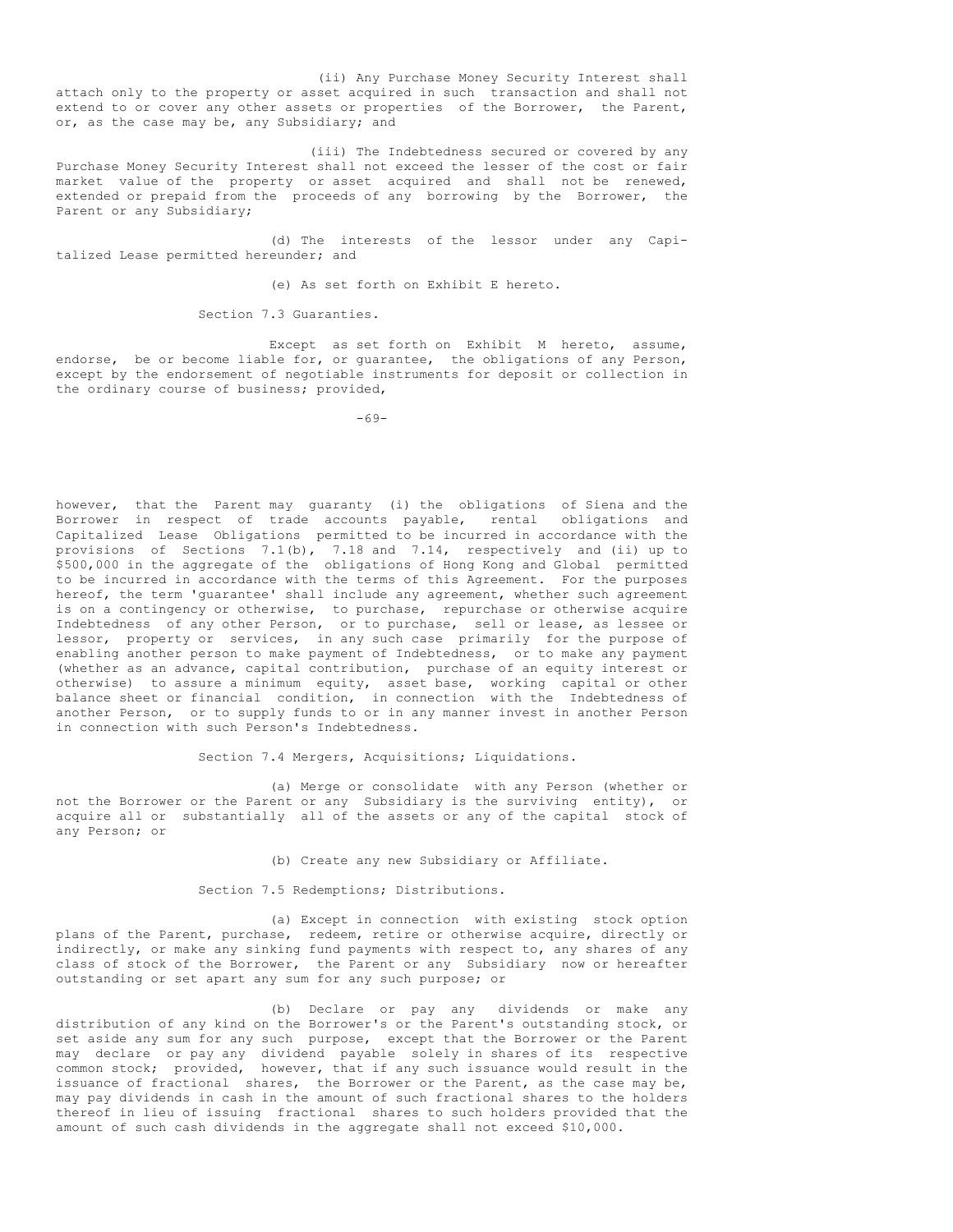(ii) Any Purchase Money Security Interest shall attach only to the property or asset acquired in such transaction and shall not extend to or cover any other assets or properties of the Borrower, the Parent, or, as the case may be, any Subsidiary; and

(iii) The Indebtedness secured or covered by any Purchase Money Security Interest shall not exceed the lesser of the cost or fair market value of the property or asset acquired and shall not be renewed, extended or prepaid from the proceeds of any borrowing by the Borrower, the Parent or any Subsidiary;

(d) The interests of the lessor under any Capitalized Lease permitted hereunder; and

(e) As set forth on Exhibit E hereto.

Section 7.3 Guaranties.

Except as set forth on Exhibit M hereto, assume, endorse, be or become liable for, or guarantee, the obligations of any Person, except by the endorsement of negotiable instruments for deposit or collection in the ordinary course of business; provided,

-69-

however, that the Parent may guaranty (i) the obligations of Siena and the Borrower in respect of trade accounts payable, rental obligations and Capitalized Lease Obligations permitted to be incurred in accordance with the provisions of Sections 7.1(b), 7.18 and 7.14, respectively and (ii) up to \$500,000 in the aggregate of the obligations of Hong Kong and Global permitted to be incurred in accordance with the terms of this Agreement. For the purposes hereof, the term 'guarantee' shall include any agreement, whether such agreement is on a contingency or otherwise, to purchase, repurchase or otherwise acquire Indebtedness of any other Person, or to purchase, sell or lease, as lessee or lessor, property or services, in any such case primarily for the purpose of enabling another person to make payment of Indebtedness, or to make any payment (whether as an advance, capital contribution, purchase of an equity interest or otherwise) to assure a minimum equity, asset base, working capital or other balance sheet or financial condition, in connection with the Indebtedness of another Person, or to supply funds to or in any manner invest in another Person in connection with such Person's Indebtedness.

Section 7.4 Mergers, Acquisitions; Liquidations.

(a) Merge or consolidate with any Person (whether or not the Borrower or the Parent or any Subsidiary is the surviving entity), or acquire all or substantially all of the assets or any of the capital stock of any Person; or

(b) Create any new Subsidiary or Affiliate.

Section 7.5 Redemptions; Distributions.

(a) Except in connection with existing stock option plans of the Parent, purchase, redeem, retire or otherwise acquire, directly or indirectly, or make any sinking fund payments with respect to, any shares of any class of stock of the Borrower, the Parent or any Subsidiary now or hereafter outstanding or set apart any sum for any such purpose; or

(b) Declare or pay any dividends or make any distribution of any kind on the Borrower's or the Parent's outstanding stock, or set aside any sum for any such purpose, except that the Borrower or the Parent may declare or pay any dividend payable solely in shares of its respective common stock; provided, however, that if any such issuance would result in the issuance of fractional shares, the Borrower or the Parent, as the case may be, may pay dividends in cash in the amount of such fractional shares to the holders thereof in lieu of issuing fractional shares to such holders provided that the amount of such cash dividends in the aggregate shall not exceed \$10,000.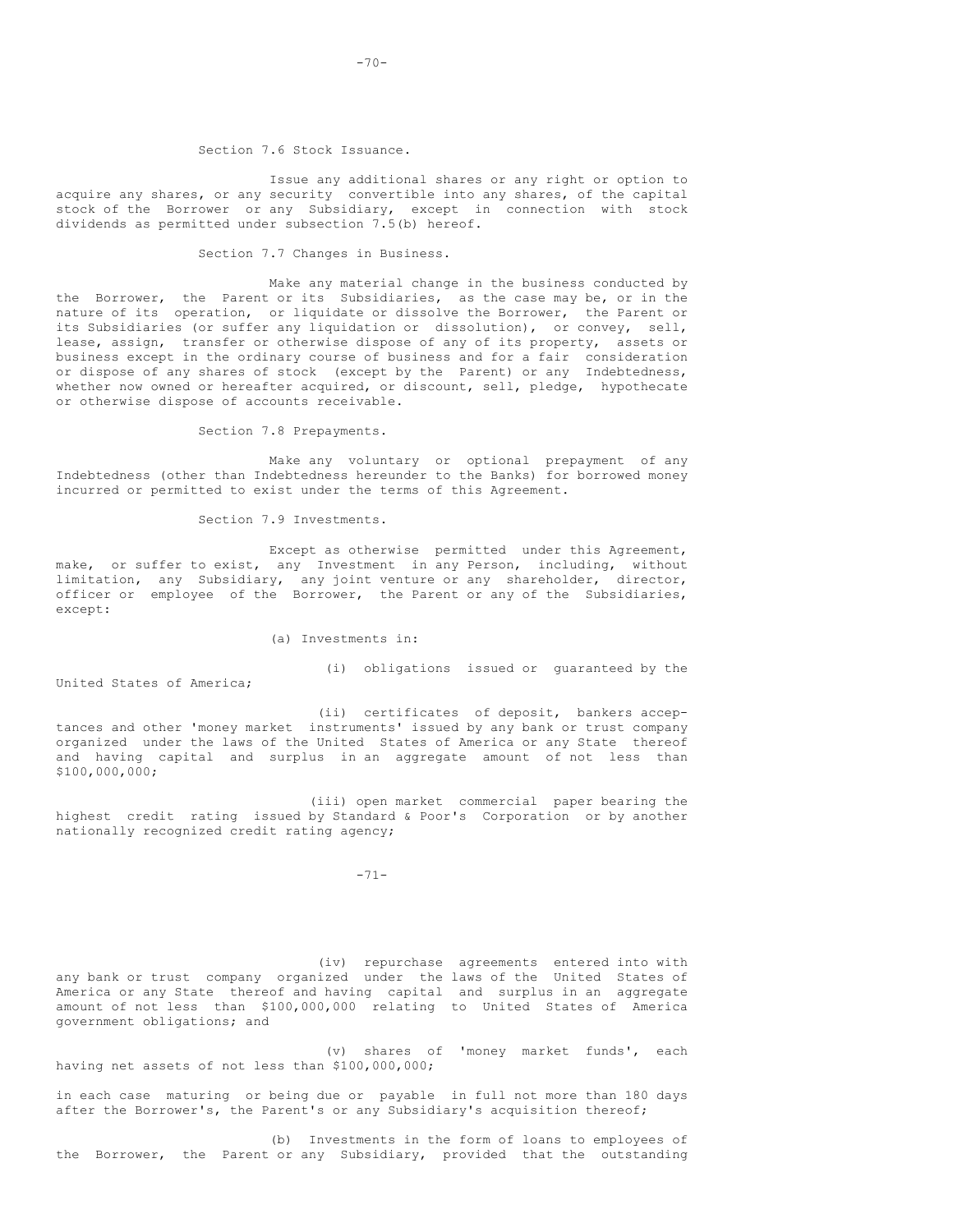#### Section 7.6 Stock Issuance.

Issue any additional shares or any right or option to acquire any shares, or any security convertible into any shares, of the capital stock of the Borrower or any Subsidiary, except in connection with stock dividends as permitted under subsection 7.5(b) hereof.

# Section 7.7 Changes in Business.

Make any material change in the business conducted by the Borrower, the Parent or its Subsidiaries, as the case may be, or in the nature of its operation, or liquidate or dissolve the Borrower, the Parent or its Subsidiaries (or suffer any liquidation or dissolution), or convey, sell, lease, assign, transfer or otherwise dispose of any of its property, assets or business except in the ordinary course of business and for a fair consideration or dispose of any shares of stock (except by the Parent) or any Indebtedness, whether now owned or hereafter acquired, or discount, sell, pledge, hypothecate or otherwise dispose of accounts receivable.

Section 7.8 Prepayments.

Make any voluntary or optional prepayment of any Indebtedness (other than Indebtedness hereunder to the Banks) for borrowed money incurred or permitted to exist under the terms of this Agreement.

Section 7.9 Investments.

Except as otherwise permitted under this Agreement, make, or suffer to exist, any Investment in any Person, including, without limitation, any Subsidiary, any joint venture or any shareholder, director, officer or employee of the Borrower, the Parent or any of the Subsidiaries, except:

## (a) Investments in:

(i) obligations issued or guaranteed by the

United States of America;

(ii) certificates of deposit, bankers acceptances and other 'money market instruments' issued by any bank or trust company organized under the laws of the United States of America or any State thereof and having capital and surplus in an aggregate amount of not less than \$100,000,000;

(iii) open market commercial paper bearing the highest credit rating issued by Standard & Poor's Corporation or by another nationally recognized credit rating agency;

-71-

(iv) repurchase agreements entered into with any bank or trust company organized under the laws of the United States of America or any State thereof and having capital and surplus in an aggregate amount of not less than \$100,000,000 relating to United States of America government obligations; and

(v) shares of 'money market funds', each having net assets of not less than \$100,000,000;

in each case maturing or being due or payable in full not more than 180 days after the Borrower's, the Parent's or any Subsidiary's acquisition thereof;

(b) Investments in the form of loans to employees of the Borrower, the Parent or any Subsidiary, provided that the outstanding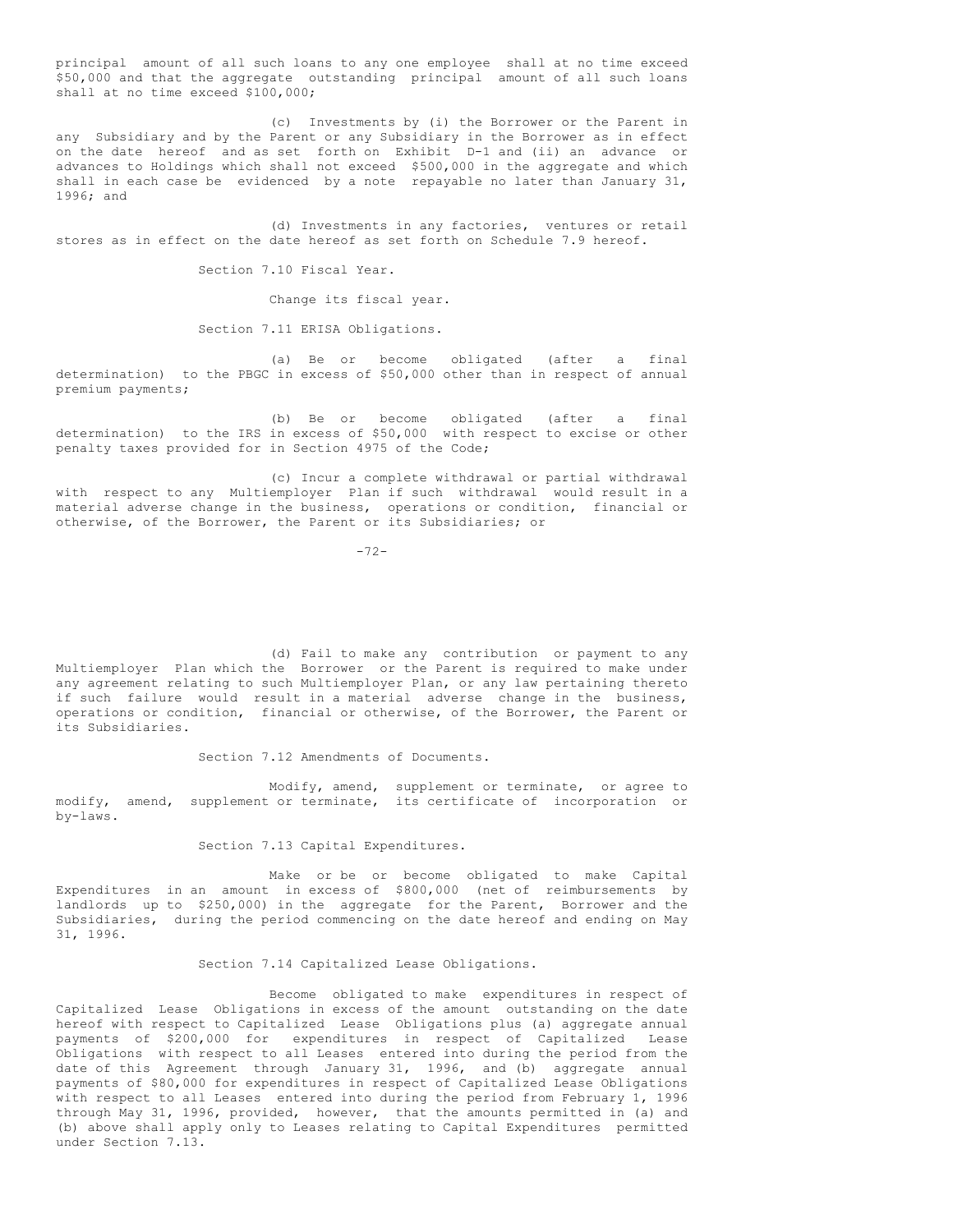principal amount of all such loans to any one employee shall at no time exceed \$50,000 and that the aggregate outstanding principal amount of all such loans shall at no time exceed \$100,000;

(c) Investments by (i) the Borrower or the Parent in any Subsidiary and by the Parent or any Subsidiary in the Borrower as in effect on the date hereof and as set forth on Exhibit D-1 and (ii) an advance or advances to Holdings which shall not exceed \$500,000 in the aggregate and which shall in each case be evidenced by a note repayable no later than January 31, 1996; and

(d) Investments in any factories, ventures or retail stores as in effect on the date hereof as set forth on Schedule 7.9 hereof.

Section 7.10 Fiscal Year.

Change its fiscal year.

Section 7.11 ERISA Obligations.

(a) Be or become obligated (after a final determination) to the PBGC in excess of \$50,000 other than in respect of annual premium payments;

(b) Be or become obligated (after a final determination) to the IRS in excess of \$50,000 with respect to excise or other penalty taxes provided for in Section 4975 of the Code;

(c) Incur a complete withdrawal or partial withdrawal with respect to any Multiemployer Plan if such withdrawal would result in a material adverse change in the business, operations or condition, financial or otherwise, of the Borrower, the Parent or its Subsidiaries; or

 $-72-$ 

(d) Fail to make any contribution or payment to any Multiemployer Plan which the Borrower or the Parent is required to make under any agreement relating to such Multiemployer Plan, or any law pertaining thereto if such failure would result in a material adverse change in the business, operations or condition, financial or otherwise, of the Borrower, the Parent or its Subsidiaries.

Section 7.12 Amendments of Documents.

Modify, amend, supplement or terminate, or agree to modify, amend, supplement or terminate, its certificate of incorporation or by-laws.

Section 7.13 Capital Expenditures.

Make or be or become obligated to make Capital Expenditures in an amount in excess of \$800,000 (net of reimbursements by landlords up to \$250,000) in the aggregate for the Parent, Borrower and the Subsidiaries, during the period commencing on the date hereof and ending on May 31, 1996.

Section 7.14 Capitalized Lease Obligations.

Become obligated to make expenditures in respect of Capitalized Lease Obligations in excess of the amount outstanding on the date hereof with respect to Capitalized Lease Obligations plus (a) aggregate annual payments of \$200,000 for expenditures in respect of Capitalized Lease Obligations with respect to all Leases entered into during the period from the date of this Agreement through January 31, 1996, and (b) aggregate annual payments of \$80,000 for expenditures in respect of Capitalized Lease Obligations with respect to all Leases entered into during the period from February 1, 1996 through May 31, 1996, provided, however, that the amounts permitted in (a) and (b) above shall apply only to Leases relating to Capital Expenditures permitted under Section 7.13.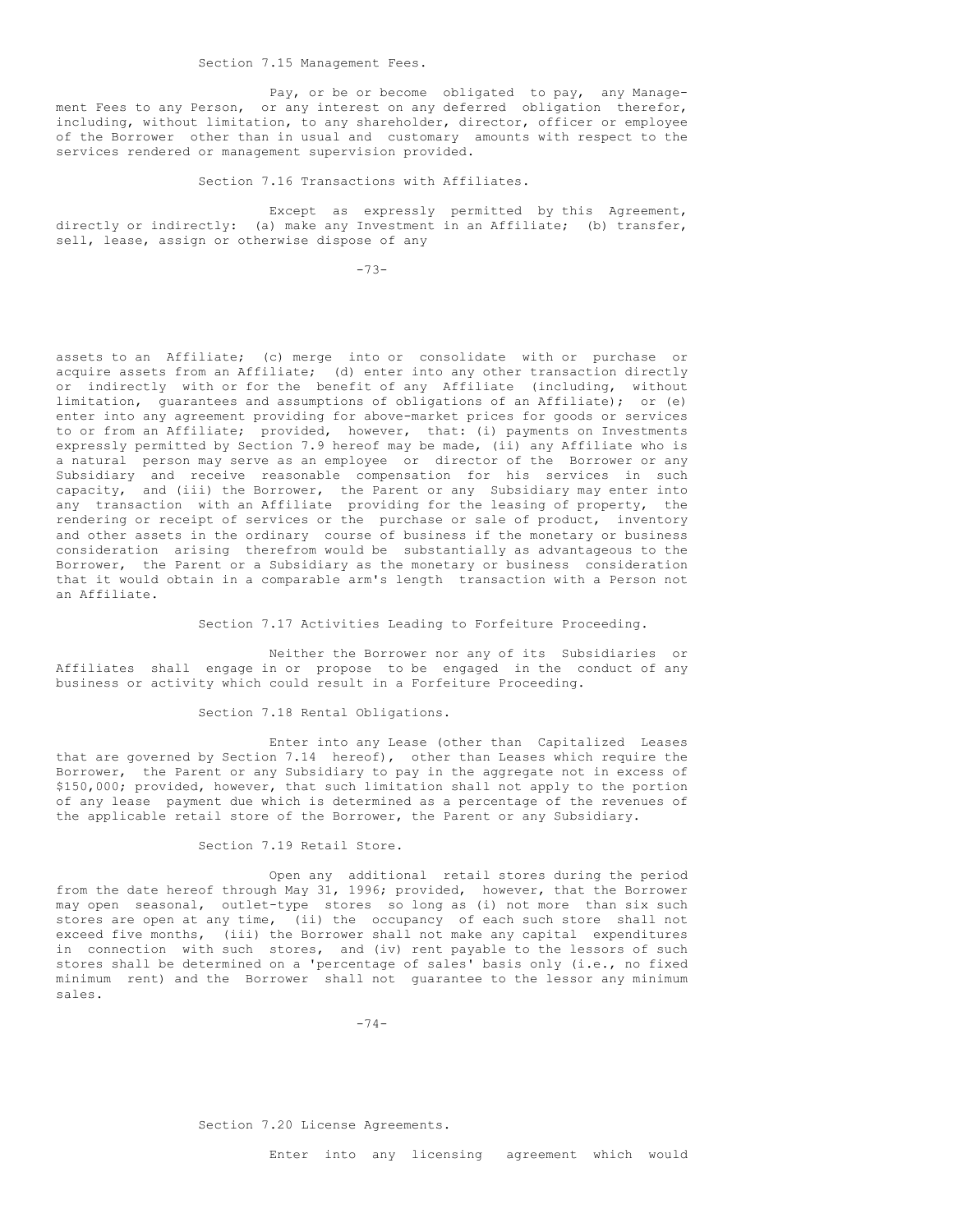Section 7.15 Management Fees.

Pay, or be or become obligated to pay, any Management Fees to any Person, or any interest on any deferred obligation therefor, including, without limitation, to any shareholder, director, officer or employee of the Borrower other than in usual and customary amounts with respect to the services rendered or management supervision provided.

Section 7.16 Transactions with Affiliates.

Except as expressly permitted by this Agreement, directly or indirectly: (a) make any Investment in an Affiliate; (b) transfer, sell, lease, assign or otherwise dispose of any

 $-73-$ 

assets to an Affiliate; (c) merge into or consolidate with or purchase or acquire assets from an Affiliate; (d) enter into any other transaction directly or indirectly with or for the benefit of any Affiliate (including, without limitation, guarantees and assumptions of obligations of an Affiliate); or (e) enter into any agreement providing for above-market prices for goods or services to or from an Affiliate; provided, however, that: (i) payments on Investments expressly permitted by Section 7.9 hereof may be made, (ii) any Affiliate who is a natural person may serve as an employee or director of the Borrower or any Subsidiary and receive reasonable compensation for his services in such capacity, and (iii) the Borrower, the Parent or any Subsidiary may enter into any transaction with an Affiliate providing for the leasing of property, the rendering or receipt of services or the purchase or sale of product, inventory and other assets in the ordinary course of business if the monetary or business consideration arising therefrom would be substantially as advantageous to the Borrower, the Parent or a Subsidiary as the monetary or business consideration that it would obtain in a comparable arm's length transaction with a Person not an Affiliate.

Section 7.17 Activities Leading to Forfeiture Proceeding.

Neither the Borrower nor any of its Subsidiaries or Affiliates shall engage in or propose to be engaged in the conduct of any business or activity which could result in a Forfeiture Proceeding.

Section 7.18 Rental Obligations.

Enter into any Lease (other than Capitalized Leases that are governed by Section 7.14 hereof), other than Leases which require the Borrower, the Parent or any Subsidiary to pay in the aggregate not in excess of \$150,000; provided, however, that such limitation shall not apply to the portion of any lease payment due which is determined as a percentage of the revenues of the applicable retail store of the Borrower, the Parent or any Subsidiary.

Section 7.19 Retail Store.

Open any additional retail stores during the period from the date hereof through May 31, 1996; provided, however, that the Borrower may open seasonal, outlet-type stores so long as (i) not more than six such stores are open at any time, (ii) the occupancy of each such store shall not exceed five months, (iii) the Borrower shall not make any capital expenditures in connection with such stores, and (iv) rent payable to the lessors of such stores shall be determined on a 'percentage of sales' basis only (i.e., no fixed minimum rent) and the Borrower shall not guarantee to the lessor any minimum sales.

 $-74-$ 

Section 7.20 License Agreements.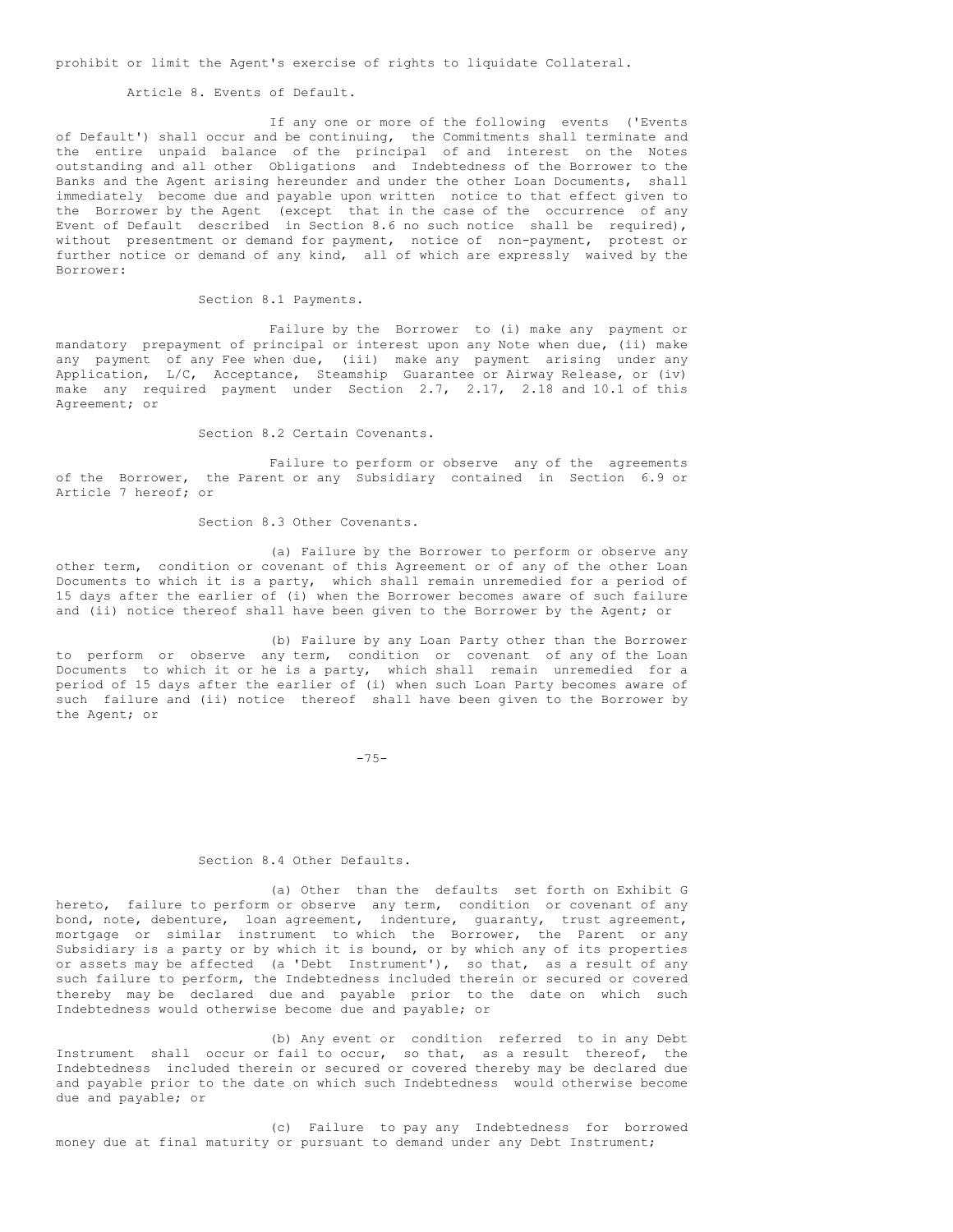prohibit or limit the Agent's exercise of rights to liquidate Collateral.

Article 8. Events of Default.

If any one or more of the following events ('Events of Default') shall occur and be continuing, the Commitments shall terminate and the entire unpaid balance of the principal of and interest on the Notes outstanding and all other Obligations and Indebtedness of the Borrower to the Banks and the Agent arising hereunder and under the other Loan Documents, shall immediately become due and payable upon written notice to that effect given to the Borrower by the Agent (except that in the case of the occurrence of any Event of Default described in Section 8.6 no such notice shall be required), without presentment or demand for payment, notice of non-payment, protest or further notice or demand of any kind, all of which are expressly waived by the Borrower:

Section 8.1 Payments.

Failure by the Borrower to (i) make any payment or mandatory prepayment of principal or interest upon any Note when due, (ii) make any payment of any Fee when due, (iii) make any payment arising under any Application, L/C, Acceptance, Steamship Guarantee or Airway Release, or (iv) make any required payment under Section 2.7, 2.17, 2.18 and 10.1 of this Agreement; or

Section 8.2 Certain Covenants.

Failure to perform or observe any of the agreements of the Borrower, the Parent or any Subsidiary contained in Section 6.9 or Article 7 hereof; or

Section 8.3 Other Covenants.

(a) Failure by the Borrower to perform or observe any other term, condition or covenant of this Agreement or of any of the other Loan Documents to which it is a party, which shall remain unremedied for a period of 15 days after the earlier of (i) when the Borrower becomes aware of such failure and (ii) notice thereof shall have been given to the Borrower by the Agent; or

(b) Failure by any Loan Party other than the Borrower to perform or observe any term, condition or covenant of any of the Loan Documents to which it or he is a party, which shall remain unremedied for a period of 15 days after the earlier of (i) when such Loan Party becomes aware of such failure and (ii) notice thereof shall have been given to the Borrower by the Agent; or

 $-75-$ 

#### Section 8.4 Other Defaults.

(a) Other than the defaults set forth on Exhibit G hereto, failure to perform or observe any term, condition or covenant of any bond, note, debenture, loan agreement, indenture, guaranty, trust agreement, mortgage or similar instrument to which the Borrower, the Parent or any Subsidiary is a party or by which it is bound, or by which any of its properties or assets may be affected (a 'Debt Instrument'), so that, as a result of any such failure to perform, the Indebtedness included therein or secured or covered thereby may be declared due and payable prior to the date on which such Indebtedness would otherwise become due and payable; or

(b) Any event or condition referred to in any Debt Instrument shall occur or fail to occur, so that, as a result thereof, the Indebtedness included therein or secured or covered thereby may be declared due and payable prior to the date on which such Indebtedness would otherwise become due and payable; or

(c) Failure to pay any Indebtedness for borrowed money due at final maturity or pursuant to demand under any Debt Instrument;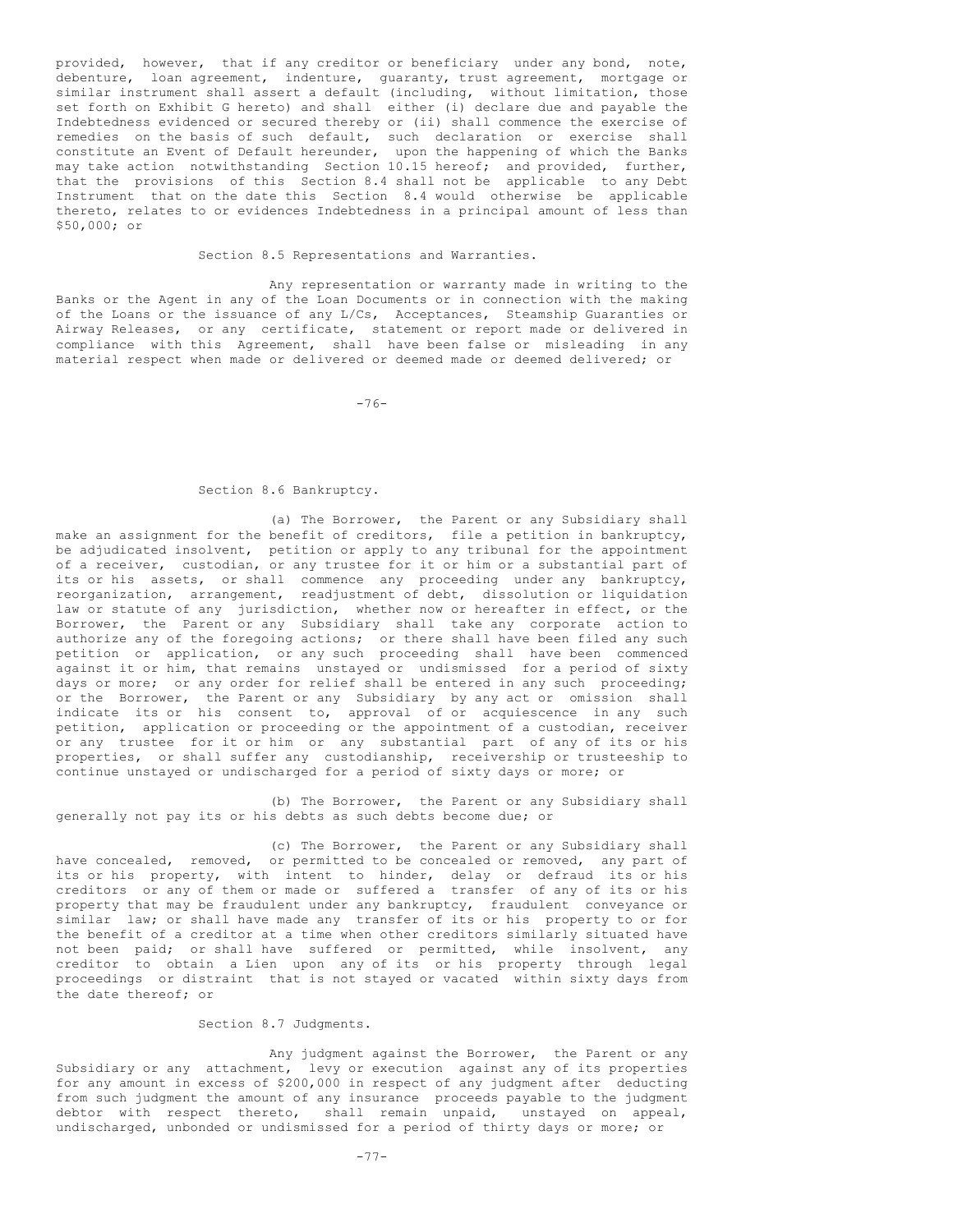provided, however, that if any creditor or beneficiary under any bond, note, debenture, loan agreement, indenture, guaranty, trust agreement, mortgage or similar instrument shall assert a default (including, without limitation, those set forth on Exhibit G hereto) and shall either (i) declare due and payable the Indebtedness evidenced or secured thereby or (ii) shall commence the exercise of remedies on the basis of such default, such declaration or exercise shall constitute an Event of Default hereunder, upon the happening of which the Banks may take action notwithstanding Section 10.15 hereof; and provided, further, that the provisions of this Section 8.4 shall not be applicable to any Debt Instrument that on the date this Section 8.4 would otherwise be applicable thereto, relates to or evidences Indebtedness in a principal amount of less than \$50,000; or

Section 8.5 Representations and Warranties.

Any representation or warranty made in writing to the Banks or the Agent in any of the Loan Documents or in connection with the making of the Loans or the issuance of any L/Cs, Acceptances, Steamship Guaranties or Airway Releases, or any certificate, statement or report made or delivered in compliance with this Agreement, shall have been false or misleading in any material respect when made or delivered or deemed made or deemed delivered; or

-76-

## Section 8.6 Bankruptcy.

(a) The Borrower, the Parent or any Subsidiary shall make an assignment for the benefit of creditors, file a petition in bankruptcy, be adjudicated insolvent, petition or apply to any tribunal for the appointment of a receiver, custodian, or any trustee for it or him or a substantial part of its or his assets, or shall commence any proceeding under any bankruptcy, reorganization, arrangement, readjustment of debt, dissolution or liquidation law or statute of any jurisdiction, whether now or hereafter in effect, or the Borrower, the Parent or any Subsidiary shall take any corporate action to authorize any of the foregoing actions; or there shall have been filed any such petition or application, or any such proceeding shall have been commenced against it or him, that remains unstayed or undismissed for a period of sixty days or more; or any order for relief shall be entered in any such proceeding; or the Borrower, the Parent or any Subsidiary by any act or omission shall indicate its or his consent to, approval of or acquiescence in any such petition, application or proceeding or the appointment of a custodian, receiver or any trustee for it or him or any substantial part of any of its or his properties, or shall suffer any custodianship, receivership or trusteeship to continue unstayed or undischarged for a period of sixty days or more; or

(b) The Borrower, the Parent or any Subsidiary shall generally not pay its or his debts as such debts become due; or

(c) The Borrower, the Parent or any Subsidiary shall have concealed, removed, or permitted to be concealed or removed, any part of its or his property, with intent to hinder, delay or defraud its or his creditors or any of them or made or suffered a transfer of any of its or his property that may be fraudulent under any bankruptcy, fraudulent conveyance or similar law; or shall have made any transfer of its or his property to or for the benefit of a creditor at a time when other creditors similarly situated have not been paid; or shall have suffered or permitted, while insolvent, any creditor to obtain a Lien upon any of its or his property through legal proceedings or distraint that is not stayed or vacated within sixty days from the date thereof; or

# Section 8.7 Judgments.

Any judgment against the Borrower, the Parent or any Subsidiary or any attachment, levy or execution against any of its properties for any amount in excess of \$200,000 in respect of any judgment after deducting from such judgment the amount of any insurance proceeds payable to the judgment debtor with respect thereto, shall remain unpaid, unstayed on appeal, undischarged, unbonded or undismissed for a period of thirty days or more; or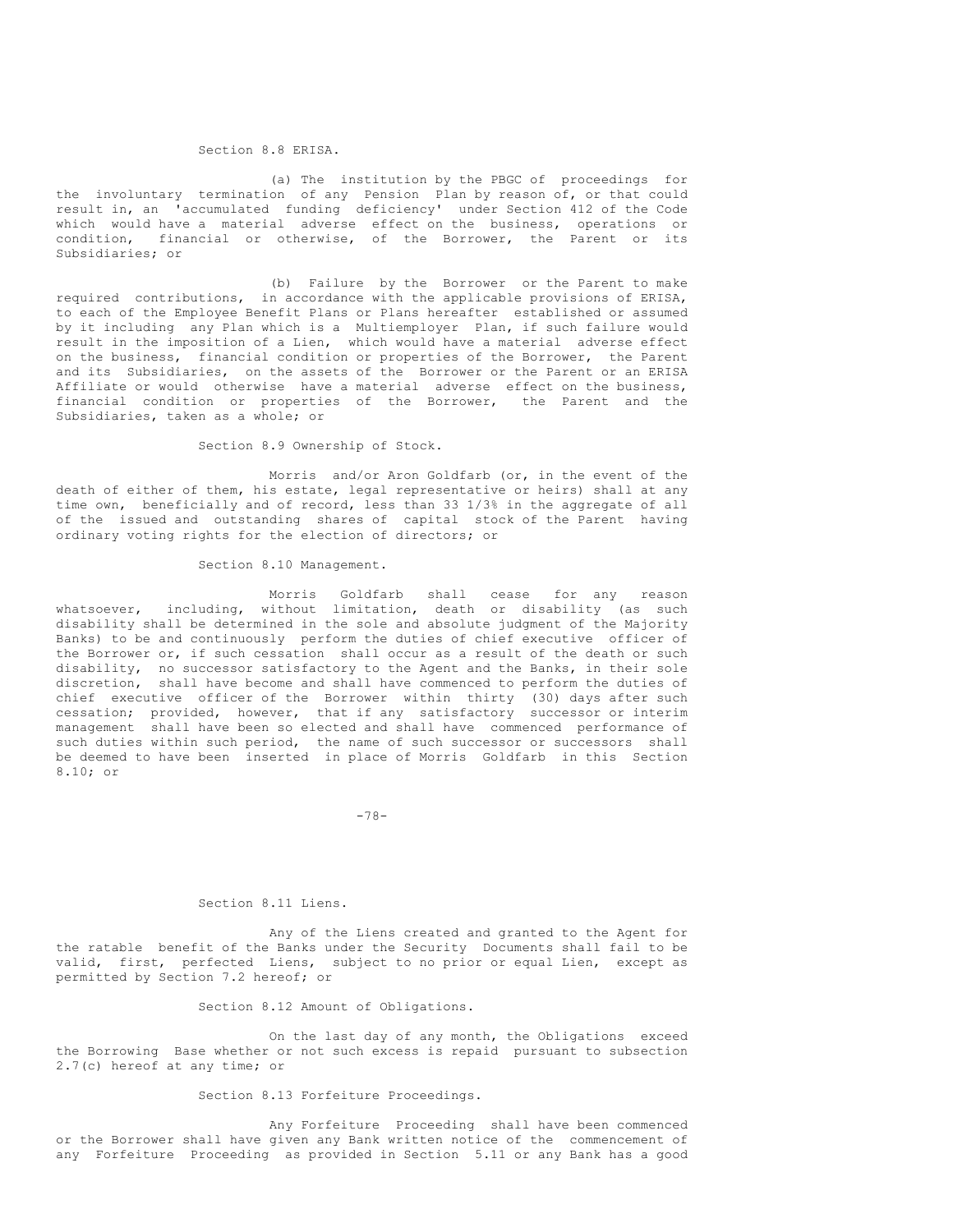#### Section 8.8 ERISA.

(a) The institution by the PBGC of proceedings for the involuntary termination of any Pension Plan by reason of, or that could result in, an 'accumulated funding deficiency' under Section 412 of the Code which would have a material adverse effect on the business, operations or condition, financial or otherwise, of the Borrower, the Parent or its Subsidiaries; or

(b) Failure by the Borrower or the Parent to make required contributions, in accordance with the applicable provisions of ERISA, to each of the Employee Benefit Plans or Plans hereafter established or assumed by it including any Plan which is a Multiemployer Plan, if such failure would result in the imposition of a Lien, which would have a material adverse effect on the business, financial condition or properties of the Borrower, the Parent and its Subsidiaries, on the assets of the Borrower or the Parent or an ERISA Affiliate or would otherwise have a material adverse effect on the business, financial condition or properties of the Borrower, the Parent and the Subsidiaries, taken as a whole; or

Section 8.9 Ownership of Stock.

Morris and/or Aron Goldfarb (or, in the event of the death of either of them, his estate, legal representative or heirs) shall at any time own, beneficially and of record, less than 33 1/3% in the aggregate of all of the issued and outstanding shares of capital stock of the Parent having ordinary voting rights for the election of directors; or

Section 8.10 Management.

Morris Goldfarb shall cease for any reason whatsoever, including, without limitation, death or disability (as such disability shall be determined in the sole and absolute judgment of the Majority Banks) to be and continuously perform the duties of chief executive officer of the Borrower or, if such cessation shall occur as a result of the death or such disability, no successor satisfactory to the Agent and the Banks, in their sole discretion, shall have become and shall have commenced to perform the duties of chief executive officer of the Borrower within thirty (30) days after such cessation; provided, however, that if any satisfactory successor or interim management shall have been so elected and shall have commenced performance of such duties within such period, the name of such successor or successors shall be deemed to have been inserted in place of Morris Goldfarb in this Section 8.10; or

 $-78-$ 

#### Section 8.11 Liens.

Any of the Liens created and granted to the Agent for the ratable benefit of the Banks under the Security Documents shall fail to be valid, first, perfected Liens, subject to no prior or equal Lien, except as permitted by Section 7.2 hereof; or

Section 8.12 Amount of Obligations.

On the last day of any month, the Obligations exceed the Borrowing Base whether or not such excess is repaid pursuant to subsection 2.7(c) hereof at any time; or

# Section 8.13 Forfeiture Proceedings.

Any Forfeiture Proceeding shall have been commenced or the Borrower shall have given any Bank written notice of the commencement of any Forfeiture Proceeding as provided in Section 5.11 or any Bank has a good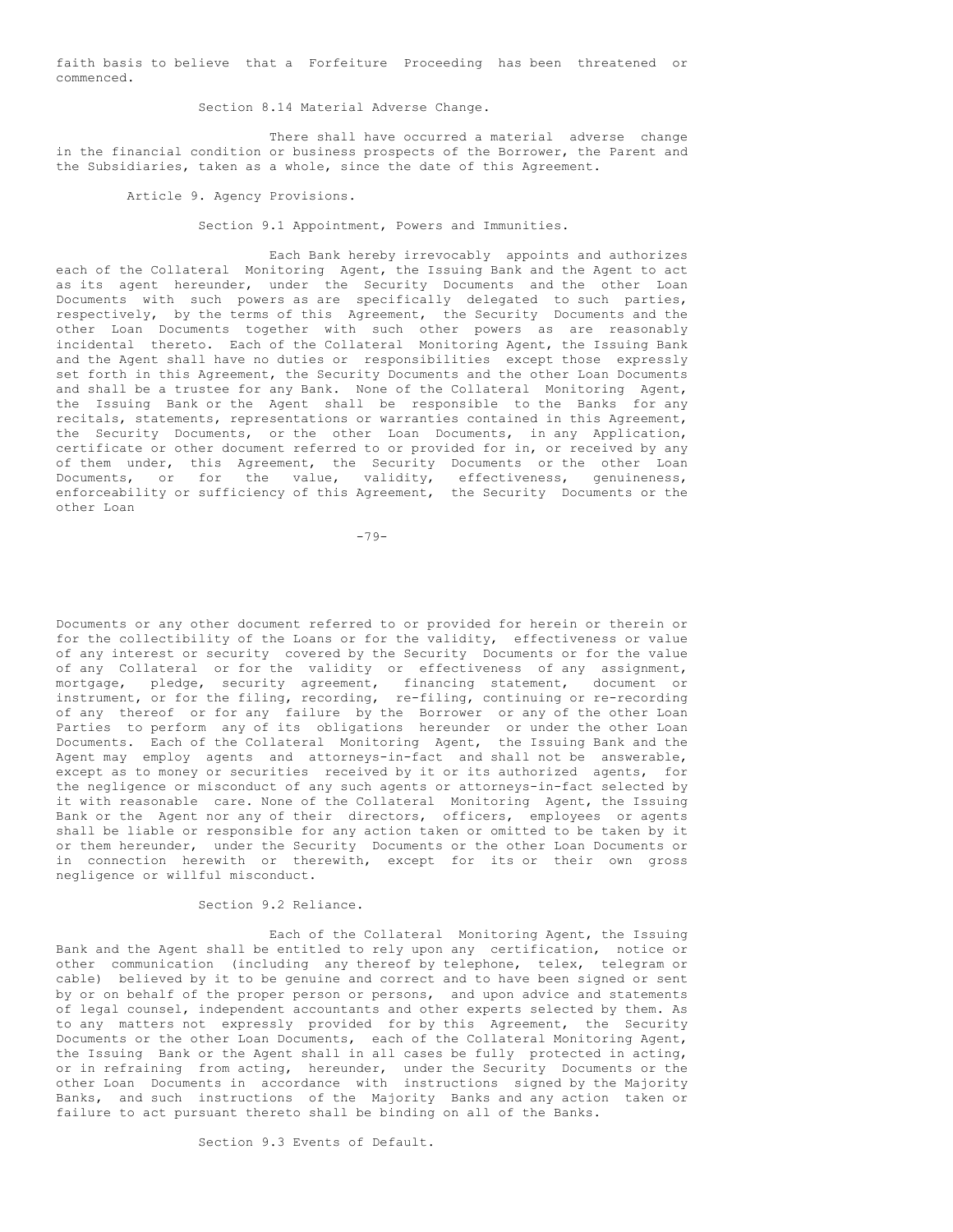faith basis to believe that a Forfeiture Proceeding has been threatened or commenced.

Section 8.14 Material Adverse Change.

There shall have occurred a material adverse change in the financial condition or business prospects of the Borrower, the Parent and the Subsidiaries, taken as a whole, since the date of this Agreement.

Article 9. Agency Provisions.

Section 9.1 Appointment, Powers and Immunities.

Each Bank hereby irrevocably appoints and authorizes each of the Collateral Monitoring Agent, the Issuing Bank and the Agent to act as its agent hereunder, under the Security Documents and the other Loan Documents with such powers as are specifically delegated to such parties, respectively, by the terms of this Agreement, the Security Documents and the other Loan Documents together with such other powers as are reasonably incidental thereto. Each of the Collateral Monitoring Agent, the Issuing Bank and the Agent shall have no duties or responsibilities except those expressly set forth in this Agreement, the Security Documents and the other Loan Documents and shall be a trustee for any Bank. None of the Collateral Monitoring Agent, the Issuing Bank or the Agent shall be responsible to the Banks for any recitals, statements, representations or warranties contained in this Agreement, the Security Documents, or the other Loan Documents, in any Application, certificate or other document referred to or provided for in, or received by any of them under, this Agreement, the Security Documents or the other Loan Documents, or for the value, validity, effectiveness, genuineness, enforceability or sufficiency of this Agreement, the Security Documents or the other Loan

 $-79-$ 

Documents or any other document referred to or provided for herein or therein or for the collectibility of the Loans or for the validity, effectiveness or value of any interest or security covered by the Security Documents or for the value of any Collateral or for the validity or effectiveness of any assignment, mortgage, pledge, security agreement, financing statement, document or instrument, or for the filing, recording, re-filing, continuing or re-recording of any thereof or for any failure by the Borrower or any of the other Loan Parties to perform any of its obligations hereunder or under the other Loan Documents. Each of the Collateral Monitoring Agent, the Issuing Bank and the Agent may employ agents and attorneys-in-fact and shall not be answerable, except as to money or securities received by it or its authorized agents, for the negligence or misconduct of any such agents or attorneys-in-fact selected by it with reasonable care. None of the Collateral Monitoring Agent, the Issuing Bank or the Agent nor any of their directors, officers, employees or agents shall be liable or responsible for any action taken or omitted to be taken by it or them hereunder, under the Security Documents or the other Loan Documents or in connection herewith or therewith, except for its or their own gross negligence or willful misconduct.

Section 9.2 Reliance.

Each of the Collateral Monitoring Agent, the Issuing Bank and the Agent shall be entitled to rely upon any certification, notice or other communication (including any thereof by telephone, telex, telegram or cable) believed by it to be genuine and correct and to have been signed or sent by or on behalf of the proper person or persons, and upon advice and statements of legal counsel, independent accountants and other experts selected by them. As to any matters not expressly provided for by this Agreement, the Security Documents or the other Loan Documents, each of the Collateral Monitoring Agent, the Issuing Bank or the Agent shall in all cases be fully protected in acting, or in refraining from acting, hereunder, under the Security Documents or the other Loan Documents in accordance with instructions signed by the Majority Banks, and such instructions of the Majority Banks and any action taken or failure to act pursuant thereto shall be binding on all of the Banks.

Section 9.3 Events of Default.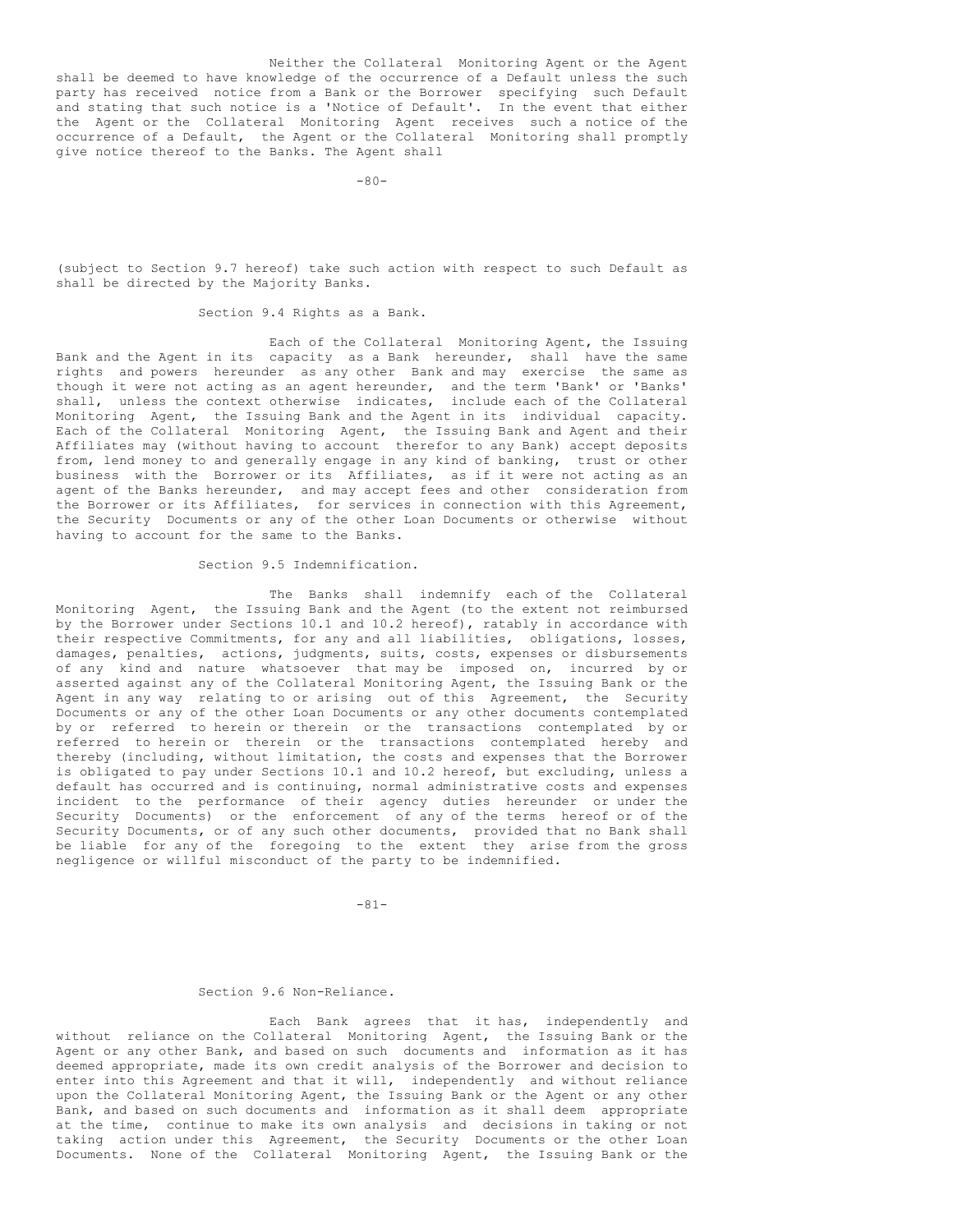Neither the Collateral Monitoring Agent or the Agent shall be deemed to have knowledge of the occurrence of a Default unless the such party has received notice from a Bank or the Borrower specifying such Default and stating that such notice is a 'Notice of Default'. In the event that either the Agent or the Collateral Monitoring Agent receives such a notice of the occurrence of a Default, the Agent or the Collateral Monitoring shall promptly give notice thereof to the Banks. The Agent shall

 $-80-$ 

(subject to Section 9.7 hereof) take such action with respect to such Default as shall be directed by the Majority Banks.

# Section 9.4 Rights as a Bank.

Each of the Collateral Monitoring Agent, the Issuing Bank and the Agent in its capacity as a Bank hereunder, shall have the same rights and powers hereunder as any other Bank and may exercise the same as though it were not acting as an agent hereunder, and the term 'Bank' or 'Banks' shall, unless the context otherwise indicates, include each of the Collateral Monitoring Agent, the Issuing Bank and the Agent in its individual capacity. Each of the Collateral Monitoring Agent, the Issuing Bank and Agent and their Affiliates may (without having to account therefor to any Bank) accept deposits from, lend money to and generally engage in any kind of banking, trust or other business with the Borrower or its Affiliates, as if it were not acting as an agent of the Banks hereunder, and may accept fees and other consideration from the Borrower or its Affiliates, for services in connection with this Agreement, the Security Documents or any of the other Loan Documents or otherwise without having to account for the same to the Banks.

# Section 9.5 Indemnification.

The Banks shall indemnify each of the Collateral Monitoring Agent, the Issuing Bank and the Agent (to the extent not reimbursed by the Borrower under Sections 10.1 and 10.2 hereof), ratably in accordance with their respective Commitments, for any and all liabilities, obligations, losses, damages, penalties, actions, judgments, suits, costs, expenses or disbursements of any kind and nature whatsoever that may be imposed on, incurred by or asserted against any of the Collateral Monitoring Agent, the Issuing Bank or the Agent in any way relating to or arising out of this Agreement, the Security Documents or any of the other Loan Documents or any other documents contemplated by or referred to herein or therein or the transactions contemplated by or referred to herein or therein or the transactions contemplated hereby and thereby (including, without limitation, the costs and expenses that the Borrower is obligated to pay under Sections 10.1 and 10.2 hereof, but excluding, unless a default has occurred and is continuing, normal administrative costs and expenses incident to the performance of their agency duties hereunder or under the Security Documents) or the enforcement of any of the terms hereof or of the Security Documents, or of any such other documents, provided that no Bank shall be liable for any of the foregoing to the extent they arise from the gross negligence or willful misconduct of the party to be indemnified.

-81-

#### Section 9.6 Non-Reliance.

Each Bank agrees that it has, independently and without reliance on the Collateral Monitoring Agent, the Issuing Bank or the Agent or any other Bank, and based on such documents and information as it has deemed appropriate, made its own credit analysis of the Borrower and decision to enter into this Agreement and that it will, independently and without reliance upon the Collateral Monitoring Agent, the Issuing Bank or the Agent or any other Bank, and based on such documents and information as it shall deem appropriate at the time, continue to make its own analysis and decisions in taking or not taking action under this Agreement, the Security Documents or the other Loan Documents. None of the Collateral Monitoring Agent, the Issuing Bank or the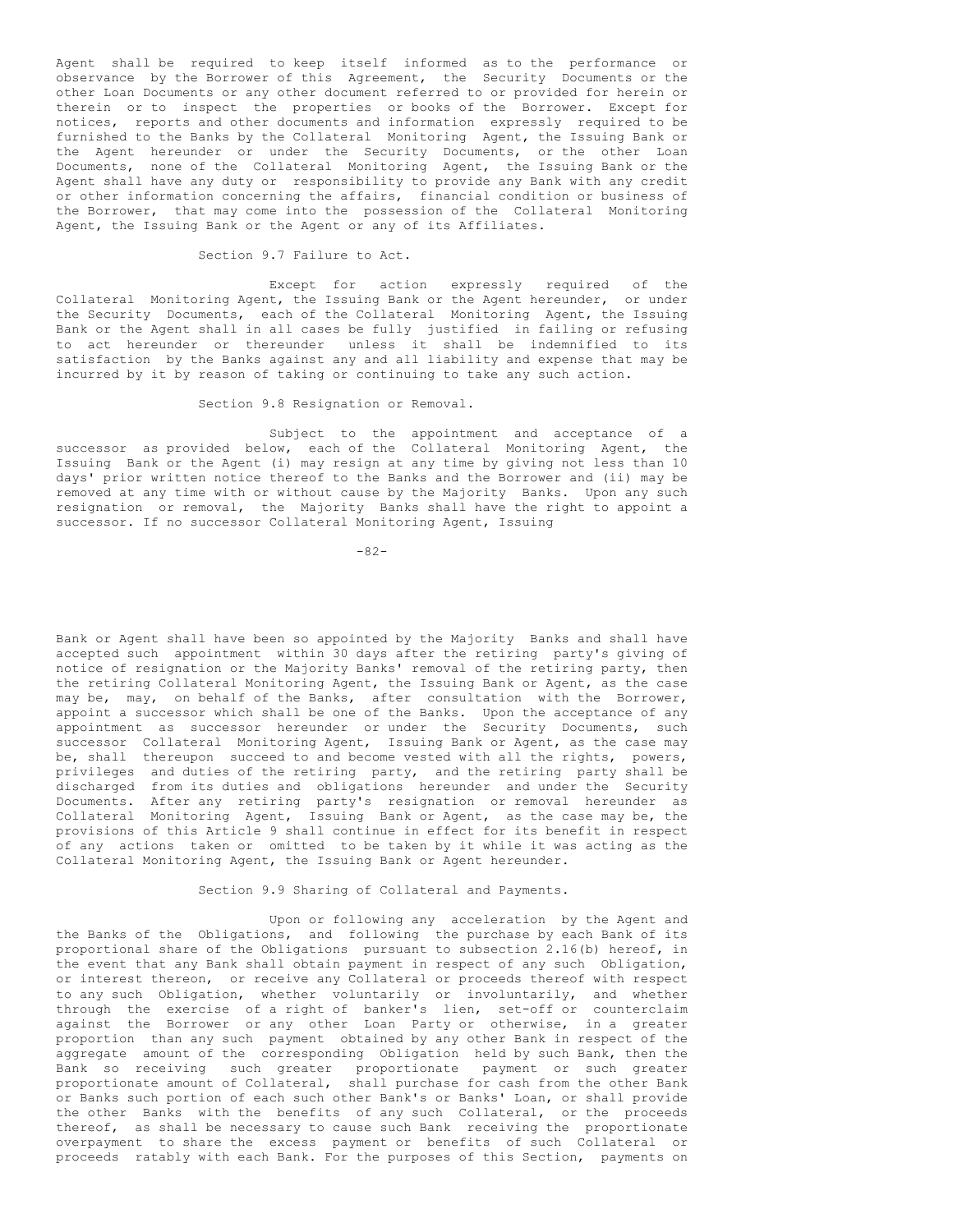Agent shall be required to keep itself informed as to the performance or observance by the Borrower of this Agreement, the Security Documents or the other Loan Documents or any other document referred to or provided for herein or therein or to inspect the properties or books of the Borrower. Except for notices, reports and other documents and information expressly required to be furnished to the Banks by the Collateral Monitoring Agent, the Issuing Bank or the Agent hereunder or under the Security Documents, or the other Loan Documents, none of the Collateral Monitoring Agent, the Issuing Bank or the Agent shall have any duty or responsibility to provide any Bank with any credit or other information concerning the affairs, financial condition or business of the Borrower, that may come into the possession of the Collateral Monitoring Agent, the Issuing Bank or the Agent or any of its Affiliates.

Section 9.7 Failure to Act.

Except for action expressly required of the Collateral Monitoring Agent, the Issuing Bank or the Agent hereunder, or under the Security Documents, each of the Collateral Monitoring Agent, the Issuing Bank or the Agent shall in all cases be fully justified in failing or refusing to act hereunder or thereunder unless it shall be indemnified to its satisfaction by the Banks against any and all liability and expense that may be incurred by it by reason of taking or continuing to take any such action.

Section 9.8 Resignation or Removal.

Subject to the appointment and acceptance of a successor as provided below, each of the Collateral Monitoring Agent, the Issuing Bank or the Agent (i) may resign at any time by giving not less than 10 days' prior written notice thereof to the Banks and the Borrower and (ii) may be removed at any time with or without cause by the Majority Banks. Upon any such resignation or removal, the Majority Banks shall have the right to appoint a successor. If no successor Collateral Monitoring Agent, Issuing

 $-82-$ 

Bank or Agent shall have been so appointed by the Majority Banks and shall have accepted such appointment within 30 days after the retiring party's giving of notice of resignation or the Majority Banks' removal of the retiring party, then the retiring Collateral Monitoring Agent, the Issuing Bank or Agent, as the case may be, may, on behalf of the Banks, after consultation with the Borrower, appoint a successor which shall be one of the Banks. Upon the acceptance of any appointment as successor hereunder or under the Security Documents, such successor Collateral Monitoring Agent, Issuing Bank or Agent, as the case may be, shall thereupon succeed to and become vested with all the rights, powers, privileges and duties of the retiring party, and the retiring party shall be discharged from its duties and obligations hereunder and under the Security Documents. After any retiring party's resignation or removal hereunder as Collateral Monitoring Agent, Issuing Bank or Agent, as the case may be, the provisions of this Article 9 shall continue in effect for its benefit in respect of any actions taken or omitted to be taken by it while it was acting as the Collateral Monitoring Agent, the Issuing Bank or Agent hereunder.

Section 9.9 Sharing of Collateral and Payments.

Upon or following any acceleration by the Agent and the Banks of the Obligations, and following the purchase by each Bank of its proportional share of the Obligations pursuant to subsection 2.16(b) hereof, in the event that any Bank shall obtain payment in respect of any such Obligation, or interest thereon, or receive any Collateral or proceeds thereof with respect to any such Obligation, whether voluntarily or involuntarily, and whether through the exercise of a right of banker's lien, set-off or counterclaim against the Borrower or any other Loan Party or otherwise, in a greater proportion than any such payment obtained by any other Bank in respect of the aggregate amount of the corresponding Obligation held by such Bank, then the Bank so receiving such greater proportionate payment or such greater proportionate amount of Collateral, shall purchase for cash from the other Bank or Banks such portion of each such other Bank's or Banks' Loan, or shall provide the other Banks with the benefits of any such Collateral, or the proceeds thereof, as shall be necessary to cause such Bank receiving the proportionate overpayment to share the excess payment or benefits of such Collateral or proceeds ratably with each Bank. For the purposes of this Section, payments on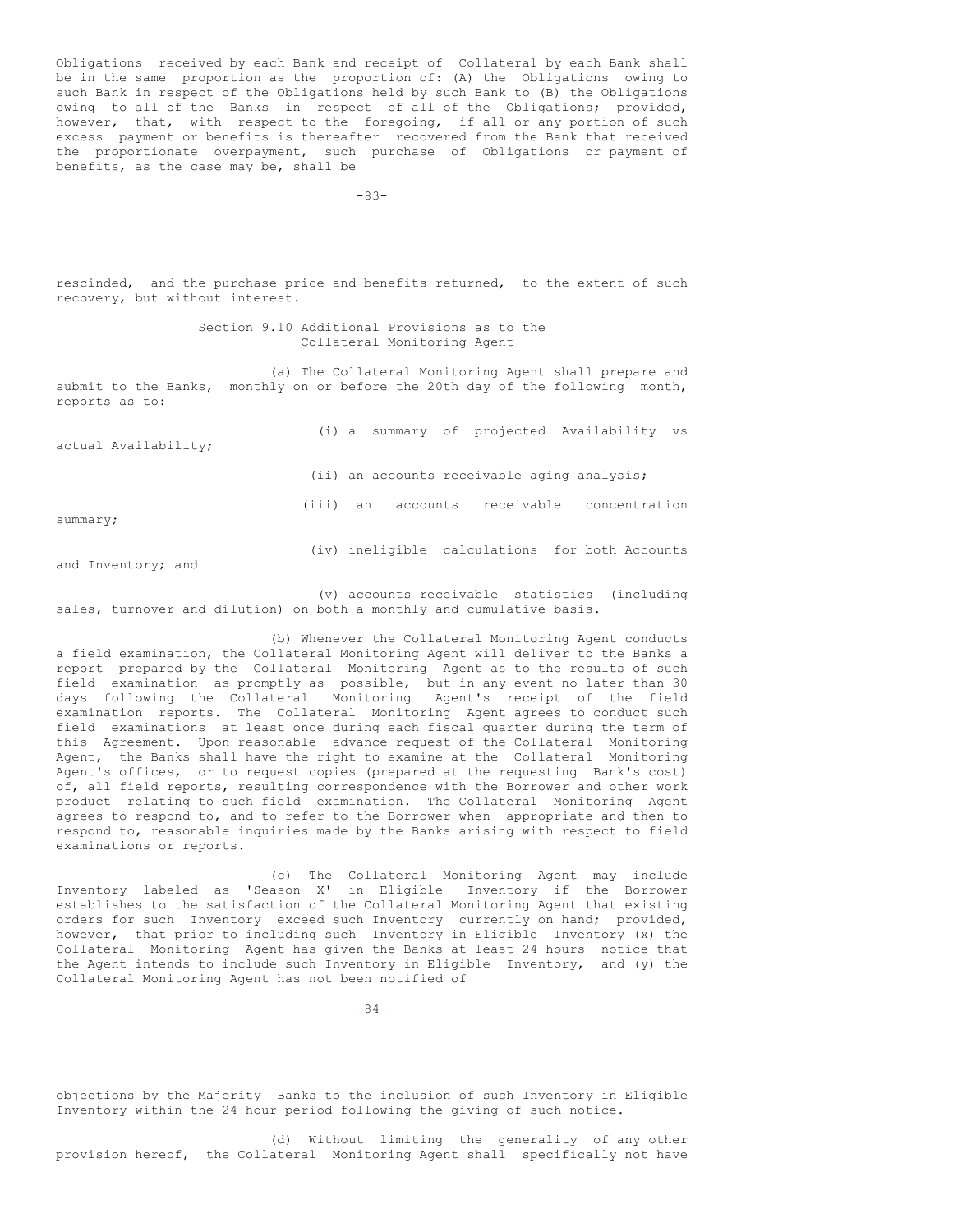Obligations received by each Bank and receipt of Collateral by each Bank shall be in the same proportion as the proportion of: (A) the Obligations owing to such Bank in respect of the Obligations held by such Bank to (B) the Obligations owing to all of the Banks in respect of all of the Obligations; provided, however, that, with respect to the foregoing, if all or any portion of such excess payment or benefits is thereafter recovered from the Bank that received the proportionate overpayment, such purchase of Obligations or payment of benefits, as the case may be, shall be

-83-

rescinded, and the purchase price and benefits returned, to the extent of such recovery, but without interest.

> Section 9.10 Additional Provisions as to the Collateral Monitoring Agent

(a) The Collateral Monitoring Agent shall prepare and submit to the Banks, monthly on or before the 20th day of the following month, reports as to:

| actual Availability; |       |    |          | (i) a summary of projected Availability vs     |  |  |
|----------------------|-------|----|----------|------------------------------------------------|--|--|
|                      |       |    |          | (ii) an accounts receivable aging analysis;    |  |  |
| summary;             | (iii) | an | accounts | receivable concentration                       |  |  |
| and Inventory; and   |       |    |          | (iv) ineligible calculations for both Accounts |  |  |

(v) accounts receivable statistics (including sales, turnover and dilution) on both a monthly and cumulative basis.

(b) Whenever the Collateral Monitoring Agent conducts a field examination, the Collateral Monitoring Agent will deliver to the Banks a report prepared by the Collateral Monitoring Agent as to the results of such field examination as promptly as possible, but in any event no later than 30 days following the Collateral Monitoring Agent's receipt of the field examination reports. The Collateral Monitoring Agent agrees to conduct such field examinations at least once during each fiscal quarter during the term of this Agreement. Upon reasonable advance request of the Collateral Monitoring Agent, the Banks shall have the right to examine at the Collateral Monitoring Agent's offices, or to request copies (prepared at the requesting Bank's cost) of, all field reports, resulting correspondence with the Borrower and other work product relating to such field examination. The Collateral Monitoring Agent agrees to respond to, and to refer to the Borrower when appropriate and then to respond to, reasonable inquiries made by the Banks arising with respect to field examinations or reports.

(c) The Collateral Monitoring Agent may include Inventory labeled as 'Season X' in Eligible Inventory if the Borrower establishes to the satisfaction of the Collateral Monitoring Agent that existing orders for such Inventory exceed such Inventory currently on hand; provided, however, that prior to including such Inventory in Eligible Inventory (x) the Collateral Monitoring Agent has given the Banks at least 24 hours notice that the Agent intends to include such Inventory in Eligible Inventory, and (y) the Collateral Monitoring Agent has not been notified of

 $-84-$ 

objections by the Majority Banks to the inclusion of such Inventory in Eligible Inventory within the 24-hour period following the giving of such notice.

(d) Without limiting the generality of any other provision hereof, the Collateral Monitoring Agent shall specifically not have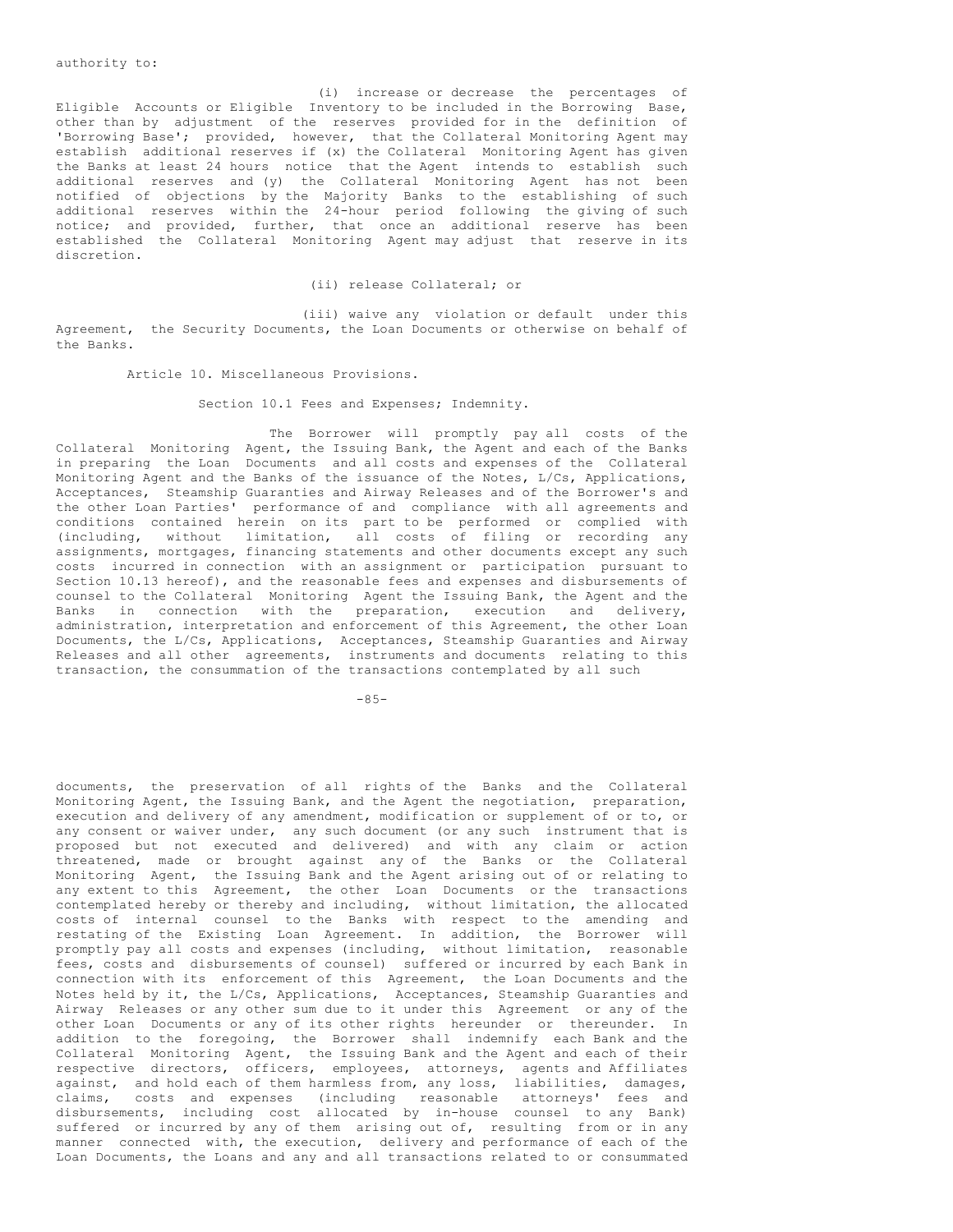authority to:

(i) increase or decrease the percentages of Eligible Accounts or Eligible Inventory to be included in the Borrowing Base, other than by adjustment of the reserves provided for in the definition of 'Borrowing Base'; provided, however, that the Collateral Monitoring Agent may establish additional reserves if (x) the Collateral Monitoring Agent has given the Banks at least 24 hours notice that the Agent intends to establish such additional reserves and (y) the Collateral Monitoring Agent has not been notified of objections by the Majority Banks to the establishing of such additional reserves within the 24-hour period following the giving of such notice; and provided, further, that once an additional reserve has been established the Collateral Monitoring Agent may adjust that reserve in its discretion.

#### (ii) release Collateral; or

(iii) waive any violation or default under this Agreement, the Security Documents, the Loan Documents or otherwise on behalf of the Banks.

Article 10. Miscellaneous Provisions.

Section 10.1 Fees and Expenses; Indemnity.

The Borrower will promptly pay all costs of the Collateral Monitoring Agent, the Issuing Bank, the Agent and each of the Banks in preparing the Loan Documents and all costs and expenses of the Collateral Monitoring Agent and the Banks of the issuance of the Notes, L/Cs, Applications, Acceptances, Steamship Guaranties and Airway Releases and of the Borrower's and the other Loan Parties' performance of and compliance with all agreements and conditions contained herein on its part to be performed or complied with (including, without limitation, all costs of filing or recording any assignments, mortgages, financing statements and other documents except any such costs incurred in connection with an assignment or participation pursuant to Section 10.13 hereof), and the reasonable fees and expenses and disbursements of counsel to the Collateral Monitoring Agent the Issuing Bank, the Agent and the Banks in connection with the preparation, execution and delivery, administration, interpretation and enforcement of this Agreement, the other Loan Documents, the L/Cs, Applications, Acceptances, Steamship Guaranties and Airway Releases and all other agreements, instruments and documents relating to this transaction, the consummation of the transactions contemplated by all such

 $-85-$ 

documents, the preservation of all rights of the Banks and the Collateral Monitoring Agent, the Issuing Bank, and the Agent the negotiation, preparation, execution and delivery of any amendment, modification or supplement of or to, or any consent or waiver under, any such document (or any such instrument that is proposed but not executed and delivered) and with any claim or action threatened, made or brought against any of the Banks or the Collateral Monitoring Agent, the Issuing Bank and the Agent arising out of or relating to any extent to this Agreement, the other Loan Documents or the transactions contemplated hereby or thereby and including, without limitation, the allocated costs of internal counsel to the Banks with respect to the amending and restating of the Existing Loan Agreement. In addition, the Borrower will promptly pay all costs and expenses (including, without limitation, reasonable fees, costs and disbursements of counsel) suffered or incurred by each Bank in connection with its enforcement of this Agreement, the Loan Documents and the Notes held by it, the L/Cs, Applications, Acceptances, Steamship Guaranties and Airway Releases or any other sum due to it under this Agreement or any of the other Loan Documents or any of its other rights hereunder or thereunder. In addition to the foregoing, the Borrower shall indemnify each Bank and the Collateral Monitoring Agent, the Issuing Bank and the Agent and each of their respective directors, officers, employees, attorneys, agents and Affiliates against, and hold each of them harmless from, any loss, liabilities, damages, claims, costs and expenses (including reasonable attorneys' fees and disbursements, including cost allocated by in-house counsel to any Bank) suffered or incurred by any of them arising out of, resulting from or in any manner connected with, the execution, delivery and performance of each of the Loan Documents, the Loans and any and all transactions related to or consummated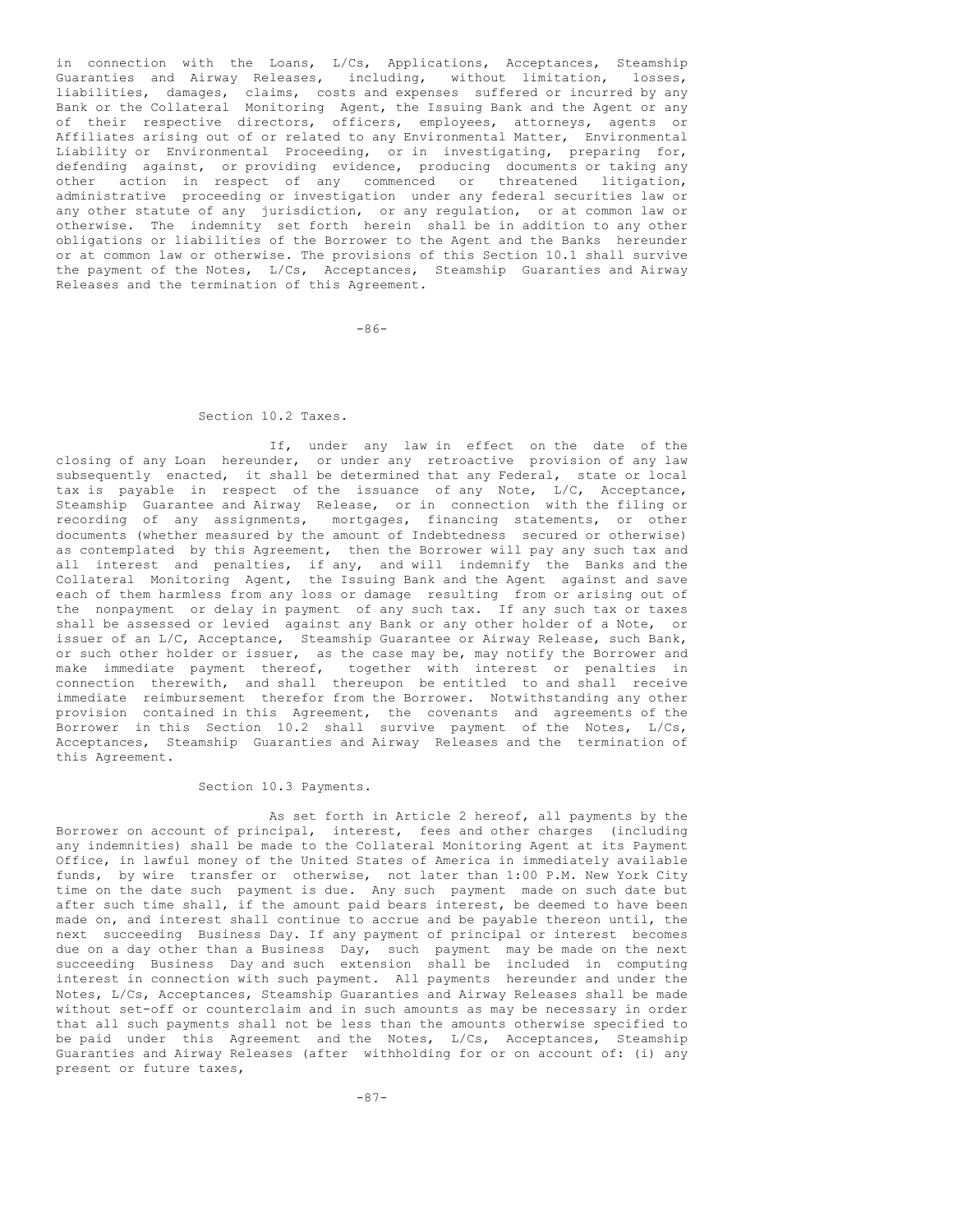in connection with the Loans, L/Cs, Applications, Acceptances, Steamship Guaranties and Airway Releases, including, without limitation, losses, liabilities, damages, claims, costs and expenses suffered or incurred by any Bank or the Collateral Monitoring Agent, the Issuing Bank and the Agent or any of their respective directors, officers, employees, attorneys, agents or Affiliates arising out of or related to any Environmental Matter, Environmental Liability or Environmental Proceeding, or in investigating, preparing for, defending against, or providing evidence, producing documents or taking any other action in respect of any commenced or threatened litigation, administrative proceeding or investigation under any federal securities law or any other statute of any jurisdiction, or any regulation, or at common law or otherwise. The indemnity set forth herein shall be in addition to any other obligations or liabilities of the Borrower to the Agent and the Banks hereunder or at common law or otherwise. The provisions of this Section 10.1 shall survive the payment of the Notes, L/Cs, Acceptances, Steamship Guaranties and Airway Releases and the termination of this Agreement.

-86-

# Section 10.2 Taxes.

If, under any law in effect on the date of the closing of any Loan hereunder, or under any retroactive provision of any law subsequently enacted, it shall be determined that any Federal, state or local tax is payable in respect of the issuance of any Note, L/C, Acceptance, Steamship Guarantee and Airway Release, or in connection with the filing or recording of any assignments, mortgages, financing statements, or other documents (whether measured by the amount of Indebtedness secured or otherwise) as contemplated by this Agreement, then the Borrower will pay any such tax and all interest and penalties, if any, and will indemnify the Banks and the Collateral Monitoring Agent, the Issuing Bank and the Agent against and save each of them harmless from any loss or damage resulting from or arising out of the nonpayment or delay in payment of any such tax. If any such tax or taxes shall be assessed or levied against any Bank or any other holder of a Note, or issuer of an L/C, Acceptance, Steamship Guarantee or Airway Release, such Bank, or such other holder or issuer, as the case may be, may notify the Borrower and make immediate payment thereof, together with interest or penalties in connection therewith, and shall thereupon be entitled to and shall receive immediate reimbursement therefor from the Borrower. Notwithstanding any other provision contained in this Agreement, the covenants and agreements of the Borrower in this Section 10.2 shall survive payment of the Notes, L/Cs, Acceptances, Steamship Guaranties and Airway Releases and the termination of this Agreement.

#### Section 10.3 Payments.

As set forth in Article 2 hereof, all payments by the Borrower on account of principal, interest, fees and other charges (including any indemnities) shall be made to the Collateral Monitoring Agent at its Payment Office, in lawful money of the United States of America in immediately available funds, by wire transfer or otherwise, not later than 1:00 P.M. New York City time on the date such payment is due. Any such payment made on such date but after such time shall, if the amount paid bears interest, be deemed to have been made on, and interest shall continue to accrue and be payable thereon until, the next succeeding Business Day. If any payment of principal or interest becomes due on a day other than a Business Day, such payment may be made on the next succeeding Business Day and such extension shall be included in computing interest in connection with such payment. All payments hereunder and under the Notes, L/Cs, Acceptances, Steamship Guaranties and Airway Releases shall be made without set-off or counterclaim and in such amounts as may be necessary in order that all such payments shall not be less than the amounts otherwise specified to be paid under this Agreement and the Notes, L/Cs, Acceptances, Steamship Guaranties and Airway Releases (after withholding for or on account of: (i) any present or future taxes,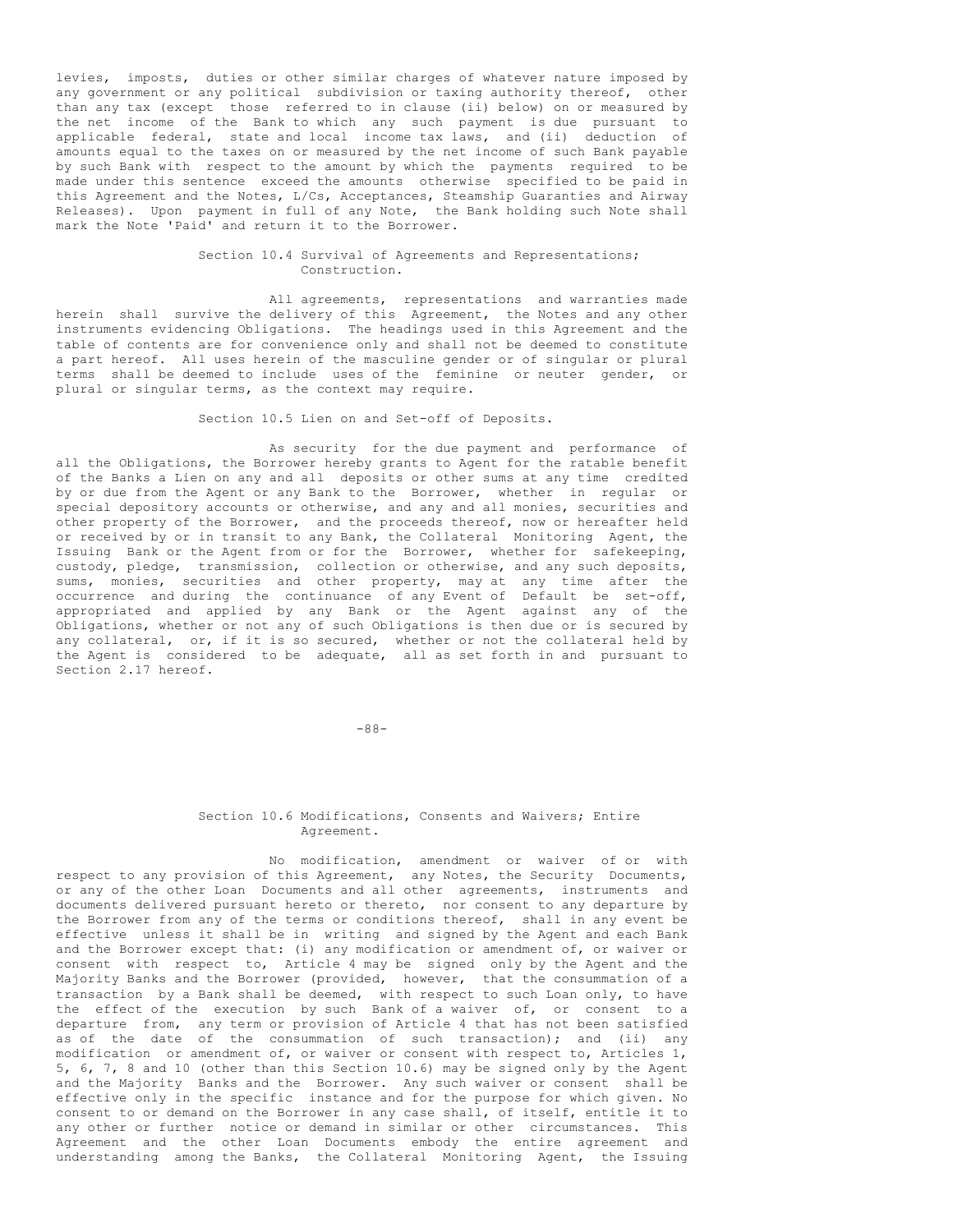levies, imposts, duties or other similar charges of whatever nature imposed by any government or any political subdivision or taxing authority thereof, other than any tax (except those referred to in clause (ii) below) on or measured by the net income of the Bank to which any such payment is due pursuant to applicable federal, state and local income tax laws, and (ii) deduction of amounts equal to the taxes on or measured by the net income of such Bank payable by such Bank with respect to the amount by which the payments required to be made under this sentence exceed the amounts otherwise specified to be paid in this Agreement and the Notes, L/Cs, Acceptances, Steamship Guaranties and Airway Releases). Upon payment in full of any Note, the Bank holding such Note shall mark the Note 'Paid' and return it to the Borrower.

# Section 10.4 Survival of Agreements and Representations; Construction.

All agreements, representations and warranties made herein shall survive the delivery of this Agreement, the Notes and any other instruments evidencing Obligations. The headings used in this Agreement and the table of contents are for convenience only and shall not be deemed to constitute a part hereof. All uses herein of the masculine gender or of singular or plural terms shall be deemed to include uses of the feminine or neuter gender, or plural or singular terms, as the context may require.

#### Section 10.5 Lien on and Set-off of Deposits.

As security for the due payment and performance of all the Obligations, the Borrower hereby grants to Agent for the ratable benefit of the Banks a Lien on any and all deposits or other sums at any time credited by or due from the Agent or any Bank to the Borrower, whether in regular or special depository accounts or otherwise, and any and all monies, securities and other property of the Borrower, and the proceeds thereof, now or hereafter held or received by or in transit to any Bank, the Collateral Monitoring Agent, the Issuing Bank or the Agent from or for the Borrower, whether for safekeeping, custody, pledge, transmission, collection or otherwise, and any such deposits, sums, monies, securities and other property, may at any time after the occurrence and during the continuance of any Event of Default be set-off, appropriated and applied by any Bank or the Agent against any of the Obligations, whether or not any of such Obligations is then due or is secured by any collateral, or, if it is so secured, whether or not the collateral held by the Agent is considered to be adequate, all as set forth in and pursuant to Section 2.17 hereof.

-88-

#### Section 10.6 Modifications, Consents and Waivers; Entire Agreement.

No modification, amendment or waiver of or with respect to any provision of this Agreement, any Notes, the Security Documents, or any of the other Loan Documents and all other agreements, instruments and documents delivered pursuant hereto or thereto, nor consent to any departure by the Borrower from any of the terms or conditions thereof, shall in any event be effective unless it shall be in writing and signed by the Agent and each Bank and the Borrower except that: (i) any modification or amendment of, or waiver or consent with respect to, Article 4 may be signed only by the Agent and the Majority Banks and the Borrower (provided, however, that the consummation of a transaction by a Bank shall be deemed, with respect to such Loan only, to have the effect of the execution by such Bank of a waiver of, or consent to a departure from, any term or provision of Article 4 that has not been satisfied as of the date of the consummation of such transaction); and (ii) any modification or amendment of, or waiver or consent with respect to, Articles 1, 5, 6, 7, 8 and 10 (other than this Section 10.6) may be signed only by the Agent and the Majority Banks and the Borrower. Any such waiver or consent shall be effective only in the specific instance and for the purpose for which given. No consent to or demand on the Borrower in any case shall, of itself, entitle it to any other or further notice or demand in similar or other circumstances. This Agreement and the other Loan Documents embody the entire agreement and understanding among the Banks, the Collateral Monitoring Agent, the Issuing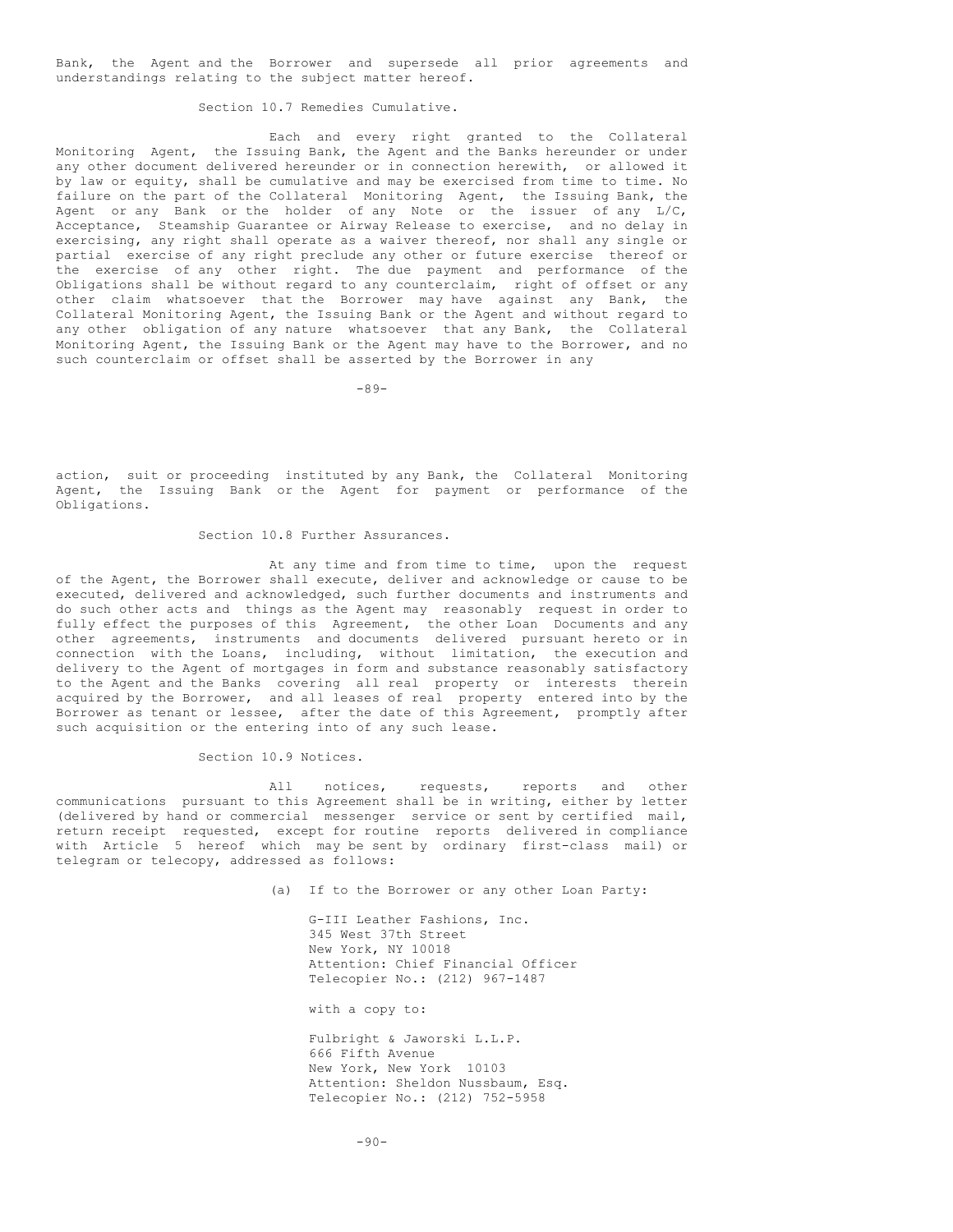Bank, the Agent and the Borrower and supersede all prior agreements and understandings relating to the subject matter hereof.

Section 10.7 Remedies Cumulative.

Each and every right granted to the Collateral Monitoring Agent, the Issuing Bank, the Agent and the Banks hereunder or under any other document delivered hereunder or in connection herewith, or allowed it by law or equity, shall be cumulative and may be exercised from time to time. No failure on the part of the Collateral Monitoring Agent, the Issuing Bank, the Agent or any Bank or the holder of any Note or the issuer of any L/C, Acceptance, Steamship Guarantee or Airway Release to exercise, and no delay in exercising, any right shall operate as a waiver thereof, nor shall any single or partial exercise of any right preclude any other or future exercise thereof or the exercise of any other right. The due payment and performance of the Obligations shall be without regard to any counterclaim, right of offset or any other claim whatsoever that the Borrower may have against any Bank, the Collateral Monitoring Agent, the Issuing Bank or the Agent and without regard to any other obligation of any nature whatsoever that any Bank, the Collateral Monitoring Agent, the Issuing Bank or the Agent may have to the Borrower, and no such counterclaim or offset shall be asserted by the Borrower in any

-89-

action, suit or proceeding instituted by any Bank, the Collateral Monitoring Agent, the Issuing Bank or the Agent for payment or performance of the Obligations.

#### Section 10.8 Further Assurances.

At any time and from time to time, upon the request of the Agent, the Borrower shall execute, deliver and acknowledge or cause to be executed, delivered and acknowledged, such further documents and instruments and do such other acts and things as the Agent may reasonably request in order to fully effect the purposes of this Agreement, the other Loan Documents and any other agreements, instruments and documents delivered pursuant hereto or in connection with the Loans, including, without limitation, the execution and delivery to the Agent of mortgages in form and substance reasonably satisfactory to the Agent and the Banks covering all real property or interests therein acquired by the Borrower, and all leases of real property entered into by the Borrower as tenant or lessee, after the date of this Agreement, promptly after such acquisition or the entering into of any such lease.

Section 10.9 Notices.

All notices, requests, reports and other communications pursuant to this Agreement shall be in writing, either by letter (delivered by hand or commercial messenger service or sent by certified mail, return receipt requested, except for routine reports delivered in compliance with Article 5 hereof which may be sent by ordinary first-class mail) or telegram or telecopy, addressed as follows:

(a) If to the Borrower or any other Loan Party:

G-III Leather Fashions, Inc. 345 West 37th Street New York, NY 10018 Attention: Chief Financial Officer Telecopier No.: (212) 967-1487

with a copy to:

Fulbright & Jaworski L.L.P. 666 Fifth Avenue New York, New York 10103 Attention: Sheldon Nussbaum, Esq. Telecopier No.: (212) 752-5958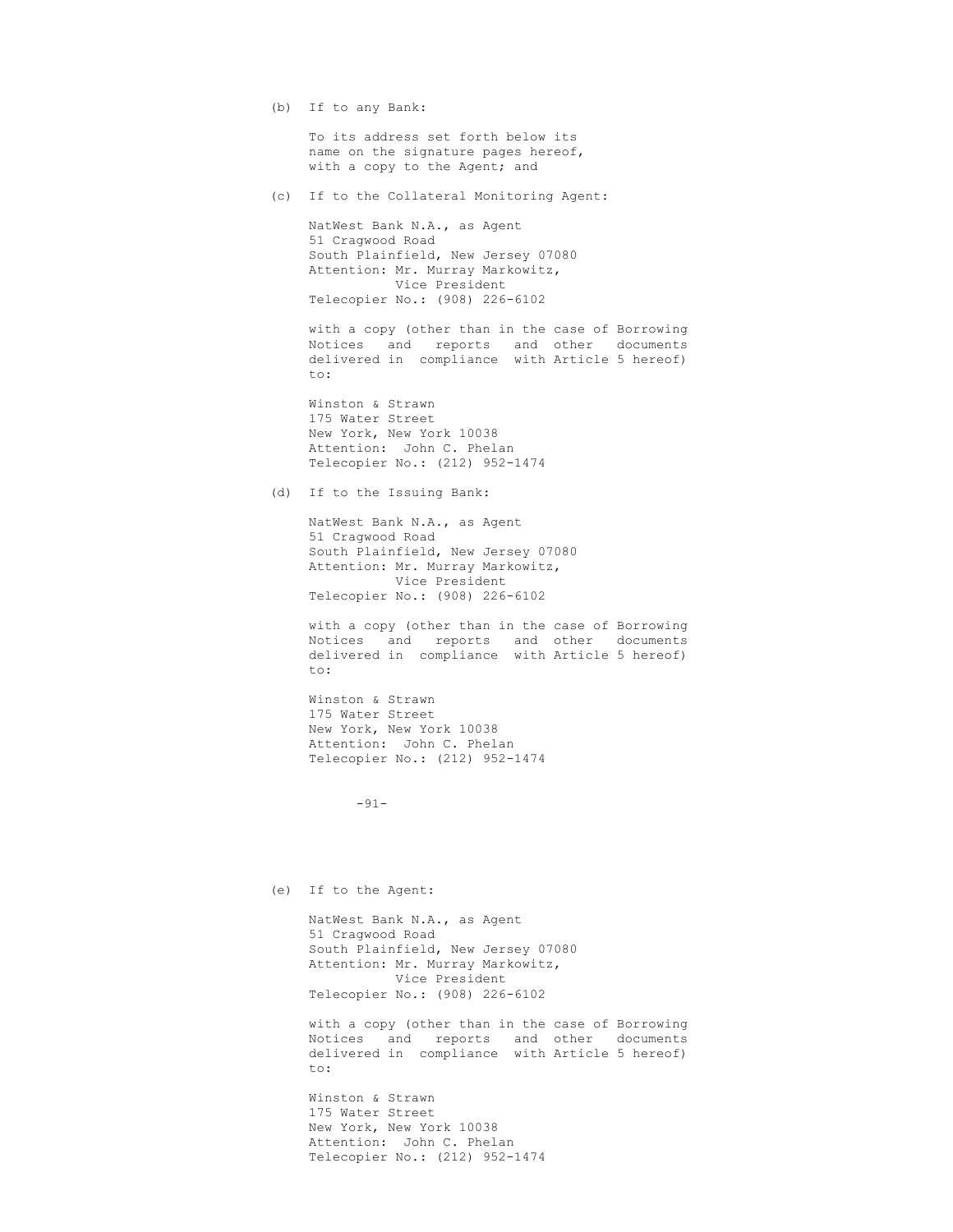(b) If to any Bank:

To its address set forth below its name on the signature pages hereof, with a copy to the Agent; and

(c) If to the Collateral Monitoring Agent:

NatWest Bank N.A., as Agent 51 Cragwood Road South Plainfield, New Jersey 07080 Attention: Mr. Murray Markowitz, Vice President Telecopier No.: (908) 226-6102

with a copy (other than in the case of Borrowing Notices and reports and other documents delivered in compliance with Article 5 hereof) to:

Winston & Strawn 175 Water Street New York, New York 10038 Attention: John C. Phelan Telecopier No.: (212) 952-1474

(d) If to the Issuing Bank:

NatWest Bank N.A., as Agent 51 Cragwood Road South Plainfield, New Jersey 07080 Attention: Mr. Murray Markowitz, Vice President Telecopier No.: (908) 226-6102

with a copy (other than in the case of Borrowing Notices and reports and other documents delivered in compliance with Article 5 hereof) to:

Winston & Strawn 175 Water Street New York, New York 10038 Attention: John C. Phelan Telecopier No.: (212) 952-1474

-91-

(e) If to the Agent:

NatWest Bank N.A., as Agent 51 Cragwood Road South Plainfield, New Jersey 07080 Attention: Mr. Murray Markowitz, Vice President Telecopier No.: (908) 226-6102

with a copy (other than in the case of Borrowing Notices and reports and other documents delivered in compliance with Article 5 hereof) to:

Winston & Strawn 175 Water Street New York, New York 10038 Attention: John C. Phelan Telecopier No.: (212) 952-1474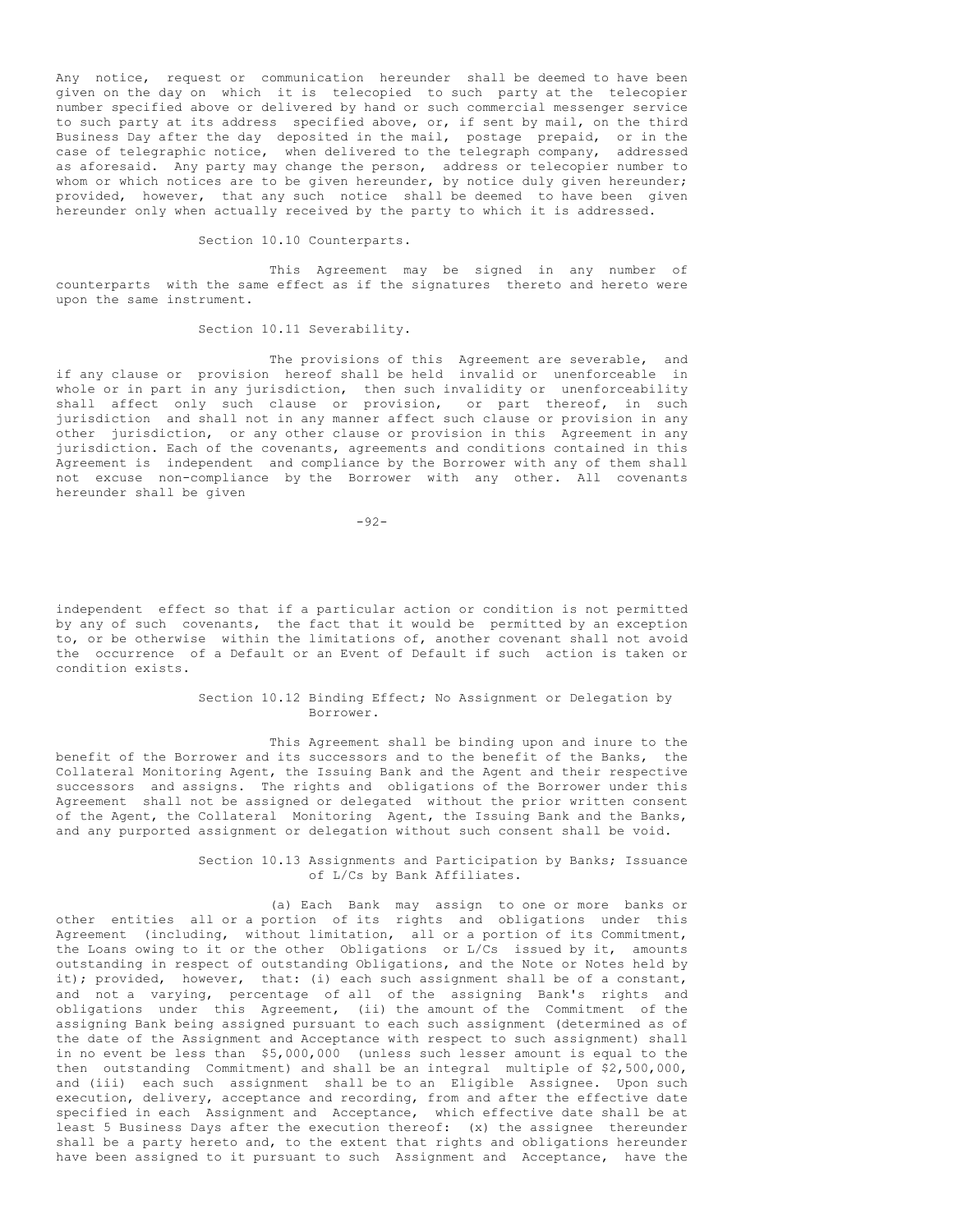Any notice, request or communication hereunder shall be deemed to have been given on the day on which it is telecopied to such party at the telecopier number specified above or delivered by hand or such commercial messenger service to such party at its address specified above, or, if sent by mail, on the third Business Day after the day deposited in the mail, postage prepaid, or in the case of telegraphic notice, when delivered to the telegraph company, addressed as aforesaid. Any party may change the person, address or telecopier number to whom or which notices are to be given hereunder, by notice duly given hereunder; provided, however, that any such notice shall be deemed to have been given hereunder only when actually received by the party to which it is addressed.

Section 10.10 Counterparts.

This Agreement may be signed in any number of counterparts with the same effect as if the signatures thereto and hereto were upon the same instrument.

## Section 10.11 Severability.

The provisions of this Agreement are severable, and if any clause or provision hereof shall be held invalid or unenforceable in whole or in part in any jurisdiction, then such invalidity or unenforceability shall affect only such clause or provision, or part thereof, in such jurisdiction and shall not in any manner affect such clause or provision in any other jurisdiction, or any other clause or provision in this Agreement in any jurisdiction. Each of the covenants, agreements and conditions contained in this Agreement is independent and compliance by the Borrower with any of them shall not excuse non-compliance by the Borrower with any other. All covenants hereunder shall be given

-92-

independent effect so that if a particular action or condition is not permitted by any of such covenants, the fact that it would be permitted by an exception to, or be otherwise within the limitations of, another covenant shall not avoid the occurrence of a Default or an Event of Default if such action is taken or condition exists.

# Section 10.12 Binding Effect; No Assignment or Delegation by Borrower.

This Agreement shall be binding upon and inure to the benefit of the Borrower and its successors and to the benefit of the Banks, the Collateral Monitoring Agent, the Issuing Bank and the Agent and their respective successors and assigns. The rights and obligations of the Borrower under this Agreement shall not be assigned or delegated without the prior written consent of the Agent, the Collateral Monitoring Agent, the Issuing Bank and the Banks, and any purported assignment or delegation without such consent shall be void.

> Section 10.13 Assignments and Participation by Banks; Issuance of L/Cs by Bank Affiliates.

(a) Each Bank may assign to one or more banks or other entities all or a portion of its rights and obligations under this Agreement (including, without limitation, all or a portion of its Commitment, the Loans owing to it or the other Obligations or L/Cs issued by it, amounts outstanding in respect of outstanding Obligations, and the Note or Notes held by it); provided, however, that: (i) each such assignment shall be of a constant, and not a varying, percentage of all of the assigning Bank's rights and obligations under this Agreement, (ii) the amount of the Commitment of the assigning Bank being assigned pursuant to each such assignment (determined as of the date of the Assignment and Acceptance with respect to such assignment) shall in no event be less than \$5,000,000 (unless such lesser amount is equal to the then outstanding Commitment) and shall be an integral multiple of \$2,500,000, and (iii) each such assignment shall be to an Eligible Assignee. Upon such execution, delivery, acceptance and recording, from and after the effective date specified in each Assignment and Acceptance, which effective date shall be at least 5 Business Days after the execution thereof: (x) the assignee thereunder shall be a party hereto and, to the extent that rights and obligations hereunder have been assigned to it pursuant to such Assignment and Acceptance, have the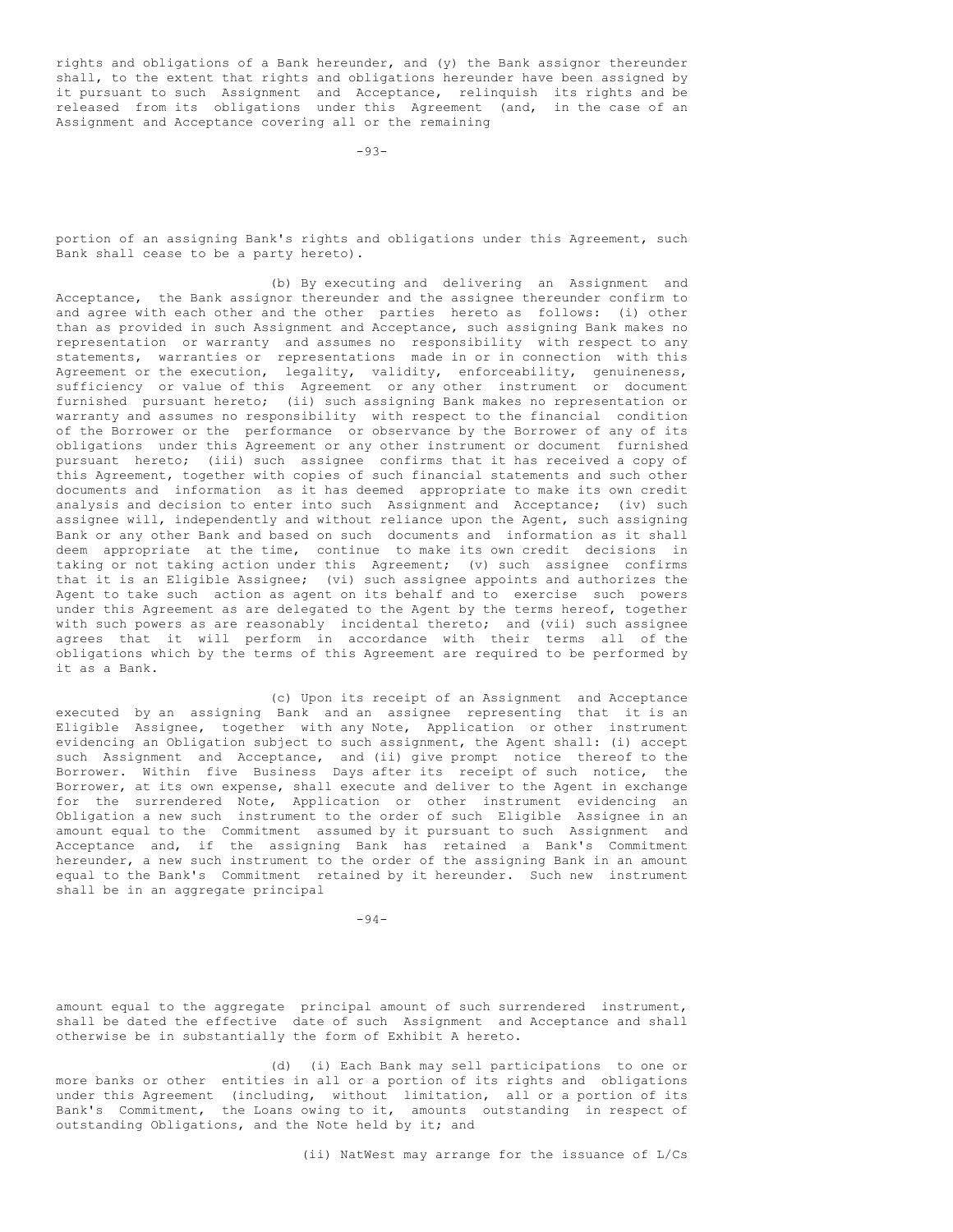rights and obligations of a Bank hereunder, and (y) the Bank assignor thereunder shall, to the extent that rights and obligations hereunder have been assigned by it pursuant to such Assignment and Acceptance, relinquish its rights and be released from its obligations under this Agreement (and, in the case of an Assignment and Acceptance covering all or the remaining

portion of an assigning Bank's rights and obligations under this Agreement, such Bank shall cease to be a party hereto).

(b) By executing and delivering an Assignment and Acceptance, the Bank assignor thereunder and the assignee thereunder confirm to and agree with each other and the other parties hereto as follows: (i) other than as provided in such Assignment and Acceptance, such assigning Bank makes no representation or warranty and assumes no responsibility with respect to any statements, warranties or representations made in or in connection with this Agreement or the execution, legality, validity, enforceability, genuineness, sufficiency or value of this Agreement or any other instrument or document furnished pursuant hereto; (ii) such assigning Bank makes no representation or warranty and assumes no responsibility with respect to the financial condition of the Borrower or the performance or observance by the Borrower of any of its obligations under this Agreement or any other instrument or document furnished pursuant hereto; (iii) such assignee confirms that it has received a copy of this Agreement, together with copies of such financial statements and such other documents and information as it has deemed appropriate to make its own credit analysis and decision to enter into such Assignment and Acceptance; (iv) such assignee will, independently and without reliance upon the Agent, such assigning Bank or any other Bank and based on such documents and information as it shall deem appropriate at the time, continue to make its own credit decisions in taking or not taking action under this Agreement; (v) such assignee confirms that it is an Eligible Assignee; (vi) such assignee appoints and authorizes the Agent to take such action as agent on its behalf and to exercise such powers under this Agreement as are delegated to the Agent by the terms hereof, together with such powers as are reasonably incidental thereto; and (vii) such assignee agrees that it will perform in accordance with their terms all of the obligations which by the terms of this Agreement are required to be performed by it as a Bank.

(c) Upon its receipt of an Assignment and Acceptance executed by an assigning Bank and an assignee representing that it is an Eligible Assignee, together with any Note, Application or other instrument evidencing an Obligation subject to such assignment, the Agent shall: (i) accept such Assignment and Acceptance, and (ii) give prompt notice thereof to the Borrower. Within five Business Days after its receipt of such notice, the Borrower, at its own expense, shall execute and deliver to the Agent in exchange for the surrendered Note, Application or other instrument evidencing an Obligation a new such instrument to the order of such Eligible Assignee in an amount equal to the Commitment assumed by it pursuant to such Assignment and Acceptance and, if the assigning Bank has retained a Bank's Commitment hereunder, a new such instrument to the order of the assigning Bank in an amount equal to the Bank's Commitment retained by it hereunder. Such new instrument shall be in an aggregate principal

-94-

amount equal to the aggregate principal amount of such surrendered instrument, shall be dated the effective date of such Assignment and Acceptance and shall otherwise be in substantially the form of Exhibit A hereto.

(d) (i) Each Bank may sell participations to one or more banks or other entities in all or a portion of its rights and obligations under this Agreement (including, without limitation, all or a portion of its Bank's Commitment, the Loans owing to it, amounts outstanding in respect of outstanding Obligations, and the Note held by it; and

(ii) NatWest may arrange for the issuance of L/Cs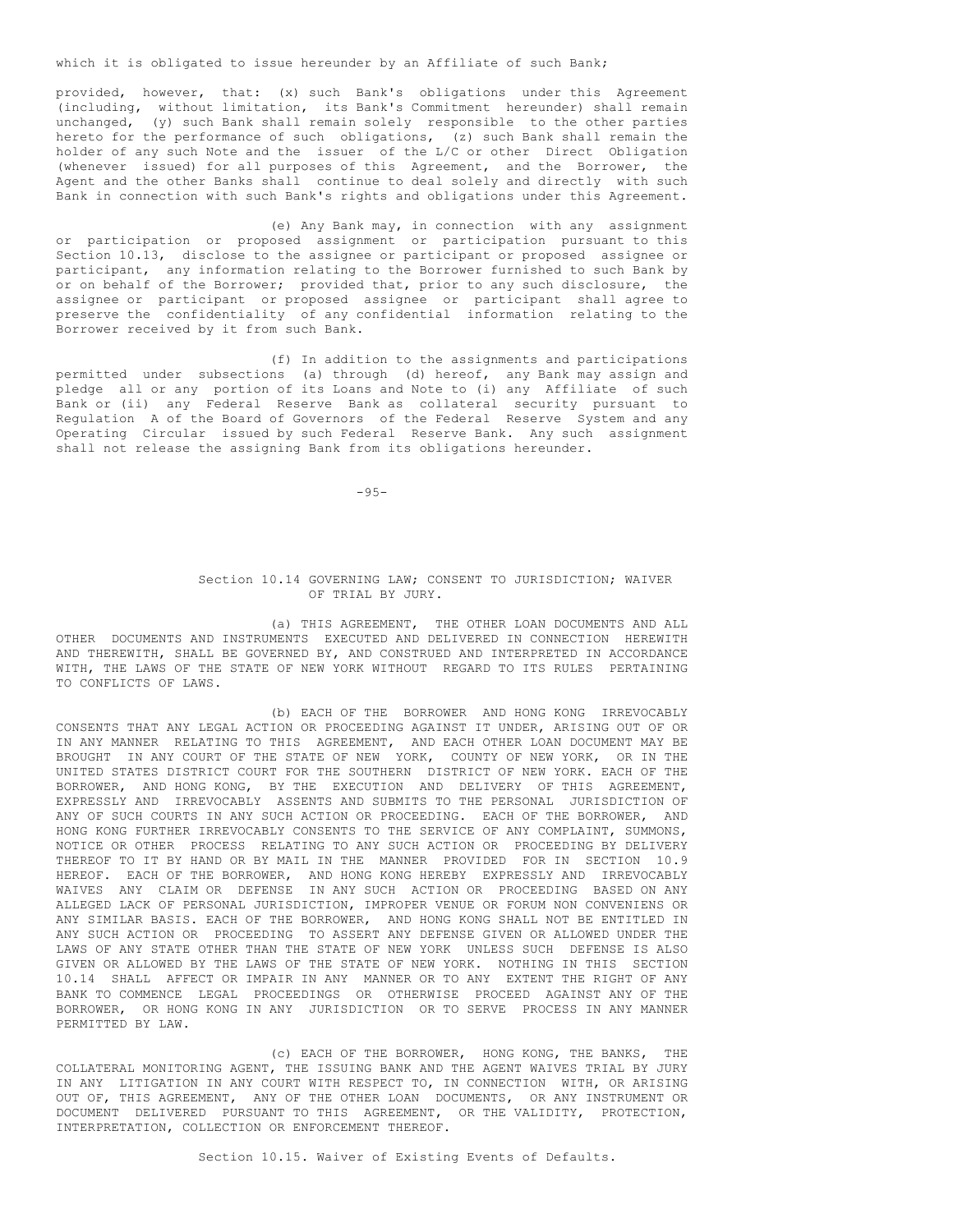which it is obligated to issue hereunder by an Affiliate of such Bank;

provided, however, that: (x) such Bank's obligations under this Agreement (including, without limitation, its Bank's Commitment hereunder) shall remain unchanged, (y) such Bank shall remain solely responsible to the other parties hereto for the performance of such obligations, (z) such Bank shall remain the holder of any such Note and the issuer of the L/C or other Direct Obligation (whenever issued) for all purposes of this Agreement, and the Borrower, the Agent and the other Banks shall continue to deal solely and directly with such Bank in connection with such Bank's rights and obligations under this Agreement.

(e) Any Bank may, in connection with any assignment or participation or proposed assignment or participation pursuant to this Section 10.13, disclose to the assignee or participant or proposed assignee or participant, any information relating to the Borrower furnished to such Bank by or on behalf of the Borrower; provided that, prior to any such disclosure, the assignee or participant or proposed assignee or participant shall agree to preserve the confidentiality of any confidential information relating to the Borrower received by it from such Bank.

(f) In addition to the assignments and participations permitted under subsections (a) through (d) hereof, any Bank may assign and pledge all or any portion of its Loans and Note to (i) any Affiliate of such Bank or (ii) any Federal Reserve Bank as collateral security pursuant to Regulation A of the Board of Governors of the Federal Reserve System and any Operating Circular issued by such Federal Reserve Bank. Any such assignment shall not release the assigning Bank from its obligations hereunder.

 $-95-$ 

## Section 10.14 GOVERNING LAW; CONSENT TO JURISDICTION; WAIVER OF TRIAL BY JURY.

(a) THIS AGREEMENT, THE OTHER LOAN DOCUMENTS AND ALL OTHER DOCUMENTS AND INSTRUMENTS EXECUTED AND DELIVERED IN CONNECTION HEREWITH AND THEREWITH, SHALL BE GOVERNED BY, AND CONSTRUED AND INTERPRETED IN ACCORDANCE WITH, THE LAWS OF THE STATE OF NEW YORK WITHOUT REGARD TO ITS RULES PERTAINING TO CONFLICTS OF LAWS.

(b) EACH OF THE BORROWER AND HONG KONG IRREVOCABLY CONSENTS THAT ANY LEGAL ACTION OR PROCEEDING AGAINST IT UNDER, ARISING OUT OF OR IN ANY MANNER RELATING TO THIS AGREEMENT, AND EACH OTHER LOAN DOCUMENT MAY BE BROUGHT IN ANY COURT OF THE STATE OF NEW YORK, COUNTY OF NEW YORK, OR IN THE UNITED STATES DISTRICT COURT FOR THE SOUTHERN DISTRICT OF NEW YORK. EACH OF THE BORROWER, AND HONG KONG, BY THE EXECUTION AND DELIVERY OF THIS AGREEMENT, EXPRESSLY AND IRREVOCABLY ASSENTS AND SUBMITS TO THE PERSONAL JURISDICTION OF ANY OF SUCH COURTS IN ANY SUCH ACTION OR PROCEEDING. EACH OF THE BORROWER, AND HONG KONG FURTHER IRREVOCABLY CONSENTS TO THE SERVICE OF ANY COMPLAINT, SUMMONS, NOTICE OR OTHER PROCESS RELATING TO ANY SUCH ACTION OR PROCEEDING BY DELIVERY THEREOF TO IT BY HAND OR BY MAIL IN THE MANNER PROVIDED FOR IN SECTION 10.9 HEREOF. EACH OF THE BORROWER, AND HONG KONG HEREBY EXPRESSLY AND IRREVOCABLY WAIVES ANY CLAIM OR DEFENSE IN ANY SUCH ACTION OR PROCEEDING BASED ON ANY ALLEGED LACK OF PERSONAL JURISDICTION, IMPROPER VENUE OR FORUM NON CONVENIENS OR ANY SIMILAR BASIS. EACH OF THE BORROWER, AND HONG KONG SHALL NOT BE ENTITLED IN ANY SUCH ACTION OR PROCEEDING TO ASSERT ANY DEFENSE GIVEN OR ALLOWED UNDER THE LAWS OF ANY STATE OTHER THAN THE STATE OF NEW YORK UNLESS SUCH DEFENSE IS ALSO GIVEN OR ALLOWED BY THE LAWS OF THE STATE OF NEW YORK. NOTHING IN THIS SECTION 10.14 SHALL AFFECT OR IMPAIR IN ANY MANNER OR TO ANY EXTENT THE RIGHT OF ANY BANK TO COMMENCE LEGAL PROCEEDINGS OR OTHERWISE PROCEED AGAINST ANY OF THE BORROWER, OR HONG KONG IN ANY JURISDICTION OR TO SERVE PROCESS IN ANY MANNER PERMITTED BY LAW.

(c) EACH OF THE BORROWER, HONG KONG, THE BANKS, THE COLLATERAL MONITORING AGENT, THE ISSUING BANK AND THE AGENT WAIVES TRIAL BY JURY IN ANY LITIGATION IN ANY COURT WITH RESPECT TO, IN CONNECTION WITH, OR ARISING OUT OF, THIS AGREEMENT, ANY OF THE OTHER LOAN DOCUMENTS, OR ANY INSTRUMENT OR DOCUMENT DELIVERED PURSUANT TO THIS AGREEMENT, OR THE VALIDITY, PROTECTION, INTERPRETATION, COLLECTION OR ENFORCEMENT THEREOF.

Section 10.15. Waiver of Existing Events of Defaults.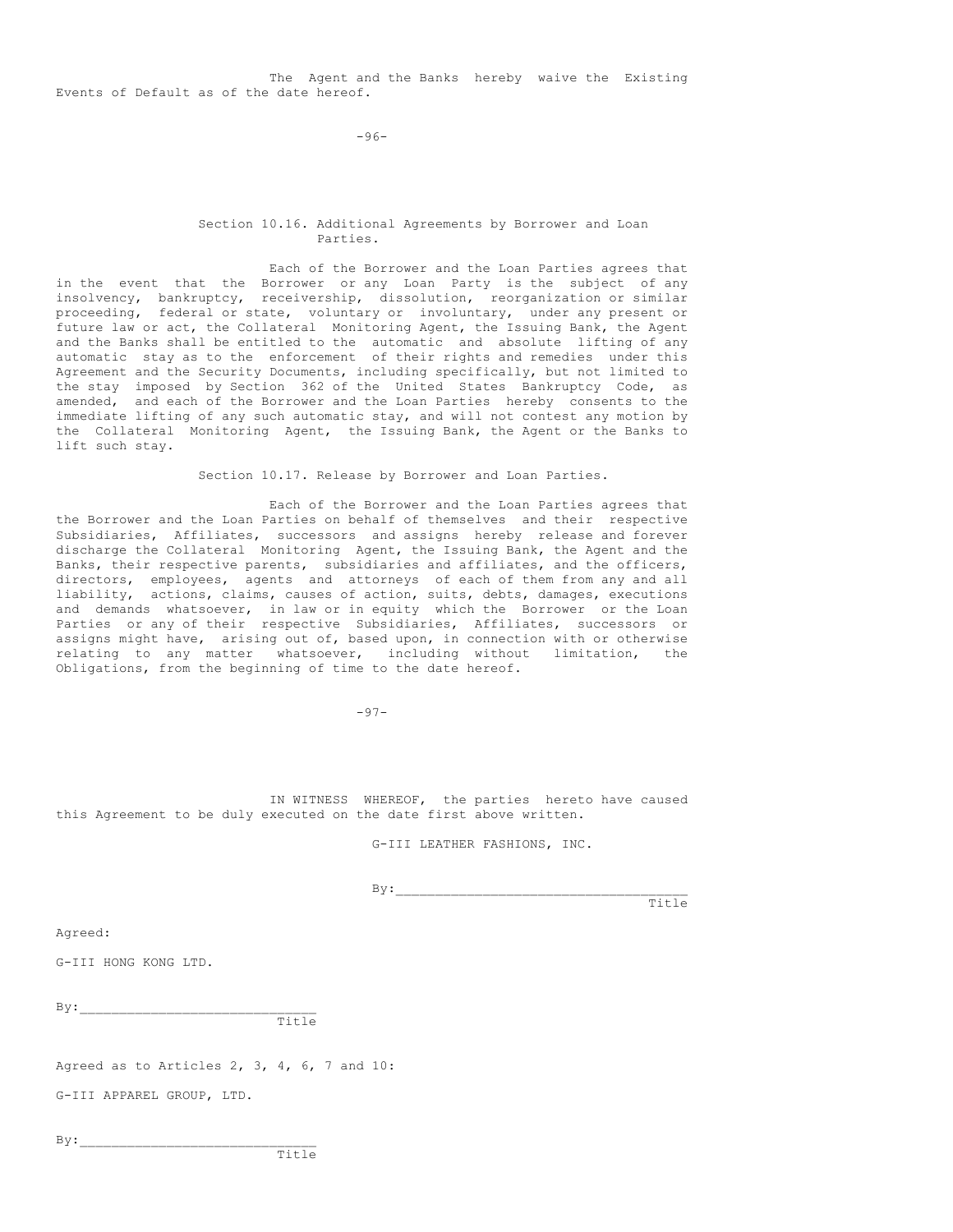The Agent and the Banks hereby waive the Existing Events of Default as of the date hereof.

-96-

## Section 10.16. Additional Agreements by Borrower and Loan Parties.

Each of the Borrower and the Loan Parties agrees that in the event that the Borrower or any Loan Party is the subject of any insolvency, bankruptcy, receivership, dissolution, reorganization or similar proceeding, federal or state, voluntary or involuntary, under any present or future law or act, the Collateral Monitoring Agent, the Issuing Bank, the Agent and the Banks shall be entitled to the automatic and absolute lifting of any automatic stay as to the enforcement of their rights and remedies under this Agreement and the Security Documents, including specifically, but not limited to the stay imposed by Section 362 of the United States Bankruptcy Code, as amended, and each of the Borrower and the Loan Parties hereby consents to the immediate lifting of any such automatic stay, and will not contest any motion by the Collateral Monitoring Agent, the Issuing Bank, the Agent or the Banks to lift such stay.

Section 10.17. Release by Borrower and Loan Parties.

Each of the Borrower and the Loan Parties agrees that the Borrower and the Loan Parties on behalf of themselves and their respective Subsidiaries, Affiliates, successors and assigns hereby release and forever discharge the Collateral Monitoring Agent, the Issuing Bank, the Agent and the Banks, their respective parents, subsidiaries and affiliates, and the officers, directors, employees, agents and attorneys of each of them from any and all liability, actions, claims, causes of action, suits, debts, damages, executions and demands whatsoever, in law or in equity which the Borrower or the Loan Parties or any of their respective Subsidiaries, Affiliates, successors or assigns might have, arising out of, based upon, in connection with or otherwise relating to any matter whatsoever, including without limitation, the Obligations, from the beginning of time to the date hereof.

 $-97-$ 

IN WITNESS WHEREOF, the parties hereto have caused this Agreement to be duly executed on the date first above written.

G-III LEATHER FASHIONS, INC.

 $By:$ 

Title

Agreed:

G-III HONG KONG LTD.

 $By:$  $T_1+1e$ 

Agreed as to Articles 2, 3, 4, 6, 7 and 10:

G-III APPAREL GROUP, LTD.

 $By:$ 

Title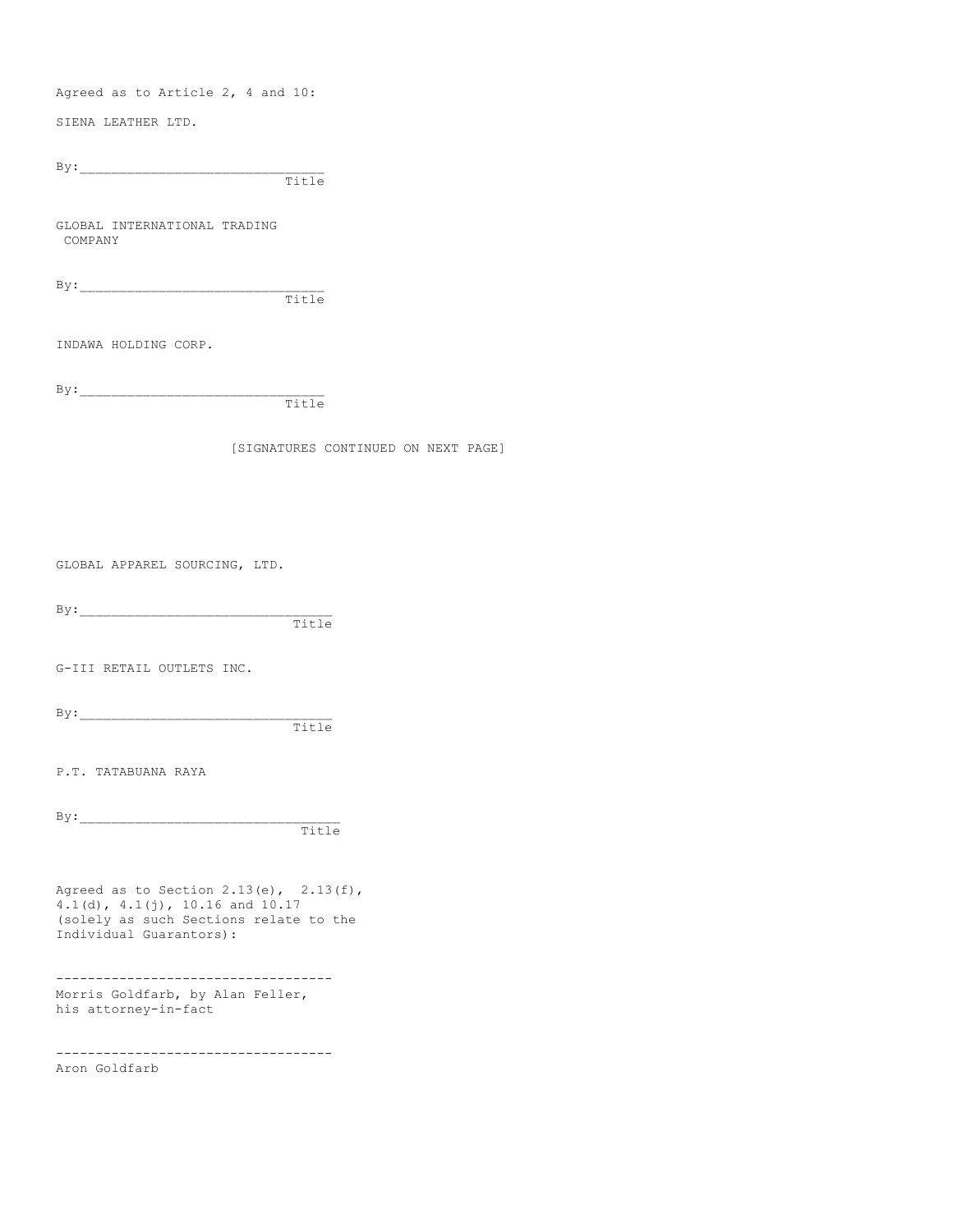Agreed as to Article 2, 4 and 10:

SIENA LEATHER LTD.

By:\_\_\_\_\_\_\_\_\_\_\_\_\_\_\_\_\_\_\_\_\_\_\_\_\_\_\_\_\_\_\_ Title

GLOBAL INTERNATIONAL TRADING COMPANY

By:\_\_\_\_\_\_\_\_\_\_\_\_\_\_\_\_\_\_\_\_\_\_\_\_\_\_\_\_\_\_\_ Title

INDAWA HOLDING CORP.

By:\_\_\_\_\_\_\_\_\_\_\_\_\_\_\_\_\_\_\_\_\_\_\_\_\_\_\_\_\_\_\_ Title

[SIGNATURES CONTINUED ON NEXT PAGE]

GLOBAL APPAREL SOURCING, LTD.

 $By:$ 

Title

G-III RETAIL OUTLETS INC.

By:\_\_\_\_\_\_\_\_\_\_\_\_\_\_\_\_\_\_\_\_\_\_\_\_\_\_\_\_\_\_\_\_

Title

P.T. TATABUANA RAYA

 $By:$ 

Title

Agreed as to Section  $2.13(e)$ ,  $2.13(f)$ , 4.1(d), 4.1(j), 10.16 and 10.17 (solely as such Sections relate to the Individual Guarantors):

----------------------------------- Morris Goldfarb, by Alan Feller, his attorney-in-fact

-----------------------------------

Aron Goldfarb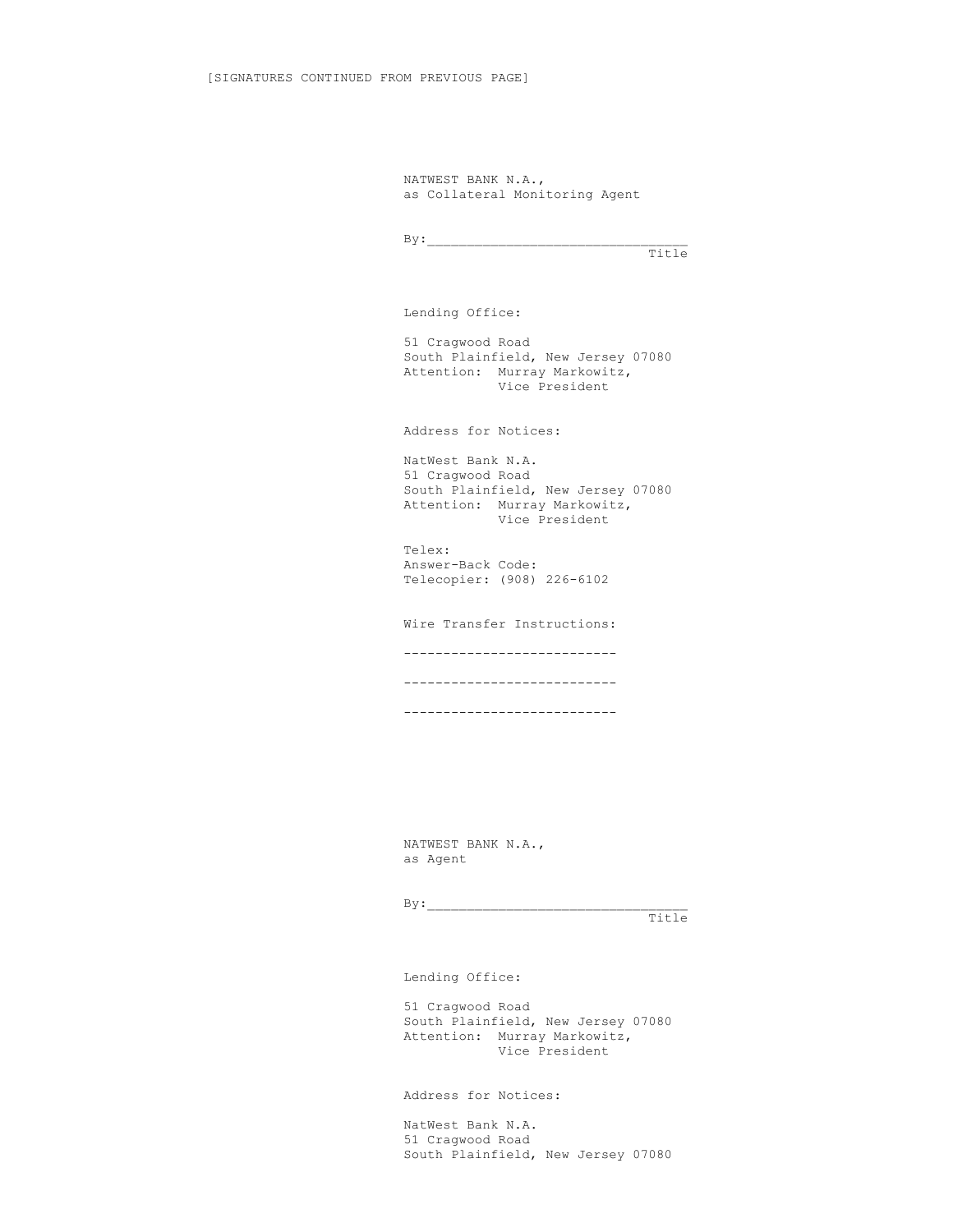NATWEST BANK N.A., as Collateral Monitoring Agent

 $By:$ Title

Lending Office:

51 Cragwood Road South Plainfield, New Jersey 07080 Attention: Murray Markowitz, Vice President

Address for Notices:

NatWest Bank N.A. 51 Cragwood Road South Plainfield, New Jersey 07080 Attention: Murray Markowitz, Vice President

Telex: Answer-Back Code: Telecopier: (908) 226-6102

Wire Transfer Instructions: --------------------------- --------------------------- ---------------------------

NATWEST BANK N.A., as Agent

 $By:$ Title

Lending Office:

51 Cragwood Road South Plainfield, New Jersey 07080 Attention: Murray Markowitz, Vice President

Address for Notices:

NatWest Bank N.A. 51 Cragwood Road South Plainfield, New Jersey 07080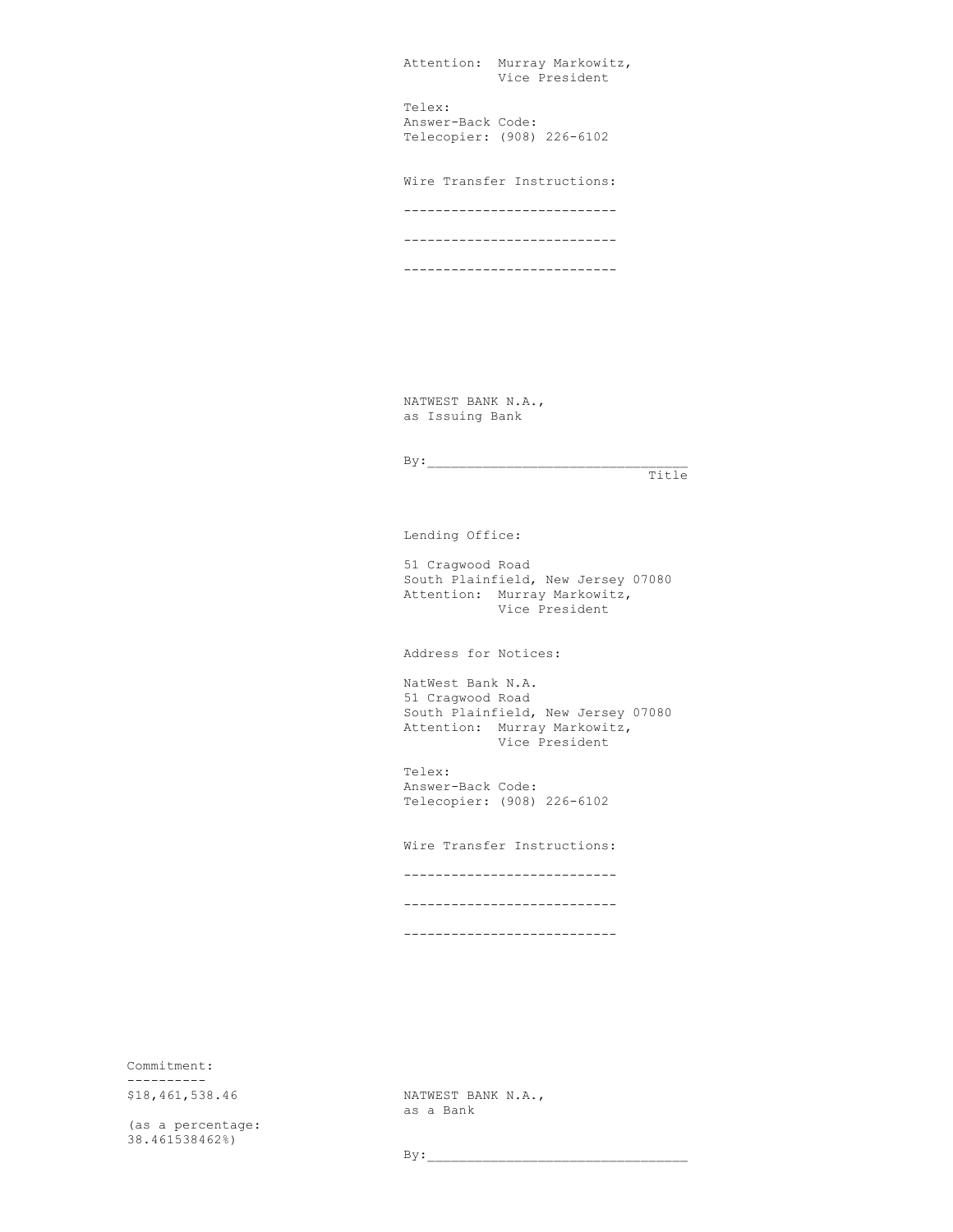| Attention:<br>Murray Markowitz,<br>Vice President         |  |
|-----------------------------------------------------------|--|
| Telex:<br>Answer-Back Code:<br>Telecopier: (908) 226-6102 |  |
| Wire Transfer Instructions:                               |  |
|                                                           |  |
|                                                           |  |
|                                                           |  |

NATWEST BANK N.A., as Issuing Bank

 $By:$ 

Title

Lending Office:

51 Cragwood Road South Plainfield, New Jersey 07080 Attention: Murray Markowitz, Vice President

Address for Notices:

NatWest Bank N.A. 51 Cragwood Road South Plainfield, New Jersey 07080 Attention: Murray Markowitz, Vice President

Telex: Answer-Back Code: Telecopier: (908) 226-6102

Wire Transfer Instructions: --------------------------- --------------------------- ---------------------------

Commitment: ----------<br>\$18,461,538.46

(as a percentage: 38.461538462%)

NATWEST BANK N.A., as a Bank

 $By:$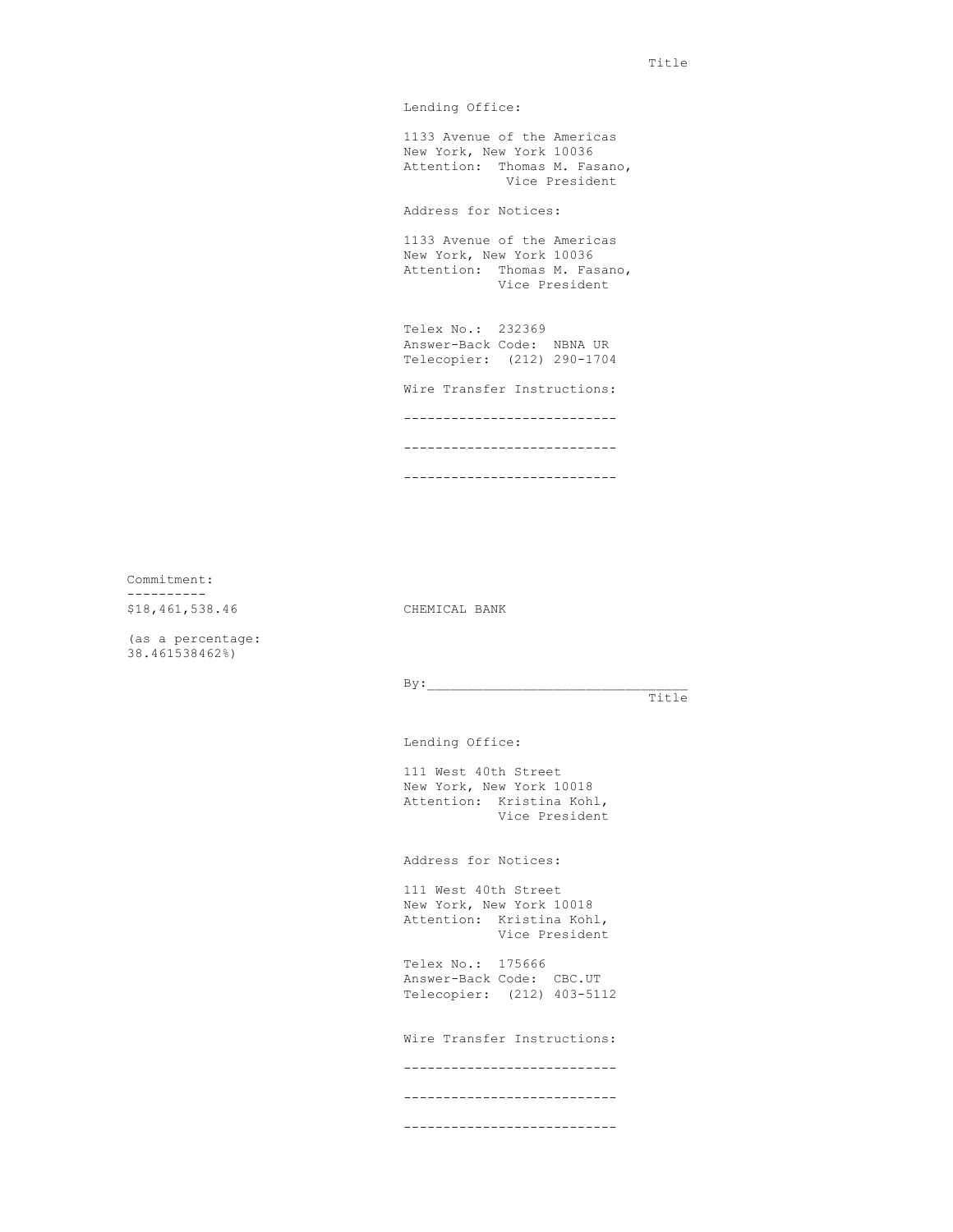Lending Office:

1133 Avenue of the Americas New York, New York 10036 Attention: Thomas M. Fasano, Vice President

Address for Notices:

1133 Avenue of the Americas New York, New York 10036 Attention: Thomas M. Fasano, Vice President

Telex No.: 232369 Answer-Back Code: NBNA UR Telecopier: (212) 290-1704

Wire Transfer Instructions:

---------------------------

---------------------------

---------------------------

Commitment: ---------- \$18,461,538.46 CHEMICAL BANK

(as a percentage: 38.461538462%)

 $By:$ 

Title

Lending Office:

111 West 40th Street New York, New York 10018 Attention: Kristina Kohl, Vice President

Address for Notices:

111 West 40th Street New York, New York 10018 Attention: Kristina Kohl, Vice President

Telex No.: 175666 Answer-Back Code: CBC.UT Telecopier: (212) 403-5112

Wire Transfer Instructions:

---------------------------

--------------------------- ---------------------------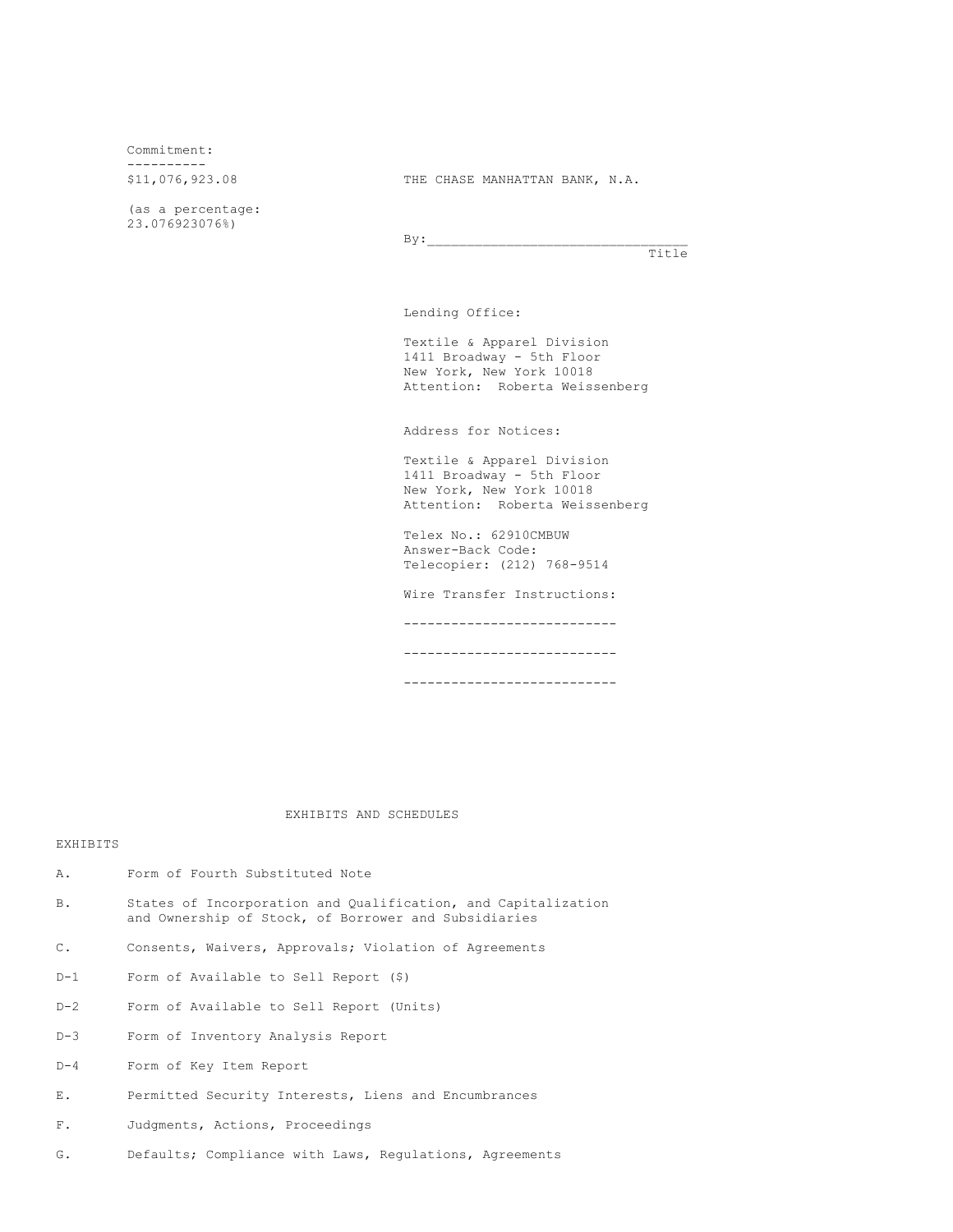Commitment:

\$11,076,923.08

(as a percentage: 23.076923076%)

THE CHASE MANHATTAN BANK, N.A.

 $By:$ Title

Lending Office:

Textile & Apparel Division 1411 Broadway - 5th Floor New York, New York 10018 Attention: Roberta Weissenberg

Address for Notices:

Textile & Apparel Division 1411 Broadway - 5th Floor New York, New York 10018 Attention: Roberta Weissenberg

Telex No.: 62910CMBUW Answer-Back Code: Telecopier: (212) 768-9514

Wire Transfer Instructions:

---------------------------

---------------------------

---------------------------

EXHIBITS AND SCHEDULES

# **EXHIBITS**

- A. Form of Fourth Substituted Note
- B. States of Incorporation and Qualification, and Capitalization and Ownership of Stock, of Borrower and Subsidiaries
- C. Consents, Waivers, Approvals; Violation of Agreements
- D-1 Form of Available to Sell Report (\$)
- D-2 Form of Available to Sell Report (Units)
- D-3 Form of Inventory Analysis Report
- D-4 Form of Key Item Report
- E. Permitted Security Interests, Liens and Encumbrances
- F. Judgments, Actions, Proceedings
- G. Defaults; Compliance with Laws, Regulations, Agreements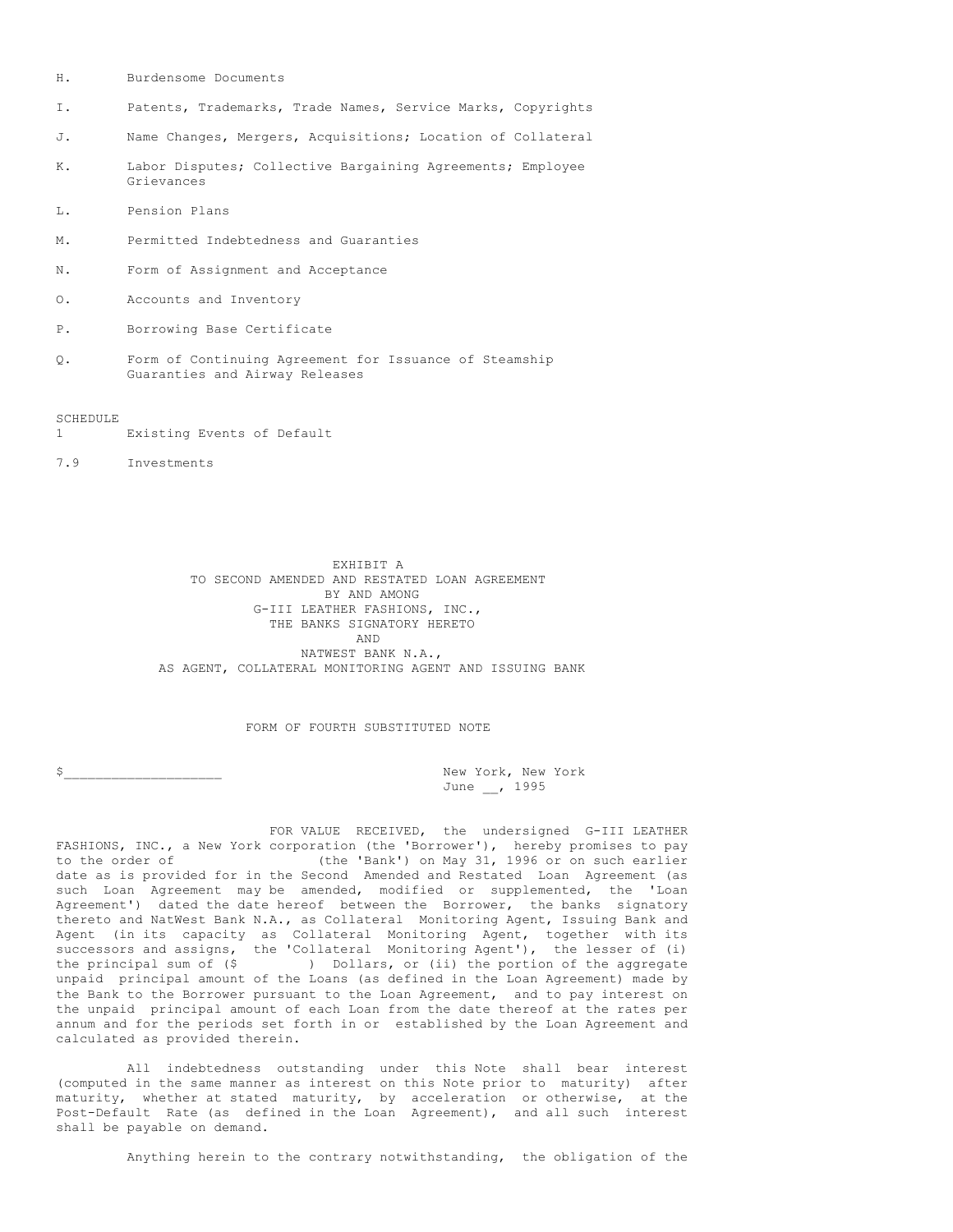- H. Burdensome Documents
- I. Patents, Trademarks, Trade Names, Service Marks, Copyrights
- J. Name Changes, Mergers, Acquisitions; Location of Collateral
- K. Labor Disputes; Collective Bargaining Agreements; Employee Grievances
- L. Pension Plans
- M. Permitted Indebtedness and Guaranties
- N. Form of Assignment and Acceptance
- O. Accounts and Inventory
- P. Borrowing Base Certificate
- Q. Form of Continuing Agreement for Issuance of Steamship Guaranties and Airway Releases

SCHEDULE

- 1 Existing Events of Default
- 7.9 Investments

EXHIBIT A TO SECOND AMENDED AND RESTATED LOAN AGREEMENT BY AND AMONG G-III LEATHER FASHIONS, INC., THE BANKS SIGNATORY HERETO AND NATWEST BANK N.A., AS AGENT, COLLATERAL MONITORING AGENT AND ISSUING BANK

FORM OF FOURTH SUBSTITUTED NOTE

\$ June \_\_, 1995

FOR VALUE RECEIVED, the undersigned G-III LEATHER FASHIONS, INC., a New York corporation (the 'Borrower'), hereby promises to pay to the order of (the 'Bank') on May 31, 1996 or on such earlier date as is provided for in the Second Amended and Restated Loan Agreement (as such Loan Agreement may be amended, modified or supplemented, the 'Loan Agreement') dated the date hereof between the Borrower, the banks signatory thereto and NatWest Bank N.A., as Collateral Monitoring Agent, Issuing Bank and Agent (in its capacity as Collateral Monitoring Agent, together with its successors and assigns, the 'Collateral Monitoring Agent'), the lesser of (i)<br>the principal sum of (\$) Dollars, or (ii) the portion of the aggregate ) Dollars, or (ii) the portion of the aggregate unpaid principal amount of the Loans (as defined in the Loan Agreement) made by the Bank to the Borrower pursuant to the Loan Agreement, and to pay interest on the unpaid principal amount of each Loan from the date thereof at the rates per annum and for the periods set forth in or established by the Loan Agreement and calculated as provided therein.

All indebtedness outstanding under this Note shall bear interest (computed in the same manner as interest on this Note prior to maturity) after maturity, whether at stated maturity, by acceleration or otherwise, at the Post-Default Rate (as defined in the Loan Agreement), and all such interest shall be payable on demand.

Anything herein to the contrary notwithstanding, the obligation of the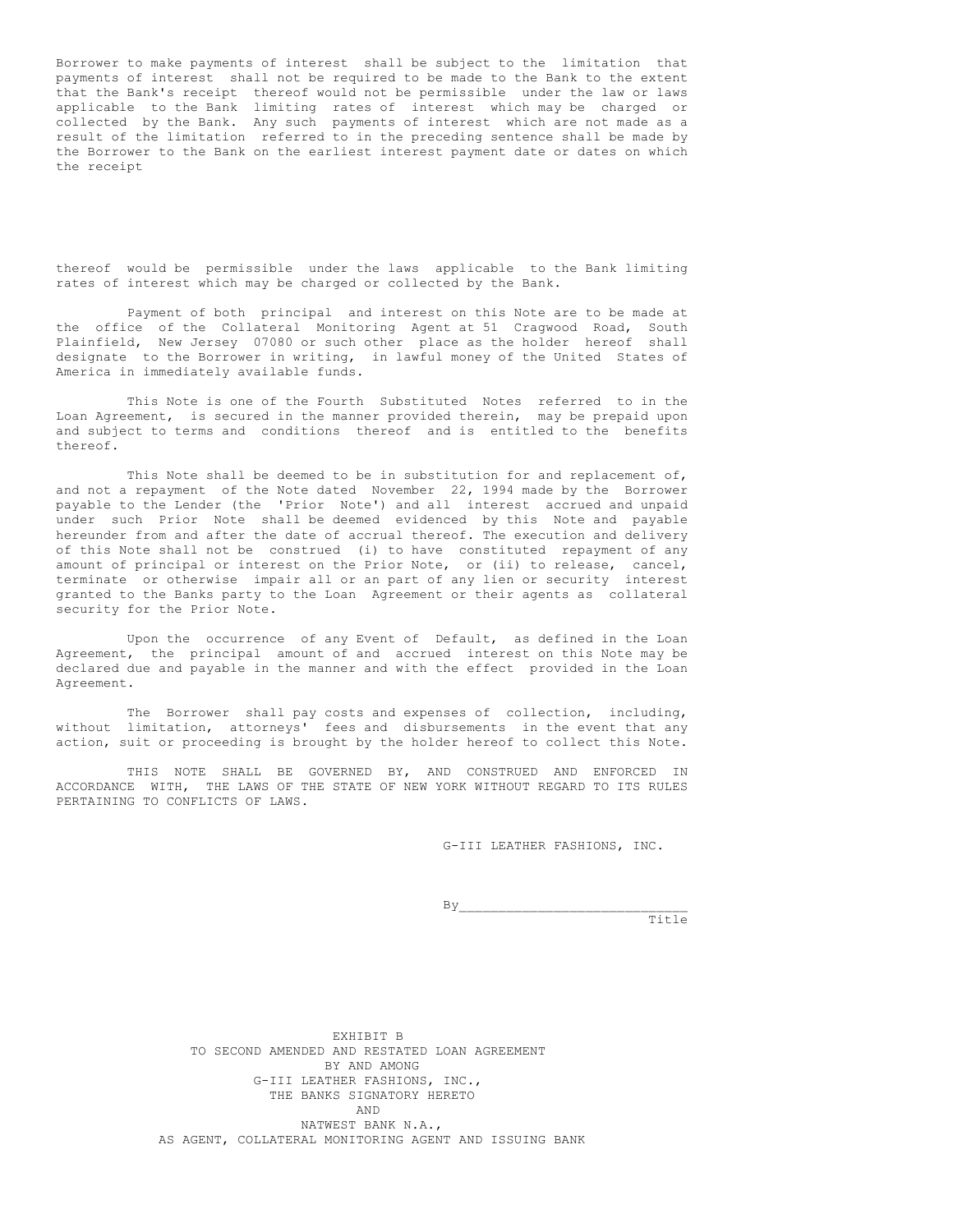Borrower to make payments of interest shall be subject to the limitation that payments of interest shall not be required to be made to the Bank to the extent that the Bank's receipt thereof would not be permissible under the law or laws applicable to the Bank limiting rates of interest which may be charged or collected by the Bank. Any such payments of interest which are not made as a result of the limitation referred to in the preceding sentence shall be made by the Borrower to the Bank on the earliest interest payment date or dates on which the receipt

thereof would be permissible under the laws applicable to the Bank limiting rates of interest which may be charged or collected by the Bank.

Payment of both principal and interest on this Note are to be made at the office of the Collateral Monitoring Agent at 51 Cragwood Road, South Plainfield, New Jersey 07080 or such other place as the holder hereof shall designate to the Borrower in writing, in lawful money of the United States of America in immediately available funds.

This Note is one of the Fourth Substituted Notes referred to in the Loan Agreement, is secured in the manner provided therein, may be prepaid upon and subject to terms and conditions thereof and is entitled to the benefits thereof.

This Note shall be deemed to be in substitution for and replacement of, and not a repayment of the Note dated November 22, 1994 made by the Borrower payable to the Lender (the 'Prior Note') and all interest accrued and unpaid under such Prior Note shall be deemed evidenced by this Note and payable hereunder from and after the date of accrual thereof. The execution and delivery of this Note shall not be construed (i) to have constituted repayment of any amount of principal or interest on the Prior Note, or (ii) to release, cancel, terminate or otherwise impair all or an part of any lien or security interest granted to the Banks party to the Loan Agreement or their agents as collateral security for the Prior Note.

Upon the occurrence of any Event of Default, as defined in the Loan Agreement, the principal amount of and accrued interest on this Note may be declared due and payable in the manner and with the effect provided in the Loan Agreement.

The Borrower shall pay costs and expenses of collection, including, without limitation, attorneys' fees and disbursements in the event that any action, suit or proceeding is brought by the holder hereof to collect this Note.

THIS NOTE SHALL BE GOVERNED BY, AND CONSTRUED AND ENFORCED IN ACCORDANCE WITH, THE LAWS OF THE STATE OF NEW YORK WITHOUT REGARD TO ITS RULES PERTAINING TO CONFLICTS OF LAWS.

G-III LEATHER FASHIONS, INC.

By\_\_\_\_\_\_\_\_\_\_\_\_\_\_\_\_\_\_\_\_\_\_\_\_\_\_\_\_\_

Title

EXHIBIT B TO SECOND AMENDED AND RESTATED LOAN AGREEMENT BY AND AMONG G-III LEATHER FASHIONS, INC., THE BANKS SIGNATORY HERETO AND NATWEST BANK N.A., AS AGENT, COLLATERAL MONITORING AGENT AND ISSUING BANK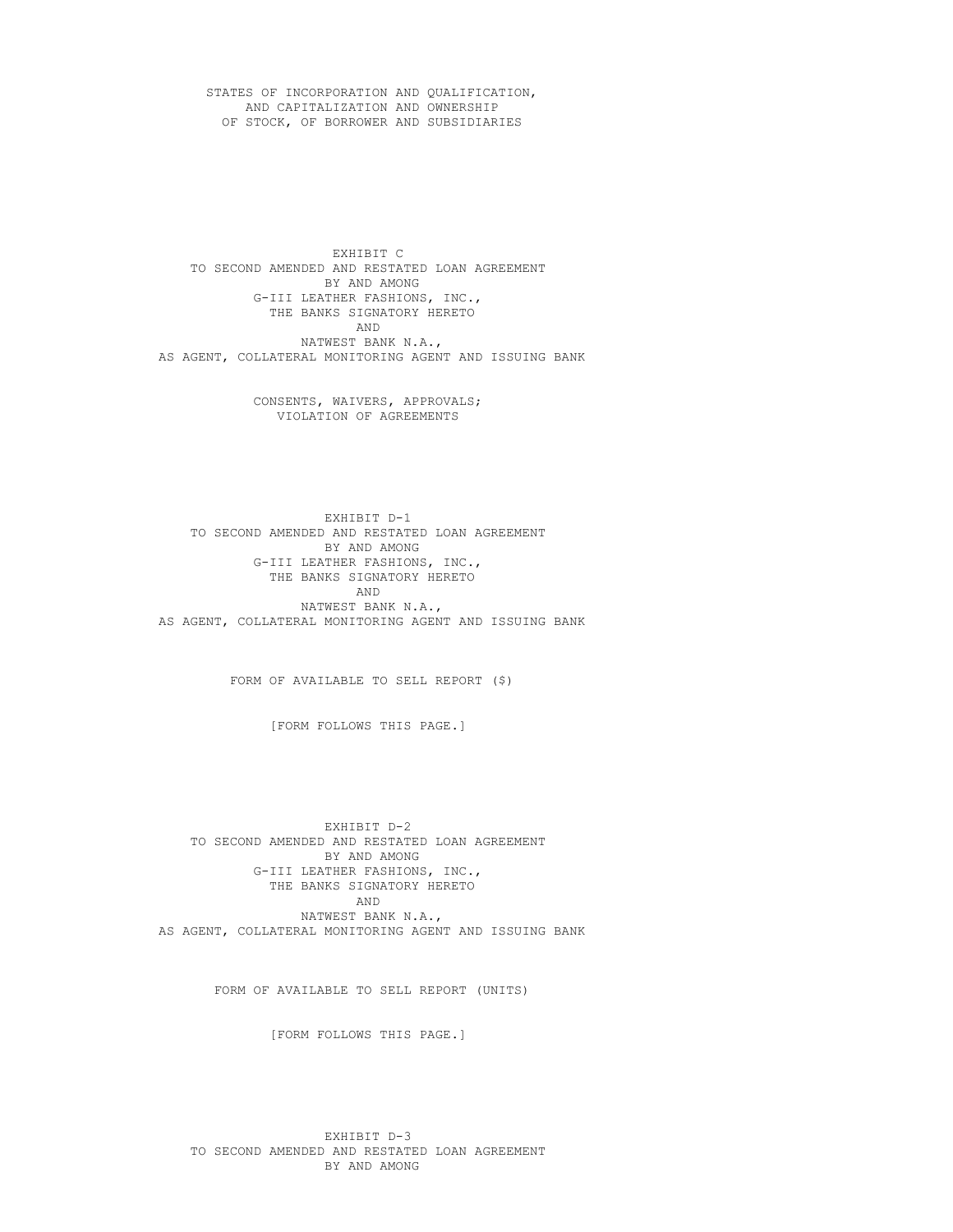STATES OF INCORPORATION AND QUALIFICATION, AND CAPITALIZATION AND OWNERSHIP OF STOCK, OF BORROWER AND SUBSIDIARIES

EXHIBIT C TO SECOND AMENDED AND RESTATED LOAN AGREEMENT BY AND AMONG G-III LEATHER FASHIONS, INC., THE BANKS SIGNATORY HERETO AND NATWEST BANK N.A., AS AGENT, COLLATERAL MONITORING AGENT AND ISSUING BANK

> CONSENTS, WAIVERS, APPROVALS; VIOLATION OF AGREEMENTS

EXHIBIT D-1 TO SECOND AMENDED AND RESTATED LOAN AGREEMENT BY AND AMONG G-III LEATHER FASHIONS, INC., THE BANKS SIGNATORY HERETO AND NATWEST BANK N.A., AS AGENT, COLLATERAL MONITORING AGENT AND ISSUING BANK

FORM OF AVAILABLE TO SELL REPORT (\$)

[FORM FOLLOWS THIS PAGE.]

EXHIBIT D-2 TO SECOND AMENDED AND RESTATED LOAN AGREEMENT BY AND AMONG G-III LEATHER FASHIONS, INC., THE BANKS SIGNATORY HERETO AND NATWEST BANK N.A., AS AGENT, COLLATERAL MONITORING AGENT AND ISSUING BANK

FORM OF AVAILABLE TO SELL REPORT (UNITS)

[FORM FOLLOWS THIS PAGE.]

EXHIBIT D-3 TO SECOND AMENDED AND RESTATED LOAN AGREEMENT BY AND AMONG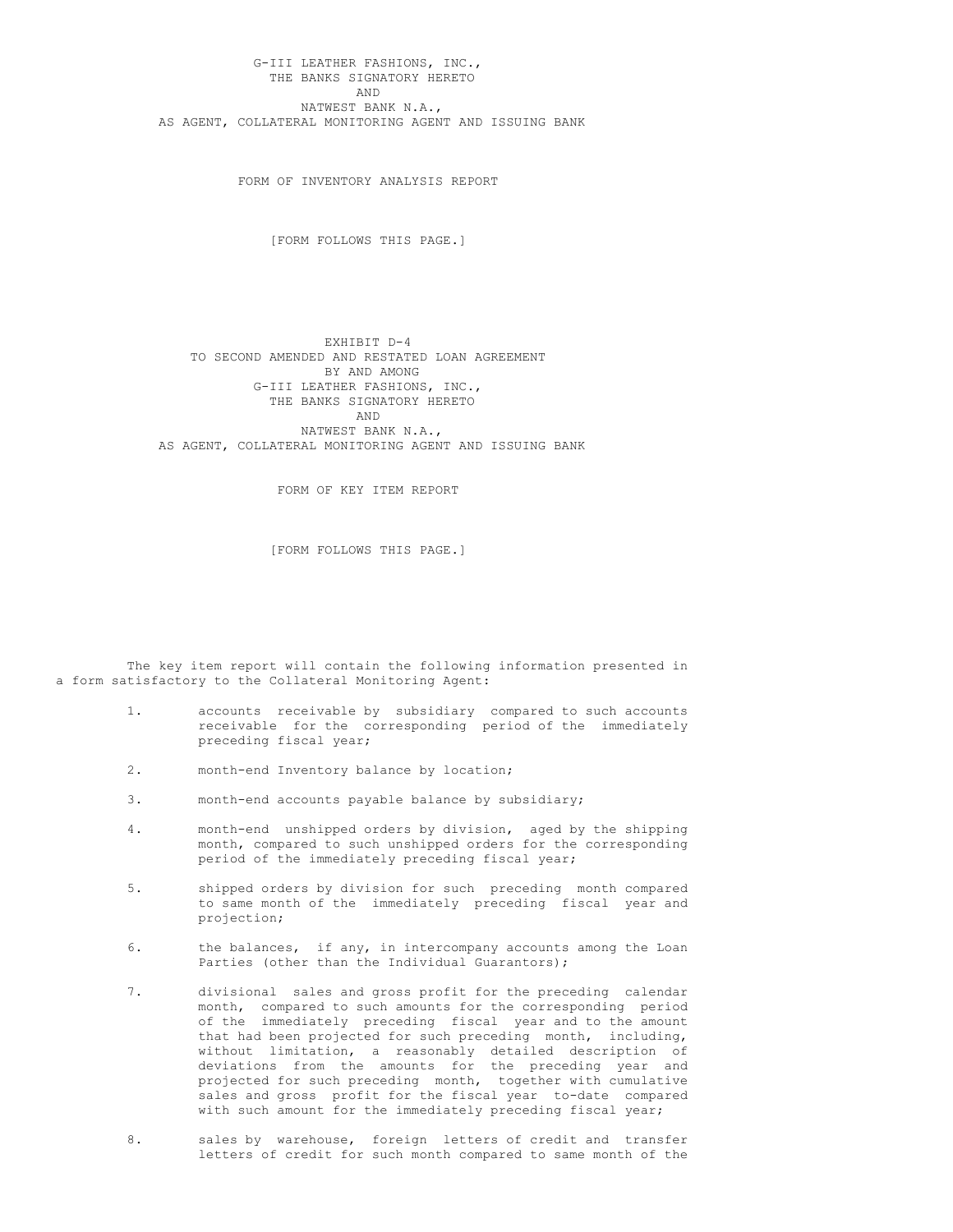G-III LEATHER FASHIONS, INC., THE BANKS SIGNATORY HERETO AND NATWEST BANK N.A., AS AGENT, COLLATERAL MONITORING AGENT AND ISSUING BANK

FORM OF INVENTORY ANALYSIS REPORT

[FORM FOLLOWS THIS PAGE.]

EXHIBIT D-4 TO SECOND AMENDED AND RESTATED LOAN AGREEMENT BY AND AMONG G-III LEATHER FASHIONS, INC., THE BANKS SIGNATORY HERETO AND NATWEST BANK N.A., AS AGENT, COLLATERAL MONITORING AGENT AND ISSUING BANK

FORM OF KEY ITEM REPORT

[FORM FOLLOWS THIS PAGE.]

The key item report will contain the following information presented in a form satisfactory to the Collateral Monitoring Agent:

- 1. accounts receivable by subsidiary compared to such accounts receivable for the corresponding period of the immediately preceding fiscal year;
- 2. month-end Inventory balance by location;
- 3. month-end accounts payable balance by subsidiary;
- 4. month-end unshipped orders by division, aged by the shipping month, compared to such unshipped orders for the corresponding period of the immediately preceding fiscal year;
- 5. shipped orders by division for such preceding month compared to same month of the immediately preceding fiscal year and projection;
- 6. the balances, if any, in intercompany accounts among the Loan Parties (other than the Individual Guarantors);
- 7. divisional sales and gross profit for the preceding calendar month, compared to such amounts for the corresponding period of the immediately preceding fiscal year and to the amount that had been projected for such preceding month, including, without limitation, a reasonably detailed description of deviations from the amounts for the preceding year and projected for such preceding month, together with cumulative sales and gross profit for the fiscal year to-date compared with such amount for the immediately preceding fiscal year;
- 8. sales by warehouse, foreign letters of credit and transfer letters of credit for such month compared to same month of the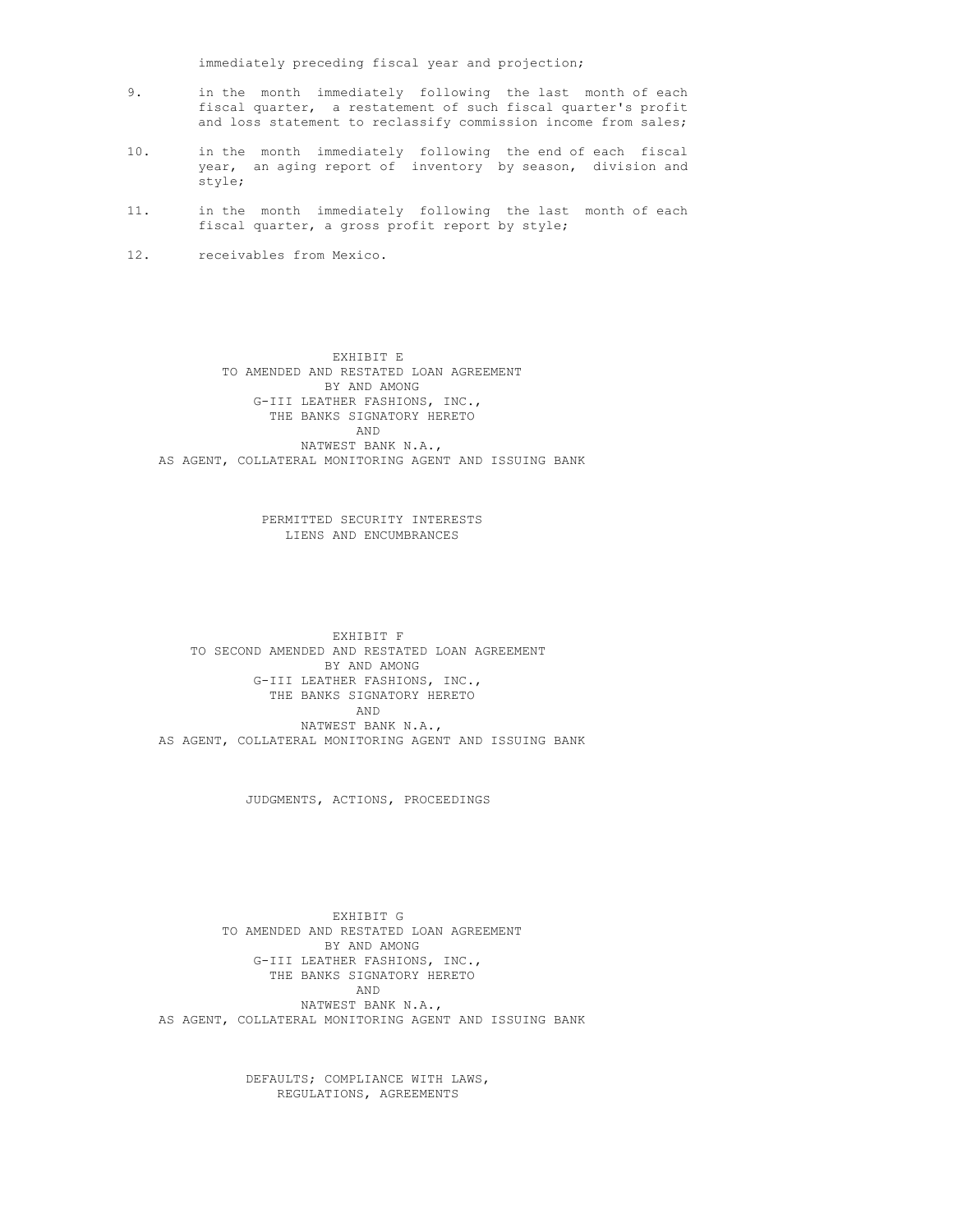immediately preceding fiscal year and projection;

- 9. in the month immediately following the last month of each fiscal quarter, a restatement of such fiscal quarter's profit and loss statement to reclassify commission income from sales;
- 10. in the month immediately following the end of each fiscal year, an aging report of inventory by season, division and style;
- 11. in the month immediately following the last month of each fiscal quarter, a gross profit report by style;
- 12. receivables from Mexico.

EXHIBIT E TO AMENDED AND RESTATED LOAN AGREEMENT BY AND AMONG G-III LEATHER FASHIONS, INC., THE BANKS SIGNATORY HERETO AND NATWEST BANK N.A., AS AGENT, COLLATERAL MONITORING AGENT AND ISSUING BANK

> PERMITTED SECURITY INTERESTS LIENS AND ENCUMBRANCES

EXHIBIT F TO SECOND AMENDED AND RESTATED LOAN AGREEMENT BY AND AMONG G-III LEATHER FASHIONS, INC., THE BANKS SIGNATORY HERETO AND NATWEST BANK N.A., AS AGENT, COLLATERAL MONITORING AGENT AND ISSUING BANK

JUDGMENTS, ACTIONS, PROCEEDINGS

EXHIBIT G TO AMENDED AND RESTATED LOAN AGREEMENT BY AND AMONG G-III LEATHER FASHIONS, INC., THE BANKS SIGNATORY HERETO AND NATWEST BANK N.A., AS AGENT, COLLATERAL MONITORING AGENT AND ISSUING BANK

> DEFAULTS; COMPLIANCE WITH LAWS, REGULATIONS, AGREEMENTS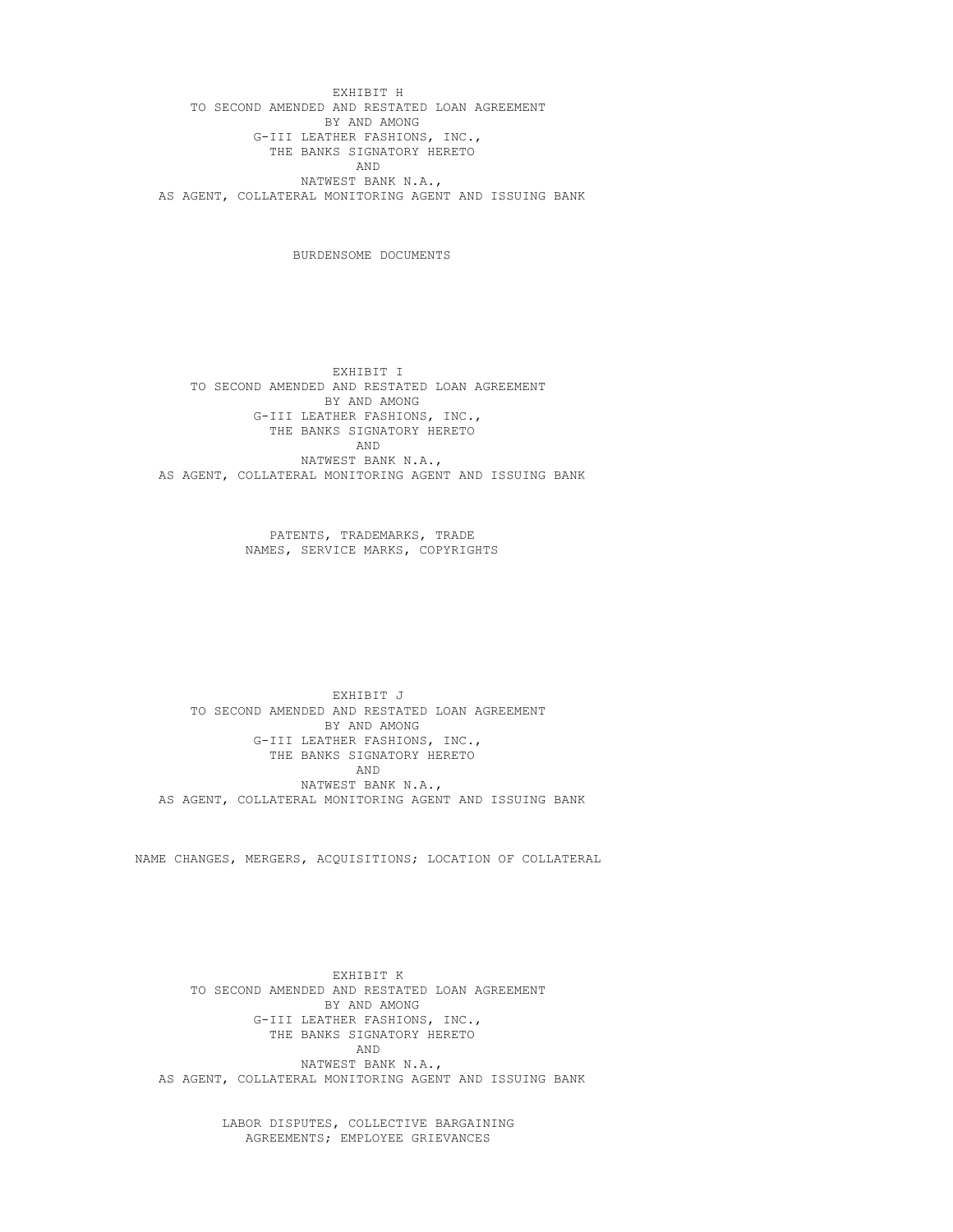EXHIBIT H TO SECOND AMENDED AND RESTATED LOAN AGREEMENT BY AND AMONG G-III LEATHER FASHIONS, INC., THE BANKS SIGNATORY HERETO AND NATWEST BANK N.A., AS AGENT, COLLATERAL MONITORING AGENT AND ISSUING BANK

BURDENSOME DOCUMENTS

EXHIBIT I TO SECOND AMENDED AND RESTATED LOAN AGREEMENT BY AND AMONG G-III LEATHER FASHIONS, INC., THE BANKS SIGNATORY HERETO AND NATWEST BANK N.A., AS AGENT, COLLATERAL MONITORING AGENT AND ISSUING BANK

> PATENTS, TRADEMARKS, TRADE NAMES, SERVICE MARKS, COPYRIGHTS

EXHIBIT J TO SECOND AMENDED AND RESTATED LOAN AGREEMENT BY AND AMONG G-III LEATHER FASHIONS, INC., THE BANKS SIGNATORY HERETO AND NATWEST BANK N.A., AS AGENT, COLLATERAL MONITORING AGENT AND ISSUING BANK

NAME CHANGES, MERGERS, ACQUISITIONS; LOCATION OF COLLATERAL

EXHIBIT K TO SECOND AMENDED AND RESTATED LOAN AGREEMENT BY AND AMONG G-III LEATHER FASHIONS, INC., THE BANKS SIGNATORY HERETO AND NATWEST BANK N.A., AS AGENT, COLLATERAL MONITORING AGENT AND ISSUING BANK

> LABOR DISPUTES, COLLECTIVE BARGAINING AGREEMENTS; EMPLOYEE GRIEVANCES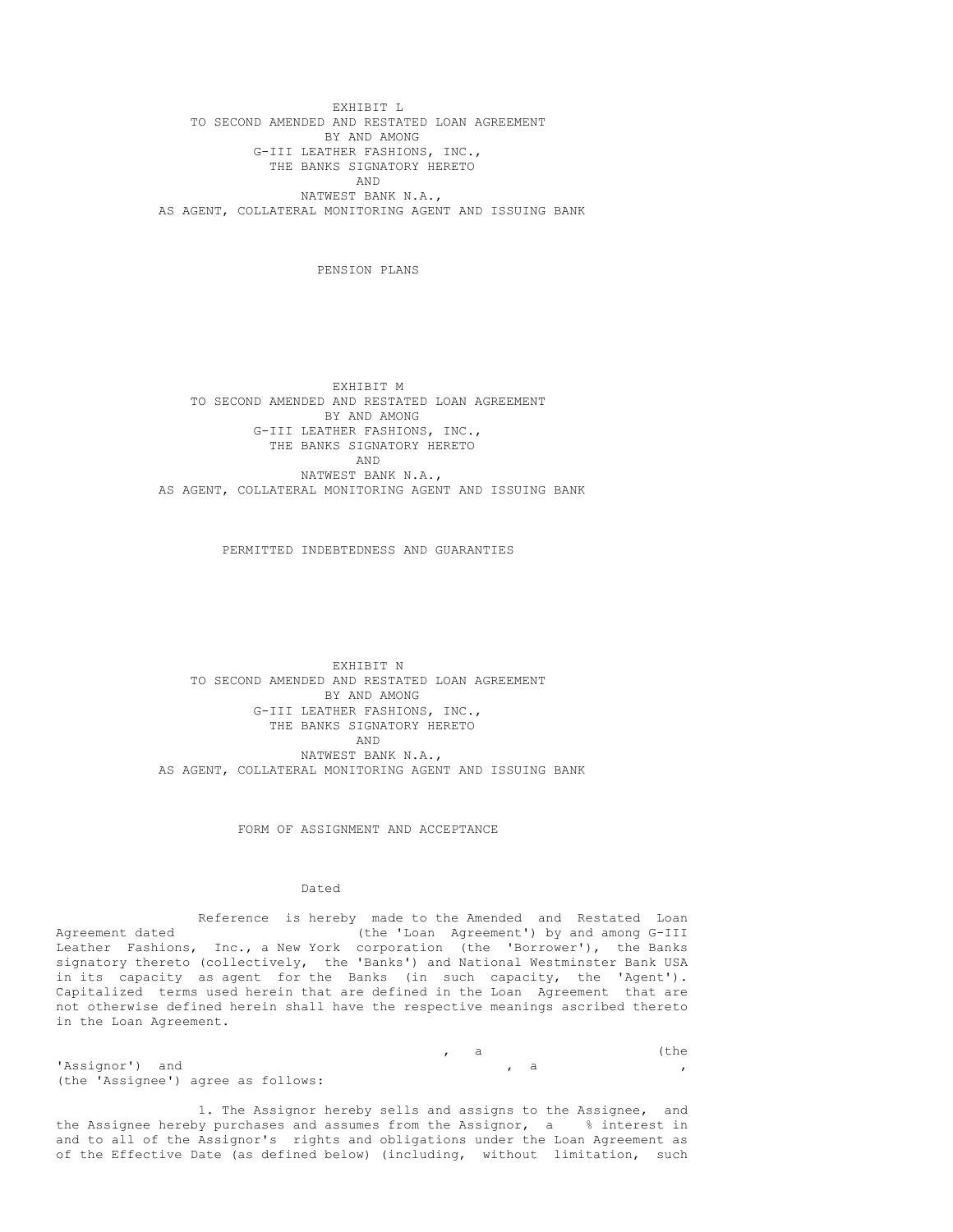EXHIBIT L TO SECOND AMENDED AND RESTATED LOAN AGREEMENT BY AND AMONG G-III LEATHER FASHIONS, INC., THE BANKS SIGNATORY HERETO AND NATWEST BANK N.A., AS AGENT, COLLATERAL MONITORING AGENT AND ISSUING BANK

PENSION PLANS

EXHIBIT M TO SECOND AMENDED AND RESTATED LOAN AGREEMENT BY AND AMONG G-III LEATHER FASHIONS, INC., THE BANKS SIGNATORY HERETO AND NATWEST BANK N.A., AS AGENT, COLLATERAL MONITORING AGENT AND ISSUING BANK

PERMITTED INDEBTEDNESS AND GUARANTIES

EXHIBIT N TO SECOND AMENDED AND RESTATED LOAN AGREEMENT BY AND AMONG G-III LEATHER FASHIONS, INC., THE BANKS SIGNATORY HERETO AND NATWEST BANK N.A., AS AGENT, COLLATERAL MONITORING AGENT AND ISSUING BANK

FORM OF ASSIGNMENT AND ACCEPTANCE

Dated

Reference is hereby made to the Amended and Restated Loan Agreement dated (the 'Loan Agreement') by and among G-III Leather Fashions, Inc., a New York corporation (the 'Borrower'), the Banks signatory thereto (collectively, the 'Banks') and National Westminster Bank USA in its capacity as agent for the Banks (in such capacity, the 'Agent'). Capitalized terms used herein that are defined in the Loan Agreement that are not otherwise defined herein shall have the respective meanings ascribed thereto in the Loan Agreement.

, a (the , a 'Assignor') and , a , (the 'Assignee') agree as follows:

1. The Assignor hereby sells and assigns to the Assignee, and the Assignee hereby purchases and assumes from the Assignor, a % interest in and to all of the Assignor's rights and obligations under the Loan Agreement as of the Effective Date (as defined below) (including, without limitation, such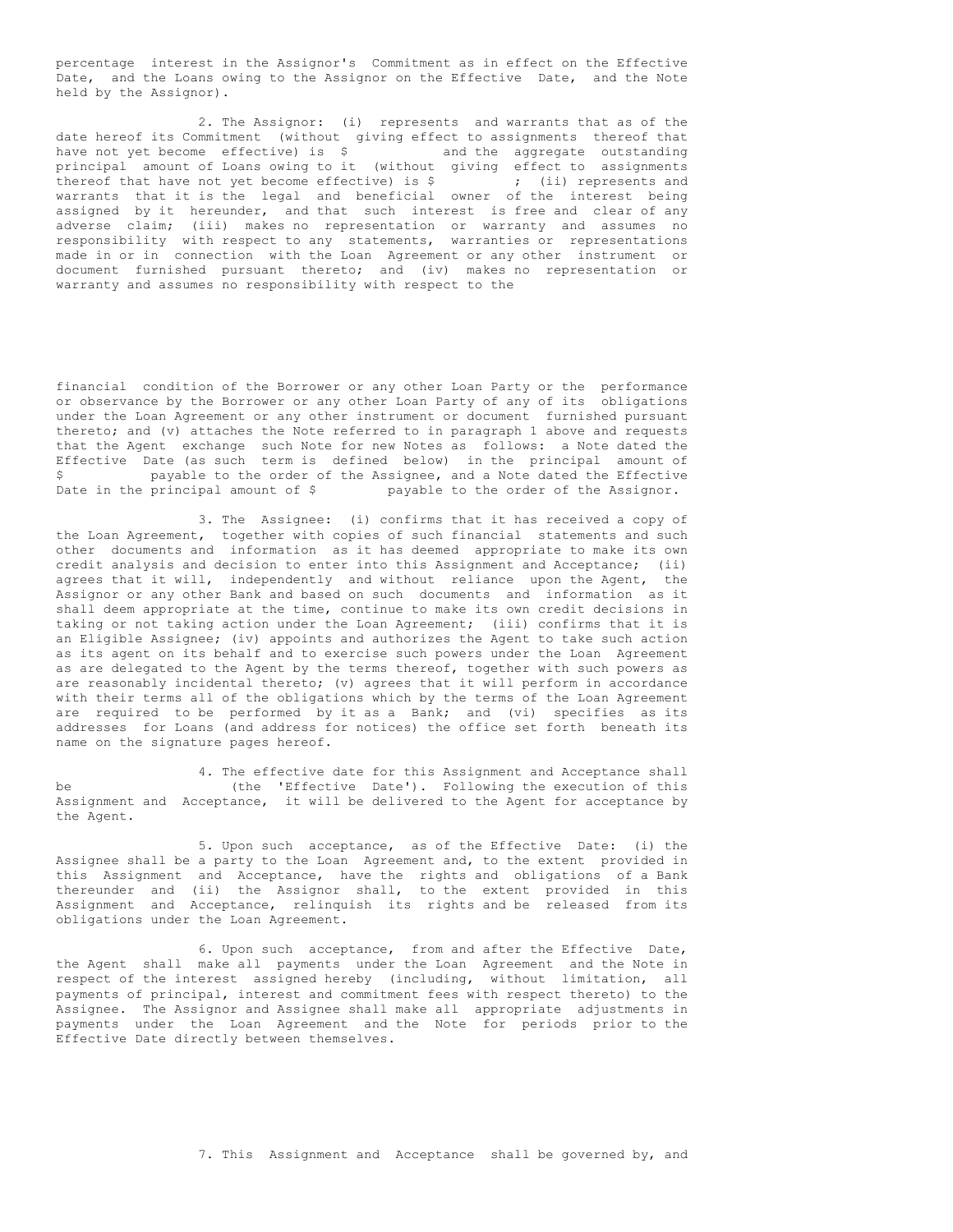percentage interest in the Assignor's Commitment as in effect on the Effective Date, and the Loans owing to the Assignor on the Effective Date, and the Note held by the Assignor).

2. The Assignor: (i) represents and warrants that as of the date hereof its Commitment (without giving effect to assignments thereof that have not yet become effective) is \$ and the aggregate outstanding principal amount of Loans owing to it (without giving effect to assignments thereof that have not yet become effective) is  $\varsigma$  (ii) represents and warrants that it is the legal and beneficial owner of the interest being assigned by it hereunder, and that such interest is free and clear of any adverse claim; (iii) makes no representation or warranty and assumes no responsibility with respect to any statements, warranties or representations made in or in connection with the Loan Agreement or any other instrument or document furnished pursuant thereto; and (iv) makes no representation or warranty and assumes no responsibility with respect to the

financial condition of the Borrower or any other Loan Party or the performance or observance by the Borrower or any other Loan Party of any of its obligations under the Loan Agreement or any other instrument or document furnished pursuant thereto; and (v) attaches the Note referred to in paragraph 1 above and requests that the Agent exchange such Note for new Notes as follows: a Note dated the Effective Date (as such term is defined below) in the principal amount of \$ payable to the order of the Assignee, and a Note dated the Effective Date in the principal amount of \$ payable to the order of the Assignor.

3. The Assignee: (i) confirms that it has received a copy of the Loan Agreement, together with copies of such financial statements and such other documents and information as it has deemed appropriate to make its own credit analysis and decision to enter into this Assignment and Acceptance; (ii) agrees that it will, independently and without reliance upon the Agent, the Assignor or any other Bank and based on such documents and information as it shall deem appropriate at the time, continue to make its own credit decisions in taking or not taking action under the Loan Agreement; (iii) confirms that it is an Eligible Assignee; (iv) appoints and authorizes the Agent to take such action as its agent on its behalf and to exercise such powers under the Loan Agreement as are delegated to the Agent by the terms thereof, together with such powers as are reasonably incidental thereto; (v) agrees that it will perform in accordance with their terms all of the obligations which by the terms of the Loan Agreement are required to be performed by it as a Bank; and (vi) specifies as its addresses for Loans (and address for notices) the office set forth beneath its name on the signature pages hereof.

4. The effective date for this Assignment and Acceptance shall be (the 'Effective Date'). Following the execution of this Assignment and Acceptance, it will be delivered to the Agent for acceptance by the Agent.

5. Upon such acceptance, as of the Effective Date: (i) the Assignee shall be a party to the Loan Agreement and, to the extent provided in this Assignment and Acceptance, have the rights and obligations of a Bank thereunder and (ii) the Assignor shall, to the extent provided in this Assignment and Acceptance, relinquish its rights and be released from its obligations under the Loan Agreement.

6. Upon such acceptance, from and after the Effective Date, the Agent shall make all payments under the Loan Agreement and the Note in respect of the interest assigned hereby (including, without limitation, all payments of principal, interest and commitment fees with respect thereto) to the Assignee. The Assignor and Assignee shall make all appropriate adjustments in payments under the Loan Agreement and the Note for periods prior to the Effective Date directly between themselves.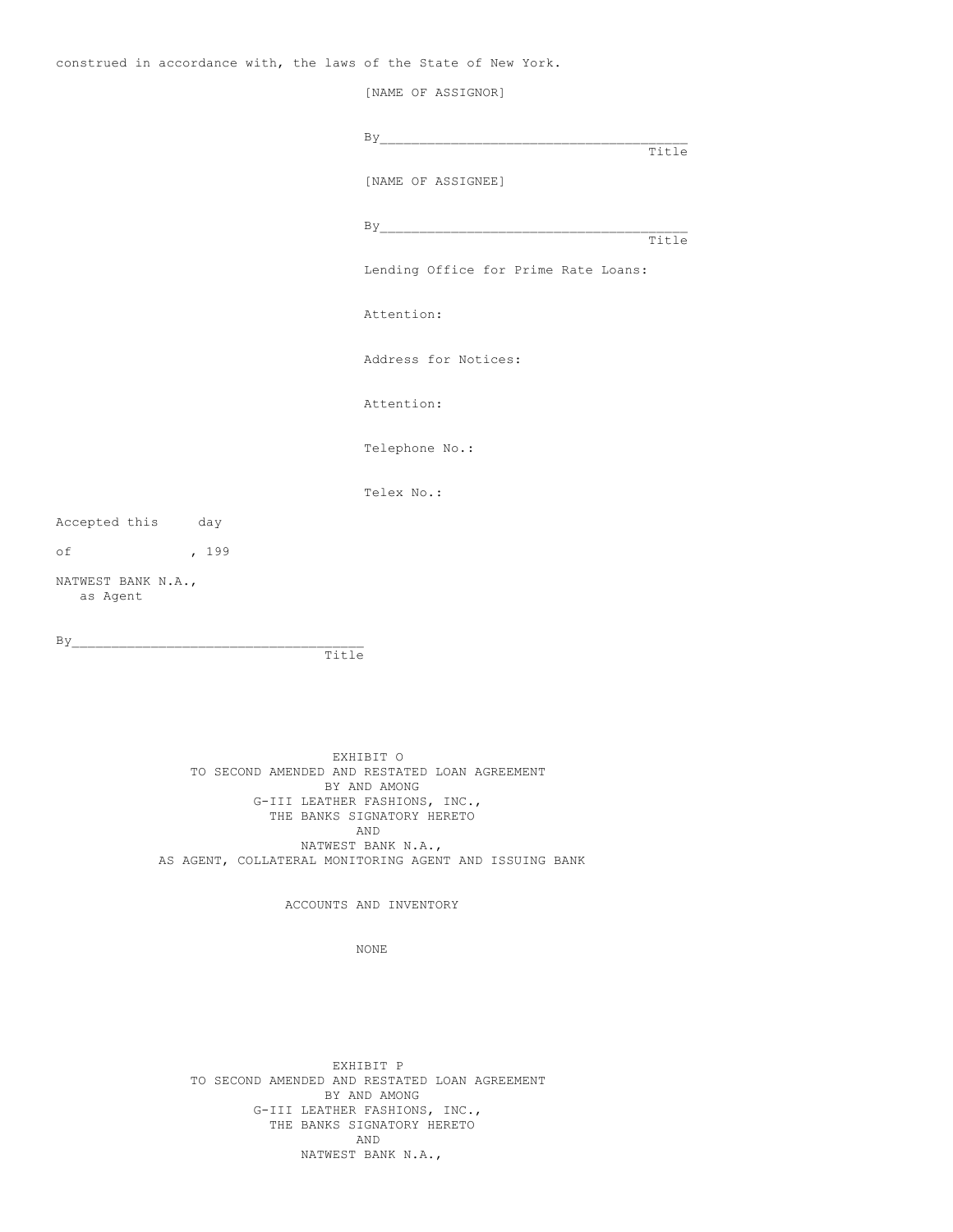construed in accordance with, the laws of the State of New York.

[NAME OF ASSIGNOR]  $By$ Title [NAME OF ASSIGNEE] By\_\_\_\_\_\_\_\_\_\_\_\_\_\_\_\_\_\_\_\_\_\_\_\_\_\_\_\_\_\_\_\_\_\_\_\_\_\_\_ Title Lending Office for Prime Rate Loans: Attention: Address for Notices: Attention: Telephone No.: Telex No.: Accepted this day of , 199 NATWEST BANK N.A., as Agent  $By$ Title EXHIBIT O TO SECOND AMENDED AND RESTATED LOAN AGREEMENT BY AND AMONG G-III LEATHER FASHIONS, INC.,

THE BANKS SIGNATORY HERETO AND NATWEST BANK N.A., AS AGENT, COLLATERAL MONITORING AGENT AND ISSUING BANK

ACCOUNTS AND INVENTORY

NONE

EXHIBIT P TO SECOND AMENDED AND RESTATED LOAN AGREEMENT BY AND AMONG G-III LEATHER FASHIONS, INC., THE BANKS SIGNATORY HERETO AND NATWEST BANK N.A.,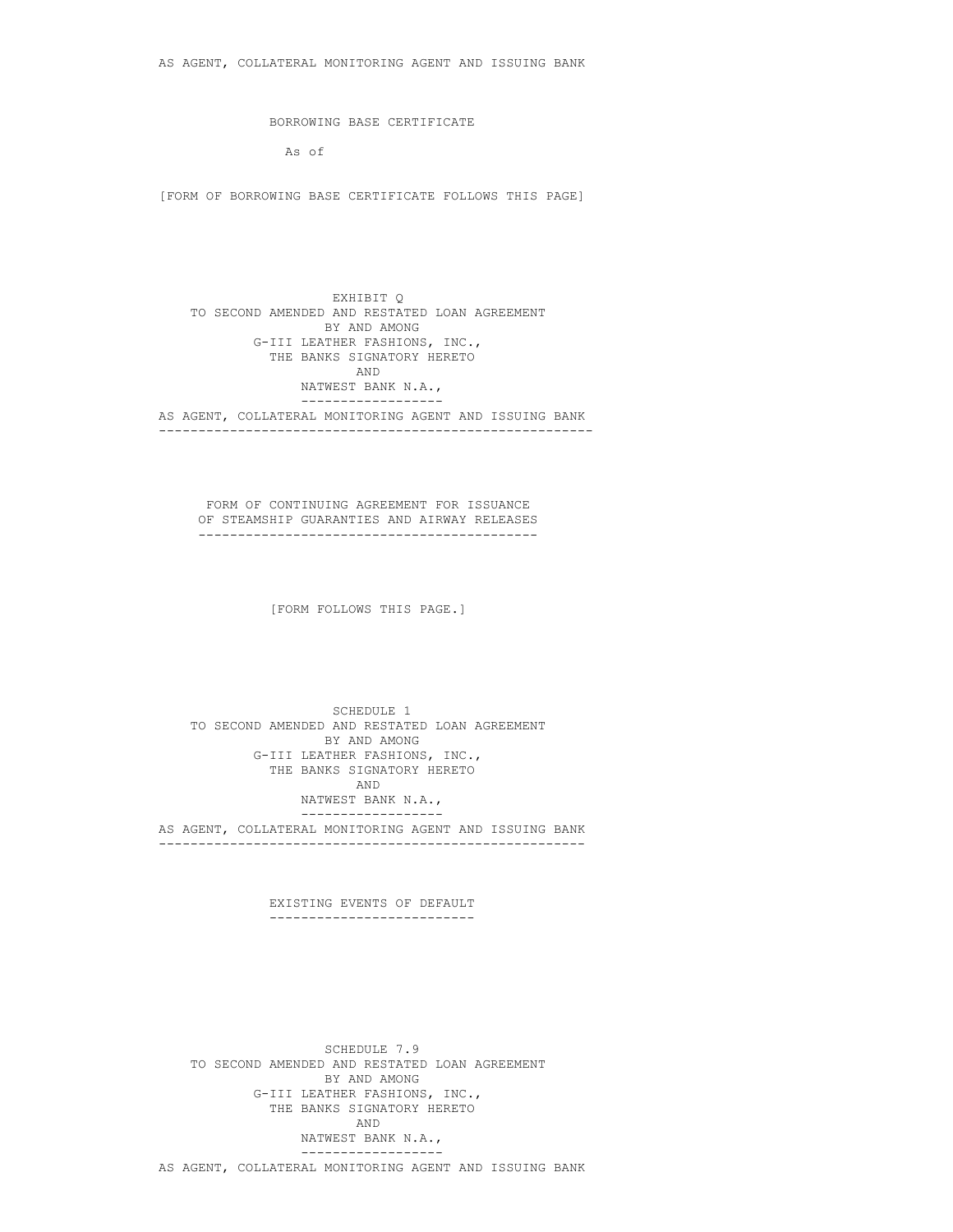BORROWING BASE CERTIFICATE

As of

[FORM OF BORROWING BASE CERTIFICATE FOLLOWS THIS PAGE]

EXHIBIT Q TO SECOND AMENDED AND RESTATED LOAN AGREEMENT BY AND AMONG G-III LEATHER FASHIONS, INC., THE BANKS SIGNATORY HERETO AND NATWEST BANK N.A., ------------------ AS AGENT, COLLATERAL MONITORING AGENT AND ISSUING BANK -------------------------------------------------------

FORM OF CONTINUING AGREEMENT FOR ISSUANCE OF STEAMSHIP GUARANTIES AND AIRWAY RELEASES -------------------------------------------

[FORM FOLLOWS THIS PAGE.]

SCHEDULE 1 TO SECOND AMENDED AND RESTATED LOAN AGREEMENT BY AND AMONG G-III LEATHER FASHIONS, INC., THE BANKS SIGNATORY HERETO AND NATWEST BANK N.A., ------------------ AS AGENT, COLLATERAL MONITORING AGENT AND ISSUING BANK ------------------------------------------------------

> EXISTING EVENTS OF DEFAULT --------------------------

SCHEDULE 7.9 TO SECOND AMENDED AND RESTATED LOAN AGREEMENT BY AND AMONG G-III LEATHER FASHIONS, INC., THE BANKS SIGNATORY HERETO AND NATWEST BANK N.A., ------------------ AS AGENT, COLLATERAL MONITORING AGENT AND ISSUING BANK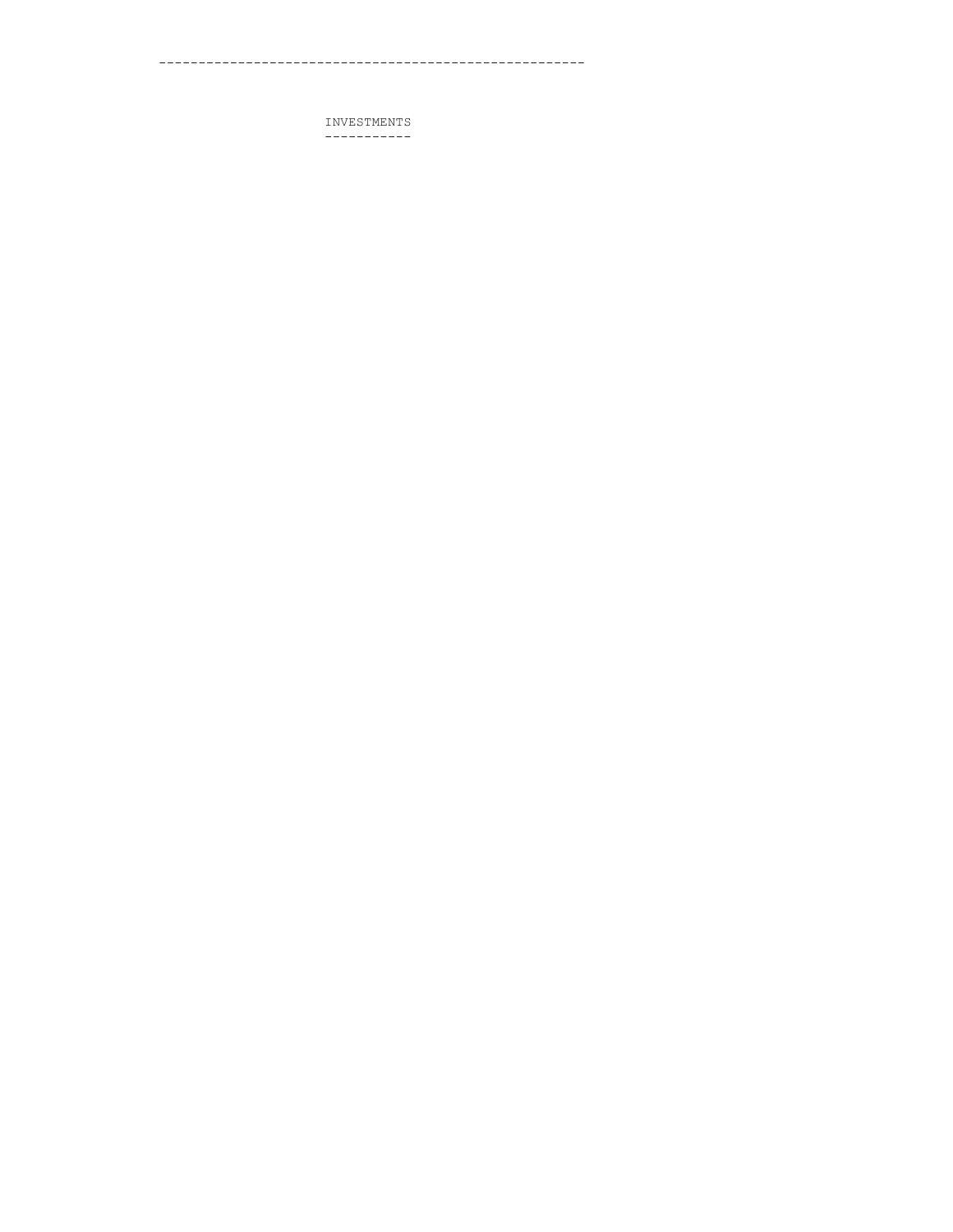INVESTMENTS  $------------$